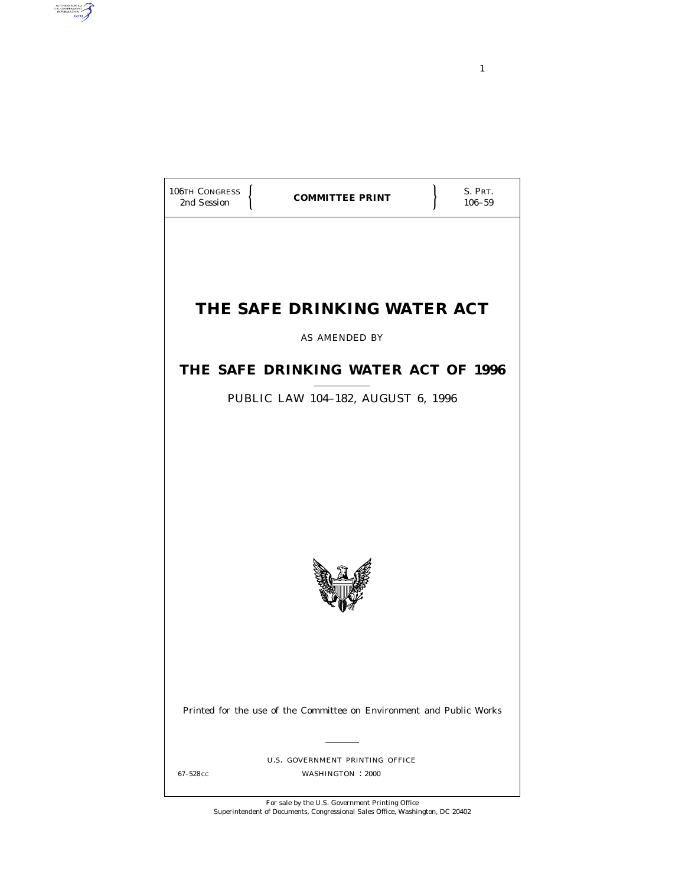

AUTHENTICATED<br>US. GOVERNMENT

For sale by the U.S. Government Printing Office Superintendent of Documents, Congressional Sales Office, Washington, DC 20402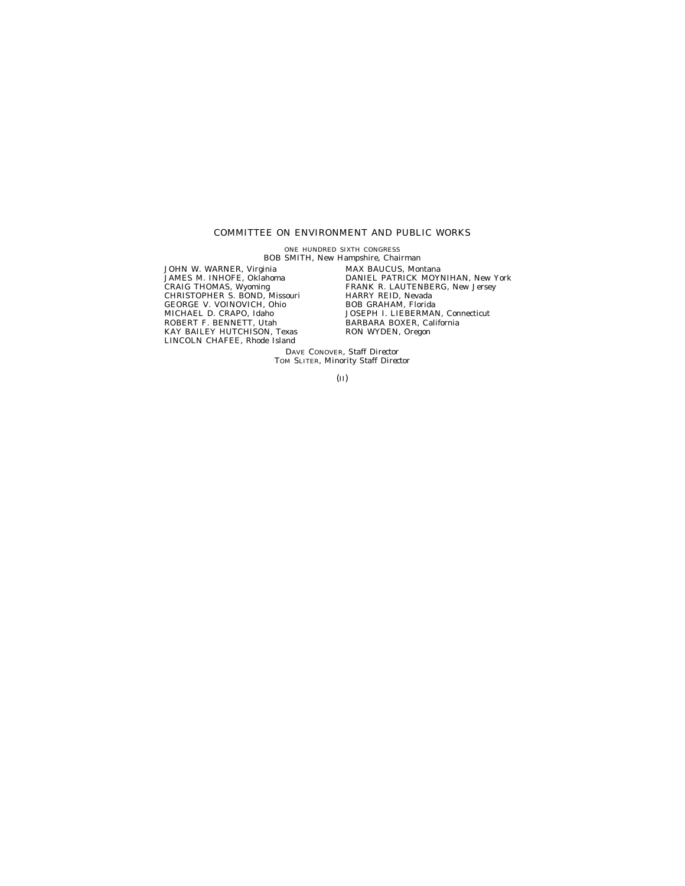# COMMITTEE ON ENVIRONMENT AND PUBLIC WORKS

ONE HUNDRED SIXTH CONGRESS BOB SMITH, New Hampshire, *Chairman*

JOHN W. WARNER, Virginia JAMES M. INHOFE, Oklahoma CRAIG THOMAS, Wyoming CHRISTOPHER S. BOND, Missouri GEORGE V. VOINOVICH, Ohio MICHAEL D. CRAPO, Idaho ROBERT F. BENNETT, Utah KAY BAILEY HUTCHISON, Texas LINCOLN CHAFEE, Rhode Island

MAX BAUCUS, Montana DANIEL PATRICK MOYNIHAN, New York FRANK R. LAUTENBERG, New Jersey HARRY REID, Nevada BOB GRAHAM, Florida JOSEPH I. LIEBERMAN, Connecticut BARBARA BOXER, California RON WYDEN, Oregon

DAVE CONOVER, *Staff Director* TOM SLITER, *Minority Staff Director*

(II)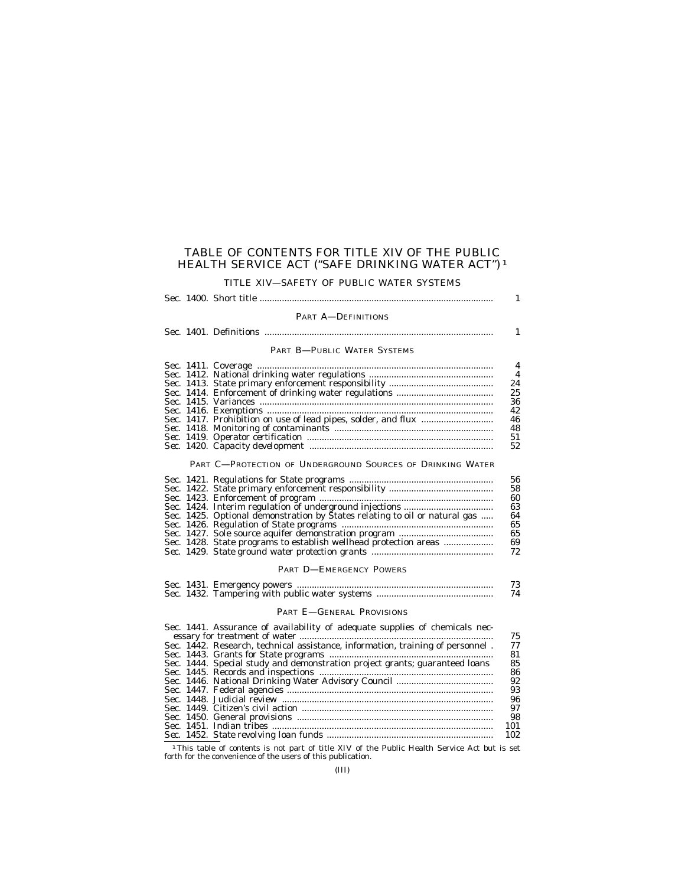# TABLE OF CONTENTS FOR TITLE XIV OF THE PUBLIC HEALTH SERVICE ACT (''SAFE DRINKING WATER ACT'') 1

# TITLE XIV—SAFETY OF PUBLIC WATER SYSTEMS

|                           |  | 1                                                                                |  |
|---------------------------|--|----------------------------------------------------------------------------------|--|
| <b>PART A-DEFINITIONS</b> |  |                                                                                  |  |
|                           |  | 1                                                                                |  |
|                           |  | <b>PART B-PUBLIC WATER SYSTEMS</b>                                               |  |
|                           |  | $\overline{4}$                                                                   |  |
|                           |  | $\overline{4}$                                                                   |  |
|                           |  | 24                                                                               |  |
|                           |  | 25                                                                               |  |
|                           |  | 36                                                                               |  |
|                           |  | 42                                                                               |  |
|                           |  | 46                                                                               |  |
|                           |  | 48                                                                               |  |
|                           |  | 51                                                                               |  |
|                           |  | 52                                                                               |  |
|                           |  | PART C-PROTECTION OF UNDERGROUND SOURCES OF DRINKING WATER                       |  |
|                           |  | 56                                                                               |  |
|                           |  | 58                                                                               |  |
|                           |  | 60                                                                               |  |
|                           |  | 63                                                                               |  |
|                           |  | Sec. 1425. Optional demonstration by States relating to oil or natural gas<br>64 |  |
|                           |  | 65                                                                               |  |
|                           |  | 65                                                                               |  |
|                           |  | Sec. 1428. State programs to establish wellhead protection areas<br>69           |  |
|                           |  | 72                                                                               |  |

# PART D-EMERGENCY POWERS

|  | Sec. 1431. Emergency powers <b>communicates</b> and the sec. 1431. |  |
|--|--------------------------------------------------------------------|--|
|  |                                                                    |  |

#### PART E—GENERAL PROVISIONS

|  | Sec. 1441. Assurance of availability of adequate supplies of chemicals nec-    |     |
|--|--------------------------------------------------------------------------------|-----|
|  |                                                                                | 75  |
|  | Sec. 1442. Research, technical assistance, information, training of personnel. | 77  |
|  |                                                                                | 81  |
|  | Sec. 1444. Special study and demonstration project grants; guaranteed loans    | 85  |
|  |                                                                                | 86  |
|  |                                                                                | 92  |
|  |                                                                                | 93  |
|  |                                                                                | 96  |
|  |                                                                                | 97  |
|  |                                                                                | 98  |
|  |                                                                                | 101 |
|  |                                                                                | 102 |
|  |                                                                                |     |

<sup>1</sup>This table of contents is not part of title XIV of the Public Health Service Act but is set forth for the convenience of the users of this publication.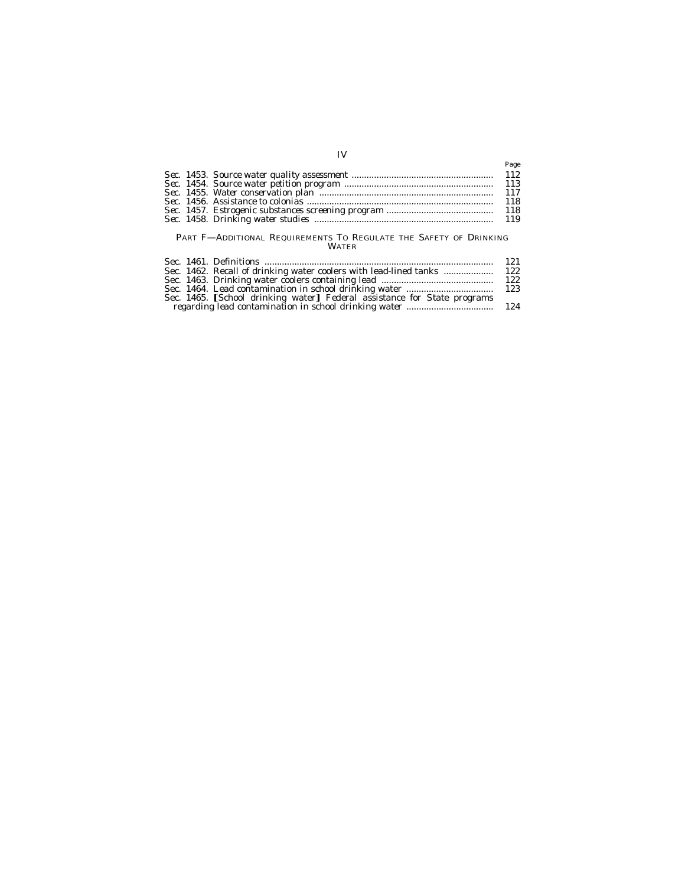|  | Page |
|--|------|
|  |      |
|  |      |
|  |      |
|  |      |
|  |      |
|  |      |
|  |      |

PART F—ADDITIONAL REQUIREMENTS TO REGULATE THE SAFETY OF DRINKING WATER

|  |                                                                          | 121 |
|--|--------------------------------------------------------------------------|-----|
|  | Sec. 1462. Recall of drinking water coolers with lead-lined tanks        | 122 |
|  |                                                                          | 122 |
|  |                                                                          |     |
|  | Sec. 1465. [School drinking water] Federal assistance for State programs |     |
|  |                                                                          |     |

# IV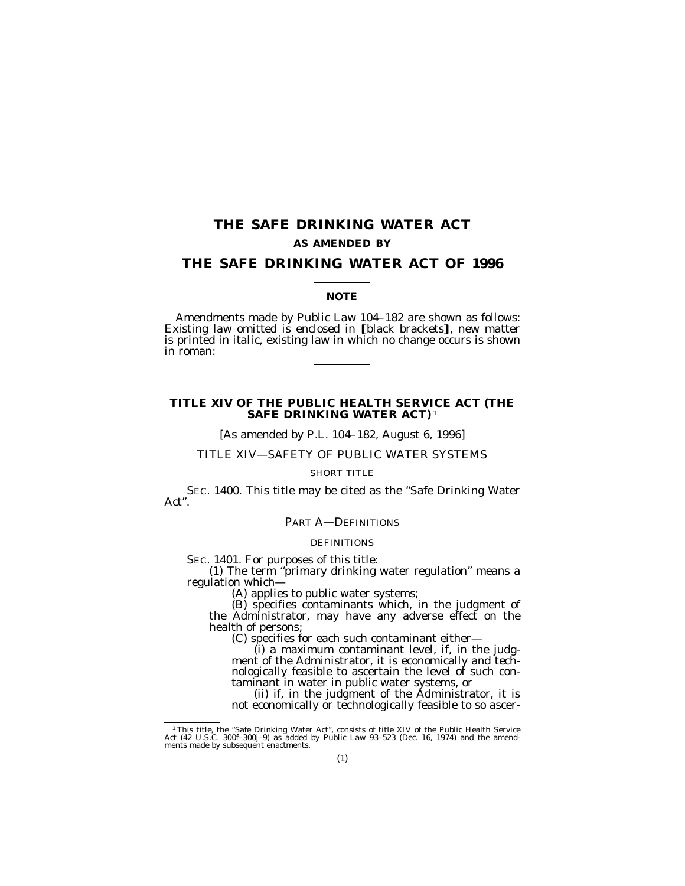# **THE SAFE DRINKING WATER ACT AS AMENDED BY THE SAFE DRINKING WATER ACT OF 1996**

### **NOTE**

Amendments made by Public Law 104–182 are shown as follows: Existing law omitted is enclosed in [black brackets], new matter is printed in *italic,* existing law in which no change occurs is shown in roman:

# **TITLE XIV OF THE PUBLIC HEALTH SERVICE ACT (THE SAFE DRINKING WATER ACT)** 1

[As amended by P.L. 104–182, August 6, 1996]

# TITLE XIV—SAFETY OF PUBLIC WATER SYSTEMS

#### SHORT TITLE

SEC. 1400. This title may be cited as the ''Safe Drinking Water Act''.

#### PART A—DEFINITIONS

#### DEFINITIONS

SEC. 1401. For purposes of this title:

(1) The term ''primary drinking water regulation'' means a

 $(A)$  applies to public water systems;

(B) specifies contaminants which, in the judgment of the Administrator, may have any adverse effect on the health of persons;

(C) specifies for each such contaminant either—

(i) a maximum contaminant level, if, in the judgment of the Administrator, it is economically and technologically feasible to ascertain the level of such contaminant in water in public water systems, or (ii) if, in the judgment of the Administrator, it is

not economically or technologically feasible to so ascer-

<sup>&</sup>lt;sup>1</sup>This title, the "Safe Drinking Water Act", consists of title XIV of the Public Health Service Act (42 U.S.C. 300f–300j–9) as added by Public Law 93–523 (Dec. 16, 1974) and the amend-ments made by subsequent enactments.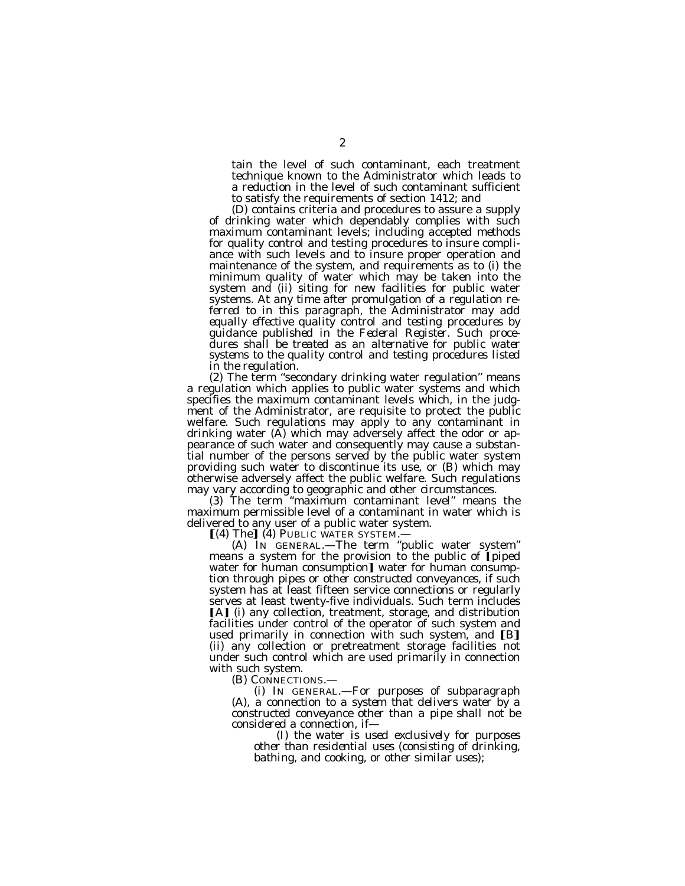tain the level of such contaminant, each treatment technique known to the Administrator which leads to a reduction in the level of such contaminant sufficient to satisfy the requirements of section 1412; and

(D) contains criteria and procedures to assure a supply of drinking water which dependably complies with such maximum contaminant levels; including *accepted methods for* quality control and testing procedures to insure compliance with such levels and to insure proper operation and maintenance of the system, and requirements as to (i) the minimum quality of water which may be taken into the system and (ii) siting for new facilities for public water systems. *At any time after promulgation of a regulation referred to in this paragraph, the Administrator may add equally effective quality control and testing procedures by guidance published in the Federal Register. Such procedures shall be treated as an alternative for public water systems to the quality control and testing procedures listed in the regulation.*

(2) The term ''secondary drinking water regulation'' means a regulation which applies to public water systems and which specifies the maximum contaminant levels which, in the judgment of the Administrator, are requisite to protect the public welfare. Such regulations may apply to any contaminant in drinking water (A) which may adversely affect the odor or appearance of such water and consequently may cause a substantial number of the persons served by the public water system providing such water to discontinue its use, or (B) which may otherwise adversely affect the public welfare. Such regulations

may vary according to geographic and other circumstances. (3) The term ''maximum contaminant level'' means the maximum permissible level of a contaminant in water which is delivered to any user of a public water system.

 $[(4)$  The]  $(4)$  PUBLIC WATER SYSTEM.

*(A) IN GENERAL.—The* term ''public water system'' means a system for the provision to the public of [piped] water for human consumption] water for human consump*tion through pipes or other constructed conveyances,* if such system has at least fifteen service connections or regularly serves at least twenty-five individuals. Such term includes [A] *(i)* any collection, treatment, storage, and distribution facilities under control of the operator of such system and used primarily in connection with such system, and  $[B]$ *(ii)* any collection or pretreatment storage facilities not under such control which are used primarily in connection with such system.

*(B) CONNECTIONS*.—

*(i) IN GENERAL.—For purposes of subparagraph (A), a connection to a system that delivers water by a constructed conveyance other than a pipe shall not be considered a connection, if—*

*(I) the water is used exclusively for purposes other than residential uses (consisting of drinking, bathing, and cooking, or other similar uses);*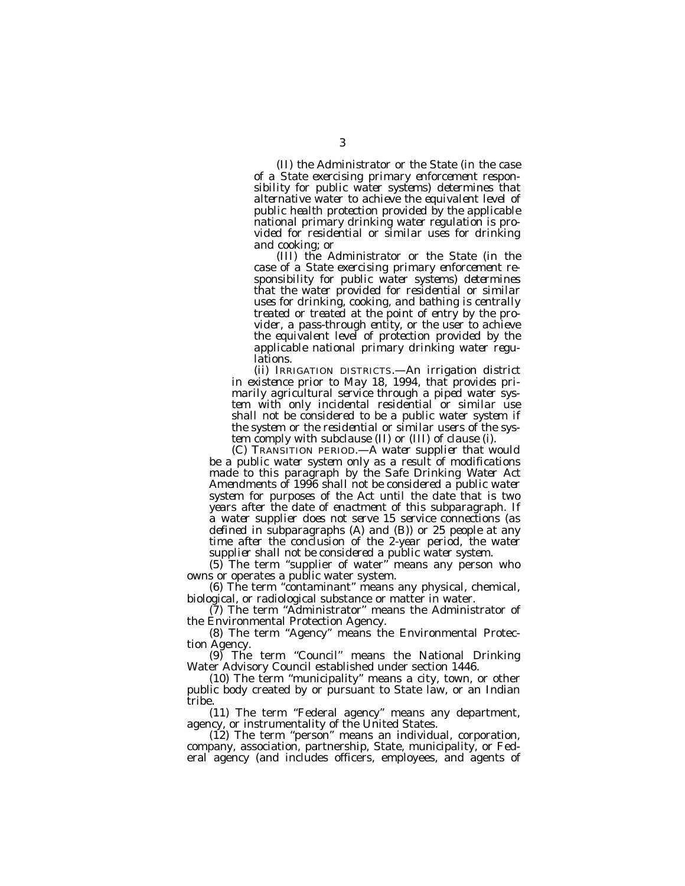*(II) the Administrator or the State (in the case of a State exercising primary enforcement responsibility for public water systems) determines that alternative water to achieve the equivalent level of public health protection provided by the applicable national primary drinking water regulation is provided for residential or similar uses for drinking and cooking; or*

*(III) the Administrator or the State (in the case of a State exercising primary enforcement responsibility for public water systems) determines that the water provided for residential or similar uses for drinking, cooking, and bathing is centrally treated or treated at the point of entry by the provider, a pass-through entity, or the user to achieve the equivalent level of protection provided by the applicable national primary drinking water regulations.*

*(ii) IRRIGATION DISTRICTS.—An irrigation district in existence prior to May 18, 1994, that provides primarily agricultural service through a piped water system with only incidental residential or similar use shall not be considered to be a public water system if the system or the residential or similar users of the system comply with subclause (II) or (III) of clause (i).*

*(C) TRANSITION PERIOD.—A water supplier that would be a public water system only as a result of modifications made to this paragraph by the Safe Drinking Water Act Amendments of 1996 shall not be considered a public water system for purposes of the Act until the date that is two years after the date of enactment of this subparagraph. If a water supplier does not serve 15 service connections (as defined in subparagraphs (A) and (B)) or 25 people at any time after the conclusion of the 2-year period, the water supplier shall not be considered a public water system.*

(5) The term ''supplier of water'' means any person who owns or operates a public water system.

(6) The term ''contaminant'' means any physical, chemical, biological, or radiological substance or matter in water.

(7) The term ''Administrator'' means the Administrator of the Environmental Protection Agency.

(8) The term ''Agency'' means the Environmental Protection Agency.

(9) The term ''Council'' means the National Drinking Water Advisory Council established under section 1446.

(10) The term ''municipality'' means a city, town, or other public body created by or pursuant to State law, or an Indian tribe.

(11) The term ''Federal agency'' means any department, agency, or instrumentality of the United States.

(12) The term ''person'' means an individual, corporation, company, association, partnership, State, municipality, or Federal agency (and includes officers, employees, and agents of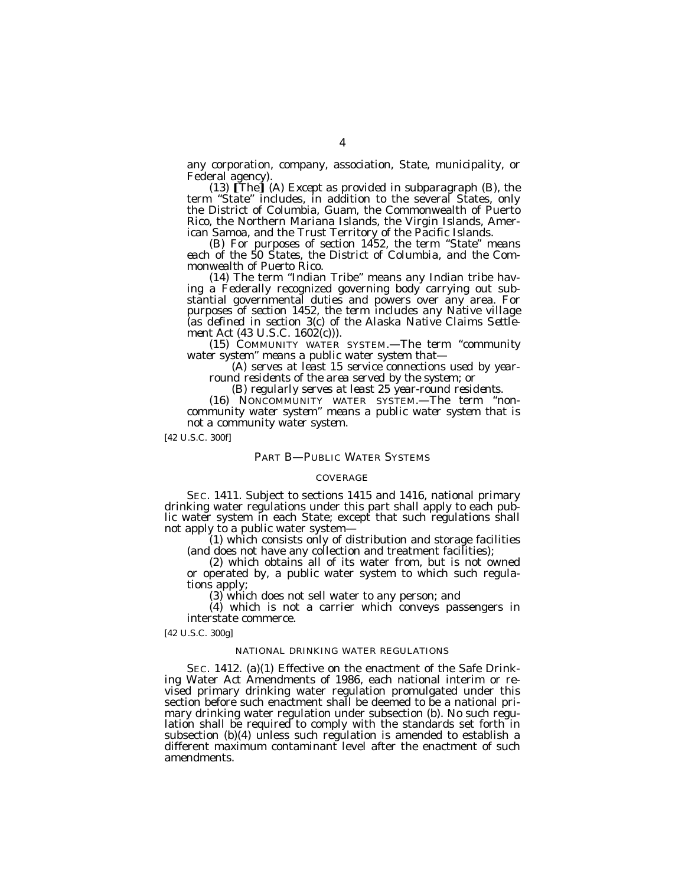any corporation, company, association, State, municipality, or Federal agency).

 $(13)$   $[The]$   $(A)$  Except as provided in subparagraph  $(B)$ , the term ''State'' includes, in addition to the several States, only the District of Columbia, Guam, the Commonwealth of Puerto Rico, the Northern Mariana Islands, the Virgin Islands, American Samoa, and the Trust Territory of the Pacific Islands.

*(B) For purposes of section 1452, the term ''State'' means each of the 50 States, the District of Columbia, and the Commonwealth of Puerto Rico.*

(14) The term ''Indian Tribe'' means any Indian tribe having a Federally recognized governing body carrying out substantial governmental duties and powers over any area. *For purposes of section 1452, the term includes any Native village (as defined in section 3(c) of the Alaska Native Claims Settlement Act (43 U.S.C. 1602(c))).*

*(15) COMMUNITY WATER SYSTEM.—The term ''community water system'' means a public water system that—*

*(A) serves at least 15 service connections used by yearround residents of the area served by the system; or*

*(B) regularly serves at least 25 year-round residents.*

*(16) NONCOMMUNITY WATER SYSTEM.—The term ''noncommunity water system'' means a public water system that is not a community water system.*

[42 U.S.C. 300f]

#### PART B—PUBLIC WATER SYSTEMS

#### COVERAGE

SEC. 1411. Subject to sections 1415 and 1416, national primary drinking water regulations under this part shall apply to each public water system in each State; except that such regulations shall not apply to a public water system-

(1) which consists only of distribution and storage facilities (and does not have any collection and treatment facilities);

(2) which obtains all of its water from, but is not owned or operated by, a public water system to which such regulations apply;

(3) which does not sell water to any person; and

(4) which is not a carrier which conveys passengers in interstate commerce.

[42 U.S.C. 300g]

#### NATIONAL DRINKING WATER REGULATIONS

SEC. 1412. (a)(1) Effective on the enactment of the Safe Drinking Water Act Amendments of 1986, each national interim or revised primary drinking water regulation promulgated under this section before such enactment shall be deemed to be a national primary drinking water regulation under subsection (b). No such regulation shall be required to comply with the standards set forth in subsection (b)(4) unless such regulation is amended to establish a different maximum contaminant level after the enactment of such amendments.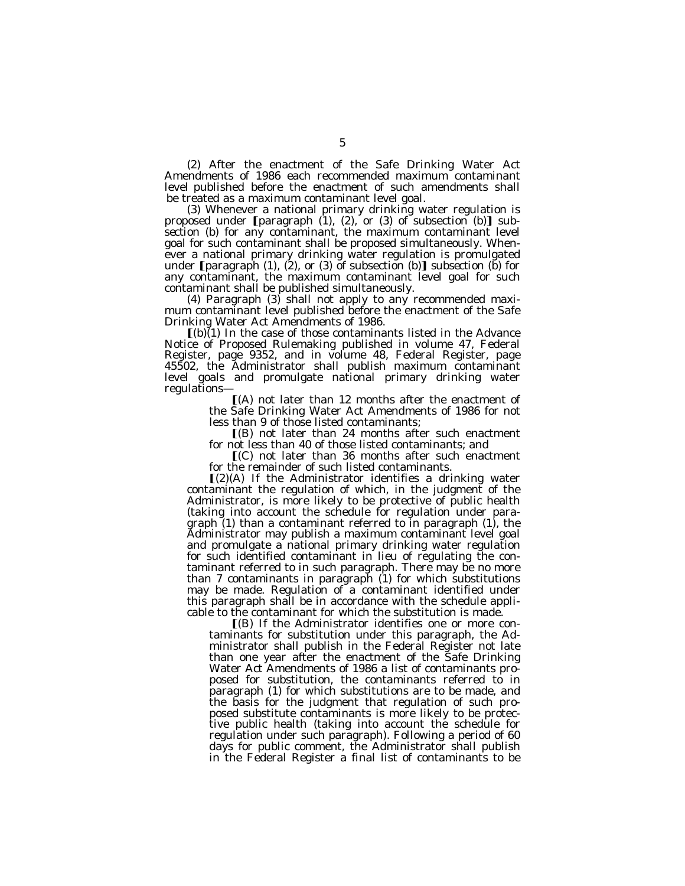(2) After the enactment of the Safe Drinking Water Act Amendments of 1986 each recommended maximum contaminant level published before the enactment of such amendments shall be treated as a maximum contaminant level goal.

(3) Whenever a national primary drinking water regulation is proposed under [paragraph (1), (2), or (3) of subsection (b)] sub*section (b)* for any contaminant, the maximum contaminant level goal for such contaminant shall be proposed simultaneously. Whenever a national primary drinking water regulation is promulgated under [paragraph  $(1)$ ,  $(2)$ , or  $(3)$  of subsection  $(b)$ ] *subsection*  $(b)$  for any contaminant, the maximum contaminant level goal for such contaminant shall be published simultaneously.

(4) Paragraph  $(3)$  shall not apply to any recommended maximum contaminant level published before the enactment of the Safe Drinking Water Act Amendments of 1986.

 $[6]$ (1) In the case of those contaminants listed in the Advance Notice of Proposed Rulemaking published in volume 47, Federal Register, page 9352, and in volume 48, Federal Register, page 45502, the Administrator shall publish maximum contaminant level goals and promulgate national primary drinking water regulations—

> $(A)$  not later than 12 months after the enactment of the Safe Drinking Water Act Amendments of 1986 for not less than 9 of those listed contaminants;

> $\Gamma(B)$  not later than 24 months after such enactment for not less than 40 of those listed contaminants; and

> $(C)$  not later than 36 months after such enactment for the remainder of such listed contaminants.

 $[(2)(A)$  If the Administrator identifies a drinking water contaminant the regulation of which, in the judgment of the Administrator, is more likely to be protective of public health (taking into account the schedule for regulation under paragraph (1) than a contaminant referred to in paragraph (1), the Administrator may publish a maximum contaminant level goal and promulgate a national primary drinking water regulation for such identified contaminant in lieu of regulating the contaminant referred to in such paragraph. There may be no more than 7 contaminants in paragraph (1) for which substitutions may be made. Regulation of a contaminant identified under this paragraph shall be in accordance with the schedule applicable to the contaminant for which the substitution is made.

ø(B) If the Administrator identifies one or more contaminants for substitution under this paragraph, the Administrator shall publish in the Federal Register not late than one year after the enactment of the Safe Drinking Water Act Amendments of 1986 a list of contaminants proposed for substitution, the contaminants referred to in paragraph (1) for which substitutions are to be made, and the basis for the judgment that regulation of such proposed substitute contaminants is more likely to be protective public health (taking into account the schedule for regulation under such paragraph). Following a period of 60 days for public comment, the Administrator shall publish in the Federal Register a final list of contaminants to be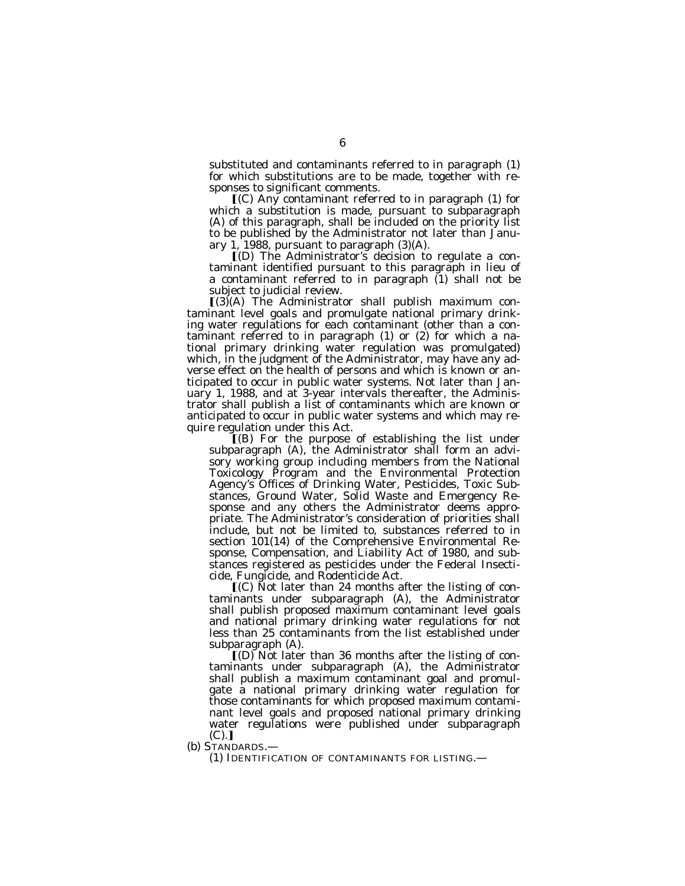substituted and contaminants referred to in paragraph (1) for which substitutions are to be made, together with responses to significant comments.

 $(C)$  Any contaminant referred to in paragraph (1) for which a substitution is made, pursuant to subparagraph (A) of this paragraph, shall be included on the priority list to be published by the Administrator not later than January 1, 1988, pursuant to paragraph  $(3)(A)$ .

 $(D)$  The Administrator's decision to regulate a contaminant identified pursuant to this paragraph in lieu of a contaminant referred to in paragraph (1) shall not be subject to judicial review.

 $[(3)(A)$  The Administrator shall publish maximum contaminant level goals and promulgate national primary drinking water regulations for each contaminant (other than a contaminant referred to in paragraph (1) or (2) for which a national primary drinking water regulation was promulgated) which, in the judgment of the Administrator, may have any adverse effect on the health of persons and which is known or anticipated to occur in public water systems. Not later than January 1, 1988, and at 3-year intervals thereafter, the Administrator shall publish a list of contaminants which are known or anticipated to occur in public water systems and which may require regulation under this Act.

ø(B) For the purpose of establishing the list under subparagraph (A), the Administrator shall form an advisory working group including members from the National Toxicology Program and the Environmental Protection Agency's Offices of Drinking Water, Pesticides, Toxic Substances, Ground Water, Solid Waste and Emergency Response and any others the Administrator deems appropriate. The Administrator's consideration of priorities shall include, but not be limited to, substances referred to in section 101(14) of the Comprehensive Environmental Response, Compensation, and Liability Act of 1980, and substances registered as pesticides under the Federal Insecticide, Fungicide, and Rodenticide Act.

 $\Gamma(C)$  Not later than 24 months after the listing of contaminants under subparagraph (A), the Administrator shall publish proposed maximum contaminant level goals and national primary drinking water regulations for not less than 25 contaminants from the list established under subparagraph (A).

 $\sqrt{\frac{D}{D}}$  Not later than 36 months after the listing of contaminants under subparagraph (A), the Administrator shall publish a maximum contaminant goal and promulgate a national primary drinking water regulation for those contaminants for which proposed maximum contaminant level goals and proposed national primary drinking water regulations were published under subparagraph  $(C).$ 

*(b) STANDARDS.—*

*(1) IDENTIFICATION OF CONTAMINANTS FOR LISTING.—*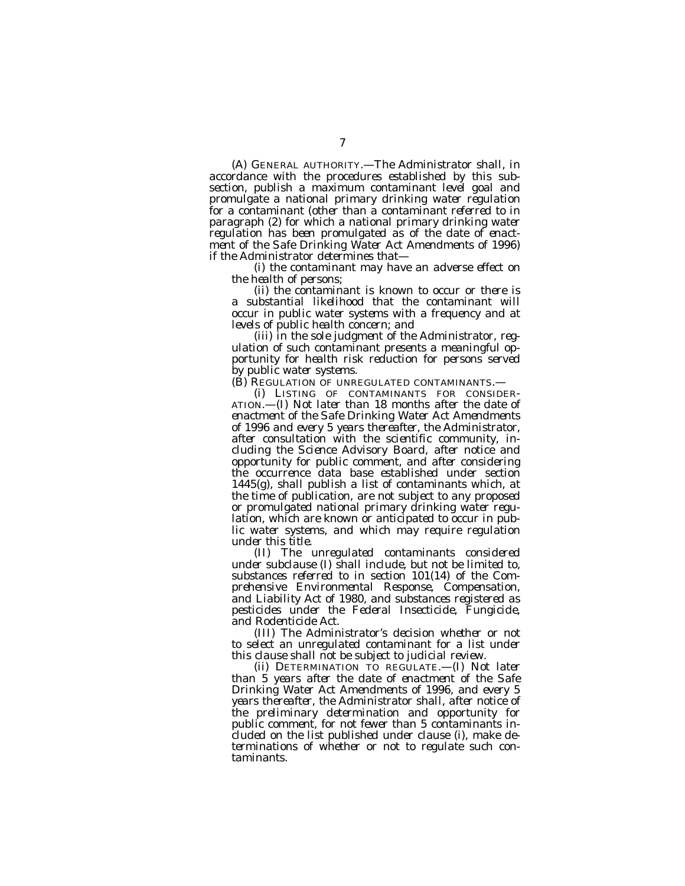*(A) GENERAL AUTHORITY.—The Administrator shall, in accordance with the procedures established by this subsection, publish a maximum contaminant level goal and promulgate a national primary drinking water regulation for a contaminant (other than a contaminant referred to in paragraph (2) for which a national primary drinking water regulation has been promulgated as of the date of enactment of the Safe Drinking Water Act Amendments of 1996) if the Administrator determines that—*

*(i) the contaminant may have an adverse effect on the health of persons;*

*(ii) the contaminant is known to occur or there is a substantial likelihood that the contaminant will occur in public water systems with a frequency and at levels of public health concern; and*

*(iii) in the sole judgment of the Administrator, regulation of such contaminant presents a meaningful opportunity for health risk reduction for persons served by public water systems.*

*(B) REGULATION OF UNREGULATED CONTAMINANTS*.—

*(i) LISTING OF CONTAMINANTS FOR CONSIDER-ATION.—(I) Not later than 18 months after the date of enactment of the Safe Drinking Water Act Amendments of 1996 and every 5 years thereafter, the Administrator, after consultation with the scientific community, including the Science Advisory Board, after notice and opportunity for public comment, and after considering the occurrence data base established under section 1445(g), shall publish a list of contaminants which, at the time of publication, are not subject to any proposed or promulgated national primary drinking water regulation, which are known or anticipated to occur in public water systems, and which may require regulation under this title.*

*(II) The unregulated contaminants considered under subclause (I) shall include, but not be limited to, substances referred to in section 101(14) of the Comprehensive Environmental Response, Compensation, and Liability Act of 1980, and substances registered as pesticides under the Federal Insecticide, Fungicide, and Rodenticide Act.*

*(III) The Administrator's decision whether or not to select an unregulated contaminant for a list under this clause shall not be subject to judicial review.*

*(ii) DETERMINATION TO REGULATE.—(I) Not later than 5 years after the date of enactment of the Safe Drinking Water Act Amendments of 1996, and every 5 years thereafter, the Administrator shall, after notice of the preliminary determination and opportunity for public comment, for not fewer than 5 contaminants included on the list published under clause (i), make determinations of whether or not to regulate such contaminants.*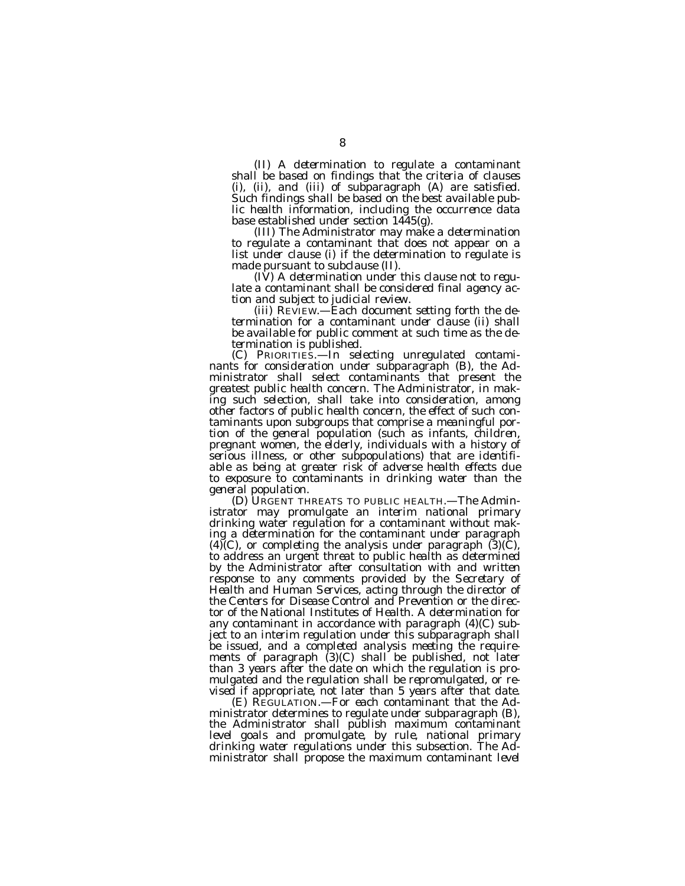*(II) A determination to regulate a contaminant shall be based on findings that the criteria of clauses (i), (ii), and (iii) of subparagraph (A) are satisfied. Such findings shall be based on the best available public health information, including the occurrence data*

*base established under section 1445(g). (III) The Administrator may make a determination to regulate a contaminant that does not appear on a list under clause (i) if the determination to regulate is made pursuant to subclause (II).*

*(IV) A determination under this clause not to regulate a contaminant shall be considered final agency ac-*

*tion and subject to judicial review. (iii) REVIEW.—Each document setting forth the de- termination for a contaminant under clause (ii) shall be available for public comment at such time as the de-*

*termination is published. nants for consideration under subparagraph (B), the Administrator shall select contaminants that present the greatest public health concern. The Administrator, in making such selection, shall take into consideration, among other factors of public health concern, the effect of such contaminants upon subgroups that comprise a meaningful portion of the general population (such as infants, children, pregnant women, the elderly, individuals with a history of serious illness, or other subpopulations) that are identifiable as being at greater risk of adverse health effects due to exposure to contaminants in drinking water than the general population. (D) URGENT THREATS TO PUBLIC HEALTH.—The Admin-*

*istrator may promulgate an interim national primary drinking water regulation for a contaminant without making a determination for the contaminant under paragraph (4)(C), or completing the analysis under paragraph (3)(C), to address an urgent threat to public health as determined by the Administrator after consultation with and written response to any comments provided by the Secretary of Health and Human Services, acting through the director of the Centers for Disease Control and Prevention or the director of the National Institutes of Health. A determination for any contaminant in accordance with paragraph (4)(C) subject to an interim regulation under this subparagraph shall be issued, and a completed analysis meeting the requirements of paragraph (3)(C) shall be published, not later than 3 years after the date on which the regulation is promulgated and the regulation shall be repromulgated, or revised if appropriate, not later than 5 years after that date.*

*(E) REGULATION.—For each contaminant that the Administrator determines to regulate under subparagraph (B), the Administrator shall publish maximum contaminant level goals and promulgate, by rule, national primary drinking water regulations under this subsection. The Administrator shall propose the maximum contaminant level*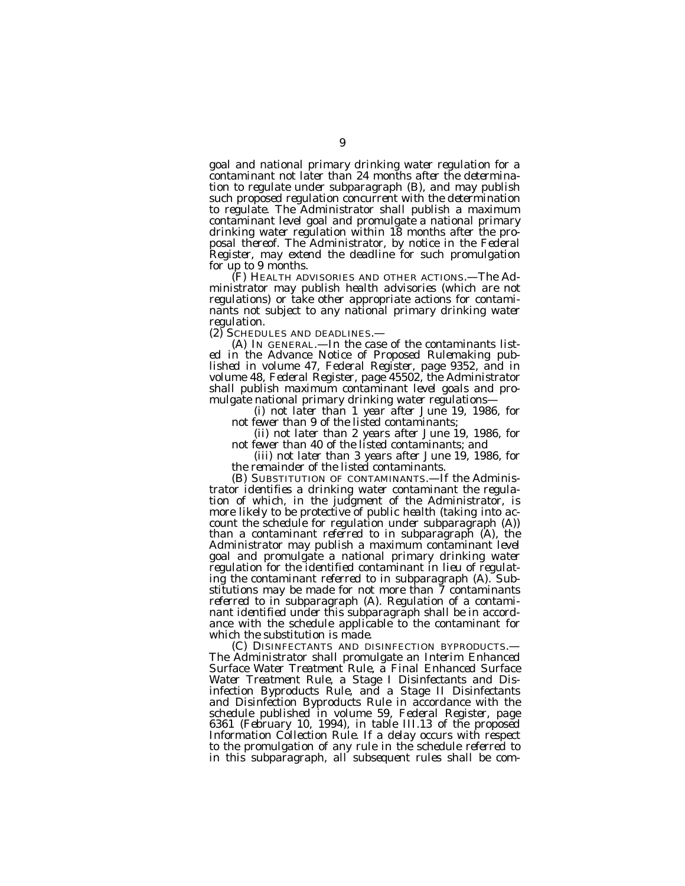*goal and national primary drinking water regulation for a contaminant not later than 24 months after the determination to regulate under subparagraph (B), and may publish such proposed regulation concurrent with the determination to regulate. The Administrator shall publish a maximum contaminant level goal and promulgate a national primary drinking water regulation within 18 months after the proposal thereof. The Administrator, by notice in the Federal Register, may extend the deadline for such promulgation for up to 9 months.*

*(F) HEALTH ADVISORIES AND OTHER ACTIONS.—The Administrator may publish health advisories (which are not regulations) or take other appropriate actions for contaminants not subject to any national primary drinking water regulation.*

*(2) SCHEDULES AND DEADLINES*.— *(A) IN GENERAL.—In the case of the contaminants listed in the Advance Notice of Proposed Rulemaking published in volume 47, Federal Register, page 9352, and in volume 48, Federal Register, page 45502, the Administrator shall publish maximum contaminant level goals and promulgate national primary drinking water regulations— (i) not later than 1 year after June 19, 1986, for*

*not fewer than 9 of the listed contaminants;*

*(ii) not later than 2 years after June 19, 1986, for not fewer than 40 of the listed contaminants; and*

*(iii) not later than 3 years after June 19, 1986, for the remainder of the listed contaminants.*

*(B) SUBSTITUTION OF CONTAMINANTS.—If the Administrator identifies a drinking water contaminant the regulation of which, in the judgment of the Administrator, is more likely to be protective of public health (taking into account the schedule for regulation under subparagraph (A)) than a contaminant referred to in subparagraph (A), the Administrator may publish a maximum contaminant level goal and promulgate a national primary drinking water regulation for the identified contaminant in lieu of regulating the contaminant referred to in subparagraph (A). Substitutions may be made for not more than 7 contaminants referred to in subparagraph (A). Regulation of a contaminant identified under this subparagraph shall be in accordance with the schedule applicable to the contaminant for which the substitution is made.*

*(C) DISINFECTANTS AND DISINFECTION BYPRODUCTS.— The Administrator shall promulgate an Interim Enhanced Surface Water Treatment Rule, a Final Enhanced Surface Water Treatment Rule, a Stage I Disinfectants and Disinfection Byproducts Rule, and a Stage II Disinfectants and Disinfection Byproducts Rule in accordance with the schedule published in volume 59, Federal Register, page 6361 (February 10, 1994), in table III.13 of the proposed Information Collection Rule. If a delay occurs with respect to the promulgation of any rule in the schedule referred to in this subparagraph, all subsequent rules shall be com-*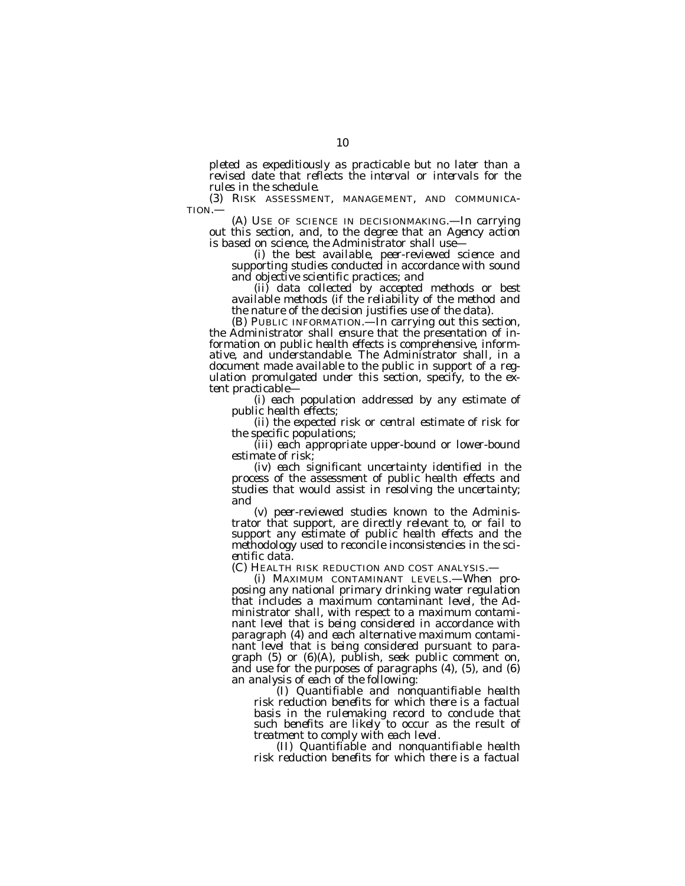*pleted as expeditiously as practicable but no later than a revised date that reflects the interval or intervals for the rules in the schedule.*

*(3) RISK ASSESSMENT, MANAGEMENT, AND COMMUNICA- TION*.— *(A) USE OF SCIENCE IN DECISIONMAKING.—In carrying*

*out this section, and, to the degree that an Agency action is based on science, the Administrator shall use—*

*(i) the best available, peer-reviewed science and supporting studies conducted in accordance with sound*

*and objective scientific practices; and (ii) data collected by accepted methods or best available methods (if the reliability of the method and the nature of the decision justifies use of the data).*

*(B) PUBLIC INFORMATION.—In carrying out this section, the Administrator shall ensure that the presentation of information on public health effects is comprehensive, informative, and understandable. The Administrator shall, in a document made available to the public in support of a regulation promulgated under this section, specify, to the extent practicable—*

*(i) each population addressed by any estimate of public health effects;*

*(ii) the expected risk or central estimate of risk for the specific populations;*

*(iii) each appropriate upper-bound or lower-bound estimate of risk;*

*(iv) each significant uncertainty identified in the process of the assessment of public health effects and studies that would assist in resolving the uncertainty; and*

*(v) peer-reviewed studies known to the Administrator that support, are directly relevant to, or fail to support any estimate of public health effects and the methodology used to reconcile inconsistencies in the scientific data.*

*(C) HEALTH RISK REDUCTION AND COST ANALYSIS*.—

*(i) MAXIMUM CONTAMINANT LEVELS.—When proposing any national primary drinking water regulation that includes a maximum contaminant level, the Administrator shall, with respect to a maximum contaminant level that is being considered in accordance with paragraph (4) and each alternative maximum contaminant level that is being considered pursuant to paragraph (5) or (6)(A), publish, seek public comment on, and use for the purposes of paragraphs (4), (5), and (6) an analysis of each of the following:*

*(I) Quantifiable and nonquantifiable health risk reduction benefits for which there is a factual basis in the rulemaking record to conclude that such benefits are likely to occur as the result of treatment to comply with each level.*

*(II) Quantifiable and nonquantifiable health risk reduction benefits for which there is a factual*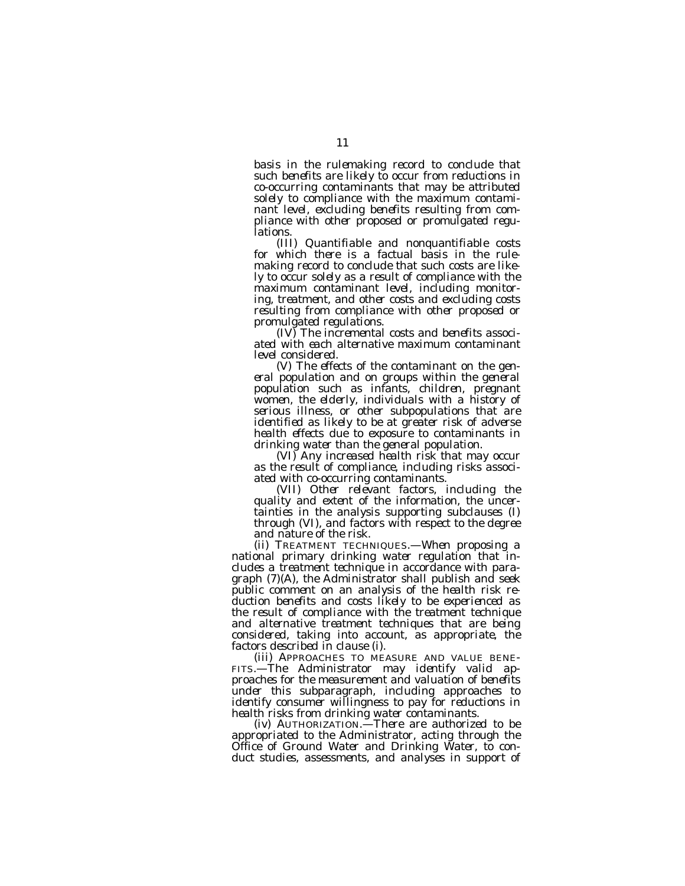*basis in the rulemaking record to conclude that such benefits are likely to occur from reductions in co-occurring contaminants that may be attributed solely to compliance with the maximum contaminant level, excluding benefits resulting from compliance with other proposed or promulgated regulations.*

*(III) Quantifiable and nonquantifiable costs for which there is a factual basis in the rulemaking record to conclude that such costs are likely to occur solely as a result of compliance with the maximum contaminant level, including monitoring, treatment, and other costs and excluding costs resulting from compliance with other proposed or*

*(IV)* The incremental costs and benefits associ-*ated with each alternative maximum contaminant level considered.*

*(V) The effects of the contaminant on the general population and on groups within the general population such as infants, children, pregnant women, the elderly, individuals with a history of serious illness, or other subpopulations that are identified as likely to be at greater risk of adverse health effects due to exposure to contaminants in drinking water than the general population. (VI) Any increased health risk that may occur*

*as the result of compliance, including risks associ-*

*(VII)* Other relevant factors, including the *quality and extent of the information, the uncertainties in the analysis supporting subclauses (I) through (VI), and factors with respect to the degree and nature of the risk.*

*(ii) TREATMENT TECHNIQUES.—When proposing a national primary drinking water regulation that includes a treatment technique in accordance with paragraph (7)(A), the Administrator shall publish and seek public comment on an analysis of the health risk reduction benefits and costs likely to be experienced as the result of compliance with the treatment technique and alternative treatment techniques that are being considered, taking into account, as appropriate, the factors described in clause (i).*

*(iii) APPROACHES TO MEASURE AND VALUE BENE-FITS.—The Administrator may identify valid approaches for the measurement and valuation of benefits under this subparagraph, including approaches to identify consumer willingness to pay for reductions in health risks from drinking water contaminants.*

*(iv) AUTHORIZATION.—There are authorized to be appropriated to the Administrator, acting through the Office of Ground Water and Drinking Water, to conduct studies, assessments, and analyses in support of*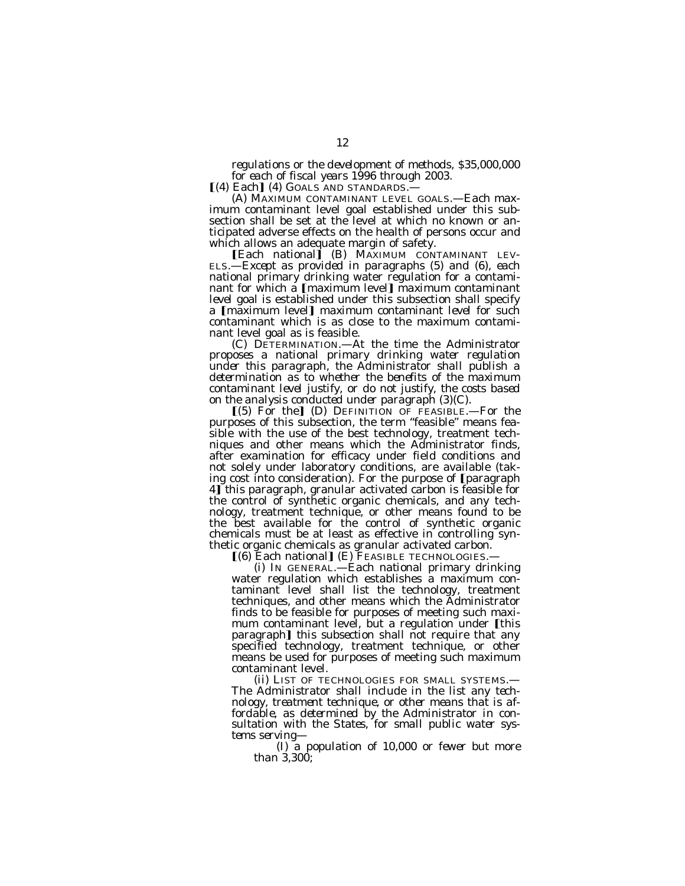*regulations or the development of methods, \$35,000,000 for each of fiscal years 1996 through 2003.*

<sup>ø</sup>(4) Each¿ *(4) GOALS AND STANDARDS*.— *(A) MAXIMUM CONTAMINANT LEVEL GOALS.—Each* max-

imum contaminant level goal established under this subsection shall be set at the level at which no known or anticipated adverse effects on the health of persons occur and

which allows an adequate margin of safety.<br> **[Each national]** (*B)* MAXIMUM CONTAMINANT LEV<sup>ø</sup>Each national¿ *(B) MAXIMUM CONTAMINANT LEV- ELS.—Except as provided in paragraphs (5) and (6), each national* primary drinking water regulation for a contaminant for which a [maximum level] *maximum contaminant level* goal is established under this subsection shall specify a **[maximum level]** *maximum contaminant level* for such contaminant which is as close to the maximum contaminant level goal as is feasible. *(C) DETERMINATION.—At the time the Administrator*

*proposes a national primary drinking water regulation under this paragraph, the Administrator shall publish a determination as to whether the benefits of the maximum contaminant level justify, or do not justify, the costs based on the analysis conducted under paragraph (3)(C).*

ø(5) For the¿ *(D) DEFINITION OF FEASIBLE.—For the* purposes of this subsection, the term "feasible" means feasible with the use of the best technology, treatment techniques and other means which the Administrator finds, after examination for efficacy under field conditions and not solely under laboratory conditions, are available (taking cost into consideration). For the purpose of [paragraph 4] *this paragraph*, granular activated carbon is feasible for the control of synthetic organic chemicals, and any technology, treatment technique, or other means found to be the best available for the control of synthetic organic chemicals must be at least as effective in controlling synthetic organic chemicals as granular activated carbon.

ø(6) Each national¿ *(E) FEASIBLE TECHNOLOGIES*.—

*(i) IN GENERAL.—Each national* primary drinking water regulation which establishes a maximum contaminant level shall list the technology, treatment techniques, and other means which the Administrator finds to be feasible for purposes of meeting such maximum contaminant level, but a regulation under [this **paragraph** *this subsection* shall not require that any specified technology, treatment technique, or other means be used for purposes of meeting such maximum contaminant level.

*(ii) LIST OF TECHNOLOGIES FOR SMALL SYSTEMS.— The Administrator shall include in the list any technology, treatment technique, or other means that is affordable, as determined by the Administrator in consultation with the States, for small public water systems serving—*

*(I) a population of 10,000 or fewer but more than 3,300;*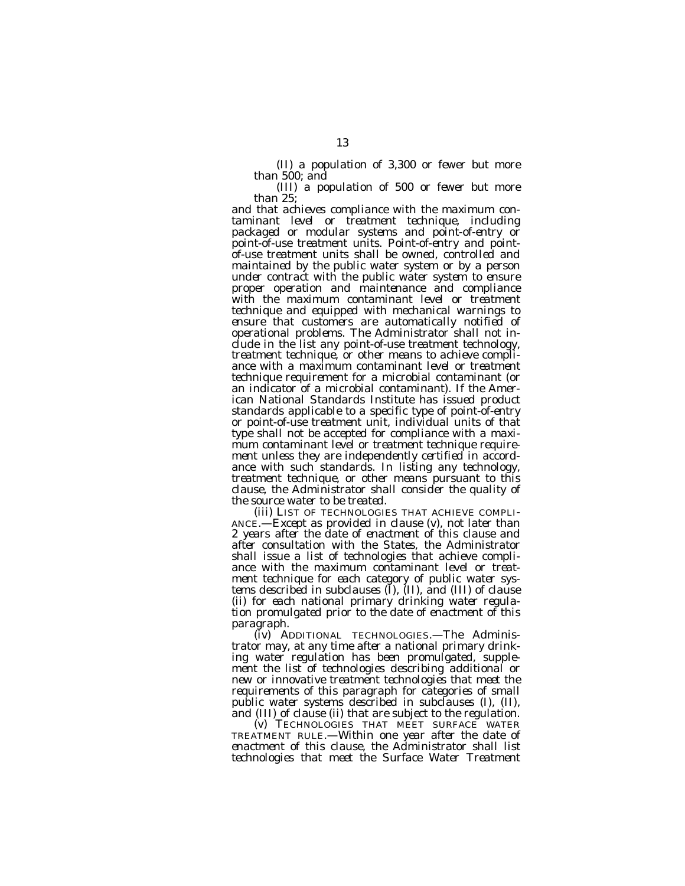*(II) a population of 3,300 or fewer but more than 500; and*

*(III) a population of 500 or fewer but more than 25;*

*and that achieves compliance with the maximum contaminant level or treatment technique, including packaged or modular systems and point-of-entry or point-of-use treatment units. Point-of-entry and pointof-use treatment units shall be owned, controlled and maintained by the public water system or by a person under contract with the public water system to ensure proper operation and maintenance and compliance with the maximum contaminant level or treatment technique and equipped with mechanical warnings to ensure that customers are automatically notified of operational problems. The Administrator shall not include in the list any point-of-use treatment technology, treatment technique, or other means to achieve compliance with a maximum contaminant level or treatment technique requirement for a microbial contaminant (or an indicator of a microbial contaminant). If the American National Standards Institute has issued product standards applicable to a specific type of point-of-entry or point-of-use treatment unit, individual units of that type shall not be accepted for compliance with a maximum contaminant level or treatment technique requirement unless they are independently certified in accordance with such standards. In listing any technology, treatment technique, or other means pursuant to this clause, the Administrator shall consider the quality of*

*the source water to be treated. ANCE.—Except as provided in clause (v), not later than 2 years after the date of enactment of this clause and after consultation with the States, the Administrator shall issue a list of technologies that achieve compliance with the maximum contaminant level or treatment technique for each category of public water systems described in subclauses (I), (II), and (III) of clause (ii) for each national primary drinking water regulation promulgated prior to the date of enactment of this paragraph.*

*(iv) ADDITIONAL TECHNOLOGIES.—The Administrator may, at any time after a national primary drinking water regulation has been promulgated, supplement the list of technologies describing additional or new or innovative treatment technologies that meet the requirements of this paragraph for categories of small public water systems described in subclauses (I), (II), and (III) of clause (ii) that are subject to the regulation.*

*(v) TECHNOLOGIES THAT MEET SURFACE WATER TREATMENT RULE.—Within one year after the date of enactment of this clause, the Administrator shall list technologies that meet the Surface Water Treatment*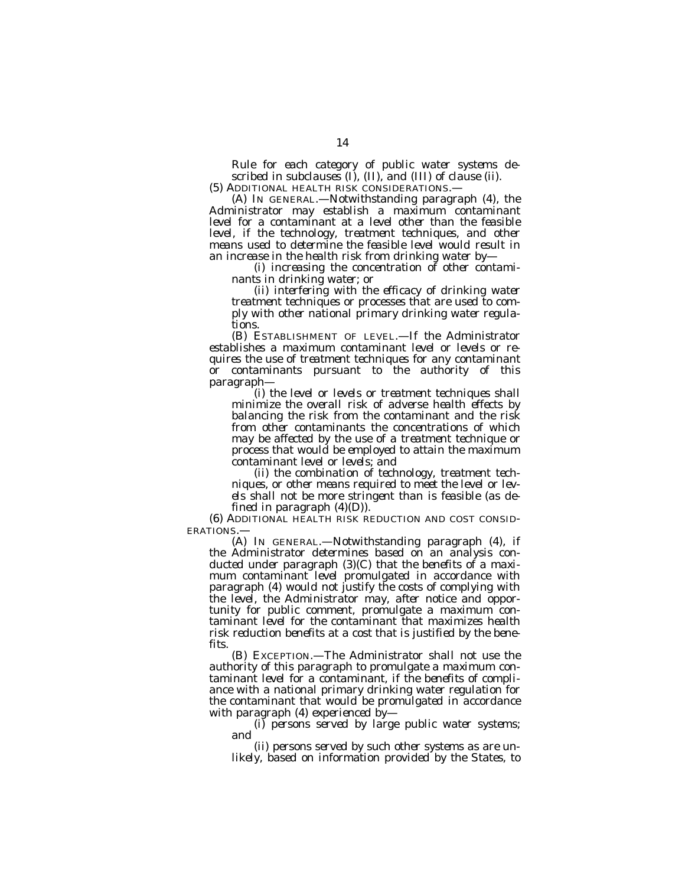*Rule for each category of public water systems described in subclauses (I), (II), and (III) of clause (ii).*

*(5) ADDITIONAL HEALTH RISK CONSIDERATIONS*.—

*(A) IN GENERAL.—Notwithstanding paragraph (4), the Administrator may establish a maximum contaminant level for a contaminant at a level other than the feasible level, if the technology, treatment techniques, and other means used to determine the feasible level would result in an increase in the health risk from drinking water by—*

*(i) increasing the concentration of other contaminants in drinking water; or*

*(ii) interfering with the efficacy of drinking water treatment techniques or processes that are used to comply with other national primary drinking water regulations.*

*(B) ESTABLISHMENT OF LEVEL.—If the Administrator establishes a maximum contaminant level or levels or requires the use of treatment techniques for any contaminant or contaminants pursuant to the authority of this paragraph—*

*(i) the level or levels or treatment techniques shall minimize the overall risk of adverse health effects by balancing the risk from the contaminant and the risk from other contaminants the concentrations of which may be affected by the use of a treatment technique or process that would be employed to attain the maximum contaminant level or levels; and*

*(ii) the combination of technology, treatment techniques, or other means required to meet the level or levels shall not be more stringent than is feasible (as defined in paragraph (4)(D)).*

*(6) ADDITIONAL HEALTH RISK REDUCTION AND COST CONSID-ERATIONS*.—

*(A) IN GENERAL.—Notwithstanding paragraph (4), if the Administrator determines based on an analysis conducted under paragraph (3)(C) that the benefits of a maximum contaminant level promulgated in accordance with paragraph (4) would not justify the costs of complying with the level, the Administrator may, after notice and opportunity for public comment, promulgate a maximum contaminant level for the contaminant that maximizes health risk reduction benefits at a cost that is justified by the benefits.*

*(B) EXCEPTION.—The Administrator shall not use the authority of this paragraph to promulgate a maximum contaminant level for a contaminant, if the benefits of compliance with a national primary drinking water regulation for the contaminant that would be promulgated in accordance with paragraph (4) experienced by—*

*(i) persons served by large public water systems; and*

*(ii) persons served by such other systems as are unlikely, based on information provided by the States, to*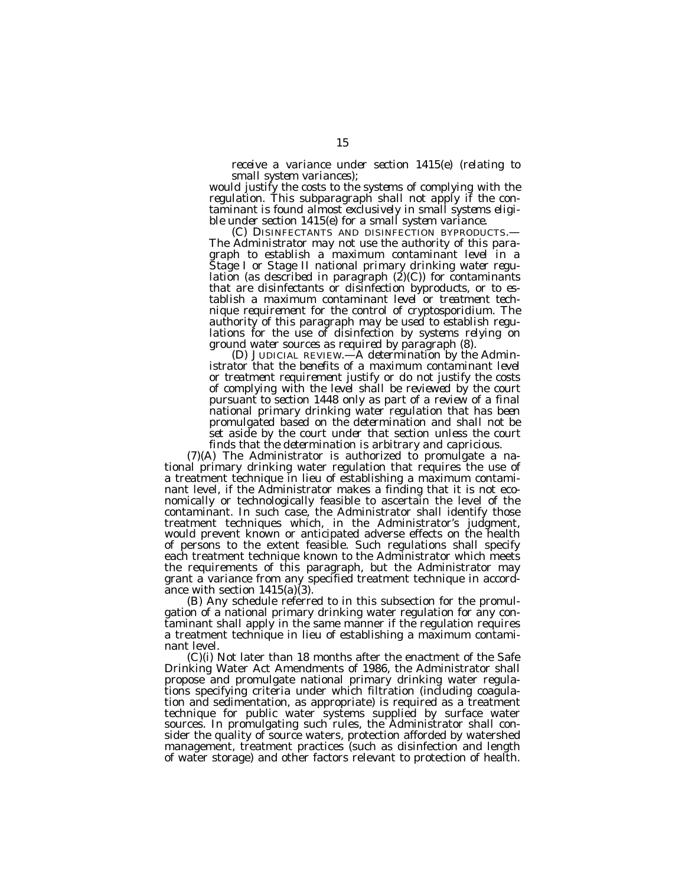*receive a variance under section 1415(e) (relating to small system variances);*

*would justify the costs to the systems of complying with the regulation. This subparagraph shall not apply if the contaminant is found almost exclusively in small systems eligi-*

*ble under section 1415(e) for a small system variance. (C) DISINFECTANTS AND DISINFECTION BYPRODUCTS.— The Administrator may not use the authority of this paragraph to establish a maximum contaminant level in a Stage I or Stage II national primary drinking water regulation (as described in paragraph (2)(C)) for contaminants that are disinfectants or disinfection byproducts, or to establish a maximum contaminant level or treatment technique requirement for the control of cryptosporidium. The authority of this paragraph may be used to establish regulations for the use of disinfection by systems relying on ground water sources as required by paragraph (8). (D) JUDICIAL REVIEW.—A determination by the Admin-*

*istrator that the benefits of a maximum contaminant level or treatment requirement justify or do not justify the costs of complying with the level shall be reviewed by the court pursuant to section 1448 only as part of a review of a final national primary drinking water regulation that has been promulgated based on the determination and shall not be set aside by the court under that section unless the court*

*finds that the determination is arbitrary and capricious.* (7)(A) The Administrator is authorized to promulgate a national primary drinking water regulation that requires the use of a treatment technique in lieu of establishing a maximum contaminant level, if the Administrator makes a finding that it is not economically or technologically feasible to ascertain the level of the contaminant. In such case, the Administrator shall identify those treatment techniques which, in the Administrator's judgment, would prevent known or anticipated adverse effects on the health of persons to the extent feasible. Such regulations shall specify each treatment technique known to the Administrator which meets the requirements of this paragraph, but the Administrator may grant a variance from any specified treatment technique in accordance with section  $1415(a)(3)$ .

(B) Any schedule referred to in this subsection for the promulgation of a national primary drinking water regulation for any contaminant shall apply in the same manner if the regulation requires a treatment technique in lieu of establishing a maximum contaminant level.

(C)(i) Not later than 18 months after the enactment of the Safe Drinking Water Act Amendments of 1986, the Administrator shall propose and promulgate national primary drinking water regulations specifying criteria under which filtration (including coagulation and sedimentation, as appropriate) is required as a treatment technique for public water systems supplied by surface water sources. In promulgating such rules, the Administrator shall consider the quality of source waters, protection afforded by watershed management, treatment practices (such as disinfection and length of water storage) and other factors relevant to protection of health.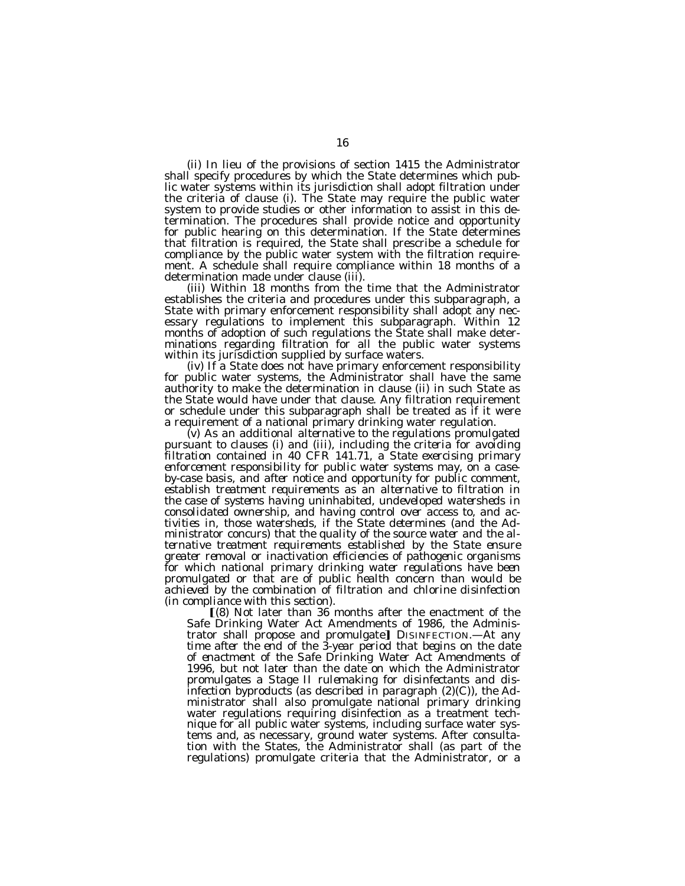(ii) In lieu of the provisions of section 1415 the Administrator shall specify procedures by which the State determines which public water systems within its jurisdiction shall adopt filtration under the criteria of clause (i). The State may require the public water system to provide studies or other information to assist in this determination. The procedures shall provide notice and opportunity for public hearing on this determination. If the State determines that filtration is required, the State shall prescribe a schedule for compliance by the public water system with the filtration requirement. A schedule shall require compliance within 18 months of a determination made under clause (iii).

(iii) Within 18 months from the time that the Administrator establishes the criteria and procedures under this subparagraph, a State with primary enforcement responsibility shall adopt any necessary regulations to implement this subparagraph. Within 12 months of adoption of such regulations the State shall make determinations regarding filtration for all the public water systems

(iv) If a State does not have primary enforcement responsibility for public water systems, the Administrator shall have the same authority to make the determination in clause (ii) in such State as the State would have under that clause. Any filtration requirement or schedule under this subparagraph shall be treated as if it were<br>a requirement of a national primary drinking water regulation.

a requirement of a national primary drinking water regulation. *(v) As an additional alternative to the regulations promulgated pursuant to clauses (i) and (iii), including the criteria for avoiding filtration contained in 40 CFR 141.71, a State exercising primary enforcement responsibility for public water systems may, on a caseby-case basis, and after notice and opportunity for public comment, establish treatment requirements as an alternative to filtration in the case of systems having uninhabited, undeveloped watersheds in consolidated ownership, and having control over access to, and activities in, those watersheds, if the State determines (and the Administrator concurs) that the quality of the source water and the alternative treatment requirements established by the State ensure greater removal or inactivation efficiencies of pathogenic organisms for which national primary drinking water regulations have been promulgated or that are of public health concern than would be achieved by the combination of filtration and chlorine disinfection (in compliance with this section).*

ø(8) Not later than 36 months after the enactment of the Safe Drinking Water Act Amendments of 1986, the Administrator shall propose and promulgate] *DISINFECTION.—At any time after the end of the 3-year period that begins on the date of enactment of the Safe Drinking Water Act Amendments of 1996, but not later than the date on which the Administrator promulgates a Stage II rulemaking for disinfectants and disinfection byproducts (as described in paragraph (2)(C)), the Administrator shall also promulgate* national primary drinking water regulations requiring disinfection as a treatment technique for all public water systems, including surface water systems and, as necessary, ground water systems. After consultation with the States, the Administrator shall (as part of the regulations) promulgate criteria that the Administrator, or a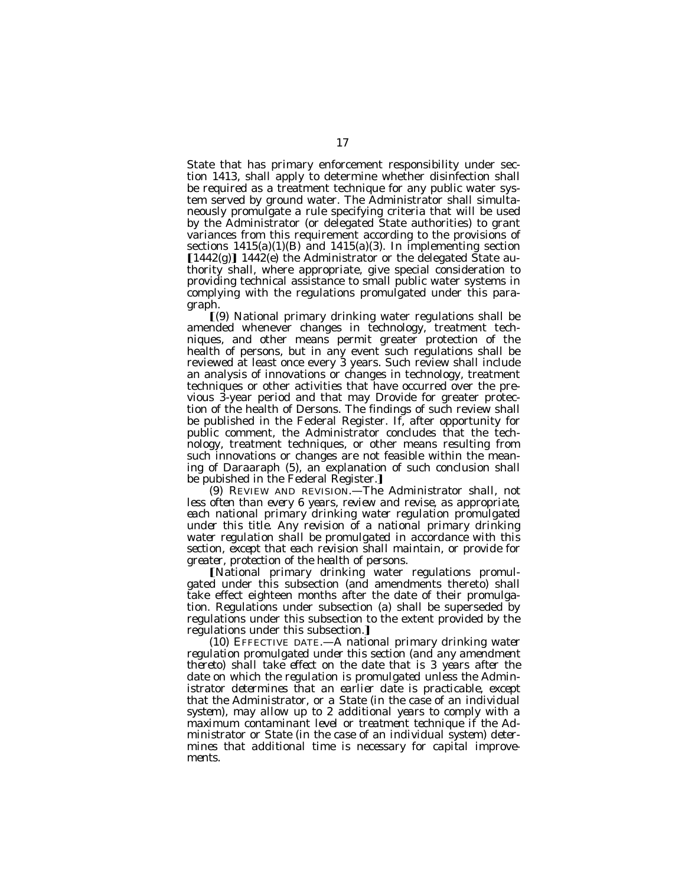State that has primary enforcement responsibility under section 1413, shall apply to determine whether disinfection shall be required as a treatment technique for any public water system served by ground water. The Administrator shall simultaneously promulgate a rule specifying criteria that will be used by the Administrator (or delegated State authorities) to grant variances from this requirement according to the provisions of sections  $1415(a)(1)(B)$  and  $1415(a)(3)$ . In implementing section [1442(g)]  $1442(e)$  the Administrator or the delegated State authority shall, where appropriate, give special consideration to providing technical assistance to small public water systems in complying with the regulations promulgated under this paragraph.

ø(9) National primary drinking water regulations shall be amended whenever changes in technology, treatment techniques, and other means permit greater protection of the health of persons, but in any event such regulations shall be reviewed at least once every 3 years. Such review shall include an analysis of innovations or changes in technology, treatment techniques or other activities that have occurred over the previous 3-year period and that may Drovide for greater protection of the health of Dersons. The findings of such review shall be published in the Federal Register. If, after opportunity for public comment, the Administrator concludes that the technology, treatment techniques, or other means resulting from such innovations or changes are not feasible within the meaning of Daraaraph (5), an explanation of such conclusion shall be pubished in the Federal Register.]

*(9) REVIEW AND REVISION.—The Administrator shall, not less often than every 6 years, review and revise, as appropriate, each national primary drinking water regulation promulgated under this title. Any revision of a national primary drinking water regulation shall be promulgated in accordance with this section, except that each revision shall maintain, or provide for greater, protection of the health of persons.*

[National primary drinking water regulations promulgated under this subsection (and amendments thereto) shall take effect eighteen months after the date of their promulgation. Regulations under subsection (a) shall be superseded by regulations under this subsection to the extent provided by the regulations under this subsection.]

*(10) EFFECTIVE DATE.—A national primary drinking water regulation promulgated under this section (and any amendment thereto) shall take effect on the date that is 3 years after the date on which the regulation is promulgated unless the Administrator determines that an earlier date is practicable, except that the Administrator, or a State (in the case of an individual system), may allow up to 2 additional years to comply with a maximum contaminant level or treatment technique if the Administrator or State (in the case of an individual system) determines that additional time is necessary for capital improvements.*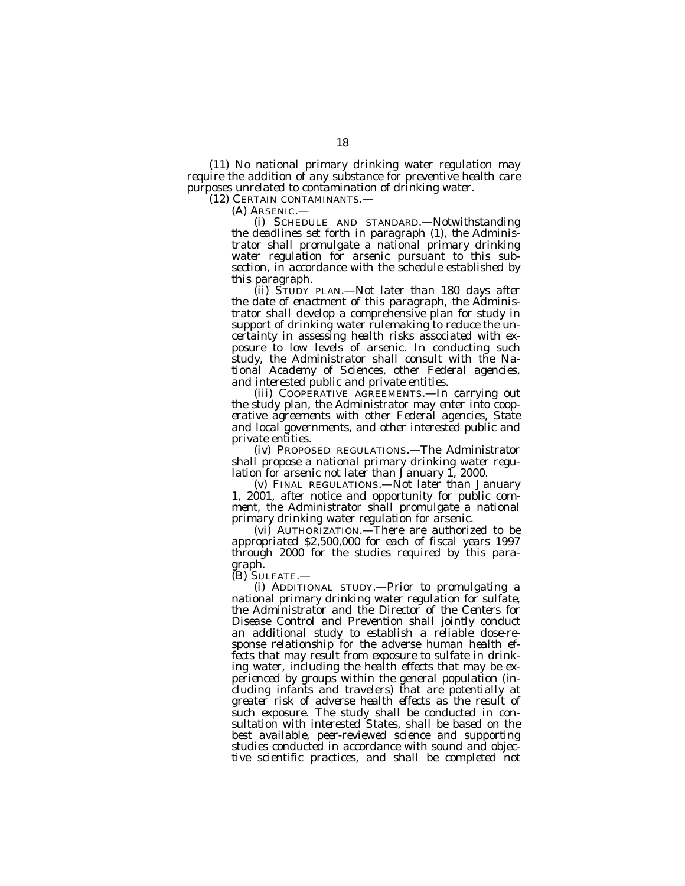*(11) No national primary drinking water regulation may require the addition of any substance for preventive health care purposes unrelated to contamination of drinking water.*

*(12) CERTAIN CONTAMINANTS*.—

*(A) ARSENIC*.—

*(i) SCHEDULE AND STANDARD.—Notwithstanding the deadlines set forth in paragraph (1), the Administrator shall promulgate a national primary drinking water regulation for arsenic pursuant to this subsection, in accordance with the schedule established by this paragraph.*

*(ii) STUDY PLAN.—Not later than 180 days after the date of enactment of this paragraph, the Administrator shall develop a comprehensive plan for study in support of drinking water rulemaking to reduce the uncertainty in assessing health risks associated with exposure to low levels of arsenic. In conducting such study, the Administrator shall consult with the National Academy of Sciences, other Federal agencies, and interested public and private entities.*

*(iii) COOPERATIVE AGREEMENTS.—In carrying out the study plan, the Administrator may enter into cooperative agreements with other Federal agencies, State and local governments, and other interested public and private entities.*

*(iv) PROPOSED REGULATIONS.—The Administrator shall propose a national primary drinking water regulation for arsenic not later than January 1, 2000.*

*(v) FINAL REGULATIONS.—Not later than January 1, 2001, after notice and opportunity for public comment, the Administrator shall promulgate a national primary drinking water regulation for arsenic.*

*(vi) AUTHORIZATION.—There are authorized to be appropriated \$2,500,000 for each of fiscal years 1997 through 2000 for the studies required by this paragraph.*

*(B) SULFATE*.—

*(i) ADDITIONAL STUDY.—Prior to promulgating a national primary drinking water regulation for sulfate, the Administrator and the Director of the Centers for Disease Control and Prevention shall jointly conduct an additional study to establish a reliable dose-response relationship for the adverse human health effects that may result from exposure to sulfate in drinking water, including the health effects that may be experienced by groups within the general population (including infants and travelers) that are potentially at greater risk of adverse health effects as the result of such exposure. The study shall be conducted in consultation with interested States, shall be based on the best available, peer-reviewed science and supporting studies conducted in accordance with sound and objective scientific practices, and shall be completed not*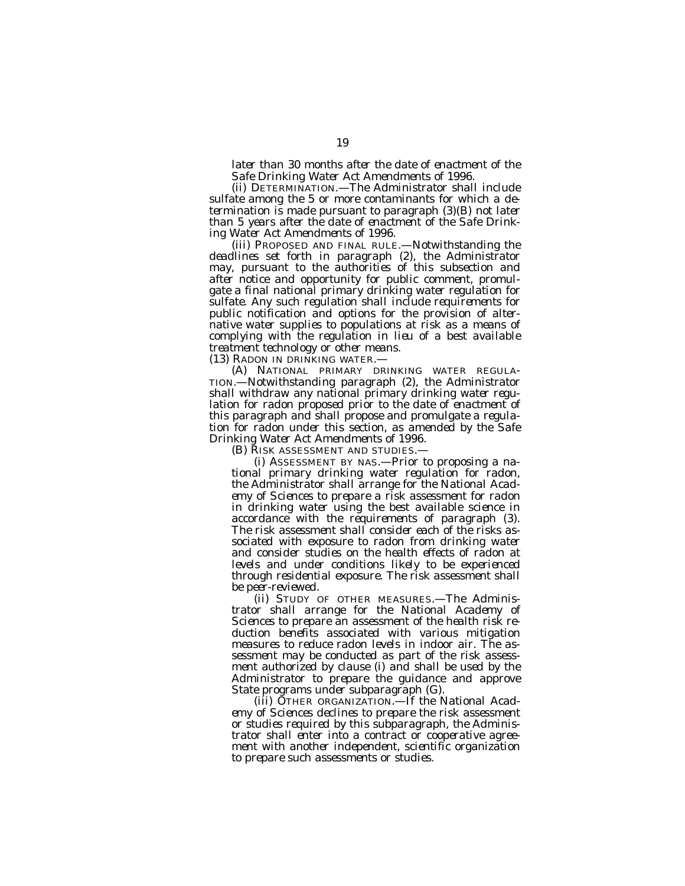*later than 30 months after the date of enactment of the Safe Drinking Water Act Amendments of 1996.*

*(ii) DETERMINATION.—The Administrator shall include sulfate among the 5 or more contaminants for which a determination is made pursuant to paragraph (3)(B) not later than 5 years after the date of enactment of the Safe Drinking Water Act Amendments of 1996.*

(*iii) PROPOSED AND FINAL RULE.—Notwithstanding the deadlines set forth in paragraph (2), the Administrator may, pursuant to the authorities of this subsection and after notice and opportunity for public comment, promulgate a final national primary drinking water regulation for sulfate. Any such regulation shall include requirements for public notification and options for the provision of alternative water supplies to populations at risk as a means of complying with the regulation in lieu of a best available treatment technology or other means.*

*(13) RADON IN DRINKING WATER*.—

*(A) NATIONAL PRIMARY DRINKING WATER REGULA-TION.—Notwithstanding paragraph (2), the Administrator shall withdraw any national primary drinking water regulation for radon proposed prior to the date of enactment of this paragraph and shall propose and promulgate a regulation for radon under this section, as amended by the Safe Drinking Water Act Amendments of 1996.*

*(B) RISK ASSESSMENT AND STUDIES*.—

*(i) ASSESSMENT BY NAS.—Prior to proposing a national primary drinking water regulation for radon, the Administrator shall arrange for the National Academy of Sciences to prepare a risk assessment for radon in drinking water using the best available science in accordance with the requirements of paragraph (3). The risk assessment shall consider each of the risks associated with exposure to radon from drinking water and consider studies on the health effects of radon at levels and under conditions likely to be experienced through residential exposure. The risk assessment shall be peer-reviewed.*

*(ii) STUDY OF OTHER MEASURES.—The Administrator shall arrange for the National Academy of Sciences to prepare an assessment of the health risk reduction benefits associated with various mitigation measures to reduce radon levels in indoor air. The assessment may be conducted as part of the risk assessment authorized by clause (i) and shall be used by the Administrator to prepare the guidance and approve State programs under subparagraph (G).*

*(iii) OTHER ORGANIZATION.—If the National Academy of Sciences declines to prepare the risk assessment or studies required by this subparagraph, the Administrator shall enter into a contract or cooperative agreement with another independent, scientific organization to prepare such assessments or studies.*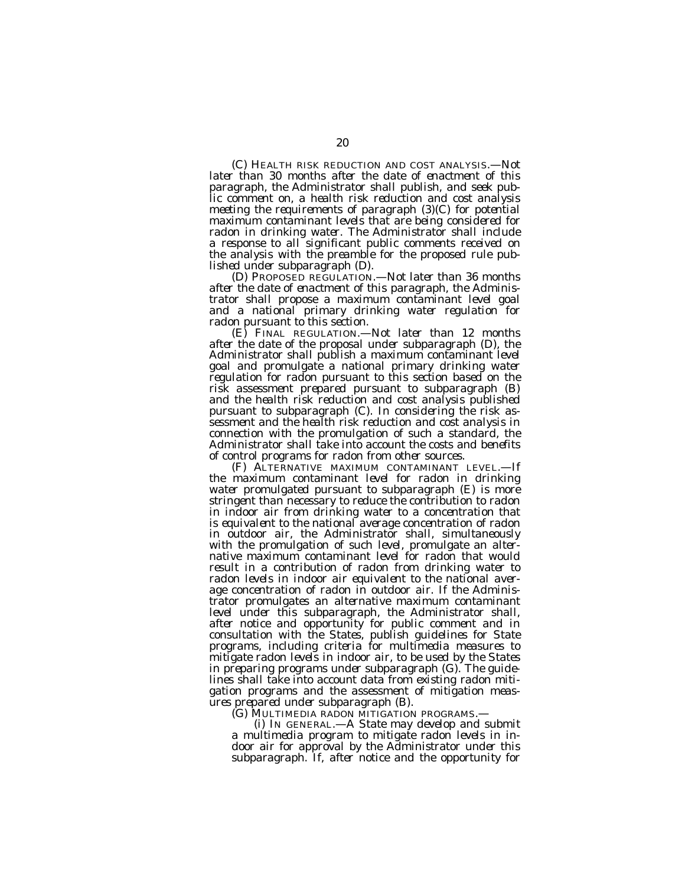*(C) HEALTH RISK REDUCTION AND COST ANALYSIS.—Not later than 30 months after the date of enactment of this paragraph, the Administrator shall publish, and seek public comment on, a health risk reduction and cost analysis meeting the requirements of paragraph (3)(C) for potential maximum contaminant levels that are being considered for radon in drinking water. The Administrator shall include a response to all significant public comments received on the analysis with the preamble for the proposed rule published under subparagraph (D). (D) PROPOSED REGULATION.—Not later than 36 months*

*after the date of enactment of this paragraph, the Administrator shall propose a maximum contaminant level goal and a national primary drinking water regulation for radon pursuant to this section.*

*(E) FINAL REGULATION.—Not later than 12 months after the date of the proposal under subparagraph (D), the Administrator shall publish a maximum contaminant level goal and promulgate a national primary drinking water regulation for radon pursuant to this section based on the risk assessment prepared pursuant to subparagraph (B) and the health risk reduction and cost analysis published pursuant to subparagraph (C). In considering the risk assessment and the health risk reduction and cost analysis in connection with the promulgation of such a standard, the Administrator shall take into account the costs and benefits of control programs for radon from other sources. (F) ALTERNATIVE MAXIMUM CONTAMINANT LEVEL.—If*

*the maximum contaminant level for radon in drinking water promulgated pursuant to subparagraph (E) is more stringent than necessary to reduce the contribution to radon in indoor air from drinking water to a concentration that is equivalent to the national average concentration of radon in outdoor air, the Administrator shall, simultaneously with the promulgation of such level, promulgate an alternative maximum contaminant level for radon that would result in a contribution of radon from drinking water to radon levels in indoor air equivalent to the national average concentration of radon in outdoor air. If the Administrator promulgates an alternative maximum contaminant level under this subparagraph, the Administrator shall, after notice and opportunity for public comment and in consultation with the States, publish guidelines for State programs, including criteria for multimedia measures to mitigate radon levels in indoor air, to be used by the States in preparing programs under subparagraph (G). The guidelines shall take into account data from existing radon mitigation programs and the assessment of mitigation measures prepared under subparagraph (B).*

*(G) MULTIMEDIA RADON MITIGATION PROGRAMS*.—

*(i) IN GENERAL.—A State may develop and submit a multimedia program to mitigate radon levels in indoor air for approval by the Administrator under this subparagraph. If, after notice and the opportunity for*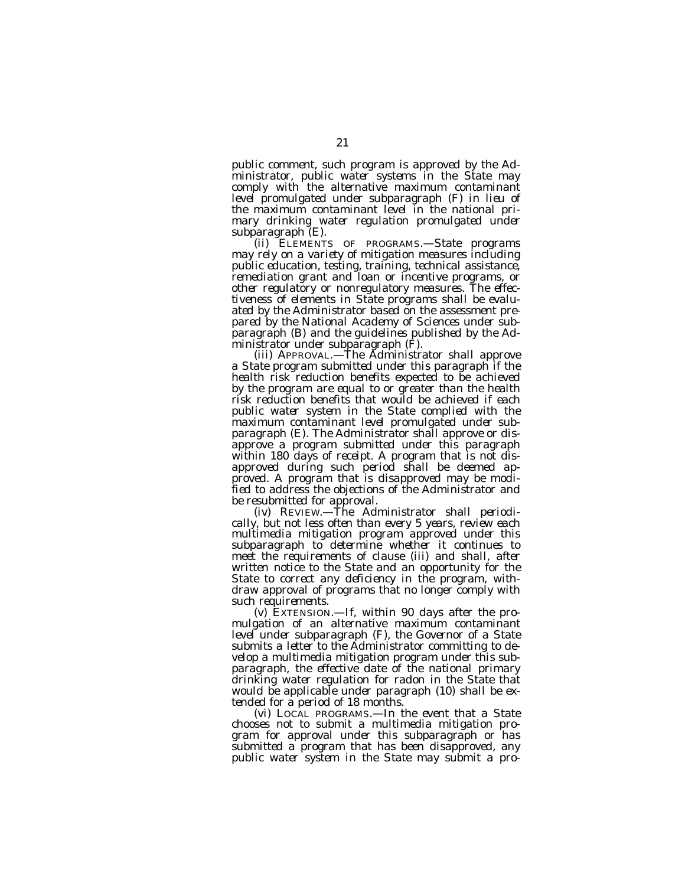*public comment, such program is approved by the Administrator, public water systems in the State may comply with the alternative maximum contaminant level promulgated under subparagraph (F) in lieu of the maximum contaminant level in the national primary drinking water regulation promulgated under subparagraph (E). (ii) ELEMENTS OF PROGRAMS.—State programs*

*may rely on a variety of mitigation measures including public education, testing, training, technical assistance, remediation grant and loan or incentive programs, or other regulatory or nonregulatory measures. The effectiveness of elements in State programs shall be evaluated by the Administrator based on the assessment prepared by the National Academy of Sciences under subparagraph (B) and the guidelines published by the Administrator under subparagraph (F). (iii) APPROVAL.—The Administrator shall approve*

*a State program submitted under this paragraph if the health risk reduction benefits expected to be achieved by the program are equal to or greater than the health risk reduction benefits that would be achieved if each public water system in the State complied with the maximum contaminant level promulgated under subparagraph (E). The Administrator shall approve or disapprove a program submitted under this paragraph within 180 days of receipt. A program that is not disapproved during such period shall be deemed approved. A program that is disapproved may be modified to address the objections of the Administrator and be resubmitted for approval.*

*(iv) REVIEW.—The Administrator shall periodically, but not less often than every 5 years, review each multimedia mitigation program approved under this subparagraph to determine whether it continues to meet the requirements of clause (iii) and shall, after written notice to the State and an opportunity for the State to correct any deficiency in the program, withdraw approval of programs that no longer comply with such requirements.*

*(v) EXTENSION.—If, within 90 days after the promulgation of an alternative maximum contaminant level under subparagraph (F), the Governor of a State submits a letter to the Administrator committing to develop a multimedia mitigation program under this subparagraph, the effective date of the national primary drinking water regulation for radon in the State that would be applicable under paragraph (10) shall be extended for a period of 18 months.*

*(vi) LOCAL PROGRAMS.—In the event that a State chooses not to submit a multimedia mitigation program for approval under this subparagraph or has submitted a program that has been disapproved, any public water system in the State may submit a pro-*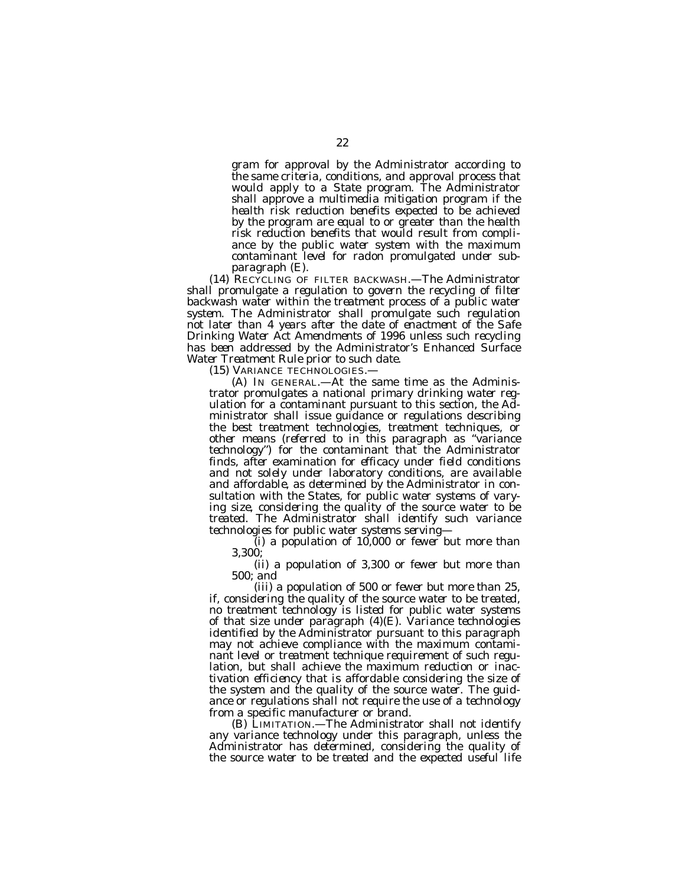*gram for approval by the Administrator according to the same criteria, conditions, and approval process that would apply to a State program. The Administrator shall approve a multimedia mitigation program if the health risk reduction benefits expected to be achieved by the program are equal to or greater than the health risk reduction benefits that would result from compliance by the public water system with the maximum contaminant level for radon promulgated under subparagraph (E).*

*(14) RECYCLING OF FILTER BACKWASH.—The Administrator shall promulgate a regulation to govern the recycling of filter backwash water within the treatment process of a public water system. The Administrator shall promulgate such regulation not later than 4 years after the date of enactment of the Safe Drinking Water Act Amendments of 1996 unless such recycling has been addressed by the Administrator's Enhanced Surface Water Treatment Rule prior to such date.*

*(15) VARIANCE TECHNOLOGIES.—*

*(A) IN GENERAL.—At the same time as the Administrator promulgates a national primary drinking water regulation for a contaminant pursuant to this section, the Administrator shall issue guidance or regulations describing the best treatment technologies, treatment techniques, or other means (referred to in this paragraph as ''variance technology'') for the contaminant that the Administrator finds, after examination for efficacy under field conditions and not solely under laboratory conditions, are available and affordable, as determined by the Administrator in consultation with the States, for public water systems of varying size, considering the quality of the source water to be treated. The Administrator shall identify such variance technologies for public water systems serving—*

*(i) a population of 10,000 or fewer but more than 3,300;*

*(ii) a population of 3,300 or fewer but more than 500; and*

*(iii) a population of 500 or fewer but more than 25, if, considering the quality of the source water to be treated, no treatment technology is listed for public water systems of that size under paragraph (4)(E). Variance technologies identified by the Administrator pursuant to this paragraph may not achieve compliance with the maximum contaminant level or treatment technique requirement of such regulation, but shall achieve the maximum reduction or inactivation efficiency that is affordable considering the size of the system and the quality of the source water. The guidance or regulations shall not require the use of a technology from a specific manufacturer or brand.*

*(B) LIMITATION.—The Administrator shall not identify any variance technology under this paragraph, unless the Administrator has determined, considering the quality of the source water to be treated and the expected useful life*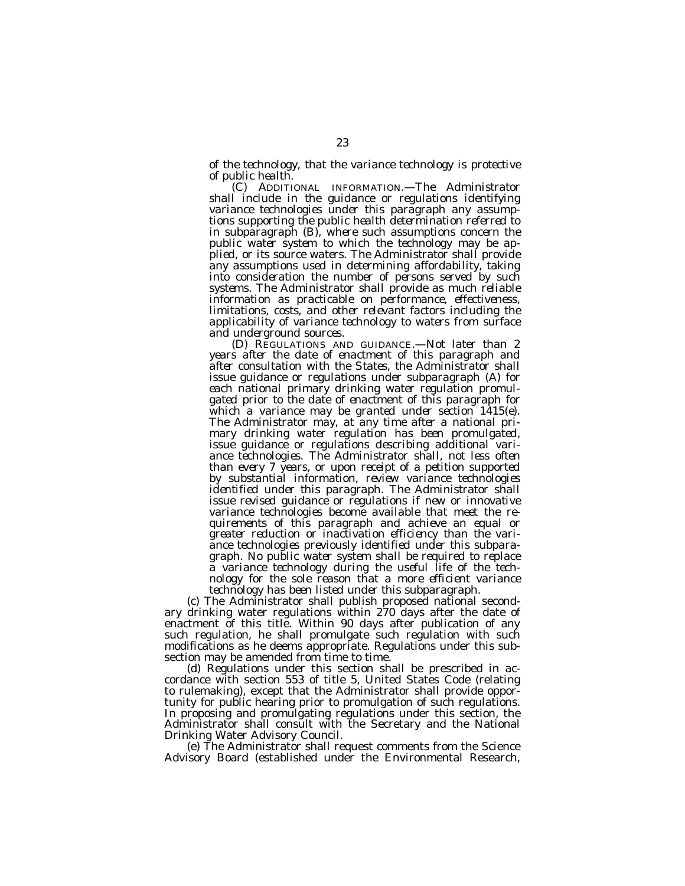*of the technology, that the variance technology is protective of public health.*

*(C) ADDITIONAL INFORMATION.—The Administrator shall include in the guidance or regulations identifying variance technologies under this paragraph any assumptions supporting the public health determination referred to in subparagraph (B), where such assumptions concern the public water system to which the technology may be applied, or its source waters. The Administrator shall provide any assumptions used in determining affordability, taking into consideration the number of persons served by such systems. The Administrator shall provide as much reliable information as practicable on performance, effectiveness, limitations, costs, and other relevant factors including the applicability of variance technology to waters from surface and underground sources. (D) REGULATIONS AND GUIDANCE.—Not later than 2*

*years after the date of enactment of this paragraph and after consultation with the States, the Administrator shall issue guidance or regulations under subparagraph (A) for each national primary drinking water regulation promulgated prior to the date of enactment of this paragraph for which a variance may be granted under section 1415(e). The Administrator may, at any time after a national primary drinking water regulation has been promulgated, issue guidance or regulations describing additional variance technologies. The Administrator shall, not less often than every 7 years, or upon receipt of a petition supported by substantial information, review variance technologies identified under this paragraph. The Administrator shall issue revised guidance or regulations if new or innovative variance technologies become available that meet the requirements of this paragraph and achieve an equal or greater reduction or inactivation efficiency than the variance technologies previously identified under this subparagraph. No public water system shall be required to replace a variance technology during the useful life of the technology for the sole reason that a more efficient variance technology has been listed under this subparagraph.*

(c) The Administrator shall publish proposed national secondary drinking water regulations within 270 days after the date of enactment of this title. Within 90 days after publication of any such regulation, he shall promulgate such regulation with such modifications as he deems appropriate. Regulations under this subsection may be amended from time to time.

(d) Regulations under this section shall be prescribed in accordance with section 553 of title 5, United States Code (relating to rulemaking), except that the Administrator shall provide opportunity for public hearing prior to promulgation of such regulations. In proposing and promulgating regulations under this section, the Administrator shall consult with the Secretary and the National Drinking Water Advisory Council.

(e) The Administrator shall request comments from the Science Advisory Board (established under the Environmental Research,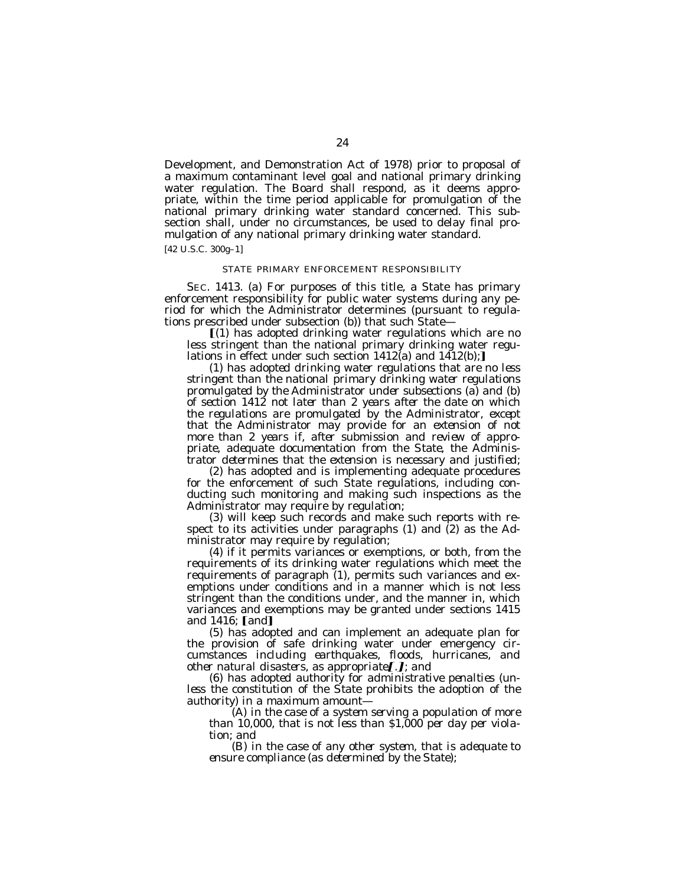Development, and Demonstration Act of 1978) prior to proposal of a maximum contaminant level goal and national primary drinking water regulation. The Board shall respond, as it deems appropriate, within the time period applicable for promulgation of the national primary drinking water standard concerned. This subsection shall, under no circumstances, be used to delay final promulgation of any national primary drinking water standard.

[42 U.S.C. 300g–1]

#### STATE PRIMARY ENFORCEMENT RESPONSIBILITY

SEC. 1413. (a) For purposes of this title, a State has primary enforcement responsibility for public water systems during any period for which the Administrator determines (pursuant to regulations prescribed under subsection (b)) that such State—

 $(1)$  has adopted drinking water regulations which are no less stringent than the national primary drinking water regulations in effect under such section  $1412(a)$  and  $1412(b)$ ;

*(1) has adopted drinking water regulations that are no less stringent than the national primary drinking water regulations promulgated by the Administrator under subsections (a) and (b) of section 1412 not later than 2 years after the date on which the regulations are promulgated by the Administrator, except that the Administrator may provide for an extension of not more than 2 years if, after submission and review of appropriate, adequate documentation from the State, the Administrator determines that the extension is necessary and justified;*

(2) has adopted and is implementing adequate procedures for the enforcement of such State regulations, including conducting such monitoring and making such inspections as the Administrator may require by regulation;

(3) will keep such records and make such reports with respect to its activities under paragraphs (1) and (2) as the Administrator may require by regulation;

(4) if it permits variances or exemptions, or both, from the requirements of its drinking water regulations which meet the requirements of paragraph (1), permits such variances and exemptions under conditions and in a manner which is not less stringent than the conditions under, and the manner in, which variances and exemptions may be granted under sections 1415 and  $1416$ ; [and]

(5) has adopted and can implement an adequate plan for the provision of safe drinking water under emergency circumstances *including earthquakes, floods, hurricanes, and other natural disasters, as appropriate*ƒ*.*≈*; and*

*(6) has adopted authority for administrative penalties (unless the constitution of the State prohibits the adoption of the authority) in a maximum amount—*

*(A) in the case of a system serving a population of more than 10,000, that is not less than \$1,000 per day per violation; and*

*(B) in the case of any other system, that is adequate to ensure compliance (as determined by the State);*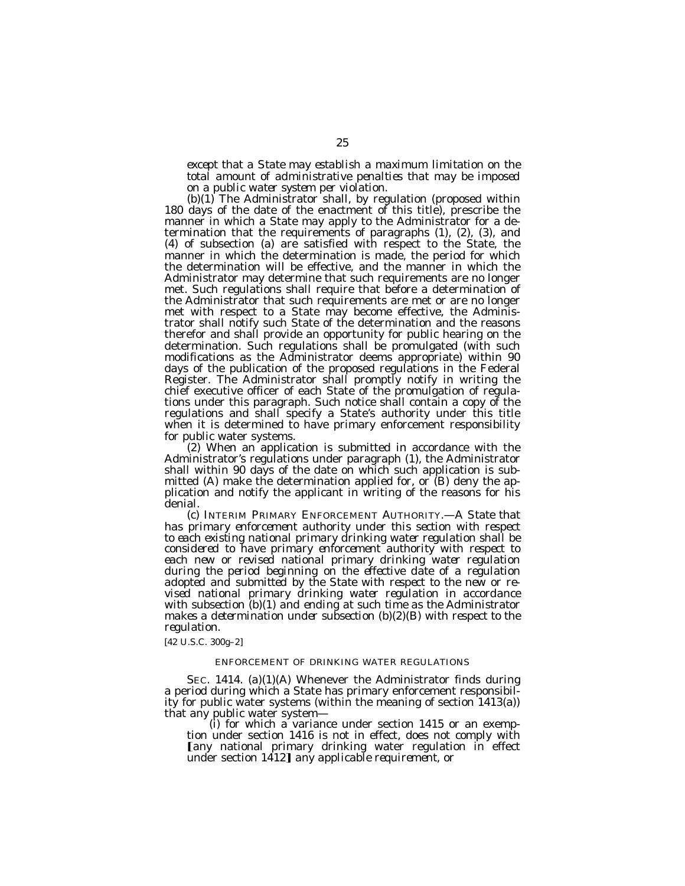# *except that a State may establish a maximum limitation on the total amount of administrative penalties that may be imposed on a public water system per violation.*

(b)(1) The Administrator shall, by regulation (proposed within 180 days of the date of the enactment of this title), prescribe the manner in which a State may apply to the Administrator for a determination that the requirements of paragraphs (1), (2), (3), and (4) of subsection (a) are satisfied with respect to the State, the manner in which the determination is made, the period for which the determination will be effective, and the manner in which the Administrator may determine that such requirements are no longer met. Such regulations shall require that before a determination of the Administrator that such requirements are met or are no longer met with respect to a State may become effective, the Administrator shall notify such State of the determination and the reasons therefor and shall provide an opportunity for public hearing on the determination. Such regulations shall be promulgated (with such modifications as the Administrator deems appropriate) within 90 days of the publication of the proposed regulations in the Federal Register. The Administrator shall promptly notify in writing the chief executive officer of each State of the promulgation of regulations under this paragraph. Such notice shall contain a copy of the regulations and shall specify a State's authority under this title when it is determined to have primary enforcement responsibility for public water systems.

(2) When an application is submitted in accordance with the Administrator's regulations under paragraph (1), the Administrator shall within 90 days of the date on which such application is submitted (A) make the determination applied for, or  $(B)$  deny the application and notify the applicant in writing of the reasons for his denial.

*(c) INTERIM PRIMARY ENFORCEMENT AUTHORITY.—A State that has primary enforcement authority under this section with respect to each existing national primary drinking water regulation shall be considered to have primary enforcement authority with respect to each new or revised national primary drinking water regulation during the period beginning on the effective date of a regulation adopted and submitted by the State with respect to the new or revised national primary drinking water regulation in accordance with subsection (b)(1) and ending at such time as the Administrator makes a determination under subsection (b)(2)(B) with respect to the regulation.*

[42 U.S.C. 300g–2]

#### ENFORCEMENT OF DRINKING WATER REGULATIONS

SEC. 1414. (a)(1)(A) Whenever the Administrator finds during a period during which a State has primary enforcement responsibility for public water systems (within the meaning of section 1413(a)) that any public water system—

(i) for which a variance under section 1415 or an exemption under section 1416 is not in effect, does not comply with [any national primary drinking water regulation in effect under section 1412¿ *any applicable requirement*, or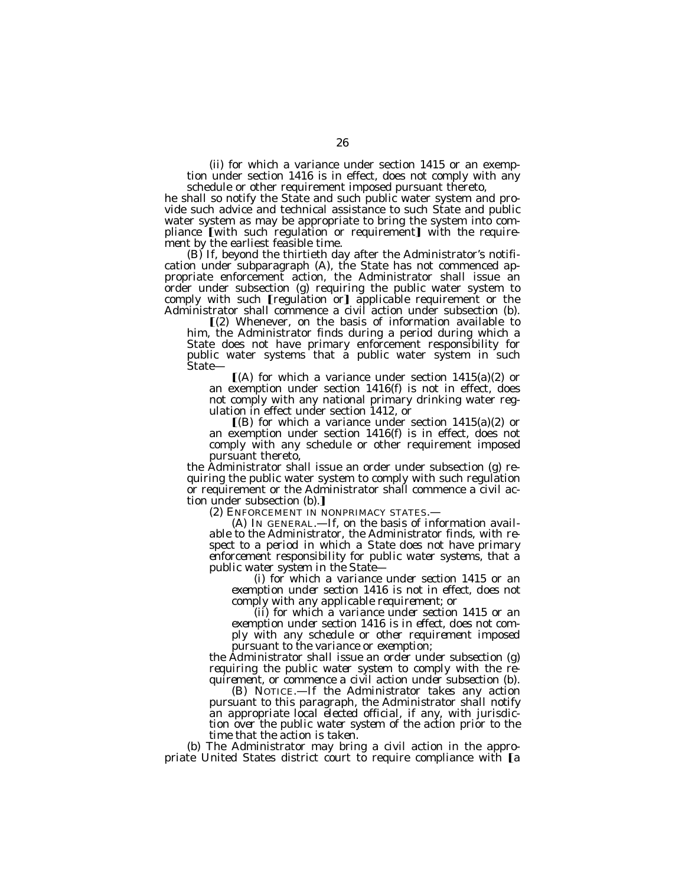(ii) for which a variance under section 1415 or an exemption under section 1416 is in effect, does not comply with any schedule or other requirement imposed pursuant thereto,

he shall so notify the State and such public water system and provide such advice and technical assistance to such State and public water system as may be appropriate to bring the system into compliance [with such regulation or requirement] with the require*ment* by the earliest feasible time.<br>(B) If, beyond the thirtieth day after the Administrator's notifi-

cation under subparagraph (A), the State has not commenced appropriate enforcement action, the Administrator shall issue an order under subsection (g) requiring the public water system to comply with such [regulation or] *applicable* requirement or the Administrator shall commence a civil action under subsection (b).

 $(2)$  Whenever, on the basis of information available to him, the Administrator finds during a period during which a State does not have primary enforcement responsibility for public water systems that a public water system in such State—

 $(A)$  for which a variance under section 1415(a)(2) or an exemption under section 1416(f) is not in effect, does not comply with any national primary drinking water regulation in effect under section 1412, or

 $[(B)$  for which a variance under section  $1415(a)(2)$  or an exemption under section 1416(f) is in effect, does not comply with any schedule or other requirement imposed pursuant thereto,

the Administrator shall issue an order under subsection (g) requiring the public water system to comply with such regulation or requirement or the Administrator shall commence a civil action under subsection (b).]

*(2) ENFORCEMENT IN NONPRIMACY STATES.— (A) IN GENERAL.—If, on the basis of information available to the Administrator, the Administrator finds, with respect to a period in which a State does not have primary enforcement responsibility for public water systems, that a public water system in the State—*

*(i) for which a variance under section 1415 or an exemption under section 1416 is not in effect, does not comply with any applicable requirement; or*

*(ii) for which a variance under section 1415 or an exemption under section 1416 is in effect, does not comply with any schedule or other requirement imposed pursuant to the variance or exemption;*

*the Administrator shall issue an order under subsection (g) requiring the public water system to comply with the requirement, or commence a civil action under subsection (b).*

*(B) NOTICE.—If the Administrator takes any action pursuant to this paragraph, the Administrator shall notify an appropriate local elected official, if any, with jurisdiction over the public water system of the action prior to the time that the action is taken.*

(b) The Administrator may bring a civil action in the appropriate United States district court to require compliance with  $\lceil a \rceil$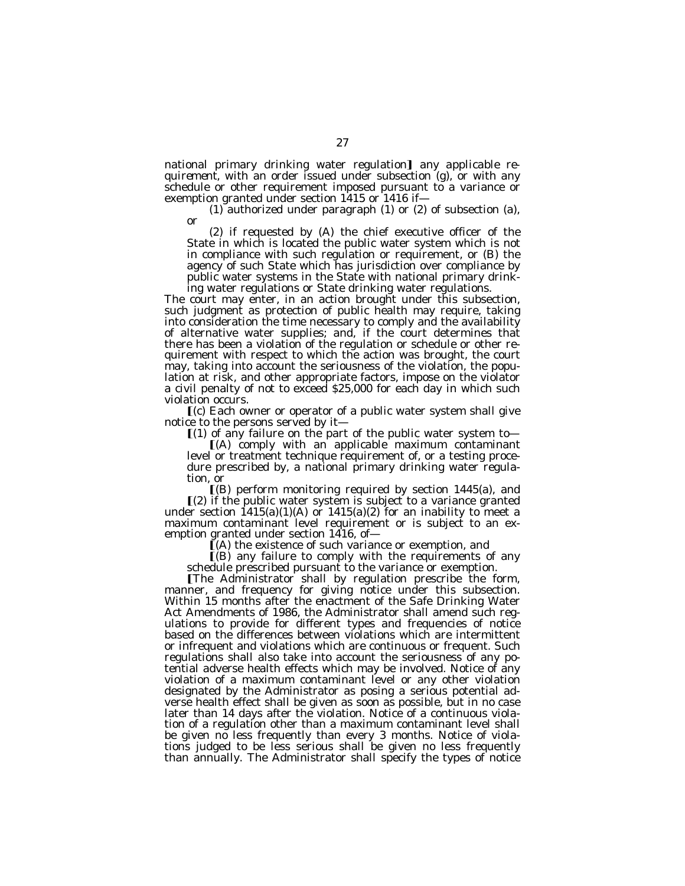national primary drinking water regulation] any applicable re*quirement*, with an order issued under subsection (g), or with any schedule or other requirement imposed pursuant to a variance or exemption granted under section 1415 or 1416 if—

(1) authorized under paragraph (1) or  $(2)$  of subsection  $(a)$ , or

(2) if requested by (A) the chief executive officer of the State in which is located the public water system which is not in compliance with such regulation or requirement, or (B) the agency of such State which has jurisdiction over compliance by public water systems in the State with national primary drink-

ing water regulations or State drinking water regulations. The court may enter, in an action brought under this subsection, such judgment as protection of public health may require, taking into consideration the time necessary to comply and the availability of alternative water supplies; and, if the court determines that there has been a violation of the regulation or schedule or other requirement with respect to which the action was brought, the court may, taking into account the seriousness of the violation, the population at risk, and other appropriate factors, impose on the violator a civil penalty of not to exceed \$25,000 for each day in which such violation occurs.

ø(c) Each owner or operator of a public water system shall give notice to the persons served by it—

 $(1)$  of any failure on the part of the public water system to- $[(A)$  comply with an applicable maximum contaminant level or treatment technique requirement of, or a testing procedure prescribed by, a national primary drinking water regulation, or

ø(B) perform monitoring required by section 1445(a), and  $[(2)$  if the public water system is subject to a variance granted under section 1415(a)(1)(A) or 1415(a)(2) for an inability to meet a maximum contaminant level requirement or is subject to an exemption granted under section 1416, of-

ø(A) the existence of such variance or exemption, and

 $[(B)$  any failure to comply with the requirements of any schedule prescribed pursuant to the variance or exemption.

øThe Administrator shall by regulation prescribe the form, manner, and frequency for giving notice under this subsection. Within 15 months after the enactment of the Safe Drinking Water Act Amendments of 1986, the Administrator shall amend such regulations to provide for different types and frequencies of notice based on the differences between violations which are intermittent or infrequent and violations which are continuous or frequent. Such regulations shall also take into account the seriousness of any potential adverse health effects which may be involved. Notice of any violation of a maximum contaminant level or any other violation designated by the Administrator as posing a serious potential adverse health effect shall be given as soon as possible, but in no case later than 14 days after the violation. Notice of a continuous violation of a regulation other than a maximum contaminant level shall be given no less frequently than every 3 months. Notice of violations judged to be less serious shall be given no less frequently than annually. The Administrator shall specify the types of notice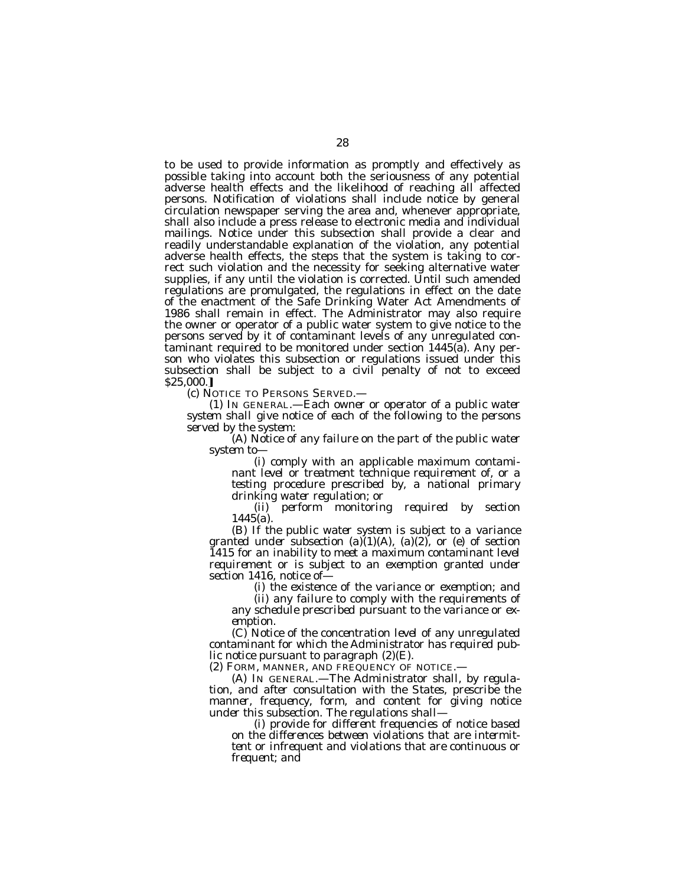to be used to provide information as promptly and effectively as possible taking into account both the seriousness of any potential adverse health effects and the likelihood of reaching all affected persons. Notification of violations shall include notice by general circulation newspaper serving the area and, whenever appropriate, shall also include a press release to electronic media and individual mailings. Notice under this subsection shall provide a clear and readily understandable explanation of the violation, any potential adverse health effects, the steps that the system is taking to correct such violation and the necessity for seeking alternative water supplies, if any until the violation is corrected. Until such amended regulations are promulgated, the regulations in effect on the date of the enactment of the Safe Drinking Water Act Amendments of 1986 shall remain in effect. The Administrator may also require the owner or operator of a public water system to give notice to the persons served by it of contaminant levels of any unregulated contaminant required to be monitored under section 1445(a). Any person who violates this subsection or regulations issued under this subsection shall be subject to a civil penalty of not to exceed \$25,000.]

*(c) NOTICE TO PERSONS SERVED*.—

*(1) IN GENERAL.—Each owner or operator of a public water system shall give notice of each of the following to the persons served by the system:*

*(A) Notice of any failure on the part of the public water system to—*

*(i) comply with an applicable maximum contaminant level or treatment technique requirement of, or a testing procedure prescribed by, a national primary drinking water regulation; or*

*(ii) perform monitoring required by section 1445(a).*

*(B) If the public water system is subject to a variance granted under subsection (a)(1)(A), (a)(2), or (e) of section 1415 for an inability to meet a maximum contaminant level requirement or is subject to an exemption granted under section 1416, notice of—*

*(i) the existence of the variance or exemption; and*

*(ii) any failure to comply with the requirements of any schedule prescribed pursuant to the variance or exemption.*

*(C) Notice of the concentration level of any unregulated contaminant for which the Administrator has required public notice pursuant to paragraph (2)(E).*

*(2) FORM, MANNER, AND FREQUENCY OF NOTICE*.—

*(A) IN GENERAL.—The Administrator shall, by regulation, and after consultation with the States, prescribe the manner, frequency, form, and content for giving notice under this subsection. The regulations shall—*

*(i) provide for different frequencies of notice based on the differences between violations that are intermittent or infrequent and violations that are continuous or frequent; and*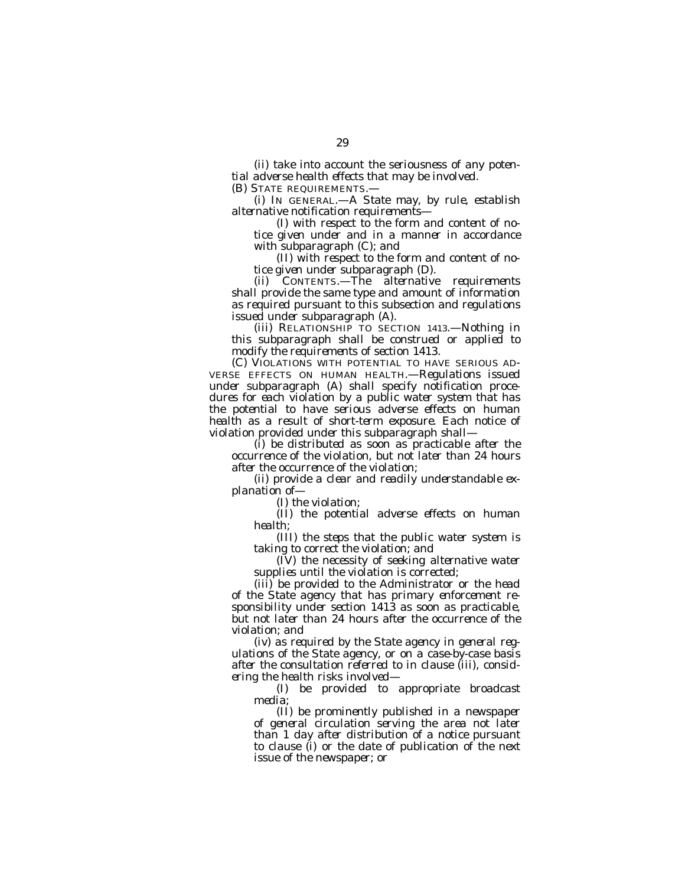*(ii) take into account the seriousness of any potential adverse health effects that may be involved.*

*(B) STATE REQUIREMENTS*.—

*(i) IN GENERAL.—A State may, by rule, establish alternative notification requirements—*

*(I) with respect to the form and content of notice given under and in a manner in accordance with subparagraph (C); and*

*(II) with respect to the form and content of notice given under subparagraph (D).*

*(ii) CONTENTS.—The alternative requirements shall provide the same type and amount of information as required pursuant to this subsection and regulations issued under subparagraph (A).*

*(iii) RELATIONSHIP TO SECTION 1413.—Nothing in this subparagraph shall be construed or applied to modify the requirements of section 1413.*

*(C) VIOLATIONS WITH POTENTIAL TO HAVE SERIOUS AD-VERSE EFFECTS ON HUMAN HEALTH.—Regulations issued under subparagraph (A) shall specify notification procedures for each violation by a public water system that has the potential to have serious adverse effects on human health as a result of short-term exposure. Each notice of violation provided under this subparagraph shall—*

*(i) be distributed as soon as practicable after the occurrence of the violation, but not later than 24 hours after the occurrence of the violation;*

*(ii) provide a clear and readily understandable explanation of—*

*(I) the violation;*

*(II) the potential adverse effects on human health;*

*(III) the steps that the public water system is taking to correct the violation; and*

*(IV) the necessity of seeking alternative water supplies until the violation is corrected;*

*(iii) be provided to the Administrator or the head of the State agency that has primary enforcement responsibility under section 1413 as soon as practicable, but not later than 24 hours after the occurrence of the violation; and*

*(iv) as required by the State agency in general regulations of the State agency, or on a case-by-case basis after the consultation referred to in clause (iii), considering the health risks involved—*

*(I) be provided to appropriate broadcast media;*

*(II) be prominently published in a newspaper of general circulation serving the area not later than 1 day after distribution of a notice pursuant to clause (i) or the date of publication of the next issue of the newspaper; or*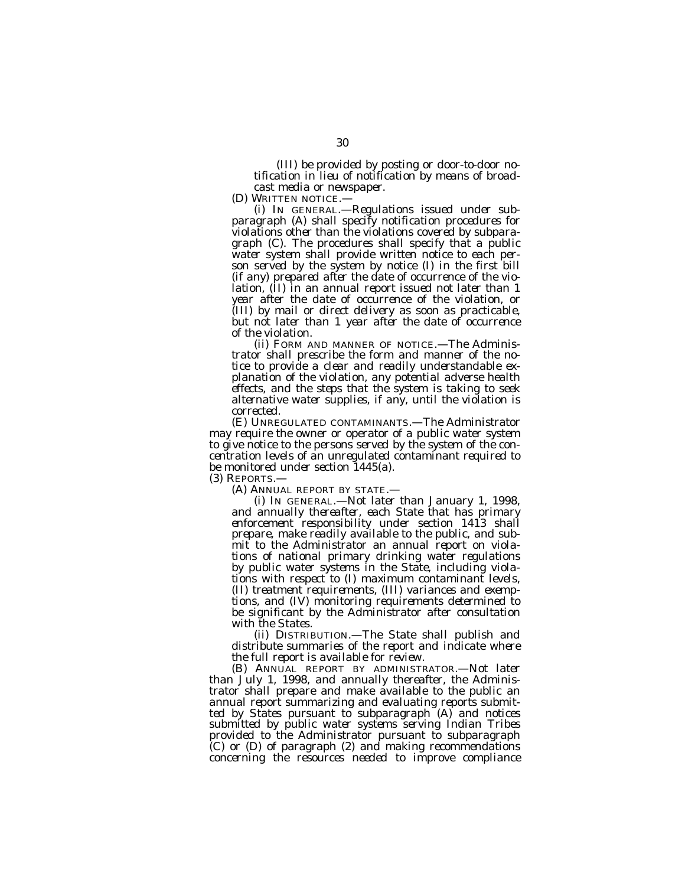*(III) be provided by posting or door-to-door notification in lieu of notification by means of broadcast media or newspaper.*<br>*(D) WRITTEN NOTICE.*—

*(D) WRITTEN NOTICE*.— *(i) IN GENERAL.—Regulations issued under sub- paragraph (A) shall specify notification procedures for violations other than the violations covered by subparagraph (C). The procedures shall specify that a public water system shall provide written notice to each person served by the system by notice (I) in the first bill (if any) prepared after the date of occurrence of the violation, (II) in an annual report issued not later than 1 year after the date of occurrence of the violation, or (III) by mail or direct delivery as soon as practicable, but not later than 1 year after the date of occurrence of the violation.*

*(ii) FORM AND MANNER OF NOTICE.—The Administrator shall prescribe the form and manner of the notice to provide a clear and readily understandable explanation of the violation, any potential adverse health effects, and the steps that the system is taking to seek alternative water supplies, if any, until the violation is corrected.*

*(E) UNREGULATED CONTAMINANTS.—The Administrator may require the owner or operator of a public water system to give notice to the persons served by the system of the concentration levels of an unregulated contaminant required to be monitored under section 1445(a).*

*(3) REPORTS*.— *(A) ANNUAL REPORT BY STATE*.— *(i) IN GENERAL.—Not later than January 1, 1998, and annually thereafter, each State that has primary enforcement responsibility under section 1413 shall prepare, make readily available to the public, and submit to the Administrator an annual report on violations of national primary drinking water regulations by public water systems in the State, including violations with respect to (I) maximum contaminant levels, (II) treatment requirements, (III) variances and exemptions, and (IV) monitoring requirements determined to be significant by the Administrator after consultation with the States.*

*(ii) DISTRIBUTION.—The State shall publish and distribute summaries of the report and indicate where the full report is available for review.*

*(B) ANNUAL REPORT BY ADMINISTRATOR.—Not later than July 1, 1998, and annually thereafter, the Administrator shall prepare and make available to the public an annual report summarizing and evaluating reports submitted by States pursuant to subparagraph (A) and notices submitted by public water systems serving Indian Tribes provided to the Administrator pursuant to subparagraph (C) or (D) of paragraph (2) and making recommendations concerning the resources needed to improve compliance*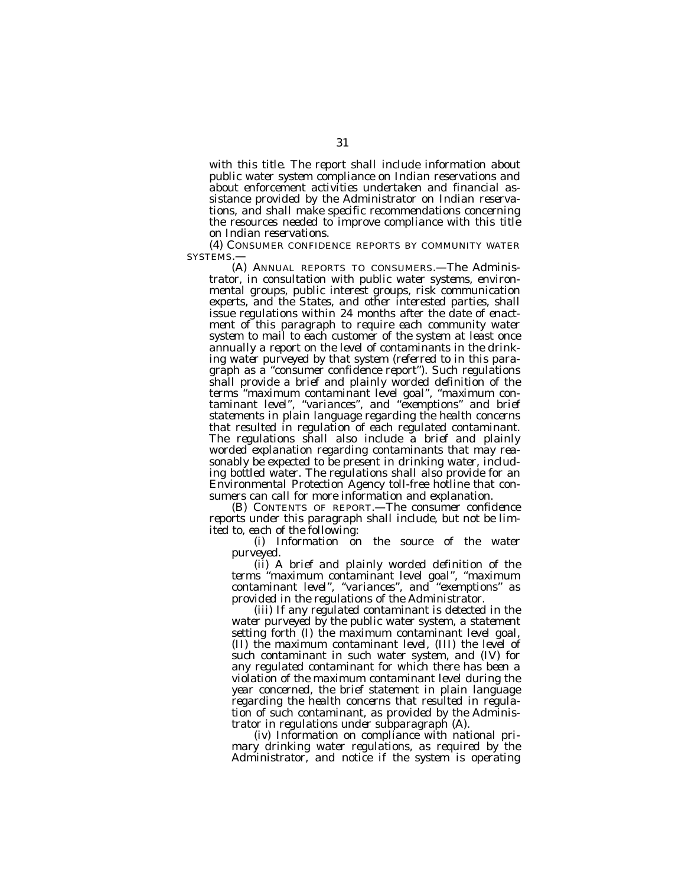*with this title. The report shall include information about public water system compliance on Indian reservations and about enforcement activities undertaken and financial assistance provided by the Administrator on Indian reservations, and shall make specific recommendations concerning the resources needed to improve compliance with this title on Indian reservations.*

*(4) CONSUMER CONFIDENCE REPORTS BY COMMUNITY WATER SYSTEMS.—*

*(A) ANNUAL REPORTS TO CONSUMERS.—The Administrator, in consultation with public water systems, environmental groups, public interest groups, risk communication experts, and the States, and other interested parties, shall issue regulations within 24 months after the date of enactment of this paragraph to require each community water system to mail to each customer of the system at least once annually a report on the level of contaminants in the drinking water purveyed by that system (referred to in this paragraph as a ''consumer confidence report''). Such regulations shall provide a brief and plainly worded definition of the terms ''maximum contaminant level goal'', ''maximum contaminant level'', ''variances'', and ''exemptions'' and brief statements in plain language regarding the health concerns that resulted in regulation of each regulated contaminant. The regulations shall also include a brief and plainly worded explanation regarding contaminants that may reasonably be expected to be present in drinking water, including bottled water. The regulations shall also provide for an Environmental Protection Agency toll-free hotline that consumers can call for more information and explanation.*

*(B) CONTENTS OF REPORT.—The consumer confidence reports under this paragraph shall include, but not be limited to, each of the following:*

*(i) Information on the source of the water purveyed.*

*(ii) A brief and plainly worded definition of the terms ''maximum contaminant level goal'', ''maximum contaminant level'', ''variances'', and ''exemptions'' as provided in the regulations of the Administrator.*

*(iii) If any regulated contaminant is detected in the water purveyed by the public water system, a statement setting forth (I) the maximum contaminant level goal, (II) the maximum contaminant level, (III) the level of such contaminant in such water system, and (IV) for any regulated contaminant for which there has been a violation of the maximum contaminant level during the year concerned, the brief statement in plain language regarding the health concerns that resulted in regulation of such contaminant, as provided by the Administrator in regulations under subparagraph (A).*

*(iv) Information on compliance with national primary drinking water regulations, as required by the Administrator, and notice if the system is operating*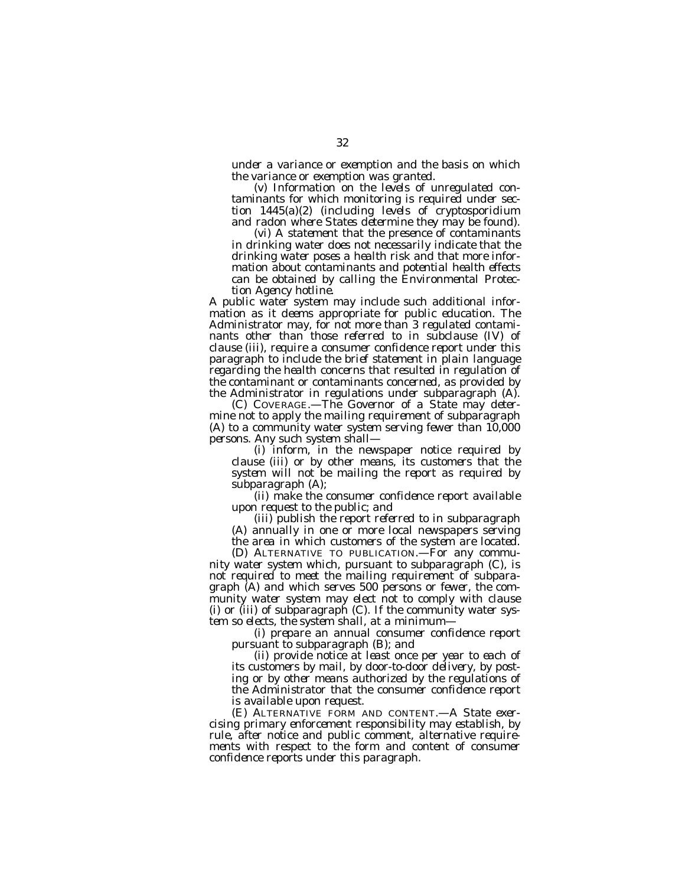*under a variance or exemption and the basis on which the variance or exemption was granted.*

*(v) Information on the levels of unregulated contaminants for which monitoring is required under section 1445(a)(2) (including levels of cryptosporidium and radon where States determine they may be found).*

*(vi) A statement that the presence of contaminants in drinking water does not necessarily indicate that the drinking water poses a health risk and that more information about contaminants and potential health effects can be obtained by calling the Environmental Protection Agency hotline.*

*A public water system may include such additional information as it deems appropriate for public education. The Administrator may, for not more than 3 regulated contaminants other than those referred to in subclause (IV) of clause (iii), require a consumer confidence report under this paragraph to include the brief statement in plain language regarding the health concerns that resulted in regulation of the contaminant or contaminants concerned, as provided by the Administrator in regulations under subparagraph (A).*

*(C) COVERAGE.—The Governor of a State may determine not to apply the mailing requirement of subparagraph (A) to a community water system serving fewer than 10,000 persons. Any such system shall—*

*(i) inform, in the newspaper notice required by clause (iii) or by other means, its customers that the system will not be mailing the report as required by subparagraph (A);*

*(ii) make the consumer confidence report available upon request to the public; and*

*(iii) publish the report referred to in subparagraph (A) annually in one or more local newspapers serving the area in which customers of the system are located.*

*(D) ALTERNATIVE TO PUBLICATION.—For any commu-*

*nity water system which, pursuant to subparagraph (C), is not required to meet the mailing requirement of subparagraph (A) and which serves 500 persons or fewer, the community water system may elect not to comply with clause (i) or (iii) of subparagraph (C). If the community water system so elects, the system shall, at a minimum—*

*(i) prepare an annual consumer confidence report pursuant to subparagraph (B); and*

*(ii) provide notice at least once per year to each of its customers by mail, by door-to-door delivery, by posting or by other means authorized by the regulations of the Administrator that the consumer confidence report is available upon request.*

*(E) ALTERNATIVE FORM AND CONTENT.—A State exercising primary enforcement responsibility may establish, by rule, after notice and public comment, alternative requirements with respect to the form and content of consumer confidence reports under this paragraph.*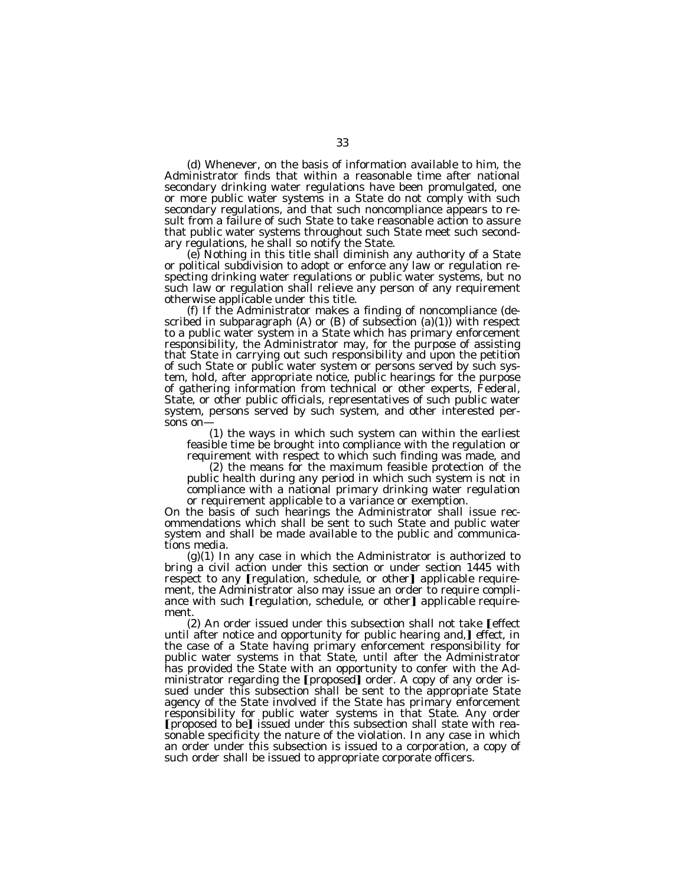(d) Whenever, on the basis of information available to him, the Administrator finds that within a reasonable time after national secondary drinking water regulations have been promulgated, one or more public water systems in a State do not comply with such secondary regulations, and that such noncompliance appears to result from a failure of such State to take reasonable action to assure that public water systems throughout such State meet such second-<br>ary regulations, he shall so notify the State.

 $\overline{e}$  Nothing in this title shall diminish any authority of a State. or political subdivision to adopt or enforce any law or regulation respecting drinking water regulations or public water systems, but no such law or regulation shall relieve any person of any requirement

otherwise applicable under this title.<br>(f) If the Administrator makes a finding of noncompliance (described in subparagraph (A) or (B) of subsection (a)(1)) with respect to a public water system in a State which has primary enforcement responsibility, the Administrator may, for the purpose of assisting that State in carrying out such responsibility and upon the petition of such State or public water system or persons served by such system, hold, after appropriate notice, public hearings for the purpose of gathering information from technical or other experts, Federal, State, or other public officials, representatives of such public water system, persons served by such system, and other interested persons on-

(1) the ways in which such system can within the earliest feasible time be brought into compliance with the regulation or

 $\alpha$ ) the means for the maximum feasible protection of the public health during any period in which such system is not in compliance with a national primary drinking water regulation or requirement applicable to a variance or exemption.

On the basis of such hearings the Administrator shall issue recommendations which shall be sent to such State and public water system and shall be made available to the public and communications media.

(g)(1) In any case in which the Administrator is authorized to bring a civil action under this section or under section 1445 with respect to any *regulation*, schedule, or other*] applicable* requirement, the Administrator also may issue an order to require compliance with such *regulation*, schedule, or other *applicable* requirement.

 $(2)$  An order issued under this subsection shall not take [effect until after notice and opportunity for public hearing and, J *effect*, in the case of a State having primary enforcement responsibility for public water systems in that State, until after the Administrator has provided the State with an opportunity to confer with the Administrator regarding the [proposed] order. A copy of any order issued under this subsection shall be sent to the appropriate State agency of the State involved if the State has primary enforcement responsibility for public water systems in that State. Any order [proposed to be] issued under this subsection shall state with reasonable specificity the nature of the violation. In any case in which an order under this subsection is issued to a corporation, a copy of such order shall be issued to appropriate corporate officers.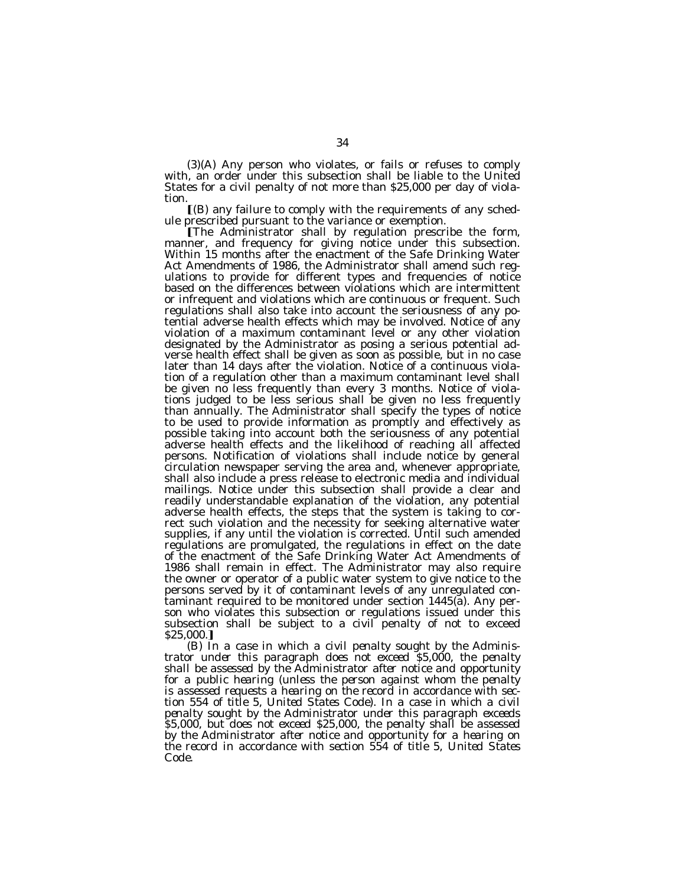(3)(A) Any person who violates, or fails or refuses to comply with, an order under this subsection shall be liable to the United States for a civil penalty of not more than \$25,000 per day of violation.

 $[$ (B) any failure to comply with the requirements of any schedule prescribed pursuant to the variance or exemption.

øThe Administrator shall by regulation prescribe the form, manner, and frequency for giving notice under this subsection. Within 15 months after the enactment of the Safe Drinking Water Act Amendments of 1986, the Administrator shall amend such regulations to provide for different types and frequencies of notice based on the differences between violations which are intermittent or infrequent and violations which are continuous or frequent. Such regulations shall also take into account the seriousness of any potential adverse health effects which may be involved. Notice of any violation of a maximum contaminant level or any other violation designated by the Administrator as posing a serious potential adverse health effect shall be given as soon as possible, but in no case later than 14 days after the violation. Notice of a continuous violation of a regulation other than a maximum contaminant level shall be given no less frequently than every 3 months. Notice of violations judged to be less serious shall be given no less frequently than annually. The Administrator shall specify the types of notice to be used to provide information as promptly and effectively as possible taking into account both the seriousness of any potential adverse health effects and the likelihood of reaching all affected persons. Notification of violations shall include notice by general circulation newspaper serving the area and, whenever appropriate, shall also include a press release to electronic media and individual mailings. Notice under this subsection shall provide a clear and readily understandable explanation of the violation, any potential adverse health effects, the steps that the system is taking to correct such violation and the necessity for seeking alternative water supplies, if any until the violation is corrected. Until such amended regulations are promulgated, the regulations in effect on the date of the enactment of the Safe Drinking Water Act Amendments of 1986 shall remain in effect. The Administrator may also require the owner or operator of a public water system to give notice to the persons served by it of contaminant levels of any unregulated contaminant required to be monitored under section 1445(a). Any person who violates this subsection or regulations issued under this subsection shall be subject to a civil penalty of not to exceed \$25,000.**1** 

*(B) In a case in which a civil penalty sought by the Administrator under this paragraph does not exceed \$5,000, the penalty shall be assessed by the Administrator after notice and opportunity for a public hearing (unless the person against whom the penalty is assessed requests a hearing on the record in accordance with section 554 of title 5, United States Code). In a case in which a civil penalty sought by the Administrator under this paragraph exceeds \$5,000, but does not exceed \$25,000, the penalty shall be assessed by the Administrator after notice and opportunity for a hearing on the record in accordance with section 554 of title 5, United States Code.*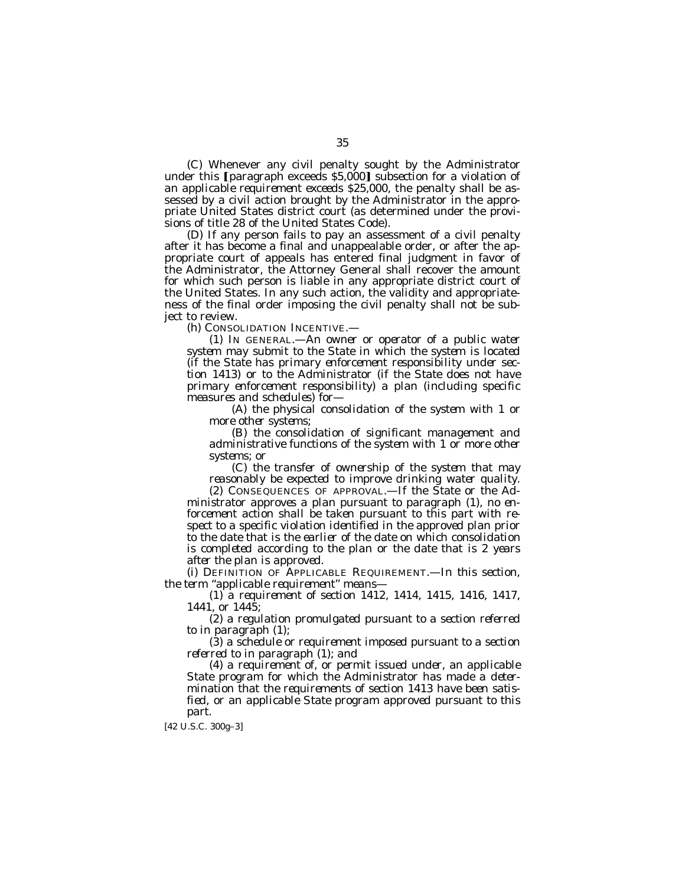(C) Whenever any civil penalty sought by the Administrator under this [paragraph exceeds \$5,000] *subsection for a violation of an applicable requirement exceeds \$25,000,* the penalty shall be assessed by a civil action brought by the Administrator in the appropriate United States district court (as determined under the provisions of title 28 of the United States Code).

(D) If any person fails to pay an assessment of a civil penalty after it has become a final and unappealable order, or after the appropriate court of appeals has entered final judgment in favor of the Administrator, the Attorney General shall recover the amount for which such person is liable in any appropriate district court of the United States. In any such action, the validity and appropriateness of the final order imposing the civil penalty shall not be subject to review.

*(h) CONSOLIDATION INCENTIVE*.—

*(1) IN GENERAL.—An owner or operator of a public water system may submit to the State in which the system is located (if the State has primary enforcement responsibility under section 1413) or to the Administrator (if the State does not have primary enforcement responsibility) a plan (including specific measures and schedules) for—*

*(A) the physical consolidation of the system with 1 or more other systems;*

*(B) the consolidation of significant management and administrative functions of the system with 1 or more other systems; or*

*(C) the transfer of ownership of the system that may reasonably be expected to improve drinking water quality.*

*(2) CONSEQUENCES OF APPROVAL.—If the State or the Administrator approves a plan pursuant to paragraph (1), no enforcement action shall be taken pursuant to this part with respect to a specific violation identified in the approved plan prior to the date that is the earlier of the date on which consolidation is completed according to the plan or the date that is 2 years after the plan is approved.*

*(i) DEFINITION OF APPLICABLE REQUIREMENT.—In this section, the term ''applicable requirement'' means—*

*(1) a requirement of section 1412, 1414, 1415, 1416, 1417, 1441, or 1445;*

*(2) a regulation promulgated pursuant to a section referred to in paragraph (1);*

*(3) a schedule or requirement imposed pursuant to a section referred to in paragraph (1); and*

*(4) a requirement of, or permit issued under, an applicable State program for which the Administrator has made a determination that the requirements of section 1413 have been satisfied, or an applicable State program approved pursuant to this part.*

[42 U.S.C. 300g–3]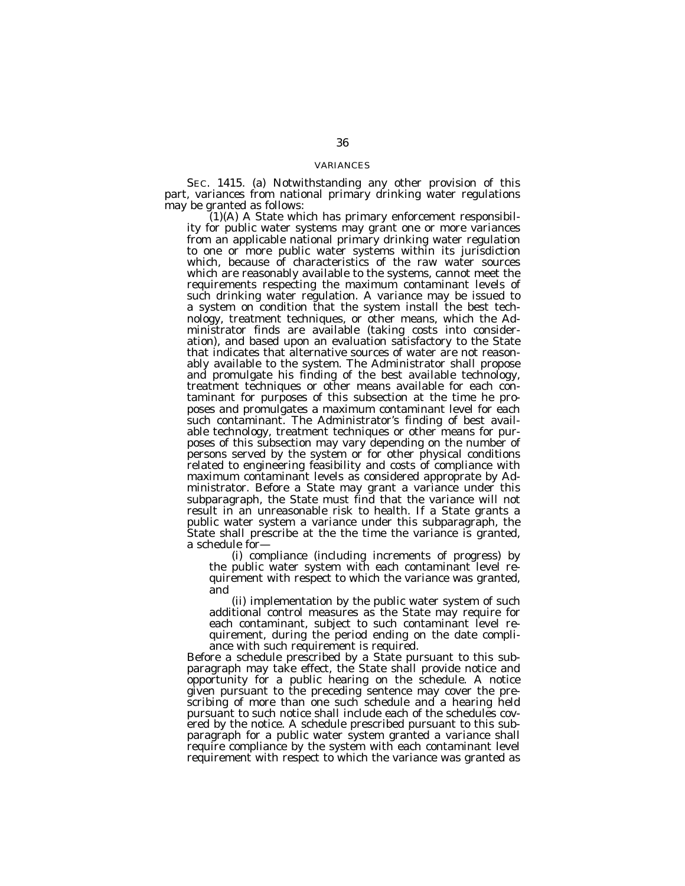## VARIANCES

SEC. 1415. (a) Notwithstanding any other provision of this part, variances from national primary drinking water regulations may be granted as follows:

(1)(A) A State which has primary enforcement responsibility for public water systems may grant one or more variances from an applicable national primary drinking water regulation to one or more public water systems within its jurisdiction which, because of characteristics of the raw water sources which are reasonably available to the systems, cannot meet the requirements respecting the maximum contaminant levels of such drinking water regulation. A variance may be issued to a system on condition that the system install the best technology, treatment techniques, or other means, which the Administrator finds are available (taking costs into consideration), and based upon an evaluation satisfactory to the State that indicates that alternative sources of water are not reasonably available to the system. The Administrator shall propose and promulgate his finding of the best available technology, treatment techniques or other means available for each contaminant for purposes of this subsection at the time he proposes and promulgates a maximum contaminant level for each such contaminant. The Administrator's finding of best available technology, treatment techniques or other means for purposes of this subsection may vary depending on the number of persons served by the system or for other physical conditions related to engineering feasibility and costs of compliance with maximum contaminant levels as considered approprate by Administrator. Before a State may grant a variance under this subparagraph, the State must find that the variance will not result in an unreasonable risk to health. If a State grants a public water system a variance under this subparagraph, the State shall prescribe at the the time the variance is granted, a schedule for—

(i) compliance (including increments of progress) by the public water system with each contaminant level requirement with respect to which the variance was granted, and

(ii) implementation by the public water system of such additional control measures as the State may require for each contaminant, subject to such contaminant level requirement, during the period ending on the date compliance with such requirement is required.

Before a schedule prescribed by a State pursuant to this subparagraph may take effect, the State shall provide notice and opportunity for a public hearing on the schedule. A notice given pursuant to the preceding sentence may cover the prescribing of more than one such schedule and a hearing held pursuant to such notice shall include each of the schedules covered by the notice. A schedule prescribed pursuant to this subparagraph for a public water system granted a variance shall require compliance by the system with each contaminant level requirement with respect to which the variance was granted as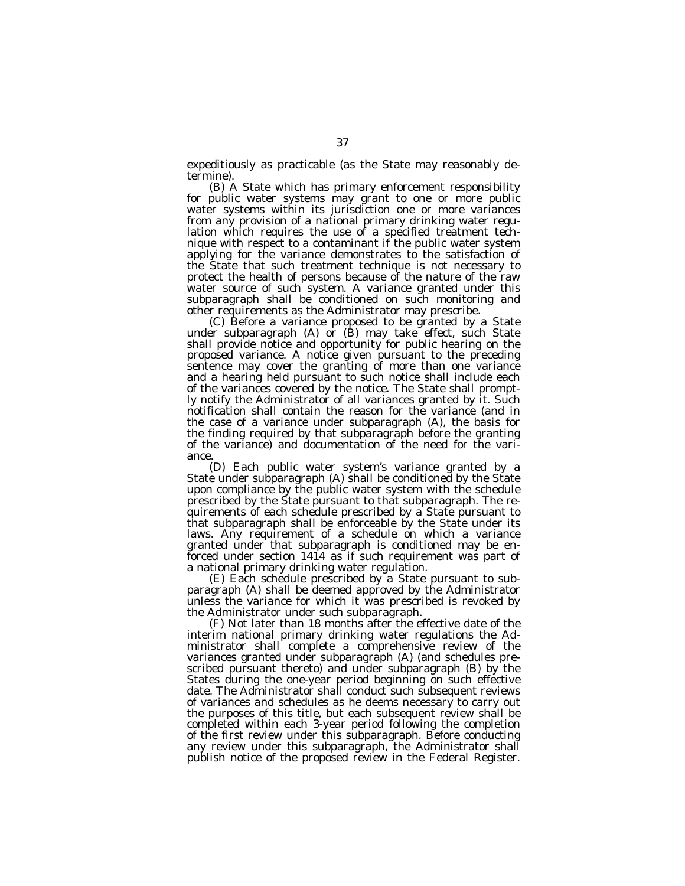expeditiously as practicable (as the State may reasonably determine).

(B) A State which has primary enforcement responsibility for public water systems may grant to one or more public water systems within its jurisdiction one or more variances from any provision of a national primary drinking water regulation which requires the use of a specified treatment technique with respect to a contaminant if the public water system applying for the variance demonstrates to the satisfaction of the State that such treatment technique is not necessary to protect the health of persons because of the nature of the raw water source of such system. A variance granted under this subparagraph shall be conditioned on such monitoring and other requirements as the Administrator may prescribe.

(C) Before a variance proposed to be granted by a State under subparagraph (A) or (B) may take effect, such State shall provide notice and opportunity for public hearing on the proposed variance. A notice given pursuant to the preceding sentence may cover the granting of more than one variance and a hearing held pursuant to such notice shall include each of the variances covered by the notice. The State shall promptly notify the Administrator of all variances granted by it. Such notification shall contain the reason for the variance (and in the case of a variance under subparagraph (A), the basis for the finding required by that subparagraph before the granting of the variance) and documentation of the need for the vari-

ance.<br>
(D) Each public water system's variance granted by a State under subparagraph (A) shall be conditioned by the State upon compliance by the public water system with the schedule prescribed by the State pursuant to that subparagraph. The requirements of each schedule prescribed by a State pursuant to that subparagraph shall be enforceable by the State under its laws. Any requirement of a schedule on which a variance granted under that subparagraph is conditioned may be enforced under section 1414 as if such requirement was part of a national primary drinking water regulation.

(E) Each schedule prescribed by a State pursuant to subparagraph (A) shall be deemed approved by the Administrator unless the variance for which it was prescribed is revoked by the Administrator under such subparagraph.

(F) Not later than 18 months after the effective date of the interim national primary drinking water regulations the Administrator shall complete a comprehensive review of the variances granted under subparagraph (A) (and schedules prescribed pursuant thereto) and under subparagraph (B) by the States during the one-year period beginning on such effective date. The Administrator shall conduct such subsequent reviews of variances and schedules as he deems necessary to carry out the purposes of this title, but each subsequent review shall be completed within each 3-year period following the completion of the first review under this subparagraph. Before conducting any review under this subparagraph, the Administrator shall publish notice of the proposed review in the Federal Register.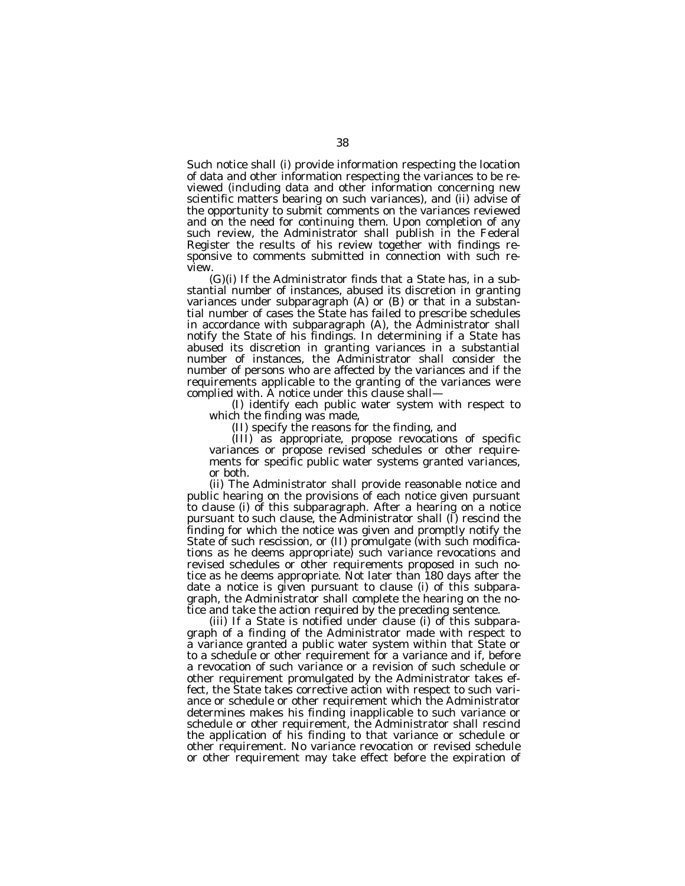Such notice shall (i) provide information respecting the location of data and other information respecting the variances to be reviewed (including data and other information concerning new scientific matters bearing on such variances), and (ii) advise of the opportunity to submit comments on the variances reviewed and on the need for continuing them. Upon completion of any such review, the Administrator shall publish in the Federal Register the results of his review together with findings responsive to comments submitted in connection with such review.

(G)(i) If the Administrator finds that a State has, in a substantial number of instances, abused its discretion in granting variances under subparagraph (A) or (B) or that in a substantial number of cases the State has failed to prescribe schedules in accordance with subparagraph (A), the Administrator shall notify the State of his findings. In determining if a State has abused its discretion in granting variances in a substantial number of instances, the Administrator shall consider the number of persons who are affected by the variances and if the requirements applicable to the granting of the variances were complied with.  $\overrightarrow{A}$  notice under this clause shall—

(I) identify each public water system with respect to which the finding was made,

(II) specify the reasons for the finding, and

(III) as appropriate, propose revocations of specific variances or propose revised schedules or other requirements for specific public water systems granted variances, or both.

(ii) The Administrator shall provide reasonable notice and public hearing on the provisions of each notice given pursuant to clause (i) of this subparagraph. After a hearing on a notice pursuant to such clause, the Administrator shall (I) rescind the finding for which the notice was given and promptly notify the State of such rescission, or (II) promulgate (with such modifications as he deems appropriate) such variance revocations and revised schedules or other requirements proposed in such notice as he deems appropriate. Not later than 180 days after the date a notice is given pursuant to clause (i) of this subparagraph, the Administrator shall complete the hearing on the notice and take the action required by the preceding sentence.

(iii) If a State is notified under clause (i) of this subparagraph of a finding of the Administrator made with respect to a variance granted a public water system within that State or to a schedule or other requirement for a variance and if, before a revocation of such variance or a revision of such schedule or other requirement promulgated by the Administrator takes effect, the State takes corrective action with respect to such variance or schedule or other requirement which the Administrator determines makes his finding inapplicable to such variance or schedule or other requirement, the Administrator shall rescind the application of his finding to that variance or schedule or other requirement. No variance revocation or revised schedule or other requirement may take effect before the expiration of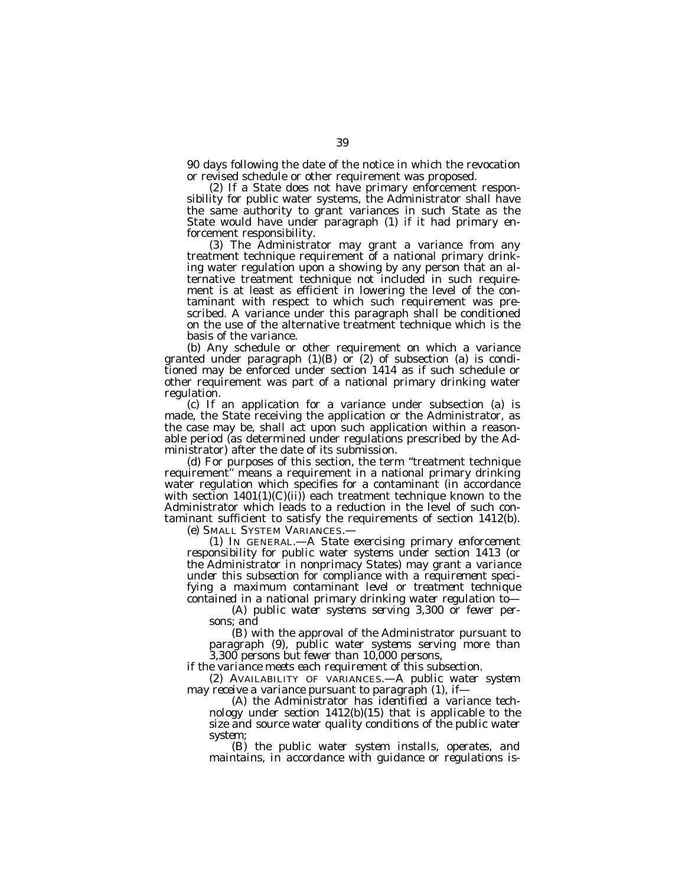90 days following the date of the notice in which the revocation or revised schedule or other requirement was proposed.

(2) If a State does not have primary enforcement responsibility for public water systems, the Administrator shall have the same authority to grant variances in such State as the State would have under paragraph (1) if it had primary enforcement responsibility.

(3) The Administrator may grant a variance from any treatment technique requirement of a national primary drinking water regulation upon a showing by any person that an alternative treatment technique not included in such requirement is at least as efficient in lowering the level of the contaminant with respect to which such requirement was prescribed. A variance under this paragraph shall be conditioned on the use of the alternative treatment technique which is the basis of the variance.

(b) Any schedule or other requirement on which a variance granted under paragraph (1)(B) or (2) of subsection (a) is conditioned may be enforced under section 1414 as if such schedule or other requirement was part of a national primary drinking water regulation.

(c) If an application for a variance under subsection (a) is made, the State receiving the application or the Administrator, as the case may be, shall act upon such application within a reasonable period (as determined under regulations prescribed by the Administrator) after the date of its submission.

(d) For purposes of this section, the term ''treatment technique requirement'' means a requirement in a national primary drinking water regulation which specifies for a contaminant (in accordance with section 1401(1)(C)(ii)) each treatment technique known to the Administrator which leads to a reduction in the level of such contaminant sufficient to satisfy the requirements of section 1412(b).

*(e) SMALL SYSTEM VARIANCES*.—

*(1) IN GENERAL.—A State exercising primary enforcement responsibility for public water systems under section 1413 (or the Administrator in nonprimacy States) may grant a variance under this subsection for compliance with a requirement specifying a maximum contaminant level or treatment technique contained in a national primary drinking water regulation to—*

*(A) public water systems serving 3,300 or fewer persons; and*

*(B) with the approval of the Administrator pursuant to paragraph (9), public water systems serving more than 3,300 persons but fewer than 10,000 persons,*

*if the variance meets each requirement of this subsection.*

*(2)* AVAILABILITY OF VARIANCES.*—A public water system may receive a variance pursuant to paragraph (1), if—*

*(A) the Administrator has identified a variance technology under section 1412(b)(15) that is applicable to the size and source water quality conditions of the public water system;*

*(B) the public water system installs, operates, and maintains, in accordance with guidance or regulations is-*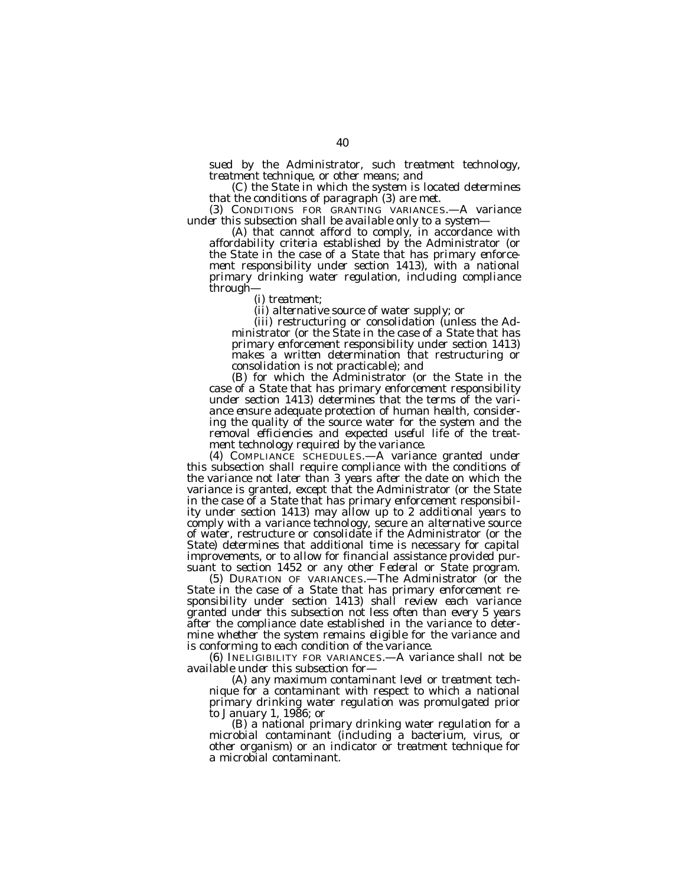*sued by the Administrator, such treatment technology, treatment technique, or other means; and*

*(C) the State in which the system is located determines that the conditions of paragraph (3) are met.*

*(3) CONDITIONS FOR GRANTING VARIANCES.—A variance*

*under this subsection shall be available only to a system— (A) that cannot afford to comply, in accordance with affordability criteria established by the Administrator (or the State in the case of a State that has primary enforcement responsibility under section 1413), with a national primary drinking water regulation, including compliance*

*(i)* treatment;

*(ii) alternative source of water supply; or*

*(iii) restructuring or consolidation (unless the Ad- ministrator (or the State in the case of a State that has primary enforcement responsibility under section 1413) makes a written determination that restructuring or consolidation is not practicable); and*

*(B) for which the Administrator (or the State in the case of a State that has primary enforcement responsibility under section 1413) determines that the terms of the variance ensure adequate protection of human health, considering the quality of the source water for the system and the removal efficiencies and expected useful life of the treatment technology required by the variance.*

*(4) COMPLIANCE SCHEDULES.—A variance granted under this subsection shall require compliance with the conditions of the variance not later than 3 years after the date on which the variance is granted, except that the Administrator (or the State in the case of a State that has primary enforcement responsibility under section 1413) may allow up to 2 additional years to comply with a variance technology, secure an alternative source of water, restructure or consolidate if the Administrator (or the State) determines that additional time is necessary for capital improvements, or to allow for financial assistance provided pursuant to section 1452 or any other Federal or State program.*

*(5) DURATION OF VARIANCES.—The Administrator (or the State in the case of a State that has primary enforcement responsibility under section 1413) shall review each variance granted under this subsection not less often than every 5 years after the compliance date established in the variance to determine whether the system remains eligible for the variance and is conforming to each condition of the variance.*

*(6) INELIGIBILITY FOR VARIANCES.—A variance shall not be available under this subsection for—*

*(A) any maximum contaminant level or treatment technique for a contaminant with respect to which a national primary drinking water regulation was promulgated prior to January 1, 1986; or*

*(B) a national primary drinking water regulation for a microbial contaminant (including a bacterium, virus, or other organism) or an indicator or treatment technique for a microbial contaminant.*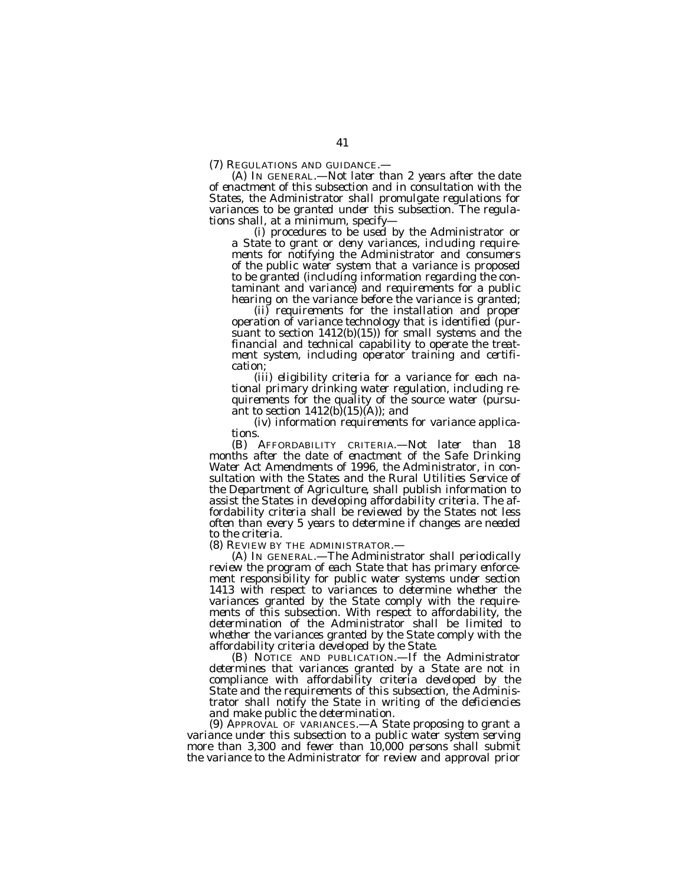*(7) REGULATIONS AND GUIDANCE*.— *(A) IN GENERAL.—Not later than 2 years after the date of enactment of this subsection and in consultation with the States, the Administrator shall promulgate regulations for variances to be granted under this subsection. The regula-*

*(i) procedures to be used by the Administrator or a State to grant or deny variances, including requirements for notifying the Administrator and consumers of the public water system that a variance is proposed to be granted (including information regarding the contaminant and variance) and requirements for a public hearing on the variance before the variance is granted; (ii) requirements for the installation and proper*

*operation of variance technology that is identified (pursuant to section 1412(b)(15)) for small systems and the financial and technical capability to operate the treatment system, including operator training and certification;*

*(iii) eligibility criteria for a variance for each national primary drinking water regulation, including requirements for the quality of the source water (pursuant to section 1412(b)(15)(A)); and*

*(iv) information requirements for variance applications.*

*(B) AFFORDABILITY CRITERIA.—Not later than 18 months after the date of enactment of the Safe Drinking Water Act Amendments of 1996, the Administrator, in consultation with the States and the Rural Utilities Service of the Department of Agriculture, shall publish information to assist the States in developing affordability criteria. The affordability criteria shall be reviewed by the States not less often than every 5 years to determine if changes are needed to the criteria.*

*(8) REVIEW BY THE ADMINISTRATOR*.—

*(A) IN GENERAL.—The Administrator shall periodically review the program of each State that has primary enforcement responsibility for public water systems under section 1413 with respect to variances to determine whether the variances granted by the State comply with the requirements of this subsection. With respect to affordability, the determination of the Administrator shall be limited to whether the variances granted by the State comply with the affordability criteria developed by the State.*

*(B) NOTICE AND PUBLICATION.—If the Administrator determines that variances granted by a State are not in compliance with affordability criteria developed by the State and the requirements of this subsection, the Administrator shall notify the State in writing of the deficiencies and make public the determination.*

*(9) APPROVAL OF VARIANCES.—A State proposing to grant a variance under this subsection to a public water system serving more than 3,300 and fewer than 10,000 persons shall submit the variance to the Administrator for review and approval prior*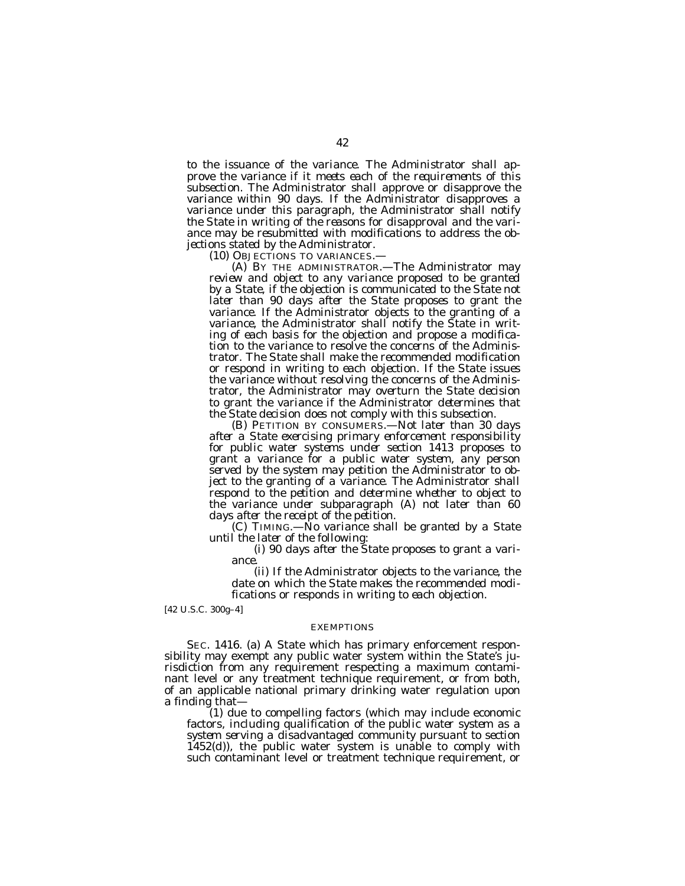*to the issuance of the variance. The Administrator shall approve the variance if it meets each of the requirements of this subsection. The Administrator shall approve or disapprove the variance within 90 days. If the Administrator disapproves a variance under this paragraph, the Administrator shall notify the State in writing of the reasons for disapproval and the variance may be resubmitted with modifications to address the objections stated by the Administrator.*

*(10) OBJECTIONS TO VARIANCES*.—

*(A) BY THE ADMINISTRATOR.—The Administrator may review and object to any variance proposed to be granted by a State, if the objection is communicated to the State not later than 90 days after the State proposes to grant the variance. If the Administrator objects to the granting of a variance, the Administrator shall notify the State in writing of each basis for the objection and propose a modification to the variance to resolve the concerns of the Administrator. The State shall make the recommended modification or respond in writing to each objection. If the State issues the variance without resolving the concerns of the Administrator, the Administrator may overturn the State decision to grant the variance if the Administrator determines that the State decision does not comply with this subsection.*

*(B) PETITION BY CONSUMERS.—Not later than 30 days after a State exercising primary enforcement responsibility for public water systems under section 1413 proposes to grant a variance for a public water system, any person served by the system may petition the Administrator to object to the granting of a variance. The Administrator shall respond to the petition and determine whether to object to the variance under subparagraph (A) not later than 60 days after the receipt of the petition.*

*(C) TIMING.—No variance shall be granted by a State until the later of the following:*

*(i) 90 days after the State proposes to grant a variance.*

*(ii) If the Administrator objects to the variance, the date on which the State makes the recommended modifications or responds in writing to each objection.*

[42 U.S.C. 300g–4]

## **EXEMPTIONS**

SEC. 1416. (a) A State which has primary enforcement responsibility may exempt any public water system within the State's jurisdiction from any requirement respecting a maximum contaminant level or any treatment technique requirement, or from both, of an applicable national primary drinking water regulation upon a finding that—

(1) due to compelling factors (which may include economic factors, *including qualification of the public water system as a system serving a disadvantaged community pursuant to section 1452(d)*), the public water system is unable to comply with such contaminant level or treatment technique requirement, *or*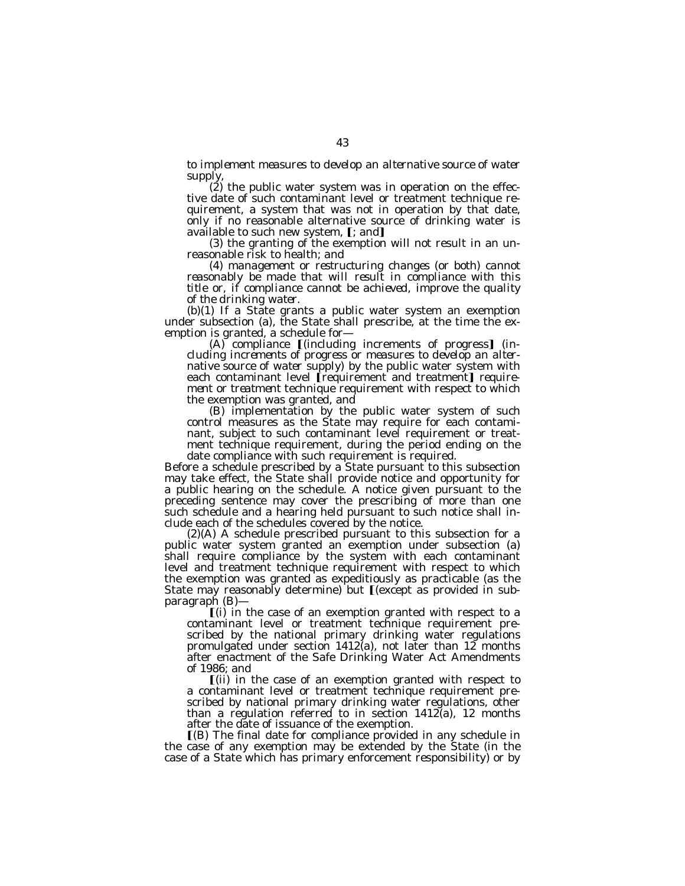*to implement measures to develop an alternative source of water*

(2) the public water system was in operation on the effective date of such contaminant level or treatment technique requirement, a system that was not in operation by that date, only if no reasonable alternative source of drinking water is available to such new system,  $[i, \text{and}]$ 

(3) the granting of the exemption will not result in an unreasonable risk to health; *and*

*(4) management or restructuring changes (or both) cannot reasonably be made that will result in compliance with this title or, if compliance cannot be achieved, improve the quality of the drinking water.*

(b)(1) If a State grants a public water system an exemption under subsection (a), the State shall prescribe, at the time the exemption is granted, a schedule for-<br>(A) compliance  $\blacksquare$  (including increments of progress] *(in-*

*cluding increments of progress or measures to develop an alternative source of water supply)* by the public water system with each contaminant level *[requirement and treatment] requirement or treatment* technique requirement with respect to which

(B) implementation by the public water system of such control measures as the State may require for each contaminant, subject to such contaminant level requirement or treatment technique requirement, during the period ending on the date compliance with such requirement is required.

Before a schedule prescribed by a State pursuant to this subsection may take effect, the State shall provide notice and opportunity for a public hearing on the schedule. A notice given pursuant to the preceding sentence may cover the prescribing of more than one such schedule and a hearing held pursuant to such notice shall in-<br>clude each of the schedules covered by the notice.

 $(2)(A)$  A schedule prescribed pursuant to this subsection for a public water system granted an exemption under subsection (a) shall require compliance by the system with each contaminant level and treatment technique requirement with respect to which the exemption was granted as expeditiously as practicable (as the State may reasonably determine) but [(except as provided in subparagraph (B)—

 $(i)$  in the case of an exemption granted with respect to a contaminant level or treatment technique requirement prescribed by the national primary drinking water regulations promulgated under section  $1412(a)$ , not later than  $12$  months after enactment of the Safe Drinking Water Act Amendments of 1986; and

ø(ii) in the case of an exemption granted with respect to a contaminant level or treatment technique requirement prescribed by national primary drinking water regulations, other than a regulation referred to in section 1412(a), 12 months after the date of issuance of the exemption.

ø(B) The final date for compliance provided in any schedule in the case of any exemption may be extended by the State (in the case of a State which has primary enforcement responsibility) or by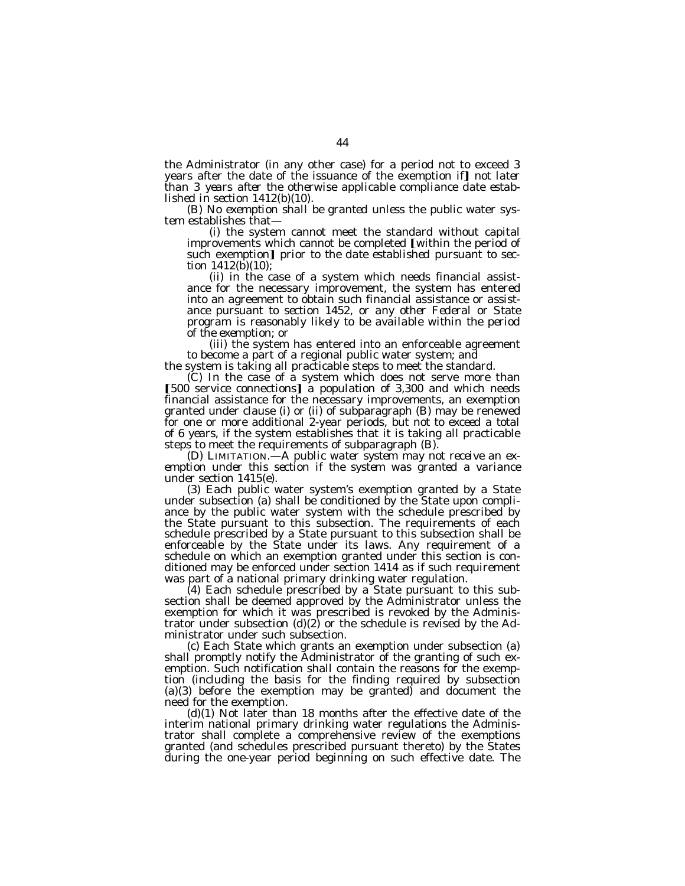the Administrator (in any other case) for a period not to exceed 3 years after the date of the issuance of the exemption if] *not later than 3 years after the otherwise applicable compliance date established in section 1412(b)(10).*

*(B) No exemption shall be granted unless* the public water system establishes that-

(i) the system cannot meet the standard without capital improvements which cannot be completed [within the period of such exemption] *prior to the date established pursuant to section 1412(b)(10);*

(ii) in the case of a system which needs financial assistance for the necessary improvement, the system has entered into an agreement to obtain such financial assistance *or assistance pursuant to section 1452, or any other Federal or State program is reasonably likely to be available within the period of the exemption; or*

(iii) the system has entered into an enforceable agreement to become a part of a regional public water system; and

the system is taking all practicable steps to meet the standard. (C) In the case of a system which does not serve more than [500 service connections] *a population of 3,300* and which needs financial assistance for the necessary improvements, an exemption granted under clause (i) or (ii) of subparagraph (B) may be renewed for one or more additional 2-year periods, *but not to exceed a total of 6 years,* if the system establishes that it is taking all practicable steps to meet the requirements of subparagraph (B). *(D) LIMITATION.—A public water system may not receive an ex-*

*emption under this section if the system was granted a variance under section 1415(e).*

(3) Each public water system's exemption granted by a State under subsection (a) shall be conditioned by the State upon compliance by the public water system with the schedule prescribed by the State pursuant to this subsection. The requirements of each schedule prescribed by a State pursuant to this subsection shall be enforceable by the State under its laws. Any requirement of a schedule on which an exemption granted under this section is conditioned may be enforced under section 1414 as if such requirement was part of a national primary drinking water regulation.

(4) Each schedule prescribed by a State pursuant to this subsection shall be deemed approved by the Administrator unless the exemption for which it was prescribed is revoked by the Administrator under subsection (d)(2) or the schedule is revised by the Administrator under such subsection.

(c) Each State which grants an exemption under subsection (a) shall promptly notify the Administrator of the granting of such exemption. Such notification shall contain the reasons for the exemption (including the basis for the finding required by subsection (a)(3) before the exemption may be granted) and document the need for the exemption.

(d)(1) Not later than 18 months after the effective date of the interim national primary drinking water regulations the Administrator shall complete a comprehensive review of the exemptions granted (and schedules prescribed pursuant thereto) by the States during the one-year period beginning on such effective date. The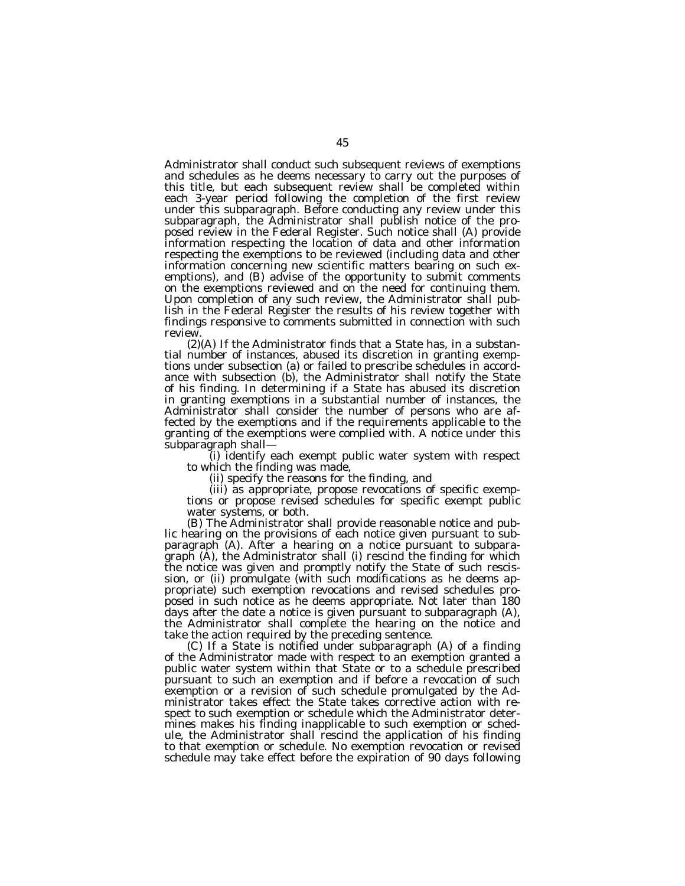Administrator shall conduct such subsequent reviews of exemptions and schedules as he deems necessary to carry out the purposes of this title, but each subsequent review shall be completed within each 3-year period following the completion of the first review under this subparagraph. Before conducting any review under this subparagraph, the Administrator shall publish notice of the proposed review in the Federal Register. Such notice shall (A) provide information respecting the location of data and other information respecting the exemptions to be reviewed (including data and other information concerning new scientific matters bearing on such exemptions), and (B) advise of the opportunity to submit comments on the exemptions reviewed and on the need for continuing them. Upon completion of any such review, the Administrator shall publish in the Federal Register the results of his review together with findings responsive to comments submitted in connection with such review.

(2)(A) If the Administrator finds that a State has, in a substantial number of instances, abused its discretion in granting exemptions under subsection (a) or failed to prescribe schedules in accordance with subsection (b), the Administrator shall notify the State of his finding. In determining if a State has abused its discretion in granting exemptions in a substantial number of instances, the Administrator shall consider the number of persons who are affected by the exemptions and if the requirements applicable to the granting of the exemptions were complied with. A notice under this

subparagraph shall—<br>(i) identify each exempt public water system with respect<br>to which the finding was made,

(ii) specify the reasons for the finding, and

(iii) as appropriate, propose revocations of specific exemptions or propose revised schedules for specific exempt public water systems, or both.

(B) The Administrator shall provide reasonable notice and public hearing on the provisions of each notice given pursuant to subparagraph (A). After a hearing on a notice pursuant to subparagraph (A), the Administrator shall (i) rescind the finding for which the notice was given and promptly notify the State of such rescission, or (ii) promulgate (with such modifications as he deems appropriate) such exemption revocations and revised schedules proposed in such notice as he deems appropriate. Not later than 180 days after the date a notice is given pursuant to subparagraph (A), the Administrator shall complete the hearing on the notice and take the action required by the preceding sentence.

(C) If a State is notified under subparagraph (A) of a finding of the Administrator made with respect to an exemption granted a public water system within that State or to a schedule prescribed pursuant to such an exemption and if before a revocation of such exemption or a revision of such schedule promulgated by the Administrator takes effect the State takes corrective action with respect to such exemption or schedule which the Administrator determines makes his finding inapplicable to such exemption or schedule, the Administrator shall rescind the application of his finding to that exemption or schedule. No exemption revocation or revised schedule may take effect before the expiration of 90 days following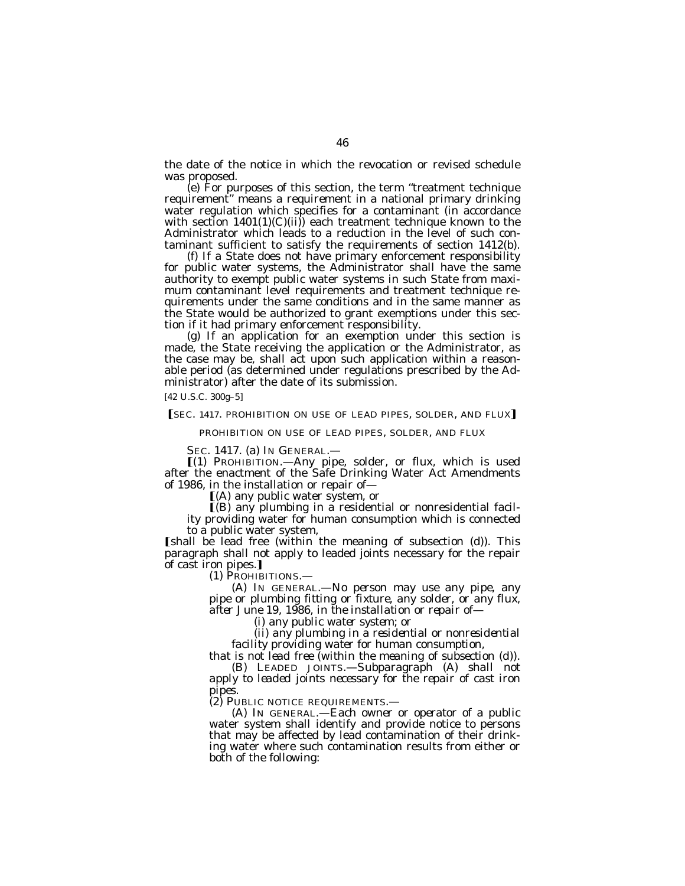the date of the notice in which the revocation or revised schedule was proposed.

(e) For purposes of this section, the term ''treatment technique requirement'' means a requirement in a national primary drinking water regulation which specifies for a contaminant (in accordance with section  $1401(1)(C)(ii)$  each treatment technique known to the Administrator which leads to a reduction in the level of such contaminant sufficient to satisfy the requirements of section 1412(b).

(f) If a State does not have primary enforcement responsibility for public water systems, the Administrator shall have the same authority to exempt public water systems in such State from maximum contaminant level requirements and treatment technique requirements under the same conditions and in the same manner as the State would be authorized to grant exemptions under this section if it had primary enforcement responsibility.

(g) If an application for an exemption under this section is made, the State receiving the application or the Administrator, as the case may be, shall act upon such application within a reasonable period (as determined under regulations prescribed by the Administrator) after the date of its submission.

[42 U.S.C. 300g–5]

 $[SEC. 1417. PROHIBITION ON USE OF LEAD PIPES, SOLDER, AND FLUX]$ 

*PROHIBITION ON USE OF LEAD PIPES, SOLDER, AND FLUX*

*SEC*. 1417. *(a) IN GENERAL.—*

ø(1) PROHIBITION.—Any pipe, solder, or flux, which is used after the enactment of the Safe Drinking Water Act Amendments of 1986, in the installation or repair of—

ø(A) any public water system, or

 $\tilde{I}(B)$  any plumbing in a residential or nonresidential facility providing water for human consumption which is connected to a public water system,

[shall be lead free (within the meaning of subsection (d)). This paragraph shall not apply to leaded joints necessary for the repair of cast iron pipes.]

*(1) PROHIBITIONS*.—

*(A) IN GENERAL.—No person may use any pipe, any pipe or plumbing fitting or fixture, any solder, or any flux, after June 19, 1986, in the installation or repair of—*

*(i) any public water system; or*

*(ii) any plumbing in a residential or nonresidential facility providing water for human consumption,*

*that is not lead free (within the meaning of subsection (d)). (B) LEADED JOINTS.—Subparagraph (A) shall not*

*apply to leaded joints necessary for the repair of cast iron pipes.*

(2) PUBLIC NOTICE REQUIREMENTS.—

(A) IN GENERAL.—Each *owner or operator* of a public water system shall identify and provide notice to persons that may be affected by lead contamination of their drinking water where such contamination results from either or both of the following: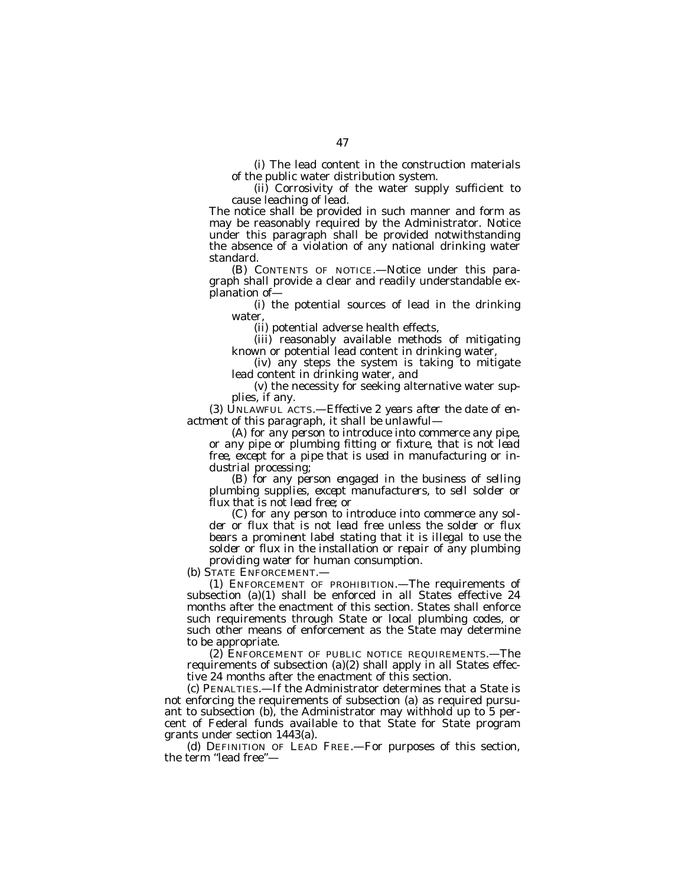(i) The lead content in the construction materials of the public water distribution system.

(ii) Corrosivity of the water supply sufficient to cause leaching of lead.

The notice shall be provided in such manner and form as may be reasonably required by the Administrator. Notice under this paragraph shall be provided notwithstanding the absence of a violation of any national drinking water standard.

(B) CONTENTS OF NOTICE.—Notice under this paragraph shall provide a clear and readily understandable explanation of—

(i) the potential sources of lead in the drinking water,

(ii) potential adverse health effects,

(iii) reasonably available methods of mitigating known or potential lead content in drinking water,

(iv) any steps the system is taking to mitigate lead content in drinking water, and

(v) the necessity for seeking alternative water supplies, if any.

*(3) UNLAWFUL ACTS.—Effective 2 years after the date of enactment of this paragraph, it shall be unlawful—*

*(A) for any person to introduce into commerce any pipe, or any pipe or plumbing fitting or fixture, that is not lead free, except for a pipe that is used in manufacturing or industrial processing;*

*(B) for any person engaged in the business of selling plumbing supplies, except manufacturers, to sell solder or flux that is not lead free; or*

*(C) for any person to introduce into commerce any solder or flux that is not lead free unless the solder or flux bears a prominent label stating that it is illegal to use the solder or flux in the installation or repair of any plumbing providing water for human consumption.*

(b) STATE ENFORCEMENT.—

(1) ENFORCEMENT OF PROHIBITION.—The requirements of subsection (a)(1) shall be enforced in all States effective 24 months after the enactment of this section. States shall enforce such requirements through State or local plumbing codes, or such other means of enforcement as the State may determine to be appropriate.

(2) ENFORCEMENT OF PUBLIC NOTICE REQUIREMENTS.—The requirements of subsection (a)(2) shall apply in all States effective 24 months after the enactment of this section.

(c) PENALTIES.—If the Administrator determines that a State is not enforcing the requirements of subsection (a) as required pursuant to subsection (b), the Administrator may withhold up to 5 percent of Federal funds available to that State for State program grants under section 1443(a).

(d) DEFINITION OF LEAD FREE.—For purposes of this section, the term "lead free"—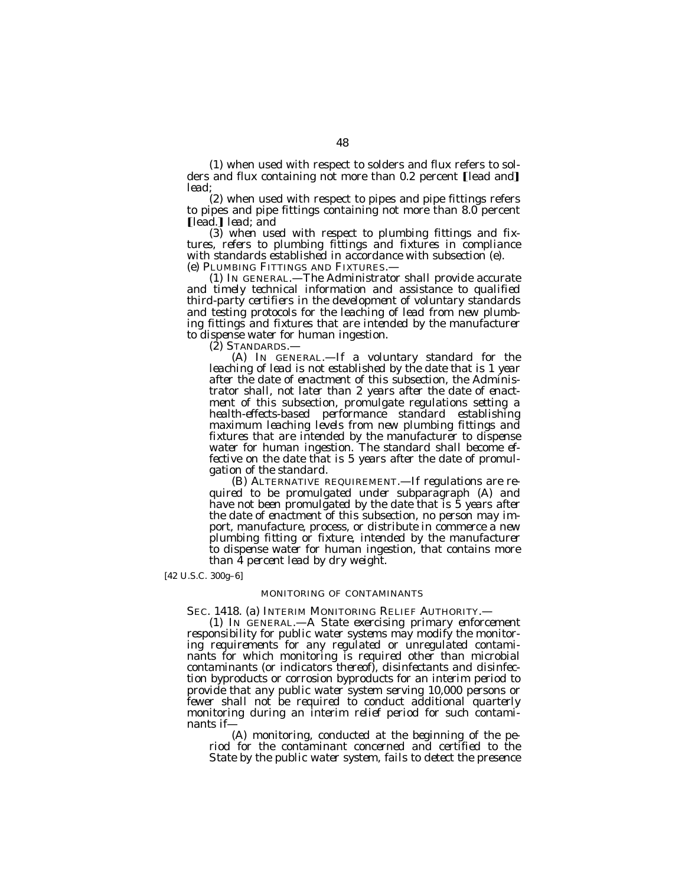(1) when used with respect to solders and flux refers to solders and flux containing not more than 0.2 percent [lead and] *lead;*

(2) when used with respect to pipes and pipe fittings refers to pipes and pipe fittings containing not more than 8.0 percent [lead.] lead; and

*(3) when used with respect to plumbing fittings and fixtures, refers to plumbing fittings and fixtures in compliance with standards established in accordance with subsection (e). (e) PLUMBING FITTINGS AND FIXTURES*.—

*(1) IN GENERAL.—The Administrator shall provide accurate and timely technical information and assistance to qualified third-party certifiers in the development of voluntary standards and testing protocols for the leaching of lead from new plumbing fittings and fixtures that are intended by the manufacturer to dispense water for human ingestion.*

*(2) STANDARDS*.—

*(A) IN GENERAL.—If a voluntary standard for the leaching of lead is not established by the date that is 1 year after the date of enactment of this subsection, the Administrator shall, not later than 2 years after the date of enactment of this subsection, promulgate regulations setting a health-effects-based performance standard establishing maximum leaching levels from new plumbing fittings and fixtures that are intended by the manufacturer to dispense water for human ingestion. The standard shall become effective on the date that is 5 years after the date of promulgation of the standard.*

*(B) ALTERNATIVE REQUIREMENT.—If regulations are required to be promulgated under subparagraph (A) and have not been promulgated by the date that is 5 years after the date of enactment of this subsection, no person may import, manufacture, process, or distribute in commerce a new plumbing fitting or fixture, intended by the manufacturer to dispense water for human ingestion, that contains more than 4 percent lead by dry weight.*

[42 U.S.C. 300g–6]

#### *MONITORING OF CONTAMINANTS*

*SEC. 1418. (a) INTERIM MONITORING RELIEF AUTHORITY*.—

*(1) IN GENERAL.—A State exercising primary enforcement responsibility for public water systems may modify the monitoring requirements for any regulated or unregulated contaminants for which monitoring is required other than microbial contaminants (or indicators thereof), disinfectants and disinfection byproducts or corrosion byproducts for an interim period to provide that any public water system serving 10,000 persons or fewer shall not be required to conduct additional quarterly monitoring during an interim relief period for such contaminants if—*

*(A) monitoring, conducted at the beginning of the period for the contaminant concerned and certified to the State by the public water system, fails to detect the presence*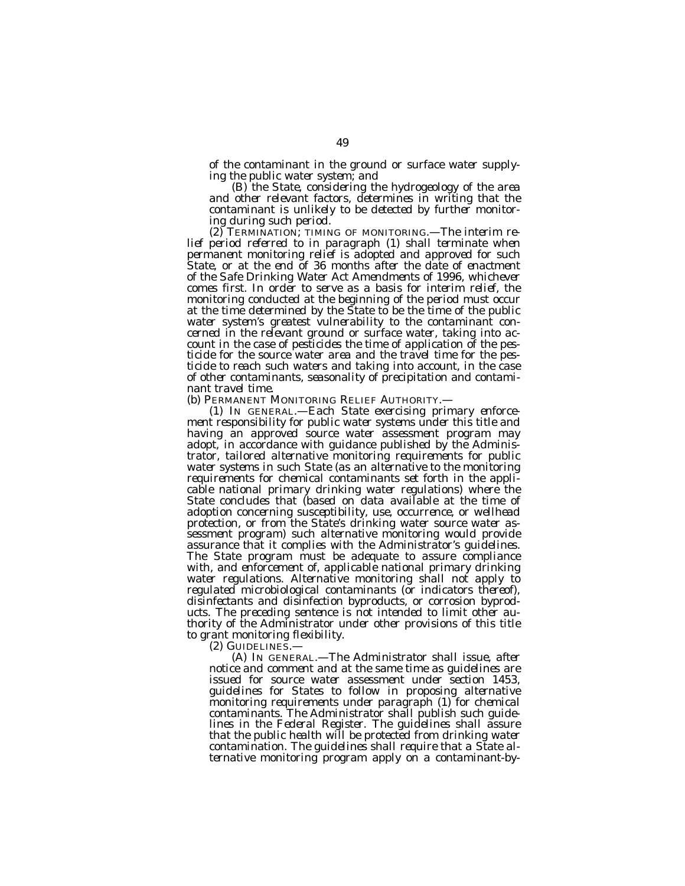*of the contaminant in the ground or surface water supply-*

*ing the public water system; and (B) the State, considering the hydrogeology of the area and other relevant factors, determines in writing that the contaminant is unlikely to be detected by further monitoring during such period.*

*(2) TERMINATION; TIMING OF MONITORING*.*—The interim relief period referred to in paragraph (1) shall terminate when permanent monitoring relief is adopted and approved for such State, or at the end of 36 months after the date of enactment of the Safe Drinking Water Act Amendments of 1996, whichever comes first. In order to serve as a basis for interim relief, the monitoring conducted at the beginning of the period must occur at the time determined by the State to be the time of the public water system's greatest vulnerability to the contaminant concerned in the relevant ground or surface water, taking into account in the case of pesticides the time of application of the pesticide for the source water area and the travel time for the pesticide to reach such waters and taking into account, in the case of other contaminants, seasonality of precipitation and contaminant travel time.*

*(1) In GENERAL.*—Each State exercising primary enforce*ment responsibility for public water systems under this title and having an approved source water assessment program may adopt, in accordance with guidance published by the Administrator, tailored alternative monitoring requirements for public water systems in such State (as an alternative to the monitoring requirements for chemical contaminants set forth in the applicable national primary drinking water regulations) where the State concludes that (based on data available at the time of adoption concerning susceptibility, use, occurrence, or wellhead protection, or from the State's drinking water source water assessment program) such alternative monitoring would provide assurance that it complies with the Administrator's guidelines. The State program must be adequate to assure compliance with, and enforcement of, applicable national primary drinking water regulations. Alternative monitoring shall not apply to regulated microbiological contaminants (or indicators thereof), disinfectants and disinfection byproducts, or corrosion byproducts. The preceding sentence is not intended to limit other authority of the Administrator under other provisions of this title to grant monitoring flexibility.*

*(2) GUIDELINES*.—

*(A) IN GENERAL*.*—The Administrator shall issue, after notice and comment and at the same time as guidelines are issued for source water assessment under section 1453, guidelines for States to follow in proposing alternative monitoring requirements under paragraph (1) for chemical contaminants. The Administrator shall publish such guidelines in the Federal Register. The guidelines shall assure that the public health will be protected from drinking water contamination. The guidelines shall require that a State alternative monitoring program apply on a contaminant-by-*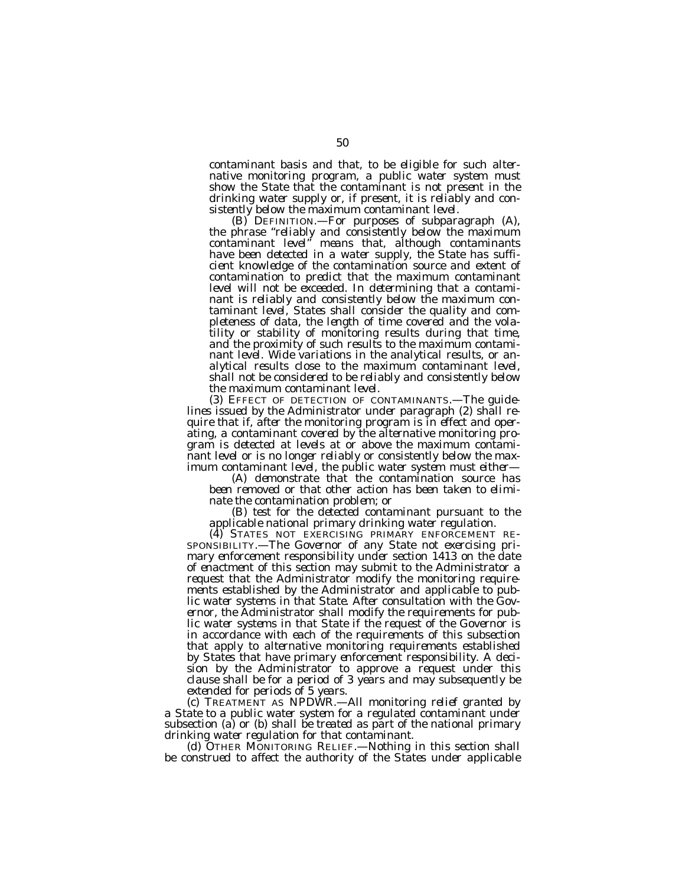*contaminant basis and that, to be eligible for such alternative monitoring program, a public water system must show the State that the contaminant is not present in the drinking water supply or, if present, it is reliably and con-*

*sistently below the maximum contaminant level. (B) DEFINITION*.*—For purposes of subparagraph (A), the phrase ''reliably and consistently below the maximum contaminant level'' means that, although contaminants have been detected in a water supply, the State has sufficient knowledge of the contamination source and extent of contamination to predict that the maximum contaminant level will not be exceeded. In determining that a contaminant is reliably and consistently below the maximum contaminant level, States shall consider the quality and completeness of data, the length of time covered and the volatility or stability of monitoring results during that time, and the proximity of such results to the maximum contaminant level. Wide variations in the analytical results, or analytical results close to the maximum contaminant level, shall not be considered to be reliably and consistently below*

*the maximum contaminant level. lines issued by the Administrator under paragraph (2) shall require that if, after the monitoring program is in effect and operating, a contaminant covered by the alternative monitoring program is detected at levels at or above the maximum contaminant level or is no longer reliably or consistently below the max-*

*imum contaminant level, the public water system must either— (A) demonstrate that the contamination source has been removed or that other action has been taken to eliminate the contamination problem; or*

*(B) test for the detected contaminant pursuant to the applicable national primary drinking water regulation.*

*(4) STATES NOT EXERCISING PRIMARY ENFORCEMENT RE-SPONSIBILITY*.*—The Governor of any State not exercising primary enforcement responsibility under section 1413 on the date of enactment of this section may submit to the Administrator a request that the Administrator modify the monitoring requirements established by the Administrator and applicable to public water systems in that State. After consultation with the Governor, the Administrator shall modify the requirements for public water systems in that State if the request of the Governor is in accordance with each of the requirements of this subsection that apply to alternative monitoring requirements established by States that have primary enforcement responsibility. A decision by the Administrator to approve a request under this clause shall be for a period of 3 years and may subsequently be extended for periods of 5 years.*

*(c) TREATMENT AS NPDWR*.*—All monitoring relief granted by a State to a public water system for a regulated contaminant under subsection (a) or (b) shall be treated as part of the national primary drinking water regulation for that contaminant.*

*(d) OTHER MONITORING RELIEF*.*—Nothing in this section shall be construed to affect the authority of the States under applicable*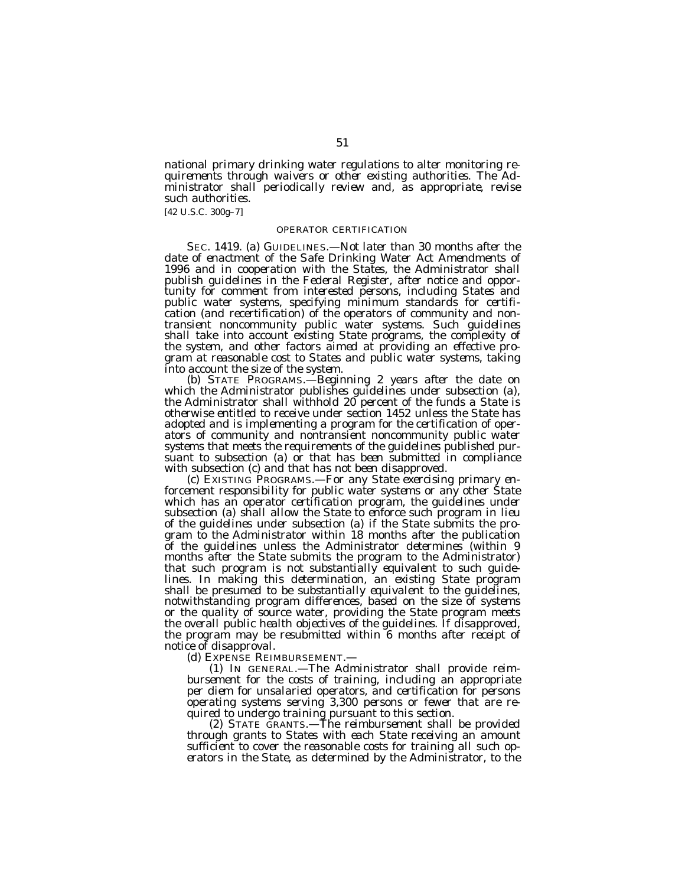*national primary drinking water regulations to alter monitoring requirements through waivers or other existing authorities. The Administrator shall periodically review and, as appropriate, revise such authorities.*

[42 U.S.C. 300g–7]

### *OPERATOR CERTIFICATION*

*SEC. 1419. (a) GUIDELINES.—Not later than 30 months after the date of enactment of the Safe Drinking Water Act Amendments of 1996 and in cooperation with the States, the Administrator shall publish guidelines in the Federal Register, after notice and opportunity for comment from interested persons, including States and public water systems, specifying minimum standards for certification (and recertification) of the operators of community and nontransient noncommunity public water systems. Such guidelines shall take into account existing State programs, the complexity of the system, and other factors aimed at providing an effective program at reasonable cost to States and public water systems, taking*

*into account the size of the system. (b) STATE PROGRAMS*.*—Beginning 2 years after the date on which the Administrator publishes guidelines under subsection (a), the Administrator shall withhold 20 percent of the funds a State is otherwise entitled to receive under section 1452 unless the State has adopted and is implementing a program for the certification of operators of community and nontransient noncommunity public water systems that meets the requirements of the guidelines published pursuant to subsection (a) or that has been submitted in compliance*

*with subsection (c) and that has not been disapproved. (c) EXISTING PROGRAMS*.*—For any State exercising primary en- forcement responsibility for public water systems or any other State which has an operator certification program, the guidelines under subsection (a) shall allow the State to enforce such program in lieu of the guidelines under subsection (a) if the State submits the program to the Administrator within 18 months after the publication of the guidelines unless the Administrator determines (within 9 months after the State submits the program to the Administrator) that such program is not substantially equivalent to such guidelines. In making this determination, an existing State program shall be presumed to be substantially equivalent to the guidelines, notwithstanding program differences, based on the size of systems or the quality of source water, providing the State program meets the overall public health objectives of the guidelines. If disapproved, the program may be resubmitted within 6 months after receipt of notice of disapproval.*

*(d) EXPENSE REIMBURSEMENT*.—

*(1) IN GENERAL*.*—The Administrator shall provide reimbursement for the costs of training, including an appropriate per diem for unsalaried operators, and certification for persons operating systems serving 3,300 persons or fewer that are required to undergo training pursuant to this section.*

*(2) STATE GRANTS*.*—The reimbursement shall be provided through grants to States with each State receiving an amount sufficient to cover the reasonable costs for training all such operators in the State, as determined by the Administrator, to the*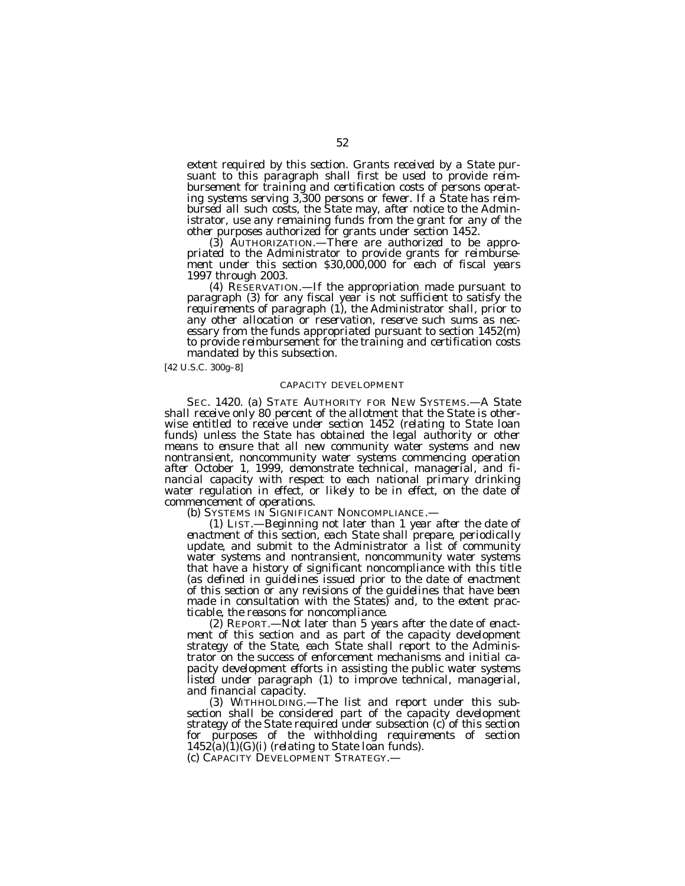*extent required by this section. Grants received by a State pursuant to this paragraph shall first be used to provide reimbursement for training and certification costs of persons operating systems serving 3,300 persons or fewer. If a State has reimbursed all such costs, the State may, after notice to the Administrator, use any remaining funds from the grant for any of the*

*other purposes authorized for grants under section 1452. (3) AUTHORIZATION*.*—There are authorized to be appropriated to the Administrator to provide grants for reimbursement under this section \$30,000,000 for each of fiscal years*

*1997 through 2003. (4) RESERVATION*.*—If the appropriation made pursuant to paragraph (3) for any fiscal year is not sufficient to satisfy the requirements of paragraph (1), the Administrator shall, prior to any other allocation or reservation, reserve such sums as necessary from the funds appropriated pursuant to section 1452(m) to provide reimbursement for the training and certification costs mandated by this subsection.*

[42 U.S.C. 300g–8]

# *CAPACITY DEVELOPMENT*

*SEC. 1420. (a) STATE AUTHORITY FOR NEW SYSTEMS*.*—A State shall receive only 80 percent of the allotment that the State is otherwise entitled to receive under section 1452 (relating to State loan funds) unless the State has obtained the legal authority or other means to ensure that all new community water systems and new nontransient, noncommunity water systems commencing operation after October 1, 1999, demonstrate technical, managerial, and financial capacity with respect to each national primary drinking water regulation in effect, or likely to be in effect, on the date of*

(b) SYSTEMS IN SIGNIFICANT NONCOMPLIANCE.—<br>
(1) LIST.—Beginning not later than 1 year after the date of<br>
enactment of this section, each State shall prepare, periodically *update, and submit to the Administrator a list of community water systems and nontransient, noncommunity water systems that have a history of significant noncompliance with this title (as defined in guidelines issued prior to the date of enactment of this section or any revisions of the guidelines that have been made in consultation with the States) and, to the extent practicable, the reasons for noncompliance.*

*(2) REPORT*.*—Not later than 5 years after the date of enactment of this section and as part of the capacity development strategy of the State, each State shall report to the Administrator on the success of enforcement mechanisms and initial capacity development efforts in assisting the public water systems listed under paragraph (1) to improve technical, managerial, and financial capacity.*

*(3) WITHHOLDING*.*—The list and report under this subsection shall be considered part of the capacity development strategy of the State required under subsection (c) of this section for purposes of the withholding requirements of section 1452(a)(1)(G)(i) (relating to State loan funds).*

*(c) CAPACITY DEVELOPMENT STRATEGY*.—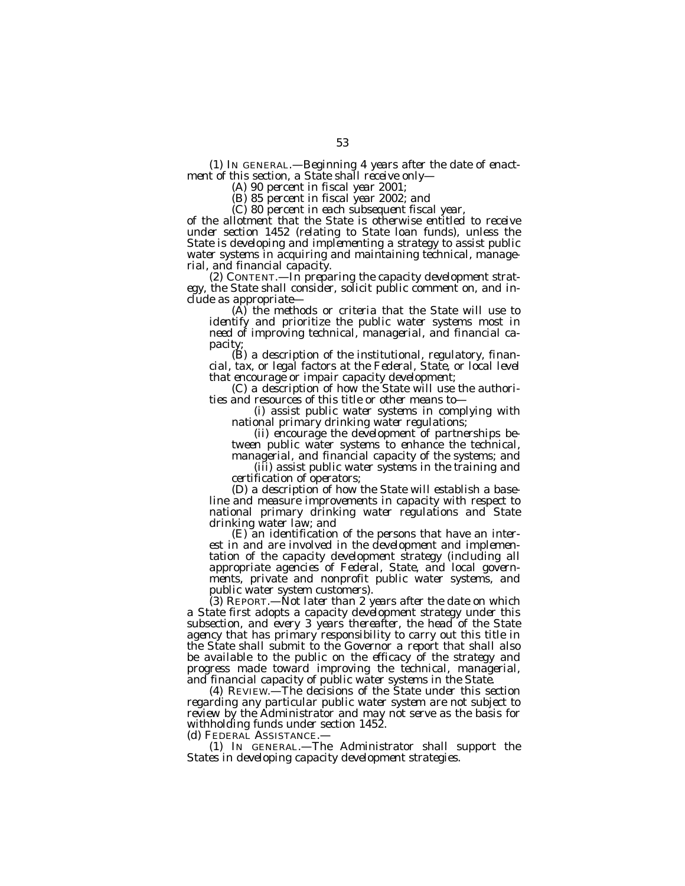*(1) IN GENERAL*.*—Beginning 4 years after the date of enactment of this section, a State shall receive only— (A) 90 percent in fiscal year 2001;*

*(B) 85 percent in fiscal year 2002; and*

*(C) 80 percent in each subsequent fiscal year,*

*of the allotment that the State is otherwise entitled to receive under section 1452 (relating to State loan funds), unless the State is developing and implementing a strategy to assist public water systems in acquiring and maintaining technical, manage-*

*rial, and financial capacity. (2) CONTENT*.*—In preparing the capacity development strategy, the State shall consider, solicit public comment on, and include as appropriate—*

*(A) the methods or criteria that the State will use to identify and prioritize the public water systems most in need of improving technical, managerial, and financial ca-*

 $\hat{B}$ ) a description of the institutional, regulatory, finan*cial, tax, or legal factors at the Federal, State, or local level*

*that encourage or impair capacity development; (C) a description of how the State will use the authorities and resources of this title or other means to—*

*(i) assist public water systems in complying with national primary drinking water regulations; (ii) encourage the development of partnerships be-*

*tween public water systems to enhance the technical, managerial, and financial capacity of the systems; and (iii) assist public water systems in the training and*

*certification of operators;*

*(D) a description of how the State will establish a baseline and measure improvements in capacity with respect to national primary drinking water regulations and State*

*drinking water law; and (E) an identification of the persons that have an interest in and are involved in the development and implementation of the capacity development strategy (including all appropriate agencies of Federal, State, and local governments, private and nonprofit public water systems, and public water system customers).*

*(3) REPORT*.*—Not later than 2 years after the date on which a State first adopts a capacity development strategy under this subsection, and every 3 years thereafter, the head of the State agency that has primary responsibility to carry out this title in the State shall submit to the Governor a report that shall also be available to the public on the efficacy of the strategy and progress made toward improving the technical, managerial, and financial capacity of public water systems in the State.*

*(4) REVIEW*.*—The decisions of the State under this section regarding any particular public water system are not subject to review by the Administrator and may not serve as the basis for withholding funds under section 1452.*

*(d) FEDERAL ASSISTANCE*.—

*(1) IN GENERAL*.*—The Administrator shall support the States in developing capacity development strategies.*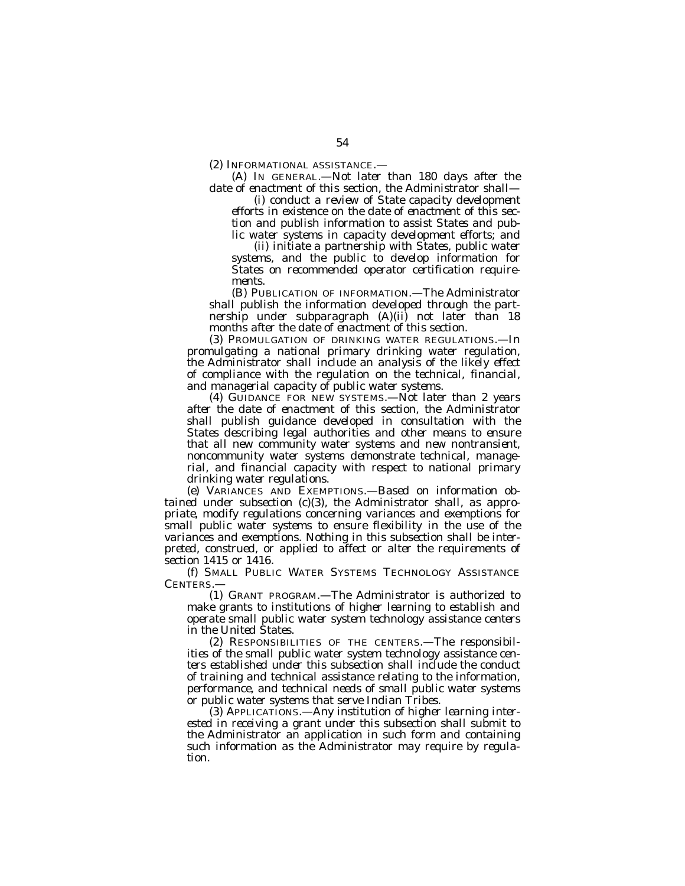*(2) INFORMATIONAL ASSISTANCE*.—

*(A) IN GENERAL*.*—Not later than 180 days after the date of enactment of this section, the Administrator shall—*

*(i) conduct a review of State capacity development efforts in existence on the date of enactment of this section and publish information to assist States and public water systems in capacity development efforts; and*

*(ii) initiate a partnership with States, public water systems, and the public to develop information for States on recommended operator certification requirements.*

*(B) PUBLICATION OF INFORMATION*.*—The Administrator shall publish the information developed through the partnership under subparagraph (A)(ii) not later than 18 months after the date of enactment of this section.*

*(3) PROMULGATION OF DRINKING WATER REGULATIONS*.*—In promulgating a national primary drinking water regulation, the Administrator shall include an analysis of the likely effect of compliance with the regulation on the technical, financial, and managerial capacity of public water systems.*

*(4) GUIDANCE FOR NEW SYSTEMS*.*—Not later than 2 years after the date of enactment of this section, the Administrator shall publish guidance developed in consultation with the States describing legal authorities and other means to ensure that all new community water systems and new nontransient, noncommunity water systems demonstrate technical, managerial, and financial capacity with respect to national primary drinking water regulations.*

*(e) VARIANCES AND EXEMPTIONS*.*—Based on information obtained under subsection (c)(3), the Administrator shall, as appropriate, modify regulations concerning variances and exemptions for small public water systems to ensure flexibility in the use of the variances and exemptions. Nothing in this subsection shall be interpreted, construed, or applied to affect or alter the requirements of section 1415 or 1416.*

*(f) SMALL PUBLIC WATER SYSTEMS TECHNOLOGY ASSISTANCE CENTERS.—*

*(1) GRANT PROGRAM*.*—The Administrator is authorized to make grants to institutions of higher learning to establish and operate small public water system technology assistance centers in the United States.*

*(2) RESPONSIBILITIES OF THE CENTERS*.*—The responsibilities of the small public water system technology assistance centers established under this subsection shall include the conduct of training and technical assistance relating to the information, performance, and technical needs of small public water systems or public water systems that serve Indian Tribes.*

*(3) APPLICATIONS*.*—Any institution of higher learning interested in receiving a grant under this subsection shall submit to the Administrator an application in such form and containing such information as the Administrator may require by regulation.*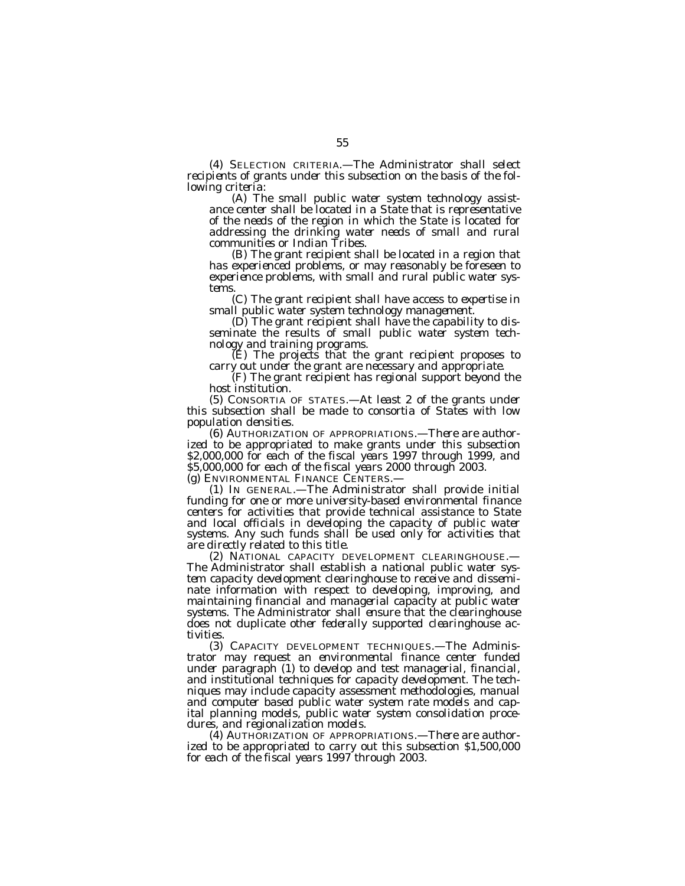*(4) SELECTION CRITERIA*.*—The Administrator shall select recipients of grants under this subsection on the basis of the following criteria: (A) The small public water system technology assist-*

*ance center shall be located in a State that is representative of the needs of the region in which the State is located for addressing the drinking water needs of small and rural communities or Indian Tribes.*

*(B) The grant recipient shall be located in a region that has experienced problems, or may reasonably be foreseen to experience problems, with small and rural public water systems.*

*(C) The grant recipient shall have access to expertise in*

*small public water system technology management. (D) The grant recipient shall have the capability to disseminate the results of small public water system tech-*

*nology and training programs. (E) The projects that the grant recipient proposes to*

*carry out under the grant are necessary and appropriate. (F) The grant recipient has regional support beyond the host institution.*

*(5) CONSORTIA OF STATES*.*—At least 2 of the grants under this subsection shall be made to consortia of States with low population densities.*

*(6) AUTHORIZATION OF APPROPRIATIONS*.*—There are authorized to be appropriated to make grants under this subsection \$2,000,000 for each of the fiscal years 1997 through 1999, and \$5,000,000 for each of the fiscal years 2000 through 2003.*

*(g) ENVIRONMENTAL FINANCE CENTERS*.— *(1) IN GENERAL*.*—The Administrator shall provide initial funding for one or more university-based environmental finance centers for activities that provide technical assistance to State and local officials in developing the capacity of public water systems. Any such funds shall be used only for activities that are directly related to this title.*

*(2) NATIONAL CAPACITY DEVELOPMENT CLEARINGHOUSE*.*— The Administrator shall establish a national public water system capacity development clearinghouse to receive and disseminate information with respect to developing, improving, and maintaining financial and managerial capacity at public water systems. The Administrator shall ensure that the clearinghouse does not duplicate other federally supported clearinghouse activities.*

*(3) CAPACITY DEVELOPMENT TECHNIQUES*.*—The Administrator may request an environmental finance center funded under paragraph (1) to develop and test managerial, financial, and institutional techniques for capacity development. The techniques may include capacity assessment methodologies, manual and computer based public water system rate models and capital planning models, public water system consolidation procedures, and regionalization models.*

*(4) AUTHORIZATION OF APPROPRIATIONS*.*—There are authorized to be appropriated to carry out this subsection \$1,500,000 for each of the fiscal years 1997 through 2003.*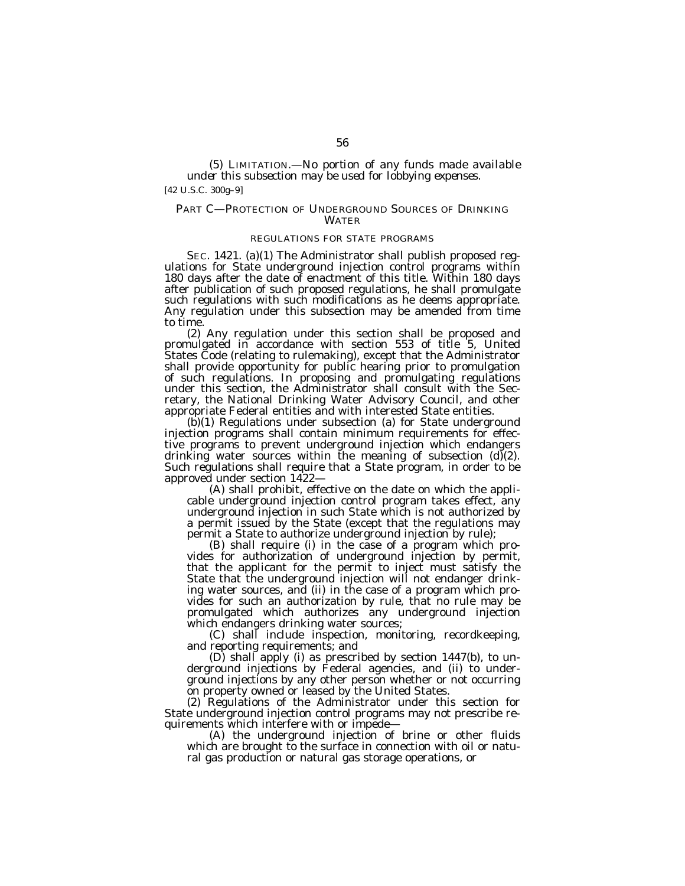*(5) LIMITATION*.*—No portion of any funds made available under this subsection may be used for lobbying expenses.* [42 U.S.C. 300g–9]

## PART C—PROTECTION OF UNDERGROUND SOURCES OF DRINKING WATER

## REGULATIONS FOR STATE PROGRAMS

SEC. 1421. (a)(1) The Administrator shall publish proposed reg- ulations for State underground injection control programs within 180 days after the date of enactment of this title. Within 180 days after publication of such proposed regulations, he shall promulgate such regulations with such modifications as he deems appropriate. Any regulation under this subsection may be amended from time to time.<br>(2) Any regulation under this section shall be proposed and

promulgated in accordance with section 553 of title 5, United States Code (relating to rulemaking), except that the Administrator shall provide opportunity for public hearing prior to promulgation of such regulations. In proposing and promulgating regulations under this section, the Administrator shall consult with the Secretary, the National Drinking Water Advisory Council, and other appropriate Federal entities and with interested State entities.

(b)(1) Regulations under subsection (a) for State underground injection programs shall contain minimum requirements for effective programs to prevent underground injection which endangers drinking water sources within the meaning of subsection  $(d)(2)$ . Such regulations shall require that a State program, in order to be approved under section 1422—

(A) shall prohibit, effective on the date on which the applicable underground injection control program takes effect, any underground injection in such State which is not authorized by a permit issued by the State (except that the regulations may permit a State to authorize underground injection by rule);

 $(B)$  shall require (i) in the case of a program which provides for authorization of underground injection by permit, that the applicant for the permit to inject must satisfy the State that the underground injection will not endanger drinking water sources, and (ii) in the case of a program which provides for such an authorization by rule, that no rule may be promulgated which authorizes any underground injection<br>which endangers drinking water sources;

(C) shall include inspection, monitoring, recordkeeping, and reporting requirements; and

(D) shall apply (i) as prescribed by section  $1447(b)$ , to underground injections by Federal agencies, and (ii) to underground injections by any other person whether or not occurring on property owned or leased by the United States.

(2) Regulations of the Administrator under this section for State underground injection control programs may not prescribe requirements which interfere with or impede—

(A) the underground injection of brine or other fluids which are brought to the surface in connection with oil or natural gas production or natural gas storage operations, or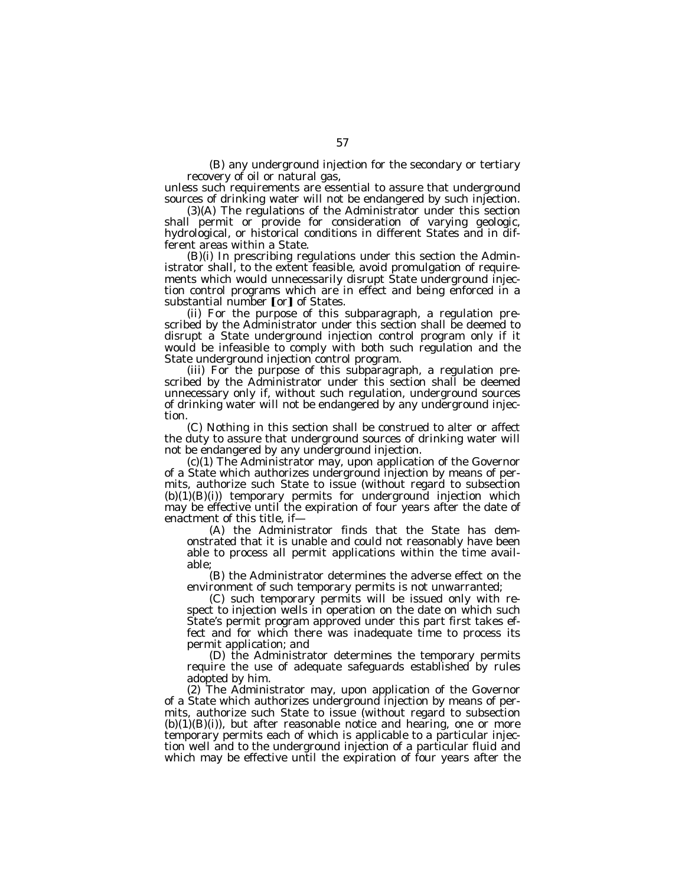(B) any underground injection for the secondary or tertiary recovery of oil or natural gas,

unless such requirements are essential to assure that underground sources of drinking water will not be endangered by such injection.

(3)(A) The regulations of the Administrator under this section shall permit or provide for consideration of varying geologic, hydrological, or historical conditions in different States and in different areas within a State.

(B)(i) In prescribing regulations under this section the Administrator shall, to the extent feasible, avoid promulgation of requirements which would unnecessarily disrupt State underground injection control programs which are in effect and being enforced in a substantial number [or] of States.

(ii) For the purpose of this subparagraph, a regulation prescribed by the Administrator under this section shall be deemed to disrupt a State underground injection control program only if it would be infeasible to comply with both such regulation and the State underground injection control program.

(iii) For the purpose of this subparagraph, a regulation prescribed by the Administrator under this section shall be deemed unnecessary only if, without such regulation, underground sources of drinking water will not be endangered by any underground injection.

(C) Nothing in this section shall be construed to alter or affect the duty to assure that underground sources of drinking water will not be endangered by any underground injection.

(c)(1) The Administrator may, upon application of the Governor of a State which authorizes underground injection by means of permits, authorize such State to issue (without regard to subsection (b)(1)(B)(i)) temporary permits for underground injection which may be effective until the expiration of four years after the date of enactment of this title, if—

(A) the Administrator finds that the State has demonstrated that it is unable and could not reasonably have been able to process all permit applications within the time available;

(B) the Administrator determines the adverse effect on the environment of such temporary permits is not unwarranted;

(C) such temporary permits will be issued only with respect to injection wells in operation on the date on which such State's permit program approved under this part first takes effect and for which there was inadequate time to process its permit application; and

(D) the Administrator determines the temporary permits require the use of adequate safeguards established by rules adopted by him.

(2) The Administrator may, upon application of the Governor of a State which authorizes underground injection by means of permits, authorize such State to issue (without regard to subsection  $(b)(1)(B)(i)$ , but after reasonable notice and hearing, one or more temporary permits each of which is applicable to a particular injection well and to the underground injection of a particular fluid and which may be effective until the expiration of four years after the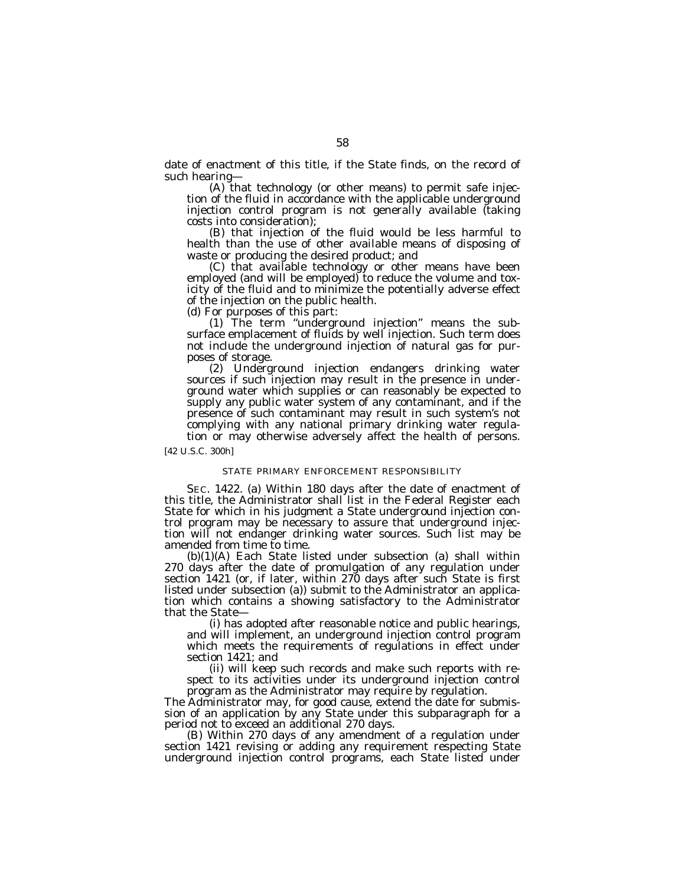date of enactment of this title, if the State finds, on the record of such hearing—

(A) that technology (or other means) to permit safe injection of the fluid in accordance with the applicable underground injection control program is not generally available (taking costs into consideration);

(B) that injection of the fluid would be less harmful to health than the use of other available means of disposing of waste or producing the desired product; and

(C) that available technology or other means have been employed (and will be employed) to reduce the volume and toxicity of the fluid and to minimize the potentially adverse effect of the injection on the public health.

(d) For purposes of this part:

(1) The term ''underground injection'' means the subsurface emplacement of fluids by well injection. Such term does not include the underground injection of natural gas for purposes of storage.

(2) Underground injection endangers drinking water sources if such injection may result in the presence in underground water which supplies or can reasonably be expected to supply any public water system of any contaminant, and if the presence of such contaminant may result in such system's not complying with any national primary drinking water regulation or may otherwise adversely affect the health of persons.

[42 U.S.C. 300h]

#### STATE PRIMARY ENFORCEMENT RESPONSIBILITY

SEC. 1422. (a) Within 180 days after the date of enactment of this title, the Administrator shall list in the Federal Register each State for which in his judgment a State underground injection control program may be necessary to assure that underground injection will not endanger drinking water sources. Such list may be amended from time to time.

(b)(1)(A) Each State listed under subsection (a) shall within 270 days after the date of promulgation of any regulation under section 1421 (or, if later, within 270 days after such State is first listed under subsection (a)) submit to the Administrator an application which contains a showing satisfactory to the Administrator that the State—

(i) has adopted after reasonable notice and public hearings, and will implement, an underground injection control program which meets the requirements of regulations in effect under section 1421; and

(ii) will keep such records and make such reports with respect to its activities under its underground injection control program as the Administrator may require by regulation.

The Administrator may, for good cause, extend the date for submission of an application by any State under this subparagraph for a period not to exceed an additional 270 days.

(B) Within 270 days of any amendment of a regulation under section 1421 revising or adding any requirement respecting State underground injection control programs, each State listed under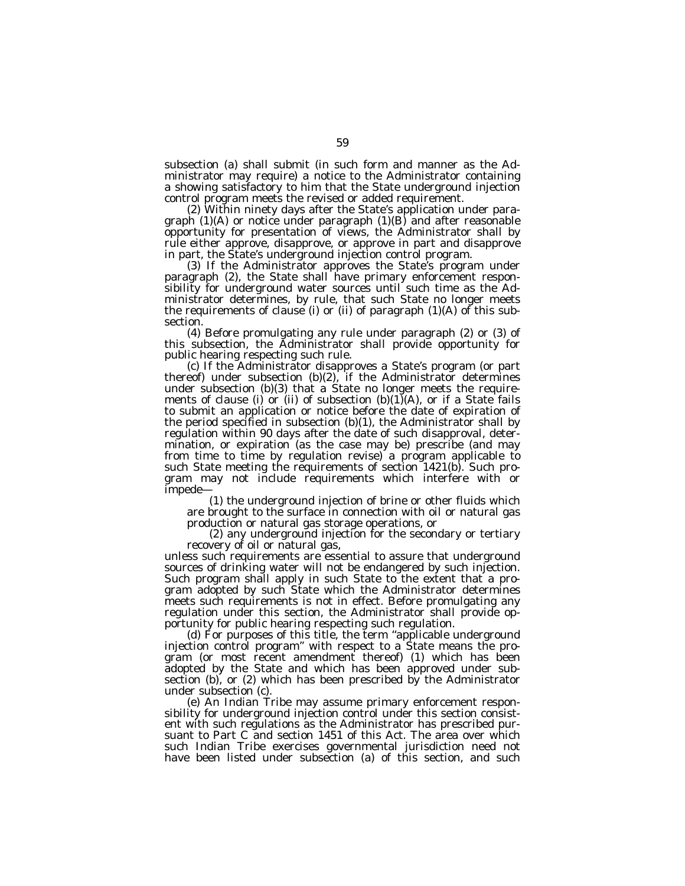subsection (a) shall submit (in such form and manner as the Administrator may require) a notice to the Administrator containing a showing satisfactory to him that the State underground injection

(2) Within ninety days after the State's application under paragraph  $(1)(A)$  or notice under paragraph  $(1)(B)$  and after reasonable opportunity for presentation of views, the Administrator shall by rule either approve, disapprove, or approve in part and disapprove in part, the State's underground injection control program.

in (3) If the Administrator approves the State's program under paragraph (2), the State shall have primary enforcement responsibility for underground water sources until such time as the Administrator determines, by rule, that such State no longer meets the requirements of clause (i) or (ii) of paragraph  $(1)(A)$  of this subsection.

(4) Before promulgating any rule under paragraph (2) or (3) of this subsection, the Administrator shall provide opportunity for

public hearing respecting such rule. (c) If the Administrator disapproves a State's program (or part thereof) under subsection (b)(2), if the Administrator determines under subsection (b)(3) that a State no longer meets the requirements of clause (i) or (ii) of subsection  $(b)(1)(A)$ , or if a State fails to submit an application or notice before the date of expiration of the period specified in subsection  $(b)(1)$ , the Administrator shall by regulation within 90 days after the date of such disapproval, determination, or expiration (as the case may be) prescribe (and may from time to time by regulation revise) a program applicable to such State meeting the requirements of section 1421(b). Such program may not include requirements which interfere with or impede—

(1) the underground injection of brine or other fluids which are brought to the surface in connection with oil or natural gas production or natural gas storage operations, or

(2) any underground injection for the secondary or tertiary recovery of oil or natural gas,

unless such requirements are essential to assure that underground sources of drinking water will not be endangered by such injection. Such program shall apply in such State to the extent that a program adopted by such State which the Administrator determines meets such requirements is not in effect. Before promulgating any regulation under this section, the Administrator shall provide opportunity for public hearing respecting such regulation.

(d) For purposes of this title, the term ''applicable underground injection control program'' with respect to a State means the program (or most recent amendment thereof) (1) which has been adopted by the State and which has been approved under subsection (b), or (2) which has been prescribed by the Administrator under subsection (c).

(e) An Indian Tribe may assume primary enforcement responsibility for underground injection control under this section consistent with such regulations as the Administrator has prescribed pursuant to Part C and section 1451 of this Act. The area over which such Indian Tribe exercises governmental jurisdiction need not have been listed under subsection (a) of this section, and such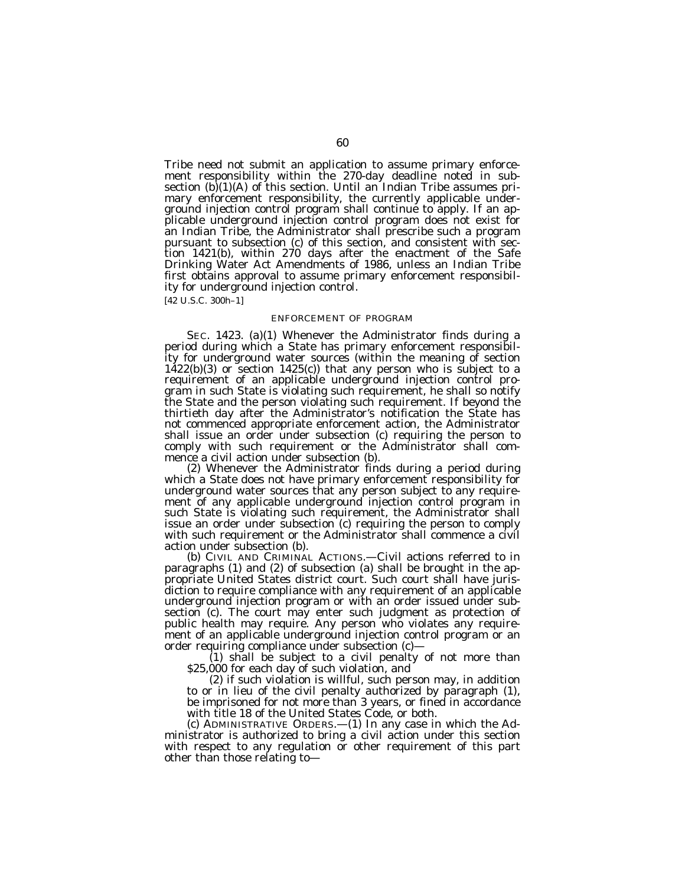Tribe need not submit an application to assume primary enforcement responsibility within the 270-day deadline noted in subsection (b)(1)(A) of this section. Until an Indian Tribe assumes primary enforcement responsibility, the currently applicable underground injection control program shall continue to apply. If an applicable underground injection control program does not exist for an Indian Tribe, the Administrator shall prescribe such a program pursuant to subsection (c) of this section, and consistent with section 1421(b), within 270 days after the enactment of the Safe Drinking Water Act Amendments of 1986, unless an Indian Tribe first obtains approval to assume primary enforcement responsibility for underground injection control.

[42 U.S.C. 300h–1]

#### ENFORCEMENT OF PROGRAM

SEC. 1423. (a)(1) Whenever the Administrator finds during a period during which a State has primary enforcement responsibility for underground water sources (within the meaning of section  $1422(b)(3)$  or section  $1425(c)$  that any person who is subject to a requirement of an applicable underground injection control program in such State is violating such requirement, he shall so notify the State and the person violating such requirement. If beyond the thirtieth day after the Administrator's notification the State has not commenced appropriate enforcement action, the Administrator shall issue an order under subsection (c) requiring the person to comply with such requirement or the Administrator shall commence a civil action under subsection (b).

(2) Whenever the Administrator finds during a period during which a State does not have primary enforcement responsibility for underground water sources that any person subject to any requirement of any applicable underground injection control program in such State is violating such requirement, the Administrator shall issue an order under subsection (c) requiring the person to comply with such requirement or the Administrator shall commence a civil action under subsection (b).

(b) CIVIL AND CRIMINAL ACTIONS.—Civil actions referred to in paragraphs (1) and (2) of subsection (a) shall be brought in the appropriate United States district court. Such court shall have jurisdiction to require compliance with any requirement of an applicable underground injection program or with an order issued under subsection (c). The court may enter such judgment as protection of public health may require. Any person who violates any requirement of an applicable underground injection control program or an order requiring compliance under subsection (c)—

(1) shall be subject to a civil penalty of not more than \$25,000 for each day of such violation, and

(2) if such violation is willful, such person may, in addition to or in lieu of the civil penalty authorized by paragraph (1), be imprisoned for not more than 3 years, or fined in accordance with title 18 of the United States Code, or both.

(c) ADMINISTRATIVE ORDERS.—(1) In any case in which the Administrator is authorized to bring a civil action under this section with respect to any regulation or other requirement of this part other than those relating to—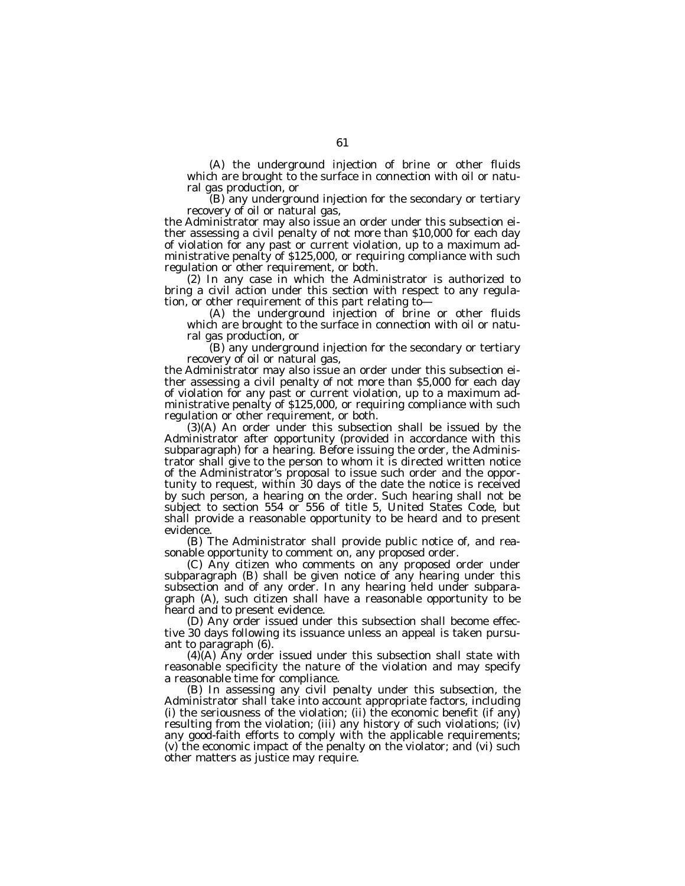(A) the underground injection of brine or other fluids which are brought to the surface in connection with oil or natural gas production, or

(B) any underground injection for the secondary or tertiary recovery of oil or natural gas,

the Administrator may also issue an order under this subsection either assessing a civil penalty of not more than \$10,000 for each day of violation for any past or current violation, up to a maximum administrative penalty of \$125,000, or requiring compliance with such regulation or other requirement, or both.

(2) In any case in which the Administrator is authorized to bring a civil action under this section with respect to any regulation, or other requirement of this part relating to—

(A) the underground injection of brine or other fluids which are brought to the surface in connection with oil or natural gas production, or

(B) any underground injection for the secondary or tertiary recovery of oil or natural gas,

the Administrator may also issue an order under this subsection either assessing a civil penalty of not more than \$5,000 for each day of violation for any past or current violation, up to a maximum administrative penalty of \$125,000, or requiring compliance with such regulation or other requirement, or both.

(3)(A) An order under this subsection shall be issued by the Administrator after opportunity (provided in accordance with this subparagraph) for a hearing. Before issuing the order, the Administrator shall give to the person to whom it is directed written notice of the Administrator's proposal to issue such order and the opportunity to request, within 30 days of the date the notice is received by such person, a hearing on the order. Such hearing shall not be subject to section 554 or 556 of title 5, United States Code, but shall provide a reasonable opportunity to be heard and to present evidence.

(B) The Administrator shall provide public notice of, and reasonable opportunity to comment on, any proposed order.

(C) Any citizen who comments on any proposed order under subparagraph (B) shall be given notice of any hearing under this subsection and of any order. In any hearing held under subparagraph (A), such citizen shall have a reasonable opportunity to be heard and to present evidence.

(D) Any order issued under this subsection shall become effective 30 days following its issuance unless an appeal is taken pursuant to paragraph (6).

(4)(A) Any order issued under this subsection shall state with reasonable specificity the nature of the violation and may specify a reasonable time for compliance.

(B) In assessing any civil penalty under this subsection, the Administrator shall take into account appropriate factors, including (i) the seriousness of the violation; (ii) the economic benefit (if any) resulting from the violation; (iii) any history of such violations; (iv) any good-faith efforts to comply with the applicable requirements; (v) the economic impact of the penalty on the violator; and (vi) such other matters as justice may require.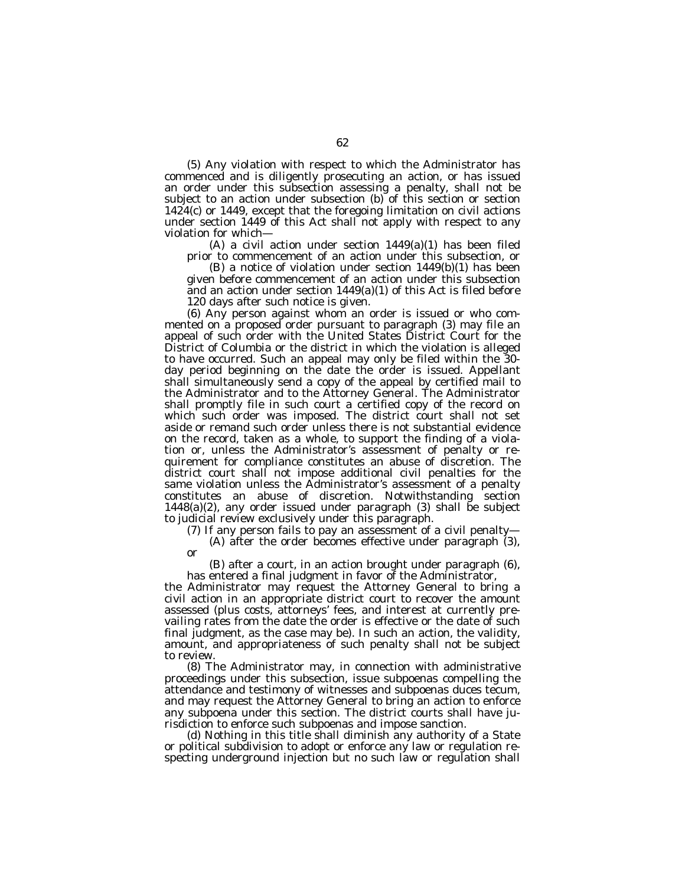(5) Any violation with respect to which the Administrator has commenced and is diligently prosecuting an action, or has issued an order under this subsection assessing a penalty, shall not be subject to an action under subsection (b) of this section or section 1424(c) or 1449, except that the foregoing limitation on civil actions under section 1449 of this Act shall not apply with respect to any violation for which—

(A) a civil action under section  $1449(a)(1)$  has been filed prior to commencement of an action under this subsection, or

(B) a notice of violation under section 1449(b)(1) has been given before commencement of an action under this subsection and an action under section 1449(a)(1) of this Act is filed before 120 days after such notice is given.

(6) Any person against whom an order is issued or who commented on a proposed order pursuant to paragraph (3) may file an appeal of such order with the United States District Court for the District of Columbia or the district in which the violation is alleged to have occurred. Such an appeal may only be filed within the 30 day period beginning on the date the order is issued. Appellant shall simultaneously send a copy of the appeal by certified mail to the Administrator and to the Attorney General. The Administrator shall promptly file in such court a certified copy of the record on which such order was imposed. The district court shall not set aside or remand such order unless there is not substantial evidence on the record, taken as a whole, to support the finding of a violation or, unless the Administrator's assessment of penalty or requirement for compliance constitutes an abuse of discretion. The district court shall not impose additional civil penalties for the same violation unless the Administrator's assessment of a penalty constitutes an abuse of discretion. Notwithstanding section 1448(a)(2), any order issued under paragraph (3) shall be subject to judicial review exclusively under this paragraph.

(7) If any person fails to pay an assessment of a civil penalty—

(A) after the order becomes effective under paragraph (3), or

(B) after a court, in an action brought under paragraph (6), has entered a final judgment in favor of the Administrator,

the Administrator may request the Attorney General to bring a civil action in an appropriate district court to recover the amount assessed (plus costs, attorneys' fees, and interest at currently prevailing rates from the date the order is effective or the date of such final judgment, as the case may be). In such an action, the validity, amount, and appropriateness of such penalty shall not be subject to review.

(8) The Administrator may, in connection with administrative proceedings under this subsection, issue subpoenas compelling the attendance and testimony of witnesses and subpoenas duces tecum, and may request the Attorney General to bring an action to enforce any subpoena under this section. The district courts shall have jurisdiction to enforce such subpoenas and impose sanction.

(d) Nothing in this title shall diminish any authority of a State or political subdivision to adopt or enforce any law or regulation respecting underground injection but no such law or regulation shall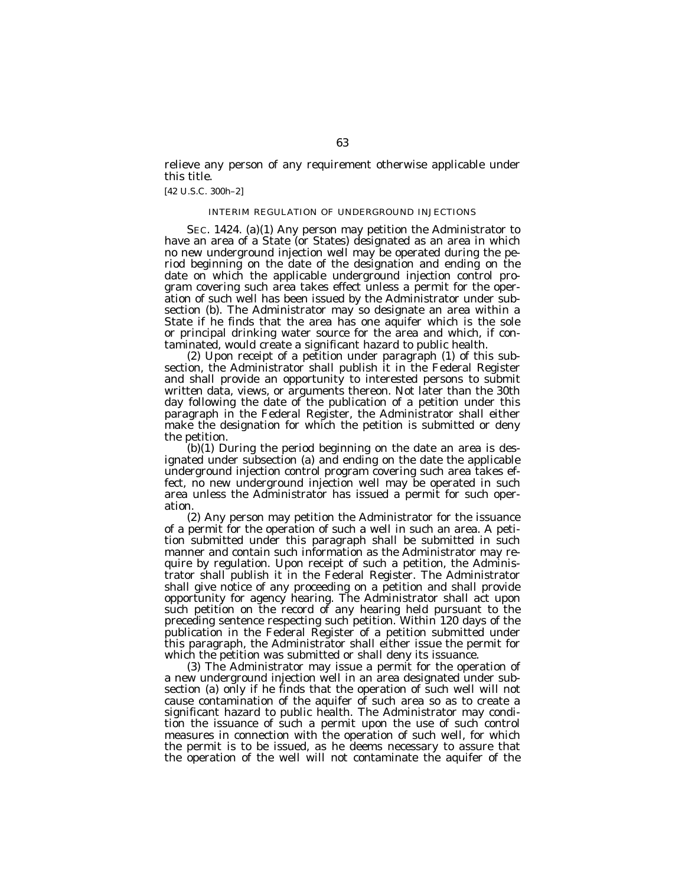relieve any person of any requirement otherwise applicable under this title.

## [42 U.S.C. 300h–2]

### INTERIM REGULATION OF UNDERGROUND INJECTIONS

SEC. 1424. (a)(1) Any person may petition the Administrator to have an area of a State (or States) designated as an area in which no new underground injection well may be operated during the period beginning on the date of the designation and ending on the date on which the applicable underground injection control program covering such area takes effect unless a permit for the operation of such well has been issued by the Administrator under subsection (b). The Administrator may so designate an area within a State if he finds that the area has one aquifer which is the sole or principal drinking water source for the area and which, if contaminated, would create a significant hazard to public health.

(2) Upon receipt of a petition under paragraph (1) of this subsection, the Administrator shall publish it in the Federal Register and shall provide an opportunity to interested persons to submit written data, views, or arguments thereon. Not later than the 30th day following the date of the publication of a petition under this paragraph in the Federal Register, the Administrator shall either make the designation for which the petition is submitted or deny the petition.

(b)(1) During the period beginning on the date an area is designated under subsection (a) and ending on the date the applicable underground injection control program covering such area takes effect, no new underground injection well may be operated in such area unless the Administrator has issued a permit for such operation.

(2) Any person may petition the Administrator for the issuance of a permit for the operation of such a well in such an area. A petition submitted under this paragraph shall be submitted in such manner and contain such information as the Administrator may require by regulation. Upon receipt of such a petition, the Administrator shall publish it in the Federal Register. The Administrator shall give notice of any proceeding on a petition and shall provide opportunity for agency hearing. The Administrator shall act upon such petition on the record of any hearing held pursuant to the preceding sentence respecting such petition. Within 120 days of the publication in the Federal Register of a petition submitted under this paragraph, the Administrator shall either issue the permit for which the petition was submitted or shall deny its issuance.

(3) The Administrator may issue a permit for the operation of a new underground injection well in an area designated under subsection (a) only if he finds that the operation of such well will not cause contamination of the aquifer of such area so as to create a significant hazard to public health. The Administrator may condition the issuance of such a permit upon the use of such control measures in connection with the operation of such well, for which the permit is to be issued, as he deems necessary to assure that the operation of the well will not contaminate the aquifer of the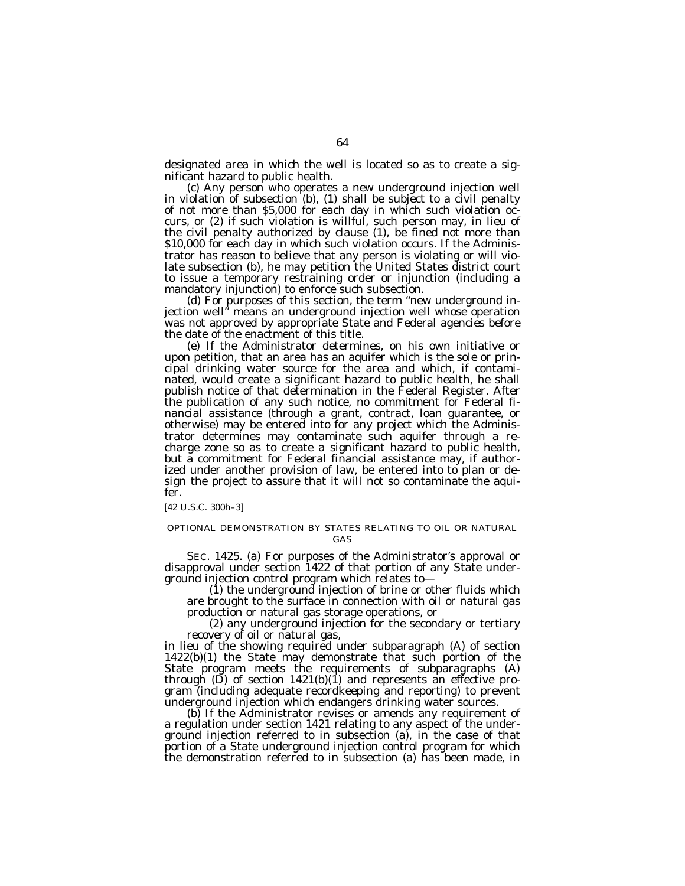designated area in which the well is located so as to create a significant hazard to public health.

(c) Any person who operates a new underground injection well in violation of subsection (b), (1) shall be subject to a civil penalty of not more than \$5,000 for each day in which such violation occurs, or (2) if such violation is willful, such person may, in lieu of the civil penalty authorized by clause (1), be fined not more than \$10,000 for each day in which such violation occurs. If the Administrator has reason to believe that any person is violating or will violate subsection (b), he may petition the United States district court to issue a temporary restraining order or injunction (including a mandatory injunction) to enforce such subsection.

(d) For purposes of this section, the term ''new underground injection well'' means an underground injection well whose operation was not approved by appropriate State and Federal agencies before the date of the enactment of this title.

(e) If the Administrator determines, on his own initiative or upon petition, that an area has an aquifer which is the sole or principal drinking water source for the area and which, if contaminated, would create a significant hazard to public health, he shall publish notice of that determination in the Federal Register. After the publication of any such notice, no commitment for Federal financial assistance (through a grant, contract, loan guarantee, or otherwise) may be entered into for any project which the Administrator determines may contaminate such aquifer through a recharge zone so as to create a significant hazard to public health, but a commitment for Federal financial assistance may, if authorized under another provision of law, be entered into to plan or design the project to assure that it will not so contaminate the aquifer.

[42 U.S.C. 300h–3]

## OPTIONAL DEMONSTRATION BY STATES RELATING TO OIL OR NATURAL GAS

SEC. 1425. (a) For purposes of the Administrator's approval or disapproval under section 1422 of that portion of any State underground injection control program which relates to—

(1) the underground injection of brine or other fluids which are brought to the surface in connection with oil or natural gas production or natural gas storage operations, or

(2) any underground injection for the secondary or tertiary recovery of oil or natural gas,

in lieu of the showing required under subparagraph (A) of section 1422(b)(1) the State may demonstrate that such portion of the State program meets the requirements of subparagraphs (A) through  $(D)$  of section 1421(b)(1) and represents an effective program (including adequate recordkeeping and reporting) to prevent underground injection which endangers drinking water sources.

(b) If the Administrator revises or amends any requirement of a regulation under section 1421 relating to any aspect of the underground injection referred to in subsection (a), in the case of that portion of a State underground injection control program for which the demonstration referred to in subsection (a) has been made, in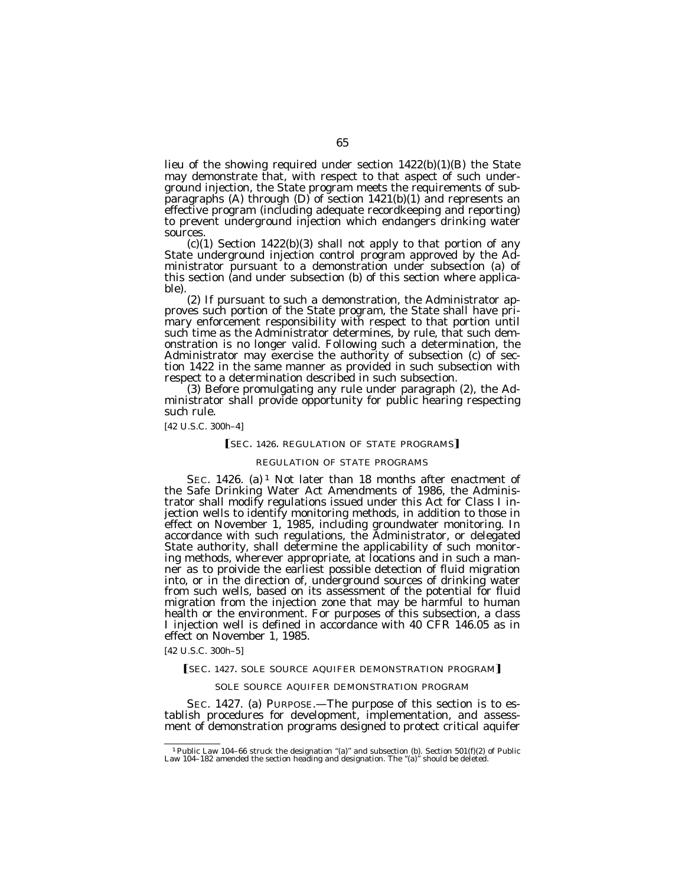lieu of the showing required under section 1422(b)(1)(B) the State may demonstrate that, with respect to that aspect of such underground injection, the State program meets the requirements of subparagraphs (A) through (D) of section  $1421(b)(1)$  and represents an effective program (including adequate recordkeeping and reporting) to prevent underground injection which endangers drinking water sources.

 $(c)(1)$  Section 1422 $(b)(3)$  shall not apply to that portion of any State underground injection control program approved by the Administrator pursuant to a demonstration under subsection (a) of this section (and under subsection (b) of this section where applicable).

(2) If pursuant to such a demonstration, the Administrator approves such portion of the State program, the State shall have primary enforcement responsibility with respect to that portion until such time as the Administrator determines, by rule, that such demonstration is no longer valid. Following such a determination, the Administrator may exercise the authority of subsection (c) of section 1422 in the same manner as provided in such subsection with respect to a determination described in such subsection.

(3) Before promulgating any rule under paragraph (2), the Administrator shall provide opportunity for public hearing respecting such rule.

[42 U.S.C. 300h–4]

#### [SEC. 1426. REGULATION OF STATE PROGRAMS]

### *REGULATION OF STATE PROGRAMS*

*SEC.* 1426. (a)<sup>1</sup> Not later than 18 months after enactment of the Safe Drinking Water Act Amendments of 1986, the Administrator shall modify regulations issued under this Act for Class I injection wells to identify monitoring methods, in addition to those in effect on November 1, 1985, including groundwater monitoring. In accordance with such regulations, the Administrator, or delegated State authority, shall determine the applicability of such monitoring methods, wherever appropriate, at locations and in such a manner as to proivide the earliest possible detection of fluid migration into, or in the direction of, underground sources of drinking water from such wells, based on its assessment of the potential for fluid migration from the injection zone that may be harmful to human health or the environment. For purposes of this subsection, a class I injection well is defined in accordance with 40 CFR 146.05 as in effect on November 1, 1985.

[42 U.S.C. 300h–5]

### [SEC. 1427. SOLE SOURCE AQUIFER DEMONSTRATION PROGRAM]

### SOLE SOURCE AQUIFER DEMONSTRATION PROGRAM

*SEC*. *1427.* (a) PURPOSE.—The purpose of this section is to establish procedures for development, implementation, and assessment of demonstration programs designed to protect critical aquifer

<sup>&</sup>lt;sup>1</sup> Public Law 104–66 struck the designation "(a)" and subsection (b). Section 501(f)(2) of Public<br>Law 104–182 amended the section heading and designation. The "(a)" should be deleted.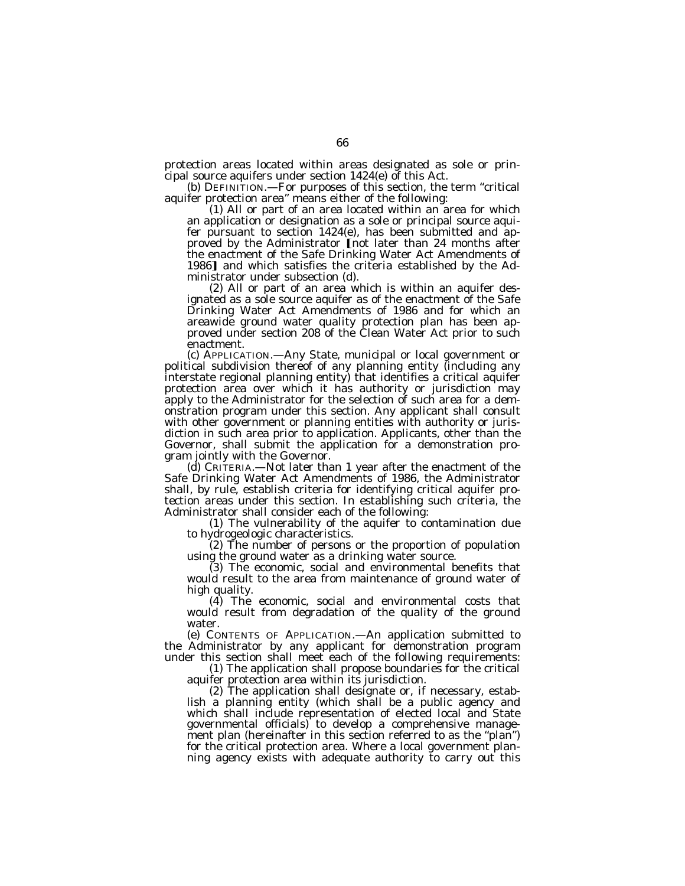protection areas located within areas designated as sole or principal source aquifers under section 1424(e) of this Act.

(b) DEFINITION.—For purposes of this section, the term "critical aquifer protection area" means either of the following:

 $(1)$  All or part of an area located within an area for which an application or designation as a sole or principal source aquifer pursuant to section 1424(e), has been submitted and approved by the Administrator [not later than 24 months after the enactment of the Safe Drinking Water Act Amendments of 1986] and which satisfies the criteria established by the Ad-<br>ministrator under subsection (d).

(2) All or part of an area which is within an aquifer designated as a sole source aquifer as of the enactment of the Safe Drinking Water Act Amendments of 1986 and for which an areawide ground water quality protection plan has been approved under section 208 of the Clean Water Act prior to such enactment.<br>(c) APPLICATION.—Any State, municipal or local government or

political subdivision thereof of any planning entity (including any interstate regional planning entity) that identifies a critical aquifer protection area over which it has authority or jurisdiction may apply to the Administrator for the selection of such area for a demonstration program under this section. Any applicant shall consult with other government or planning entities with authority or jurisdiction in such area prior to application. Applicants, other than the Governor, shall submit the application for a demonstration pro-<br>gram jointly with the Governor.

 $(d)$  CRITERIA. - Not later than 1 year after the enactment of the Safe Drinking Water Act Amendments of 1986, the Administrator shall, by rule, establish criteria for identifying critical aquifer protection areas under this section. In establishing such criteria, the Administrator shall consider each of the following:

 $(1)$  The vulnerability of the aquifer to contamination due to hydrogeologic characteristics.

(2) The number of persons or the proportion of population using the ground water as a drinking water source.

(3) The economic, social and environmental benefits that would result to the area from maintenance of ground water of high quality.

(4) The economic, social and environmental costs that would result from degradation of the quality of the ground water.

(e) CONTENTS OF APPLICATION.—An application submitted to the Administrator by any applicant for demonstration program under this section shall meet each of the following requirements:

(1) The application shall propose boundaries for the critical aquifer protection area within its jurisdiction.

(2) The application shall designate or, if necessary, establish a planning entity (which shall be a public agency and which shall include representation of elected local and State governmental officials) to develop a comprehensive management plan (hereinafter in this section referred to as the "plan") for the critical protection area. Where a local government planning agency exists with adequate authority to carry out this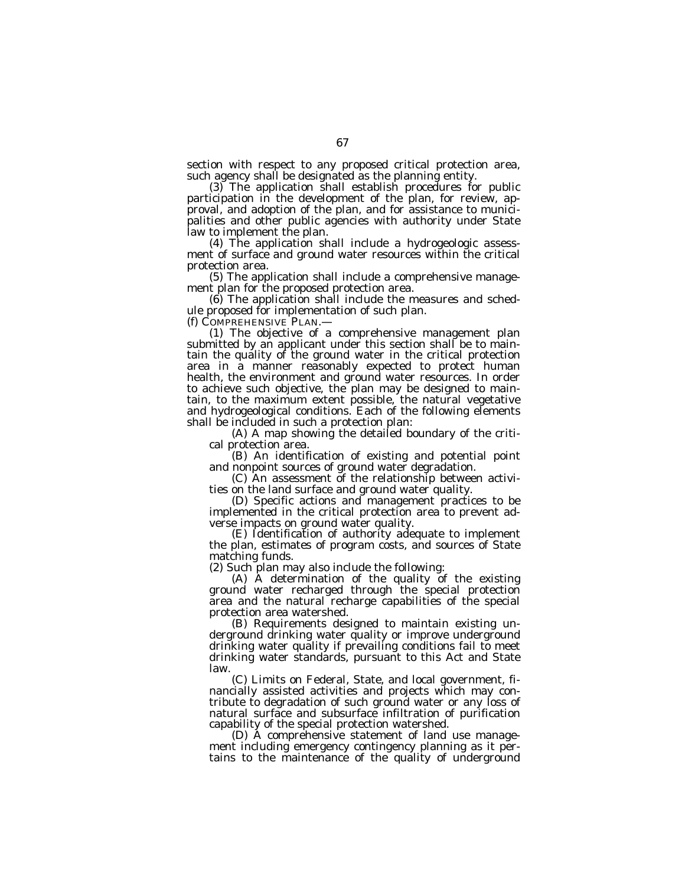section with respect to any proposed critical protection area, such agency shall be designated as the planning entity.

 $(3)$  The application shall establish procedures for public participation in the development of the plan, for review, approval, and adoption of the plan, and for assistance to municipalities and other public agencies with authority under State law to implement the plan.

(4) The application shall include a hydrogeologic assessment of surface and ground water resources within the critical protection area.

(5) The application shall include a comprehensive management plan for the proposed protection area.

(6) The application shall include the measures and schedule proposed for implementation of such plan.

(f) COMPREHENSIVE PLAN.— (1) The objective of a comprehensive management plan submitted by an applicant under this section shall be to maintain the quality of the ground water in the critical protection area in a manner reasonably expected to protect human health, the environment and ground water resources. In order to achieve such objective, the plan may be designed to maintain, to the maximum extent possible, the natural vegetative and hydrogeological conditions. Each of the following elements shall be included in such a protection plan:

(A) A map showing the detailed boundary of the critical protection area.

(B) An identification of existing and potential point and nonpoint sources of ground water degradation. (C) An assessment of the relationship between activi-

ties on the land surface and ground water quality. (D) Specific actions and management practices to be

implemented in the critical protection area to prevent adverse impacts on ground water quality.

(E) Identification of authority adequate to implement the plan, estimates of program costs, and sources of State matching funds.

(2) Such plan may also include the following:

(A) A determination of the quality of the existing ground water recharged through the special protection area and the natural recharge capabilities of the special protection area watershed.

(B) Requirements designed to maintain existing underground drinking water quality or improve underground drinking water quality if prevailing conditions fail to meet drinking water standards, pursuant to this Act and State law.

(C) Limits on Federal, State, and local government, financially assisted activities and projects which may contribute to degradation of such ground water or any loss of natural surface and subsurface infiltration of purification capability of the special protection watershed.

(D) A comprehensive statement of land use management including emergency contingency planning as it pertains to the maintenance of the quality of underground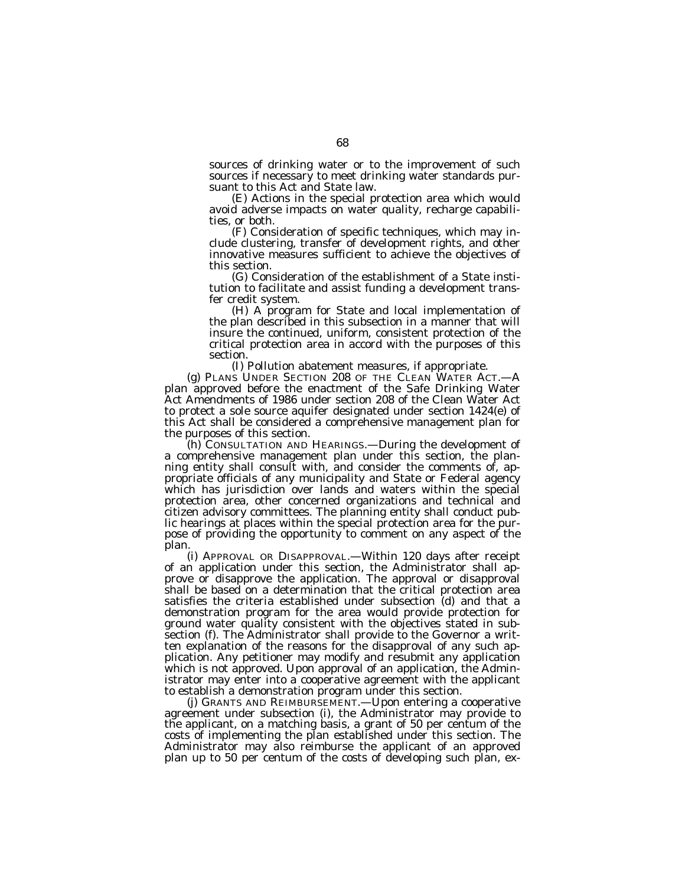sources of drinking water or to the improvement of such sources if necessary to meet drinking water standards pursuant to this Act and State law.

(E) Actions in the special protection area which would avoid adverse impacts on water quality, recharge capabilities, or both.

(F) Consideration of specific techniques, which may include clustering, transfer of development rights, and other innovative measures sufficient to achieve the objectives of this section.

(G) Consideration of the establishment of a State institution to facilitate and assist funding a development transfer credit system. (H) A program for State and local implementation of

the plan described in this subsection in a manner that will insure the continued, uniform, consistent protection of the critical protection area in accord with the purposes of this section.

(I) Pollution abatement measures, if appropriate.

(g) PLANS UNDER SECTION 208 OF THE CLEAN WATER ACT.—A plan approved before the enactment of the Safe Drinking Water Act Amendments of 1986 under section 208 of the Clean Water Act to protect a sole source aquifer designated under section 1424(e) of this Act shall be considered a comprehensive management plan for the purposes of this section.

(h) CONSULTATION AND HEARINGS.—During the development of a comprehensive management plan under this section, the planning entity shall consult with, and consider the comments of, appropriate officials of any municipality and State or Federal agency which has jurisdiction over lands and waters within the special protection area, other concerned organizations and technical and citizen advisory committees. The planning entity shall conduct public hearings at places within the special protection area for the purpose of providing the opportunity to comment on any aspect of the plan.

(i) APPROVAL OR DISAPPROVAL.—Within 120 days after receipt of an application under this section, the Administrator shall approve or disapprove the application. The approval or disapproval shall be based on a determination that the critical protection area satisfies the criteria established under subsection (d) and that a demonstration program for the area would provide protection for ground water quality consistent with the objectives stated in subsection (f). The Administrator shall provide to the Governor a written explanation of the reasons for the disapproval of any such application. Any petitioner may modify and resubmit any application which is not approved. Upon approval of an application, the Administrator may enter into a cooperative agreement with the applicant to establish a demonstration program under this section.

(j) GRANTS AND REIMBURSEMENT.—Upon entering a cooperative agreement under subsection (i), the Administrator may provide to the applicant, on a matching basis, a grant of 50 per centum of the costs of implementing the plan established under this section. The Administrator may also reimburse the applicant of an approved plan up to 50 per centum of the costs of developing such plan, ex-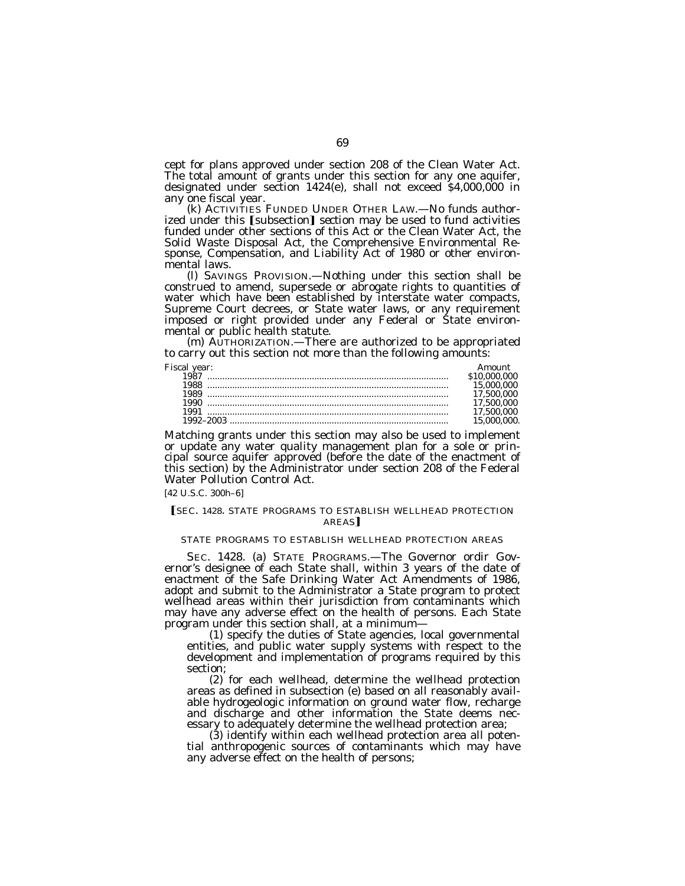cept for plans approved under section 208 of the Clean Water Act. The total amount of grants under this section for any one aquifer, designated under section 1424(e), shall not exceed \$4,000,000 in

any one fiscal year.<br>(k) ACTIVITIES FUNDED UNDER OTHER LAW.—No funds author-<br>ized under this [subsection] *section* may be used to fund activities funded under other sections of this Act or the Clean Water Act, the Solid Waste Disposal Act, the Comprehensive Environmental Response, Compensation, and Liability Act of 1980 or other environmental laws.

(l) SAVINGS PROVISION.—Nothing under this section shall be construed to amend, supersede or abrogate rights to quantities of water which have been established by interstate water compacts, Supreme Court decrees, or State water laws, or any requirement imposed or right provided under any Federal or State environ-<br>mental or public health statute.

(m) AUTHORIZATION.—There are authorized to be appropriated to carry out this section not more than the following amounts:

| Fiscal year: | Amount       |
|--------------|--------------|
| 1987         | \$10,000,000 |
| 1988         | 15.000.000   |
| 1989         | 17.500.000   |
| 1990         | 17.500.000   |
| 1991         | 17.500.000   |
|              | 15.000.000.  |
|              |              |

Matching grants under this section may also be used to implement or update any water quality management plan for a sole or principal source aquifer approved (before the date of the enactment of this section) by the Administrator under section 208 of the Federal Water Pollution Control Act.

[42 U.S.C. 300h–6]

## **SEC. 1428. STATE PROGRAMS TO ESTABLISH WELLHEAD PROTECTION** AREAS<sup>1</sup>

# *STATE PROGRAMS TO ESTABLISH WELLHEAD PROTECTION AREAS*

*SEC*. *1428.* (a) STATE PROGRAMS.—The Governor ordir Governor's designee of each State shall, within 3 years of the date of enactment of the Safe Drinking Water Act Amendments of 1986, adopt and submit to the Administrator a State program to protect wellhead areas within their jurisdiction from contaminants which may have any adverse effect on the health of persons. Each State program under this section shall, at a minimum—

(1) specify the duties of State agencies, local governmental entities, and public water supply systems with respect to the development and implementation of programs required by this section;

(2) for each wellhead, determine the wellhead protection areas as defined in subsection (e) based on all reasonably available hydrogeologic information on ground water flow, recharge and discharge and other information the State deems necessary to adequately determine the wellhead protection area;

(3) identify within each wellhead protection area all potential anthropogenic sources of contaminants which may have any adverse effect on the health of persons;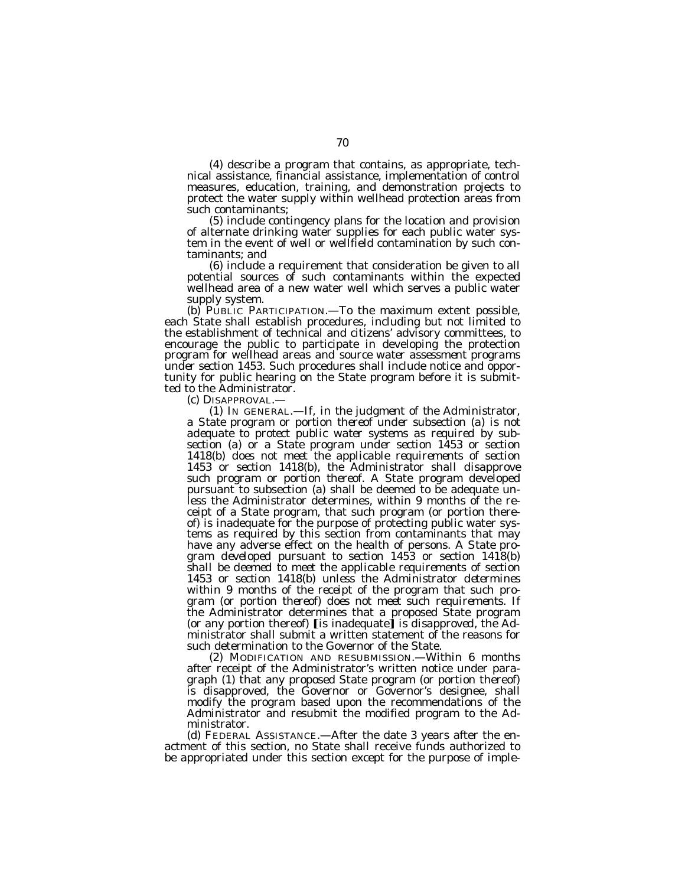(4) describe a program that contains, as appropriate, technical assistance, financial assistance, implementation of control measures, education, training, and demonstration projects to protect the water supply within wellhead protection areas from such contaminants;

(5) include contingency plans for the location and provision of alternate drinking water supplies for each public water system in the event of well or wellfield contamination by such contaminants; and

(6) include a requirement that consideration be given to all potential sources of such contaminants within the expected wellhead area of a new water well which serves a public water supply system.

(b) PUBLIC PARTICIPATION.—To the maximum extent possible, each State shall establish procedures, including but not limited to the establishment of technical and citizens' advisory committees, to encourage the public to participate in developing the protection program for wellhead areas *and source water assessment programs under section 1453.* Such procedures shall include notice and opportunity for public hearing on the State program before it is submitted to the Administrator.

(c) DISAPPROVAL.— (1) IN GENERAL.*—If, in the judgment of the Administrator, a State program or portion thereof under subsection (a) is not adequate to protect public water systems as required by subsection (a) or a State program under section 1453 or section 1418(b) does not meet the applicable requirements of section 1453 or section 1418(b), the Administrator shall disapprove such program or portion thereof.* A State program developed pursuant to subsection (a) shall be deemed to be adequate unless the Administrator determines, within 9 months of the receipt of a State program, that such program (or portion thereof) is inadequate for the purpose of protecting public water systems as required by this section from contaminants that may have any adverse effect on the health of persons. *A State program developed pursuant to section 1453 or section 1418(b) shall be deemed to meet the applicable requirements of section 1453 or section 1418(b) unless the Administrator determines within 9 months of the receipt of the program that such program (or portion thereof) does not meet such requirements.* If the Administrator determines that a proposed State program (or any portion thereof) [is inadequate] *is disapproved*, the Administrator shall submit a written statement of the reasons for such determination to the Governor of the State.

(2) MODIFICATION AND RESUBMISSION.—Within 6 months after receipt of the Administrator's written notice under paragraph (1) that any proposed State program (or portion thereof) is disapproved, the Governor or Governor's designee, shall modify the program based upon the recommendations of the Administrator and resubmit the modified program to the Administrator.

(d) FEDERAL ASSISTANCE.—After the date 3 years after the enactment of this section, no State shall receive funds authorized to be appropriated under this section except for the purpose of imple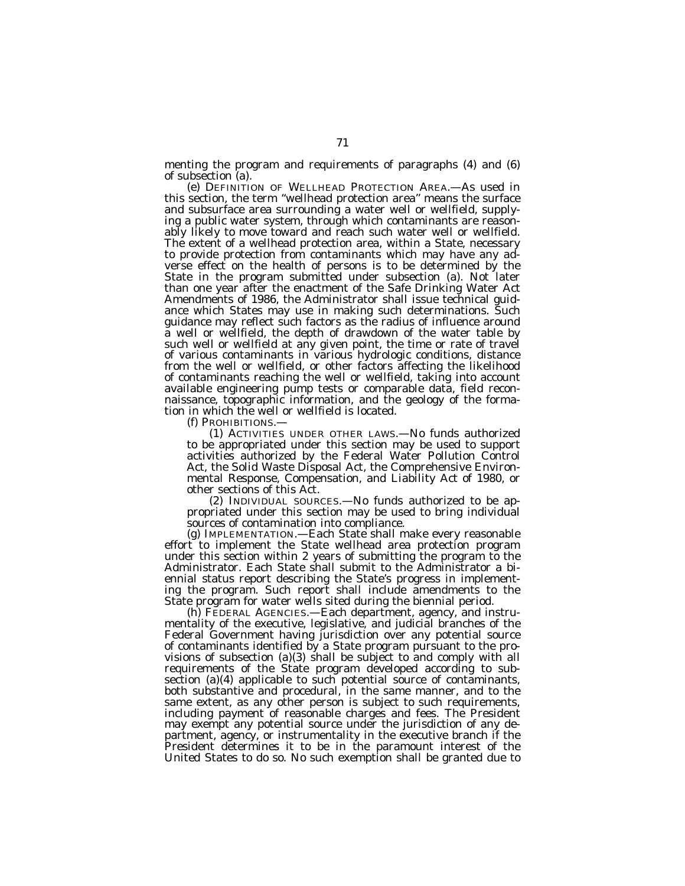menting the program and requirements of paragraphs (4) and (6) of subsection (a).

(e) DEFINITION OF WELLHEAD PROTECTION AREA.—As used in this section, the term ''wellhead protection area'' means the surface and subsurface area surrounding a water well or wellfield, supplying a public water system, through which contaminants are reasonably likely to move toward and reach such water well or wellfield. The extent of a wellhead protection area, within a State, necessary to provide protection from contaminants which may have any adverse effect on the health of persons is to be determined by the State in the program submitted under subsection (a). Not later than one year after the enactment of the Safe Drinking Water Act Amendments of 1986, the Administrator shall issue technical guidance which States may use in making such determinations. Such guidance may reflect such factors as the radius of influence around a well or wellfield, the depth of drawdown of the water table by such well or wellfield at any given point, the time or rate of travel of various contaminants in various hydrologic conditions, distance from the well or wellfield, or other factors affecting the likelihood of contaminants reaching the well or wellfield, taking into account available engineering pump tests or comparable data, field reconnaissance, topographic information, and the geology of the formation in which the well or wellfield is located.<br>(f) PROHIBITIONS.—

(1) ACTIVITIES UNDER OTHER LAWS.—No funds authorized to be appropriated under this section may be used to support activities authorized by the Federal Water Pollution Control Act, the Solid Waste Disposal Act, the Comprehensive Environmental Response, Compensation, and Liability Act of 1980, or other sections of this Act.

(2) INDIVIDUAL SOURCES.—No funds authorized to be appropriated under this section may be used to bring individual sources of contamination into compliance.

(g) IMPLEMENTATION.—Each State shall make every reasonable effort to implement the State wellhead area protection program under this section within 2 years of submitting the program to the Administrator. Each State shall submit to the Administrator a biennial status report describing the State's progress in implementing the program. Such report shall include amendments to the State program for water wells sited during the biennial period.

(h) FEDERAL AGENCIES.—Each department, agency, and instrumentality of the executive, legislative, and judicial branches of the Federal Government having jurisdiction over any potential source of contaminants identified by a State program pursuant to the provisions of subsection (a)(3) shall be subject to and comply with all requirements of the State program developed according to subsection (a)(4) applicable to such potential source of contaminants, both substantive and procedural, in the same manner, and to the same extent, as any other person is subject to such requirements, including payment of reasonable charges and fees. The President may exempt any potential source under the jurisdiction of any department, agency, or instrumentality in the executive branch if the President determines it to be in the paramount interest of the United States to do so. No such exemption shall be granted due to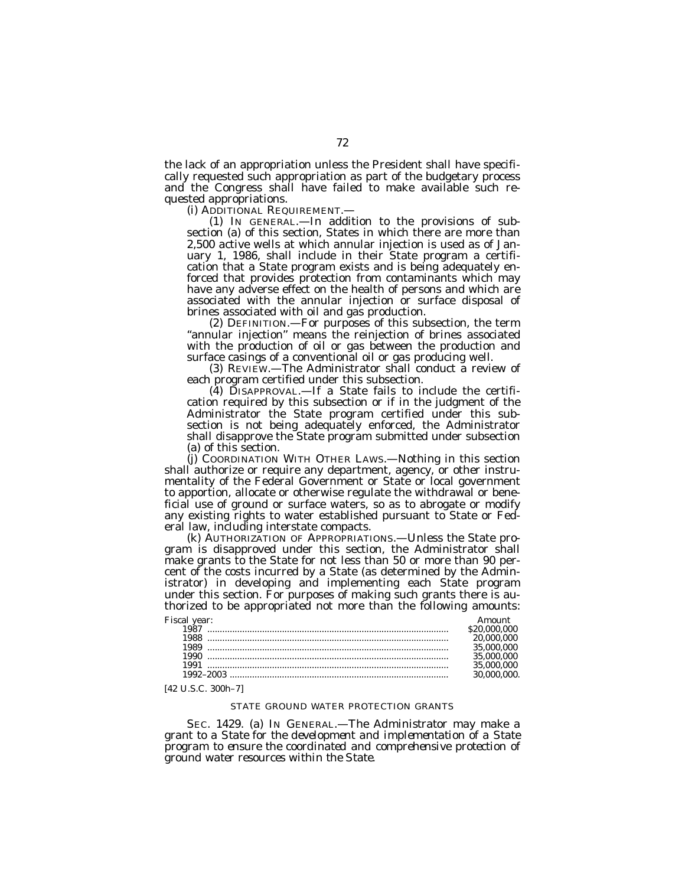the lack of an appropriation unless the President shall have specifically requested such appropriation as part of the budgetary process and the Congress shall have failed to make available such requested appropriations.

(i) ADDITIONAL REQUIREMENT.—

(1) IN GENERAL.—In addition to the provisions of subsection (a) of this section, States in which there are more than 2,500 active wells at which annular injection is used as of January 1, 1986, shall include in their State program a certification that a State program exists and is being adequately enforced that provides protection from contaminants which may have any adverse effect on the health of persons and which are associated with the annular injection or surface disposal of brines associated with oil and gas production.

(2) DEFINITION.—For purposes of this subsection, the term ''annular injection'' means the reinjection of brines associated with the production of oil or gas between the production and surface casings of a conventional oil or gas producing well.

(3) REVIEW.—The Administrator shall conduct a review of each program certified under this subsection.

(4) DISAPPROVAL.—If a State fails to include the certification required by this subsection or if in the judgment of the Administrator the State program certified under this subsection is not being adequately enforced, the Administrator shall disapprove the State program submitted under subsection (a) of this section.

(j) COORDINATION WITH OTHER LAWS.—Nothing in this section shall authorize or require any department, agency, or other instrumentality of the Federal Government or State or local government to apportion, allocate or otherwise regulate the withdrawal or beneficial use of ground or surface waters, so as to abrogate or modify any existing rights to water established pursuant to State or Federal law, including interstate compacts.

(k) AUTHORIZATION OF APPROPRIATIONS.—Unless the State program is disapproved under this section, the Administrator shall make grants to the State for not less than 50 or more than 90 percent of the costs incurred by a State (as determined by the Administrator) in developing and implementing each State program under this section. For purposes of making such grants there is authorized to be appropriated not more than the following amounts:

| Fiscal year: | Amount       |
|--------------|--------------|
| 1987         | \$20,000,000 |
| 1988         | 20.000.000   |
| 1989         | 35,000,000   |
| 1990         | 35,000,000   |
| 1991         | 35,000,000   |
|              | 30.000.000.  |
|              |              |

# [42 U.S.C. 300h–7]

#### *STATE GROUND WATER PROTECTION GRANTS*

*SEC. 1429. (a) IN GENERAL*.*—The Administrator may make a grant to a State for the development and implementation of a State program to ensure the coordinated and comprehensive protection of ground water resources within the State.*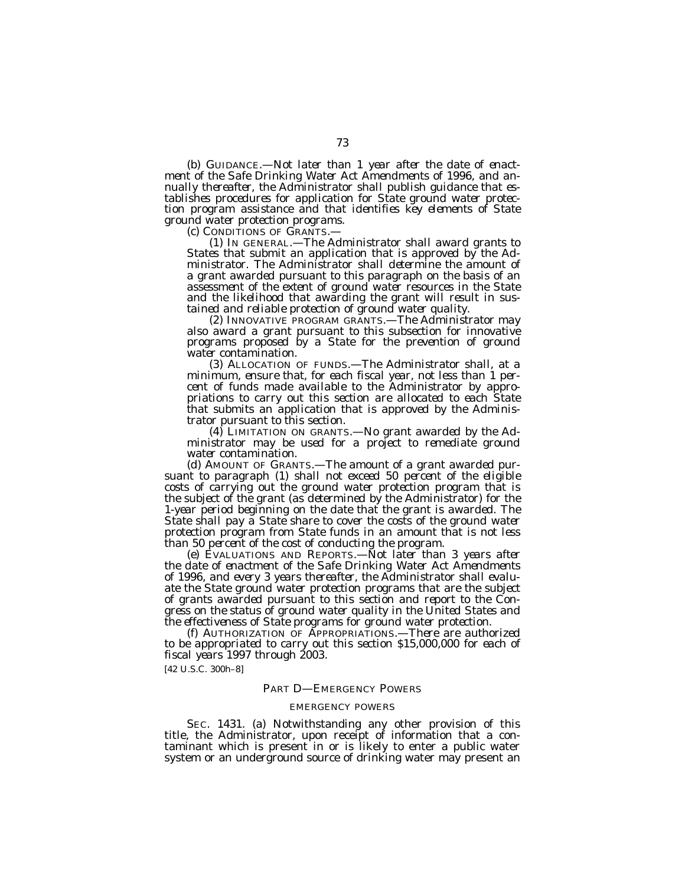*(b) GUIDANCE*.*—Not later than 1 year after the date of enact- ment of the Safe Drinking Water Act Amendments of 1996, and annually thereafter, the Administrator shall publish guidance that establishes procedures for application for State ground water protection program assistance and that identifies key elements of State*

*ground water protection programs. (c) CONDITIONS OF GRANTS*.— *(1) IN GENERAL*.*—The Administrator shall award grants to States that submit an application that is approved by the Administrator. The Administrator shall determine the amount of a grant awarded pursuant to this paragraph on the basis of an assessment of the extent of ground water resources in the State and the likelihood that awarding the grant will result in sus-*

*tained and reliable protection of ground water quality. (2) INNOVATIVE PROGRAM GRANTS*.*—The Administrator may also award a grant pursuant to this subsection for innovative programs proposed by a State for the prevention of ground water contamination.*

*(3) ALLOCATION OF FUNDS*.*—The Administrator shall, at a minimum, ensure that, for each fiscal year, not less than 1 percent of funds made available to the Administrator by appropriations to carry out this section are allocated to each State that submits an application that is approved by the Administrator pursuant to this section.*

*(4) LIMITATION ON GRANTS*.*—No grant awarded by the Administrator may be used for a project to remediate ground water contamination.*

*(d) AMOUNT OF GRANTS*.*—The amount of a grant awarded pursuant to paragraph (1) shall not exceed 50 percent of the eligible costs of carrying out the ground water protection program that is the subject of the grant (as determined by the Administrator) for the 1-year period beginning on the date that the grant is awarded. The State shall pay a State share to cover the costs of the ground water protection program from State funds in an amount that is not less than 50 percent of the cost of conducting the program.*

*(e) EVALUATIONS AND REPORTS*.*—Not later than 3 years after the date of enactment of the Safe Drinking Water Act Amendments of 1996, and every 3 years thereafter, the Administrator shall evaluate the State ground water protection programs that are the subject of grants awarded pursuant to this section and report to the Congress on the status of ground water quality in the United States and the effectiveness of State programs for ground water protection.*

*(f) AUTHORIZATION OF APPROPRIATIONS*.*—There are authorized to be appropriated to carry out this section \$15,000,000 for each of fiscal years 1997 through 2003.*

[42 U.S.C. 300h–8]

### PART D—EMERGENCY POWERS

#### EMERGENCY POWERS

SEC. 1431. (a) Notwithstanding any other provision of this title, the Administrator, upon receipt of information that a contaminant which is present in or is likely to enter a public water system or an underground source of drinking water may present an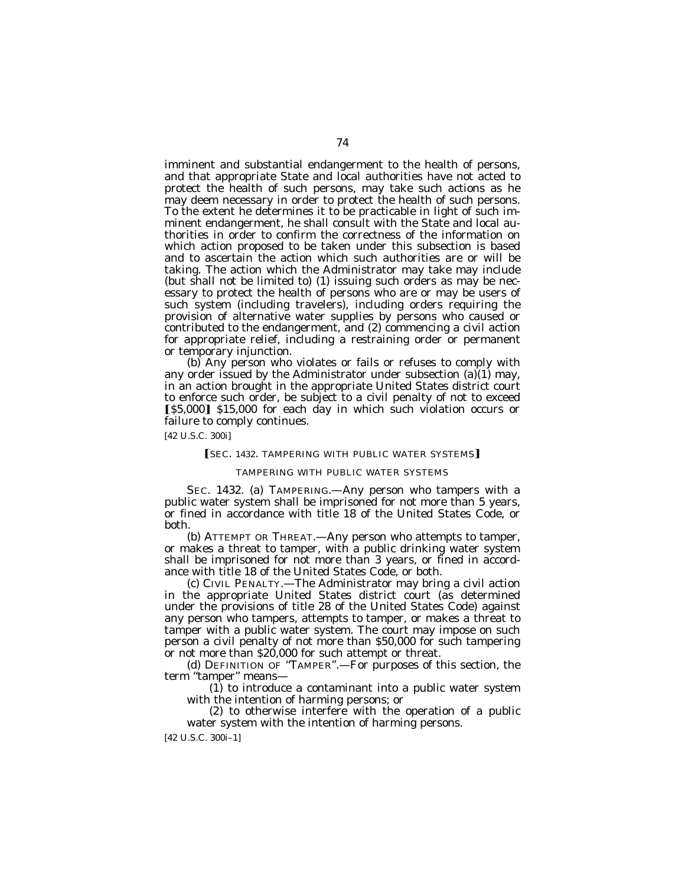imminent and substantial endangerment to the health of persons, and that appropriate State and local authorities have not acted to protect the health of such persons, may take such actions as he may deem necessary in order to protect the health of such persons. To the extent he determines it to be practicable in light of such imminent endangerment, he shall consult with the State and local authorities in order to confirm the correctness of the information on which action proposed to be taken under this subsection is based and to ascertain the action which such authorities are or will be taking. The action which the Administrator may take may include (but shall not be limited to) (1) issuing such orders as may be necessary to protect the health of persons who are or may be users of such system (including travelers), including orders requiring the provision of alternative water supplies by persons who caused or contributed to the endangerment, and (2) commencing a civil action for appropriate relief, including a restraining order or permanent or temporary injunction.

(b) Any person who violates or fails or refuses to comply with any order issued by the Administrator under subsection  $(a)(1)$  may, in an action brought in the appropriate United States district court to enforce such order, be subject to a civil penalty of not to exceed **[\$5,000]** *\$15,000* for each day in which such violation occurs or failure to comply continues.

[42 U.S.C. 300i]

#### [SEC. 1432. TAMPERING WITH PUBLIC WATER SYSTEMS]

## *TAMPERING WITH PUBLIC WATER SYSTEMS*

*SEC*. *1432.* (a) TAMPERING.—Any person who tampers with a public water system shall be imprisoned for not more than 5 years, or fined in accordance with title 18 of the United States Code, or both.

(b) ATTEMPT OR THREAT.—Any person who attempts to tamper, or makes a threat to tamper, with a public drinking water system shall be imprisoned for not more than 3 years, or fined in accordance with title 18 of the United States Code, or both.

(c) CIVIL PENALTY.—The Administrator may bring a civil action in the appropriate United States district court (as determined under the provisions of title 28 of the United States Code) against any person who tampers, attempts to tamper, or makes a threat to tamper with a public water system. The court may impose on such person a civil penalty of not more than \$50,000 for such tampering or not more than \$20,000 for such attempt or threat.

(d) DEFINITION OF ''TAMPER''.—For purposes of this section, the term "tamper" means-

(1) to introduce a contaminant into a public water system with the intention of harming persons; or

(2) to otherwise interfere with the operation of a public water system with the intention of harming persons.

[42 U.S.C. 300i–1]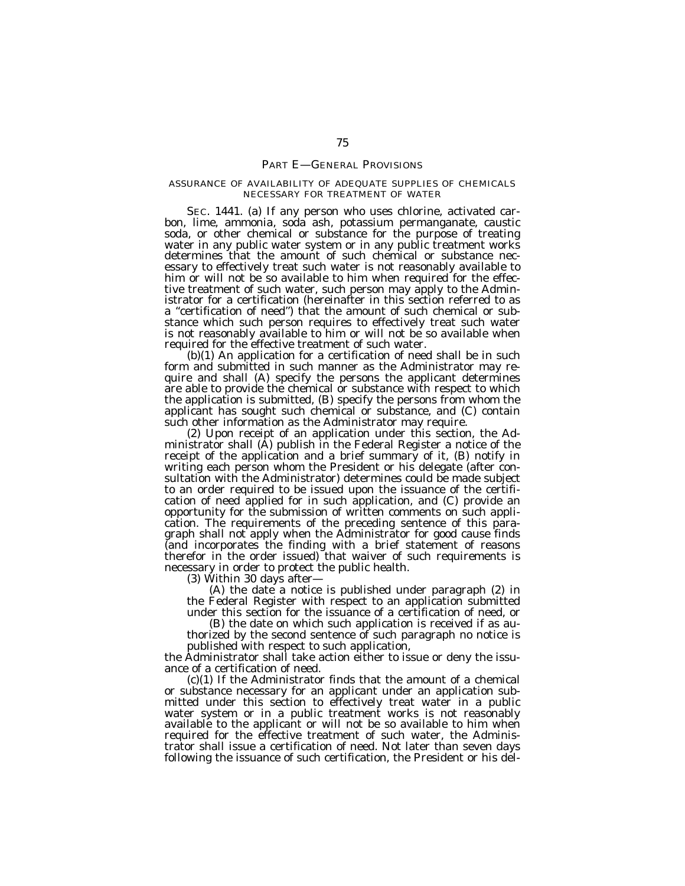## PART E—GENERAL PROVISIONS

## ASSURANCE OF AVAILABILITY OF ADEQUATE SUPPLIES OF CHEMICALS NECESSARY FOR TREATMENT OF WATER

SEC. 1441. (a) If any person who uses chlorine, activated car- bon, lime, ammonia, soda ash, potassium permanganate, caustic soda, or other chemical or substance for the purpose of treating water in any public water system or in any public treatment works determines that the amount of such chemical or substance necessary to effectively treat such water is not reasonably available to him or will not be so available to him when required for the effective treatment of such water, such person may apply to the Administrator for a certification (hereinafter in this section referred to as a ''certification of need'') that the amount of such chemical or substance which such person requires to effectively treat such water is not reasonably available to him or will not be so available when required for the effective treatment of such water.

 $\phi$ (b)(1) An application for a certification of need shall be in such form and submitted in such manner as the Administrator may require and shall (A) specify the persons the applicant determines are able to provide the chemical or substance with respect to which the application is submitted, (B) specify the persons from whom the applicant has sought such chemical or substance, and (C) contain such other information as the Administrator may require.

 $(2)$  Upon receipt of an application under this section, the Administrator shall (A) publish in the Federal Register a notice of the receipt of the application and a brief summary of it, (B) notify in writing each person whom the President or his delegate (after consultation with the Administrator) determines could be made subject to an order required to be issued upon the issuance of the certification of need applied for in such application, and (C) provide an opportunity for the submission of written comments on such application. The requirements of the preceding sentence of this paragraph shall not apply when the Administrator for good cause finds (and incorporates the finding with a brief statement of reasons therefor in the order issued) that waiver of such requirements is necessary in order to protect the public health.

(3) Within 30 days after—

(A) the date a notice is published under paragraph (2) in the Federal Register with respect to an application submitted under this section for the issuance of a certification of need, or

(B) the date on which such application is received if as authorized by the second sentence of such paragraph no notice is published with respect to such application,

the Administrator shall take action either to issue or deny the issuance of a certification of need.

(c)(1) If the Administrator finds that the amount of a chemical or substance necessary for an applicant under an application submitted under this section to effectively treat water in a public water system or in a public treatment works is not reasonably available to the applicant or will not be so available to him when required for the effective treatment of such water, the Administrator shall issue a certification of need. Not later than seven days following the issuance of such certification, the President or his del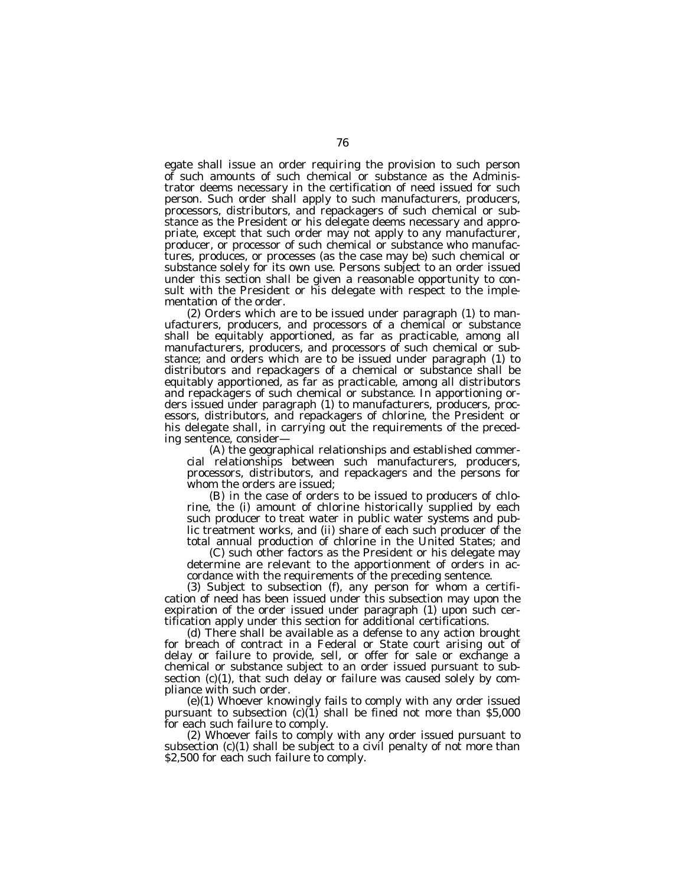egate shall issue an order requiring the provision to such person of such amounts of such chemical or substance as the Administrator deems necessary in the certification of need issued for such person. Such order shall apply to such manufacturers, producers, processors, distributors, and repackagers of such chemical or substance as the President or his delegate deems necessary and appropriate, except that such order may not apply to any manufacturer, producer, or processor of such chemical or substance who manufactures, produces, or processes (as the case may be) such chemical or substance solely for its own use. Persons subject to an order issued under this section shall be given a reasonable opportunity to consult with the President or his delegate with respect to the implementation of the order.

(2) Orders which are to be issued under paragraph (1) to manufacturers, producers, and processors of a chemical or substance shall be equitably apportioned, as far as practicable, among all manufacturers, producers, and processors of such chemical or substance; and orders which are to be issued under paragraph (1) to distributors and repackagers of a chemical or substance shall be equitably apportioned, as far as practicable, among all distributors and repackagers of such chemical or substance. In apportioning orders issued under paragraph (1) to manufacturers, producers, processors, distributors, and repackagers of chlorine, the President or his delegate shall, in carrying out the requirements of the preceding sentence, consider—

(A) the geographical relationships and established commercial relationships between such manufacturers, producers, processors, distributors, and repackagers and the persons for whom the orders are issued;

(B) in the case of orders to be issued to producers of chlorine, the (i) amount of chlorine historically supplied by each such producer to treat water in public water systems and public treatment works, and (ii) share of each such producer of the total annual production of chlorine in the United States; and

(C) such other factors as the President or his delegate may determine are relevant to the apportionment of orders in accordance with the requirements of the preceding sentence.

(3) Subject to subsection (f), any person for whom a certification of need has been issued under this subsection may upon the expiration of the order issued under paragraph (1) upon such certification apply under this section for additional certifications.

(d) There shall be available as a defense to any action brought for breach of contract in a Federal or State court arising out of delay or failure to provide, sell, or offer for sale or exchange a chemical or substance subject to an order issued pursuant to subsection (c)(1), that such delay or failure was caused solely by compliance with such order.

(e)(1) Whoever knowingly fails to comply with any order issued pursuant to subsection (c)(1) shall be fined not more than \$5,000 for each such failure to comply.

(2) Whoever fails to comply with any order issued pursuant to subsection (c)(1) shall be subject to a civil penalty of not more than \$2,500 for each such failure to comply.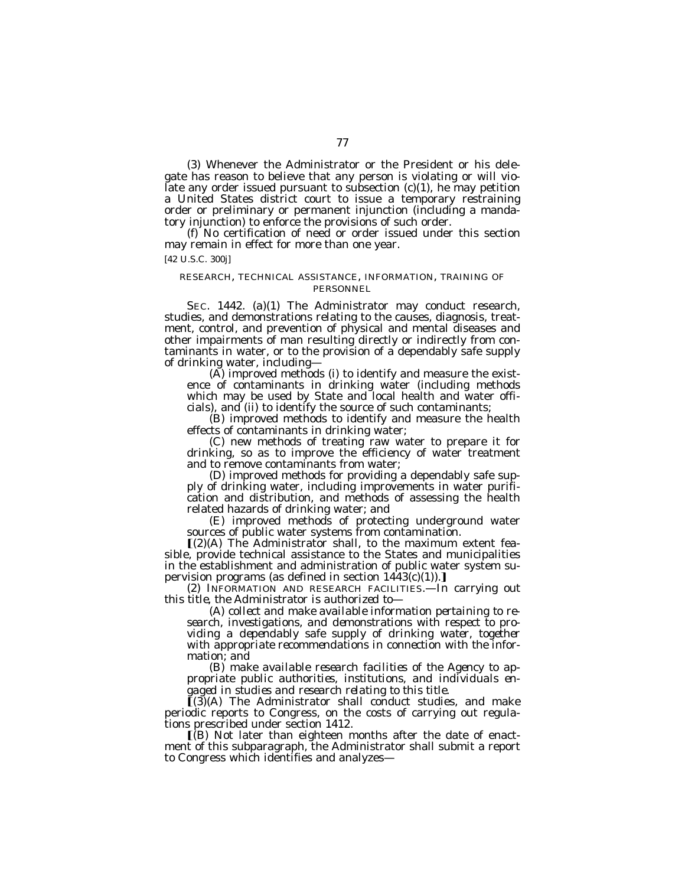(3) Whenever the Administrator or the President or his delegate has reason to believe that any person is violating or will violate any order issued pursuant to subsection (c)(1), he may petition a United States district court to issue a temporary restraining order or preliminary or permanent injunction (including a mandatory injunction) to enforce the provisions of such order.

(f) No certification of need or order issued under this section may remain in effect for more than one year.

[42 U.S.C. 300j]

### RESEARCH, TECHNICAL ASSISTANCE, INFORMATION, TRAINING OF PERSONNEL

SEC. 1442. (a)(1) The Administrator may conduct research, studies, and demonstrations relating to the causes, diagnosis, treatment, control, and prevention of physical and mental diseases and other impairments of man resulting directly or indirectly from contaminants in water, or to the provision of a dependably safe supply of drinking water, including—

(A) improved methods (i) to identify and measure the existence of contaminants in drinking water (including methods which may be used by State and local health and water officials), and (ii) to identify the source of such contaminants;

(B) improved methods to identify and measure the health effects of contaminants in drinking water;

(C) new methods of treating raw water to prepare it for drinking, so as to improve the efficiency of water treatment and to remove contaminants from water;

(D) improved methods for providing a dependably safe supply of drinking water, including improvements in water purification and distribution, and methods of assessing the health related hazards of drinking water; and

(E) improved methods of protecting underground water sources of public water systems from contamination.

 $[(2)(A)$  The Administrator shall, to the maximum extent feasible, provide technical assistance to the States and municipalities in the establishment and administration of public water system supervision programs (as defined in section  $1443(c)(1)$ ).

*(2) INFORMATION AND RESEARCH FACILITIES*.*—In carrying out this title, the Administrator is authorized to—*

*(A) collect and make available information pertaining to research, investigations, and demonstrations with respect to providing a dependably safe supply of drinking water, together with appropriate recommendations in connection with the information; and*

*(B) make available research facilities of the Agency to appropriate public authorities, institutions, and individuals engaged in studies and research relating to this title.* ø(3)(A) The Administrator shall conduct studies, and make

periodic reports to Congress, on the costs of carrying out regulations prescribed under section 1412.

ø(B) Not later than eighteen months after the date of enactment of this subparagraph, the Administrator shall submit a report to Congress which identifies and analyzes—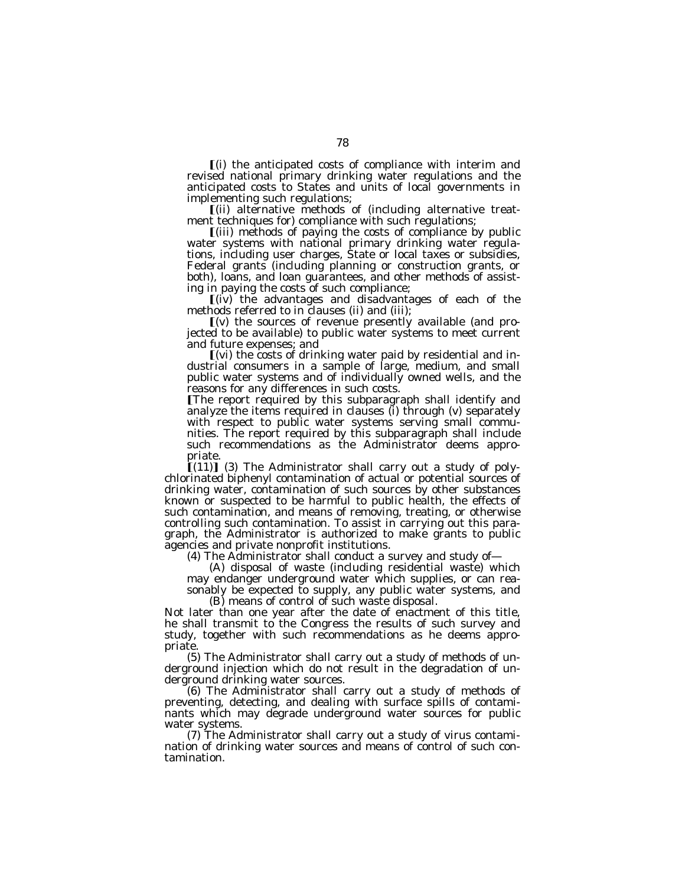$\lceil$  (i) the anticipated costs of compliance with interim and revised national primary drinking water regulations and the anticipated costs to States and units of local governments in implementing such regulations;

<sup>ø</sup>(ii) alternative methods of (including alternative treat- ment techniques for) compliance with such regulations;

ø(iii) methods of paying the costs of compliance by public water systems with national primary drinking water regulations, including user charges, State or local taxes or subsidies, Federal grants (including planning or construction grants, or both), loans, and loan guarantees, and other methods of assisting in paying the costs of such compliance;

 $[(iv)]$  the advantages and disadvantages of each of the methods referred to in clauses (ii) and (iii);<br> $[(v)]$  the sources of revenue presently available (and pro-

jected to be available) to public water systems to meet current and future expenses; and

 $[(vi)$  the costs of drinking water paid by residential and industrial consumers in a sample of large, medium, and small public water systems and of individually owned wells, and the reasons for any differences in such costs.

øThe report required by this subparagraph shall identify and analyze the items required in clauses (i) through (v) separately with respect to public water systems serving small communities. The report required by this subparagraph shall include such recommendations as the Administrator deems appropriate.

[(11)] (3) The Administrator shall carry out a study of polychlorinated biphenyl contamination of actual or potential sources of drinking water, contamination of such sources by other substances known or suspected to be harmful to public health, the effects of such contamination, and means of removing, treating, or otherwise controlling such contamination. To assist in carrying out this paragraph, the Administrator is authorized to make grants to public agencies and private nonprofit institutions.

(4) The Administrator shall conduct a survey and study of—

(A) disposal of waste (including residential waste) which may endanger underground water which supplies, or can reasonably be expected to supply, any public water systems, and

(B) means of control of such waste disposal.

Not later than one year after the date of enactment of this title, he shall transmit to the Congress the results of such survey and study, together with such recommendations as he deems appropriate.

(5) The Administrator shall carry out a study of methods of underground injection which do not result in the degradation of underground drinking water sources.

(6) The Administrator shall carry out a study of methods of preventing, detecting, and dealing with surface spills of contaminants which may degrade underground water sources for public water systems.

(7) The Administrator shall carry out a study of virus contamination of drinking water sources and means of control of such contamination.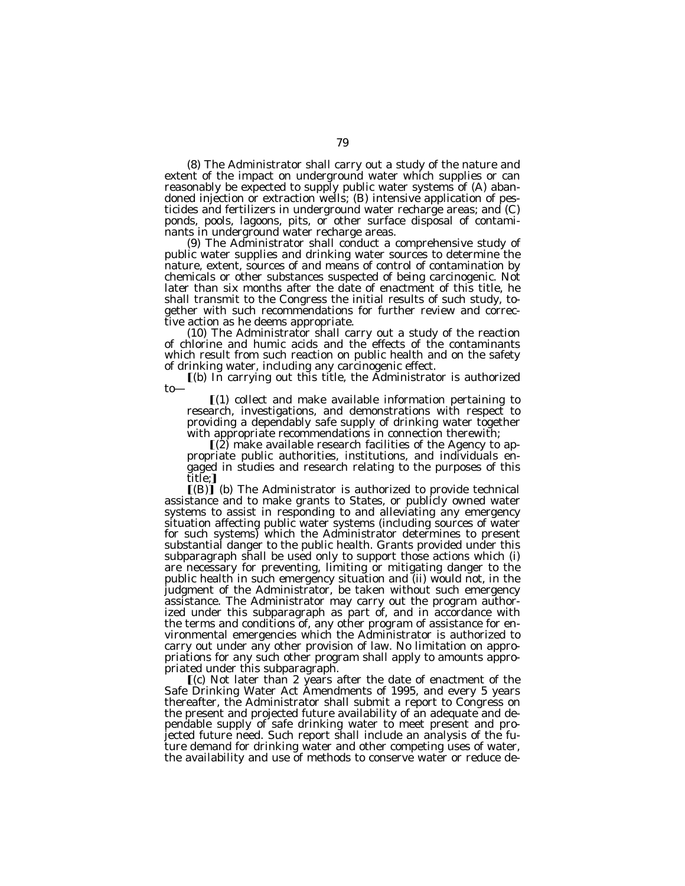(8) The Administrator shall carry out a study of the nature and extent of the impact on underground water which supplies or can reasonably be expected to supply public water systems of (A) abandoned injection or extraction wells; (B) intensive application of pesticides and fertilizers in underground water recharge areas; and (C) ponds, pools, lagoons, pits, or other surface disposal of contami-

(9) The Administrator shall conduct a comprehensive study of public water supplies and drinking water sources to determine the nature, extent, sources of and means of control of contamination by chemicals or other substances suspected of being carcinogenic. Not later than six months after the date of enactment of this title, he shall transmit to the Congress the initial results of such study, together with such recommendations for further review and corrective action as he deems appropriate.

(10) The Administrator shall carry out a study of the reaction of chlorine and humic acids and the effects of the contaminants which result from such reaction on public health and on the safety of drinking water, including any carcinogenic effect.

ø(b) In carrying out this title, the Administrator is authorized to—

 $[(1)$  collect and make available information pertaining to research, investigations, and demonstrations with respect to providing a dependably safe supply of drinking water together with appropriate recommendations in connection therewith;

ø(2) make available research facilities of the Agency to appropriate public authorities, institutions, and individuals engaged in studies and research relating to the purposes of this title;

 $[(B)]$  *(b)* The Administrator is authorized to provide technical assistance and to make grants to States, or publicly owned water systems to assist in responding to and alleviating any emergency situation affecting public water systems (including sources of water for such systems) which the Administrator determines to present substantial danger to the public health. Grants provided under this subparagraph shall be used only to support those actions which (i) are necessary for preventing, limiting or mitigating danger to the public health in such emergency situation and (ii) would not, in the judgment of the Administrator, be taken without such emergency assistance. The Administrator may carry out the program authorized under this subparagraph as part of, and in accordance with the terms and conditions of, any other program of assistance for environmental emergencies which the Administrator is authorized to carry out under any other provision of law. No limitation on appropriations for any such other program shall apply to amounts appropriated under this subparagraph.

 $\Gamma$ (c) Not later than 2 years after the date of enactment of the Safe Drinking Water Act Amendments of 1995, and every 5 years thereafter, the Administrator shall submit a report to Congress on the present and projected future availability of an adequate and dependable supply of safe drinking water to meet present and projected future need. Such report shall include an analysis of the future demand for drinking water and other competing uses of water, the availability and use of methods to conserve water or reduce de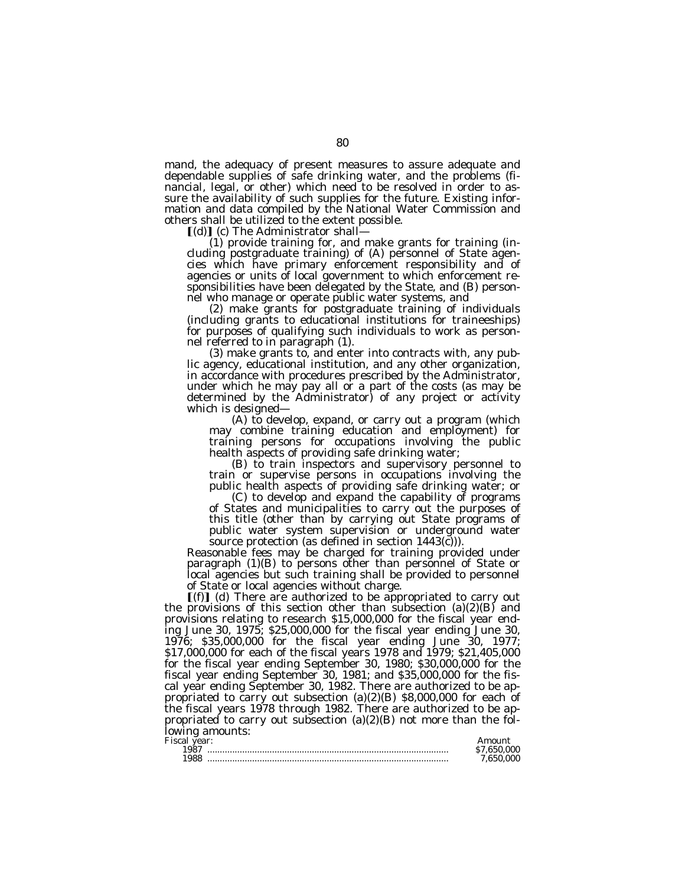mand, the adequacy of present measures to assure adequate and dependable supplies of safe drinking water, and the problems (financial, legal, or other) which need to be resolved in order to assure the availability of such supplies for the future. Existing information and data compiled by the National Water Commission and others shall be utilized to the extent possible.

 $[(d)]$  *(c)* The Administrator shall—<br>(1) provide training for, and make grants for training (including postgraduate training) of (A) personnel of State agencies which have primary enforcement responsibility and of agencies or units of local government to which enforcement responsibilities have been delegated by the State, and (B) person-

(2) make grants for postgraduate training of individuals (including grants to educational institutions for traineeships) for purposes of qualifying such individuals to work as person-<br>nel referred to in paragraph (1).

(3) make grants to, and enter into contracts with, any pub-<br>lic agency, educational institution, and any other organization, in accordance with procedures prescribed by the Administrator, under which he may pay all or a part of the costs (as may be determined by the Administrator) of any project or activity

which is designed—<br>(A) to develop, expand, or carry out a program (which may combine training education and employment) for training persons for occupations involving the public

health aspects of providing safe drinking water; (B) to train inspectors and supervisory personnel to train or supervise persons in occupations involving the

public health aspects of providing safe drinking water; or (C) to develop and expand the capability of programs of States and municipalities to carry out the purposes of this title (other than by carrying out State programs of public water system supervision or underground water source protection (as defined in section  $1443(\tilde{c}))$ ).

Reasonable fees may be charged for training provided under paragraph (1)(B) to persons other than personnel of State or local agencies but such training shall be provided to personnel of State or local agencies without charge.

 $[(f)]$  *(d)* There are authorized to be appropriated to carry out the provisions of this section other than subsection (a)(2)(B) and provisions relating to research \$15,000,000 for the fiscal year ending June 30, 1975; \$25,000,000 for the fiscal year ending June 30, 1976; \$35,000,000 for the fiscal year ending June 30, 1977; \$17,000,000 for each of the fiscal years 1978 and 1979; \$21,405,000 for the fiscal year ending September 30, 1980; \$30,000,000 for the fiscal year ending September 30, 1981; and \$35,000,000 for the fiscal year ending September 30, 1982. There are authorized to be appropriated to carry out subsection (a)(2)(B) \$8,000,000 for each of the fiscal years 1978 through 1982. There are authorized to be appropriated to carry out subsection (a)(2)(B) not more than the following amounts: Fiscal year: *Amount*

| .    |             |
|------|-------------|
| 1987 | \$7.650,000 |
| 1988 | 7.650.000   |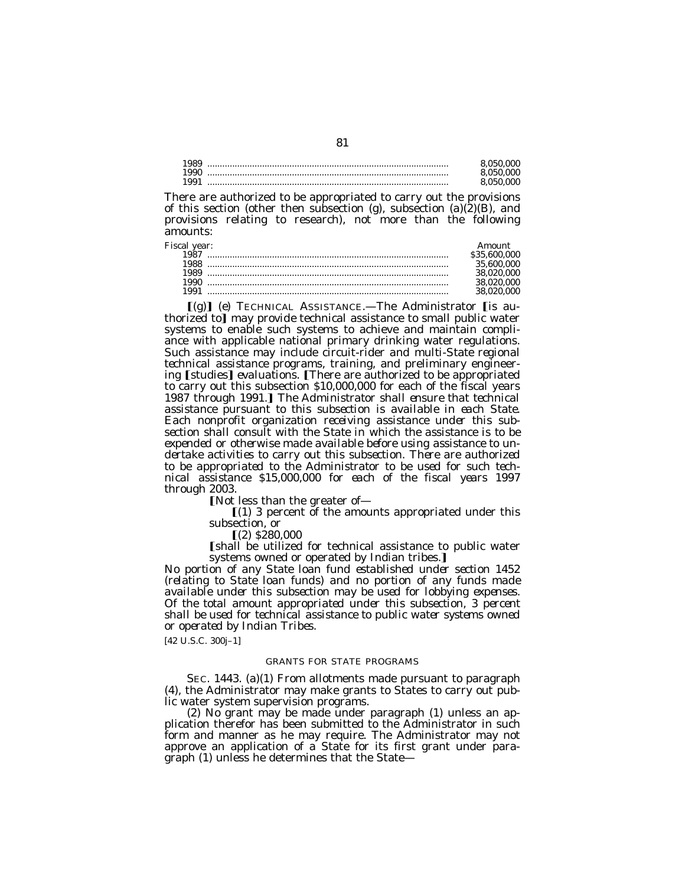| 1989 | 8.050.000 |
|------|-----------|
| 1990 | 8.050.000 |
| 1991 | 8.050.000 |

There are authorized to be appropriated to carry out the provisions of this section (other then subsection  $(g)$ , subsection  $(a)(2)(B)$ , and provisions relating to research), not more than the following amounts:

| 'iscal vear |
|-------------|
|             |

| Fiscal year: | Amount       |
|--------------|--------------|
| 1987         | \$35,600,000 |
| 1988         | 35.600.000   |
| 1989         | 38.020.000   |
| 1990         | 38.020.000   |
| 1991         | 38.020.000   |
|              |              |

[(g)] (e) TECHNICAL ASSISTANCE.—The Administrator [is authorized to] *may provide* technical assistance to small public water systems to enable such systems to achieve and maintain compliance with applicable national primary drinking water regulations. Such assistance may include circuit-rider *and multi-State regional technical assistance* programs, training, and preliminary engineering [studies] *evaluations*. [There are authorized to be appropriated to carry out this subsection \$10,000,000 for each of the fiscal years 1987 through 1991.] *The Administrator shall ensure that technical assistance pursuant to this subsection is available in each State. Each nonprofit organization receiving assistance under this subsection shall consult with the State in which the assistance is to be expended or otherwise made available before using assistance to undertake activities to carry out this subsection. There are authorized to be appropriated to the Administrator to be used for such technical assistance \$15,000,000 for each of the fiscal years 1997 through 2003.*

[Not less than the greater of-

 $[(1)$  3 percent of the amounts appropriated under this subsection, or

 $(2)$  \$280,000

[shall be utilized for technical assistance to public water systems owned or operated by Indian tribes.]

*No portion of any State loan fund established under section 1452 (relating to State loan funds) and no portion of any funds made available under this subsection may be used for lobbying expenses. Of the total amount appropriated under this subsection, 3 percent shall be used for technical assistance to public water systems owned or operated by Indian Tribes.*

[42 U.S.C. 300j–1]

### GRANTS FOR STATE PROGRAMS

SEC. 1443. (a)(1) From allotments made pursuant to paragraph (4), the Administrator may make grants to States to carry out public water system supervision programs.

(2) No grant may be made under paragraph (1) unless an application therefor has been submitted to the Administrator in such form and manner as he may require. The Administrator may not approve an application of a State for its first grant under paragraph (1) unless he determines that the State—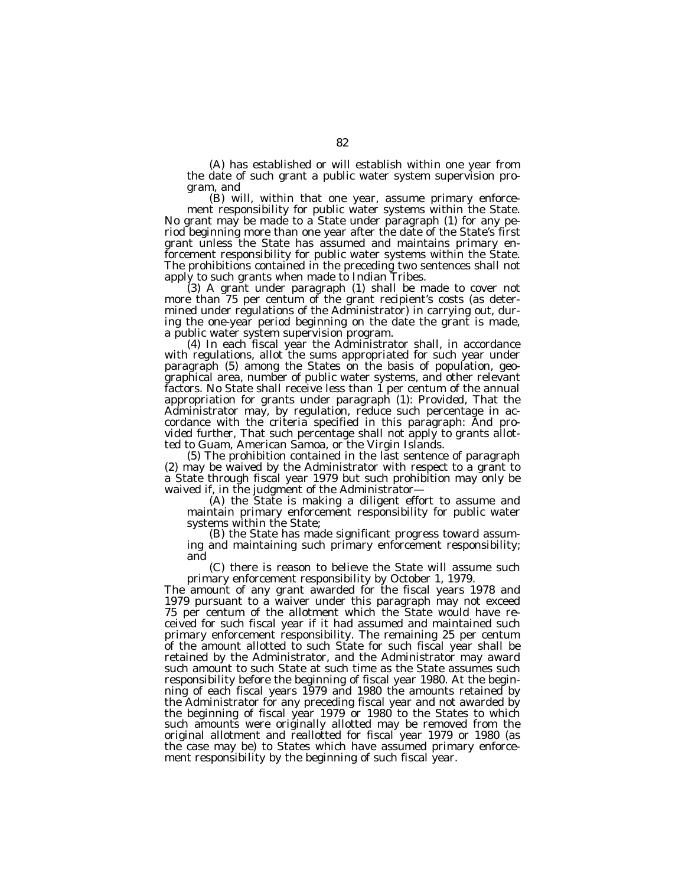(A) has established or will establish within one year from the date of such grant a public water system supervision pro-

gram, and<br>(B) will, within that one year, assume primary enforce-<br>ment responsibility for public water systems within the State. No grant may be made to a State under paragraph (1) for any period beginning more than one year after the date of the State's first grant unless the State has assumed and maintains primary enforcement responsibility for public water systems within the State. The prohibitions contained in the preceding two sentences shall not apply to such grants when made to Indian Tribes.

 $(3)$  A grant under paragraph (1) shall be made to cover not more than 75 per centum of the grant recipient's costs (as determined under regulations of the Administrator) in carrying out, during the one-year period beginning on the date the grant is made, a public water system supervision program. (4) In each fiscal year the Administrator shall, in accordance

with regulations, allot the sums appropriated for such year under paragraph (5) among the States on the basis of population, geographical area, number of public water systems, and other relevant factors. No State shall receive less than 1 per centum of the annual appropriation for grants under paragraph (1): *Provided,* That the Administrator may, by regulation, reduce such percentage in accordance with the criteria specified in this paragraph: *And provided further,* That such percentage shall not apply to grants allot-

(5) The prohibition contained in the last sentence of paragraph (2) may be waived by the Administrator with respect to a grant to a State through fiscal year 1979 but such prohibition may only be waived if, in the judgment of the Administrator—

(A) the State is making a diligent effort to assume and maintain primary enforcement responsibility for public water systems within the State;

(B) the State has made significant progress toward assuming and maintaining such primary enforcement responsibility; and

(C) there is reason to believe the State will assume such primary enforcement responsibility by October 1, 1979.

The amount of any grant awarded for the fiscal years 1978 and 1979 pursuant to a waiver under this paragraph may not exceed 75 per centum of the allotment which the State would have received for such fiscal year if it had assumed and maintained such primary enforcement responsibility. The remaining 25 per centum of the amount allotted to such State for such fiscal year shall be retained by the Administrator, and the Administrator may award such amount to such State at such time as the State assumes such responsibility before the beginning of fiscal year 1980. At the beginning of each fiscal years 1979 and 1980 the amounts retained by the Administrator for any preceding fiscal year and not awarded by the beginning of fiscal year 1979 or 1980 to the States to which such amounts were originally allotted may be removed from the original allotment and reallotted for fiscal year 1979 or 1980 (as the case may be) to States which have assumed primary enforcement responsibility by the beginning of such fiscal year.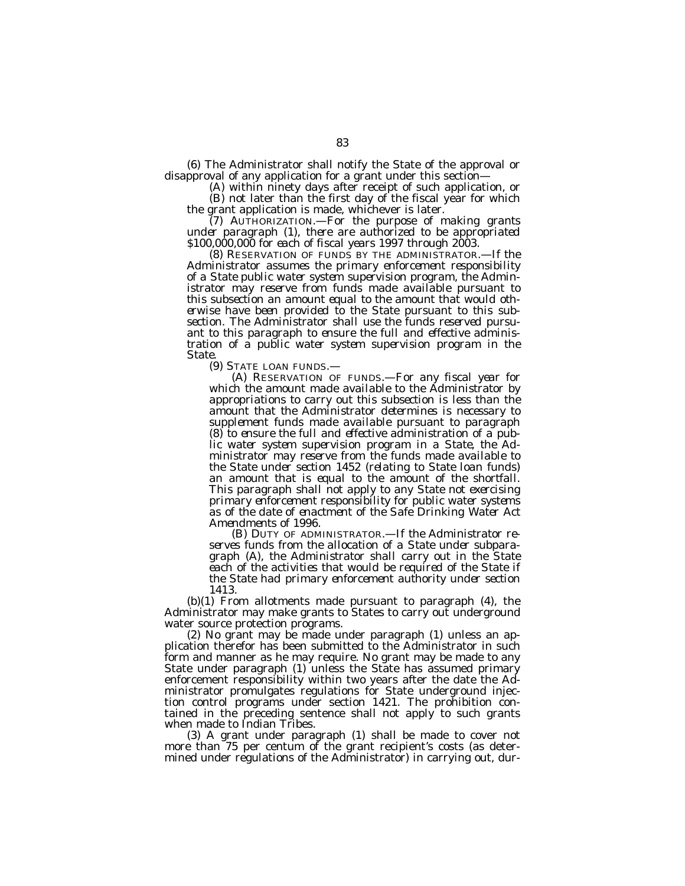(6) The Administrator shall notify the State of the approval or disapproval of any application for a grant under this section— (A) within ninety days after receipt of such application, or

(B) not later than the first day of the fiscal year for which the grant application is made, whichever is later.

the grant application is made, whichever is later. *(7) AUTHORIZATION*.*—For the purpose of making grants under paragraph (1), there are authorized to be appropriated*

*\$100,000,000 for each of fiscal years 1997 through 2003. (8) RESERVATION OF FUNDS BY THE ADMINISTRATOR*.*—If the Administrator assumes the primary enforcement responsibility of a State public water system supervision program, the Administrator may reserve from funds made available pursuant to this subsection an amount equal to the amount that would otherwise have been provided to the State pursuant to this subsection. The Administrator shall use the funds reserved pursuant to this paragraph to ensure the full and effective administration of a public water system supervision program in the State.*

*(9) STATE LOAN FUNDS*.— *(A) RESERVATION OF FUNDS*.*—For any fiscal year for which the amount made available to the Administrator by appropriations to carry out this subsection is less than the amount that the Administrator determines is necessary to supplement funds made available pursuant to paragraph (8) to ensure the full and effective administration of a public water system supervision program in a State, the Administrator may reserve from the funds made available to the State under section 1452 (relating to State loan funds) an amount that is equal to the amount of the shortfall. This paragraph shall not apply to any State not exercising primary enforcement responsibility for public water systems as of the date of enactment of the Safe Drinking Water Act Amendments of 1996.*

*(B) DUTY OF ADMINISTRATOR*.*—If the Administrator reserves funds from the allocation of a State under subparagraph (A), the Administrator shall carry out in the State each of the activities that would be required of the State if the State had primary enforcement authority under section 1413.*

(b)(1) From allotments made pursuant to paragraph (4), the Administrator may make grants to States to carry out underground water source protection programs.

(2) No grant may be made under paragraph (1) unless an application therefor has been submitted to the Administrator in such form and manner as he may require. No grant may be made to any State under paragraph (1) unless the State has assumed primary enforcement responsibility within two years after the date the Administrator promulgates regulations for State underground injection control programs under section 1421. The prohibition contained in the preceding sentence shall not apply to such grants when made to Indian Tribes.

(3) A grant under paragraph (1) shall be made to cover not more than 75 per centum of the grant recipient's costs (as determined under regulations of the Administrator) in carrying out, dur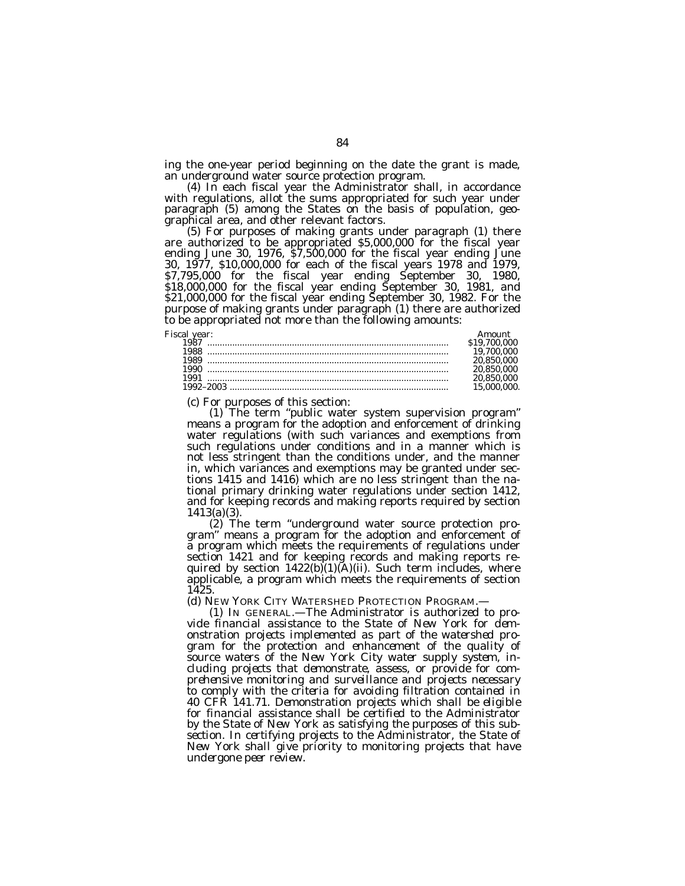ing the one-year period beginning on the date the grant is made, an underground water source protection program.

an underground water source protection program. (4) In each fiscal year the Administrator shall, in accordance with regulations, allot the sums appropriated for such year under paragraph (5) among the States on the basis of population, geo-<br>graphical area, and other relevant factors.

graphical area, and other relevant factors. (5) For purposes of making grants under paragraph (1) there are authorized to be appropriated \$5,000,000 for the fiscal year ending June 30, 1976, \$7,500,000 for the fiscal year ending June 30, 1977, \$10,000,000 for each of the fiscal years 1978 and 1979, \$7,795,000 for the fiscal year ending September 30, 1980, \$18,000,000 for the fiscal year ending September 30, 1981, and \$21,000,000 for the fiscal year ending September 30, 1982. For the purpose of making grants under paragraph (1) there are authorized to be appropriated not more than the following amounts:

| Fiscal year: | Amount       |
|--------------|--------------|
|              | \$19,700,000 |
| 1988         | 19.700.000   |
| 1989         | 20.850.000   |
| 1990         | 20.850.000   |
| 1991         | 20.850.000   |
|              | 15,000,000.  |
|              |              |

(c) For purposes of this section: (1) The term ''public water system supervision program'' means a program for the adoption and enforcement of drinking water regulations (with such variances and exemptions from such regulations under conditions and in a manner which is not less stringent than the conditions under, and the manner in, which variances and exemptions may be granted under sections 1415 and 1416) which are no less stringent than the national primary drinking water regulations under section 1412, and for keeping records and making reports required by section

1413(a)(3).<br>(2) The term "underground water source protection program" means a program for the adoption and enforcement of a program which meets the requirements of regulations under section 1421 and for keeping records and making reports required by section 1422(b)(1)(A)(ii). Such term includes, where applicable, a program which meets the requirements of section 1425.

*(d) NEW YORK CITY WATERSHED PROTECTION PROGRAM*.—

*(1) IN GENERAL*.*—The Administrator is authorized to provide financial assistance to the State of New York for demonstration projects implemented as part of the watershed program for the protection and enhancement of the quality of source waters of the New York City water supply system, including projects that demonstrate, assess, or provide for comprehensive monitoring and surveillance and projects necessary to comply with the criteria for avoiding filtration contained in 40 CFR 141.71. Demonstration projects which shall be eligible for financial assistance shall be certified to the Administrator by the State of New York as satisfying the purposes of this subsection. In certifying projects to the Administrator, the State of New York shall give priority to monitoring projects that have undergone peer review.*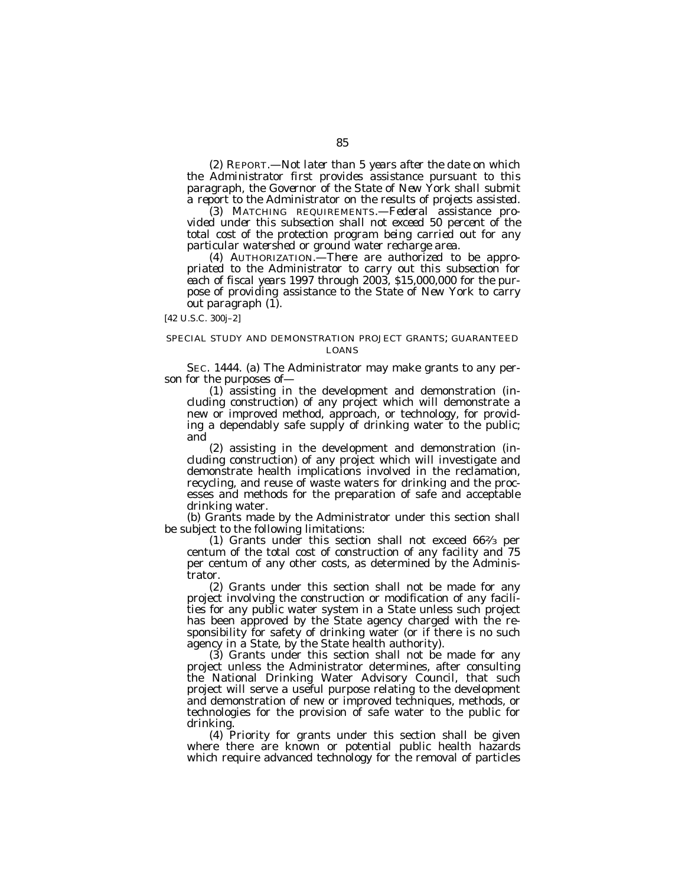*(2) REPORT*.*—Not later than 5 years after the date on which the Administrator first provides assistance pursuant to this paragraph, the Governor of the State of New York shall submit a report to the Administrator on the results of projects assisted.*

*(3) MATCHING REQUIREMENTS*.*—Federal assistance provided under this subsection shall not exceed 50 percent of the total cost of the protection program being carried out for any particular watershed or ground water recharge area.*

*(4) AUTHORIZATION*.*—There are authorized to be appropriated to the Administrator to carry out this subsection for each of fiscal years 1997 through 2003, \$15,000,000 for the purpose of providing assistance to the State of New York to carry out paragraph (1).*

[42 U.S.C. 300j–2]

## SPECIAL STUDY AND DEMONSTRATION PROJECT GRANTS; GUARANTEED LOANS

SEC. 1444. (a) The Administrator may make grants to any person for the purposes of—

(1) assisting in the development and demonstration (including construction) of any project which will demonstrate a new or improved method, approach, or technology, for providing a dependably safe supply of drinking water to the public; and

(2) assisting in the development and demonstration (including construction) of any project which will investigate and demonstrate health implications involved in the reclamation, recycling, and reuse of waste waters for drinking and the processes and methods for the preparation of safe and acceptable drinking water.

(b) Grants made by the Administrator under this section shall be subject to the following limitations:

(1) Grants under this section shall not exceed 662⁄3 per centum of the total cost of construction of any facility and 75 per centum of any other costs, as determined by the Administrator.

(2) Grants under this section shall not be made for any project involving the construction or modification of any facilities for any public water system in a State unless such project has been approved by the State agency charged with the responsibility for safety of drinking water (or if there is no such agency in a State, by the State health authority).

(3) Grants under this section shall not be made for any project unless the Administrator determines, after consulting the National Drinking Water Advisory Council, that such project will serve a useful purpose relating to the development and demonstration of new or improved techniques, methods, or technologies for the provision of safe water to the public for drinking.

(4) Priority for grants under this section shall be given where there are known or potential public health hazards which require advanced technology for the removal of particles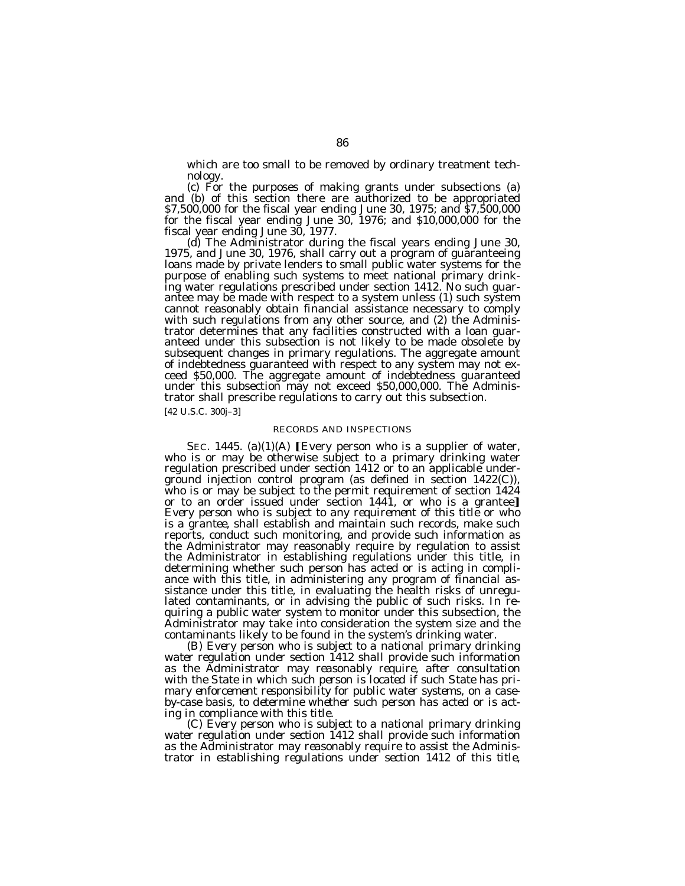which are too small to be removed by ordinary treatment technology.

(c) For the purposes of making grants under subsections (a) and (b) of this section there are authorized to be appropriated \$7,500,000 for the fiscal year ending June 30, 1975; and \$7,500,000 for the fiscal year ending June 30, 1976; and \$10,000,000 for the

fiscal year ending June 30, 1977. (d) The Administrator during the fiscal years ending June 30, 1975, and June 30, 1976, shall carry out a program of guaranteeing loans made by private lenders to small public water systems for the purpose of enabling such systems to meet national primary drinking water regulations prescribed under section 1412. No such guarantee may be made with respect to a system unless (1) such system cannot reasonably obtain financial assistance necessary to comply with such regulations from any other source, and (2) the Administrator determines that any facilities constructed with a loan guaranteed under this subsection is not likely to be made obsolete by subsequent changes in primary regulations. The aggregate amount of indebtedness guaranteed with respect to any system may not exceed \$50,000. The aggregate amount of indebtedness guaranteed under this subsection may not exceed \$50,000,000. The Administrator shall prescribe regulations to carry out this subsection. [42 U.S.C. 300j–3]

#### RECORDS AND INSPECTIONS

SEC. 1445. (a)(1)(A) [Every person who is a supplier of water, who is or may be otherwise subject to a primary drinking water regulation prescribed under section 1412 or to an applicable underground injection control program (as defined in section 1422(C)), who is or may be subject to the permit requirement of section 1424 or to an order issued under section 1441, or who is a grantee] *Every person who is subject to any requirement of this title or who is a grantee,* shall establish and maintain such records, make such reports, conduct such monitoring, and provide such information as the Administrator may reasonably require by regulation to assist the Administrator in establishing regulations under this title, in determining whether such person has acted or is acting in compliance with this title, in administering any program of financial assistance under this title, in evaluating the health risks of unregulated contaminants, or in advising the public of such risks. In requiring a public water system to monitor under this subsection, the Administrator may take into consideration the system size and the contaminants likely to be found in the system's drinking water.

*(B) Every person who is subject to a national primary drinking water regulation under section 1412 shall provide such information as the Administrator may reasonably require, after consultation with the State in which such person is located if such State has primary enforcement responsibility for public water systems, on a caseby-case basis, to determine whether such person has acted or is acting in compliance with this title.*

*(C) Every person who is subject to a national primary drinking water regulation under section 1412 shall provide such information as the Administrator may reasonably require to assist the Administrator in establishing regulations under section 1412 of this title,*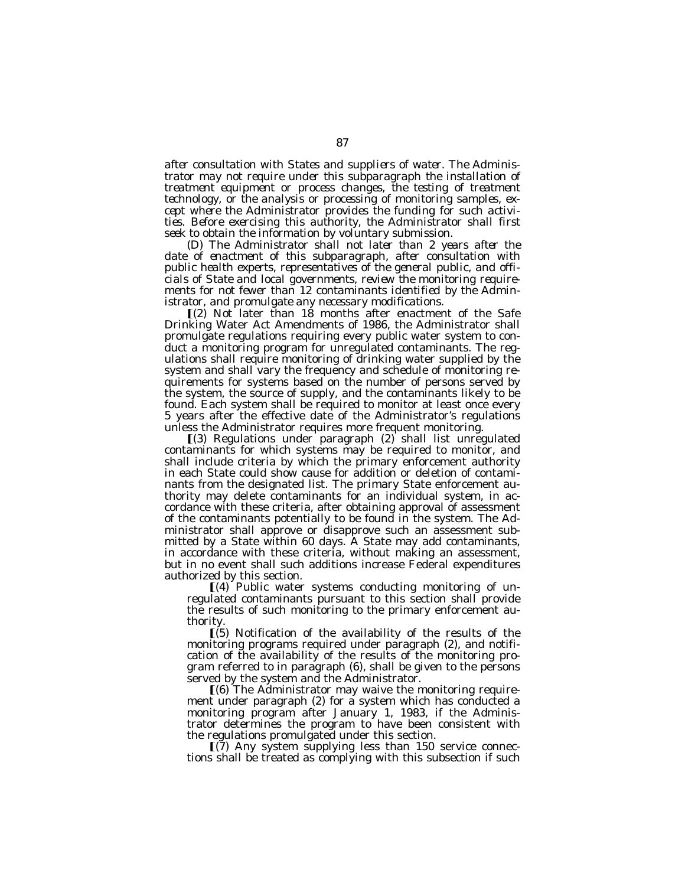*after consultation with States and suppliers of water. The Administrator may not require under this subparagraph the installation of treatment equipment or process changes, the testing of treatment technology, or the analysis or processing of monitoring samples, except where the Administrator provides the funding for such activities. Before exercising this authority, the Administrator shall first seek to obtain the information by voluntary submission.*

*(D) The Administrator shall not later than 2 years after the date of enactment of this subparagraph, after consultation with public health experts, representatives of the general public, and officials of State and local governments, review the monitoring requirements for not fewer than 12 contaminants identified by the Administrator, and promulgate any necessary modifications.*

 $[(2)$  Not later than 18 months after enactment of the Safe Drinking Water Act Amendments of 1986, the Administrator shall promulgate regulations requiring every public water system to conduct a monitoring program for unregulated contaminants. The regulations shall require monitoring of drinking water supplied by the system and shall vary the frequency and schedule of monitoring requirements for systems based on the number of persons served by the system, the source of supply, and the contaminants likely to be found. Each system shall be required to monitor at least once every 5 years after the effective date of the Administrator's regulations unless the Administrator requires more frequent monitoring.

ø(3) Regulations under paragraph (2) shall list unregulated contaminants for which systems may be required to monitor, and shall include criteria by which the primary enforcement authority in each State could show cause for addition or deletion of contaminants from the designated list. The primary State enforcement authority may delete contaminants for an individual system, in accordance with these criteria, after obtaining approval of assessment of the contaminants potentially to be found in the system. The Administrator shall approve or disapprove such an assessment submitted by a State within 60 days. A State may add contaminants, in accordance with these criteria, without making an assessment, but in no event shall such additions increase Federal expenditures authorized by this section.

 $[(4)$  Public water systems conducting monitoring of unregulated contaminants pursuant to this section shall provide the results of such monitoring to the primary enforcement authority.

 $(i5)$  Notification of the availability of the results of the monitoring programs required under paragraph (2), and notification of the availability of the results of the monitoring program referred to in paragraph (6), shall be given to the persons served by the system and the Administrator.

 $(6)$  The Administrator may waive the monitoring requirement under paragraph (2) for a system which has conducted a monitoring program after January 1, 1983, if the Administrator determines the program to have been consistent with the regulations promulgated under this section.

 $(7)$  Any system supplying less than 150 service connections shall be treated as complying with this subsection if such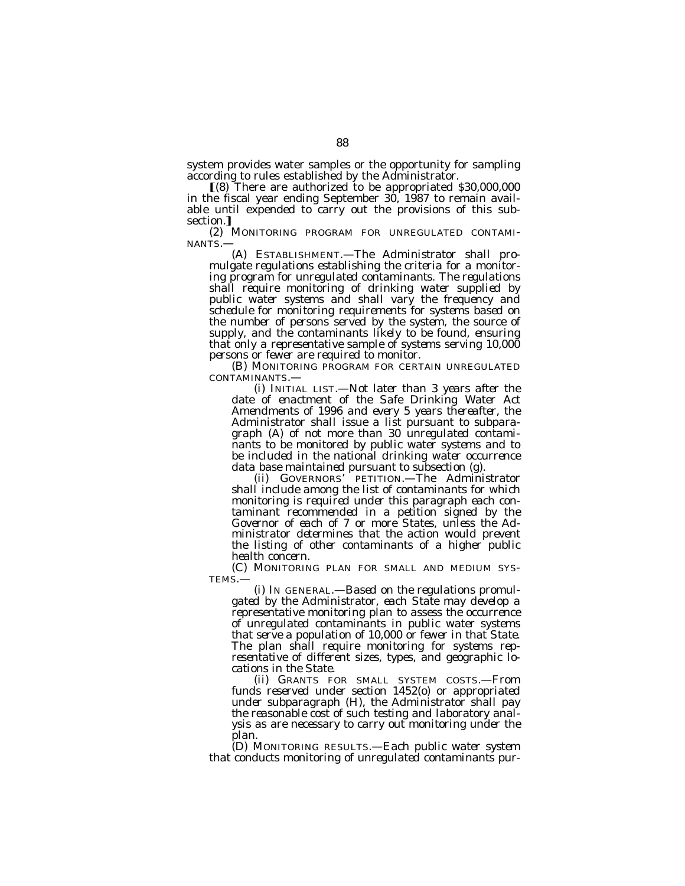system provides water samples or the opportunity for sampling according to rules established by the Administrator.

ø(8) There are authorized to be appropriated \$30,000,000 in the fiscal year ending September 30, 1987 to remain available until expended to carry out the provisions of this subsection.]

*(2) MONITORING PROGRAM FOR UNREGULATED CONTAMI- NANTS*.—*(A) ESTABLISHMENT*.*—The Administrator shall pro-*

*mulgate regulations establishing the criteria for a monitoring program for unregulated contaminants. The regulations shall require monitoring of drinking water supplied by public water systems and shall vary the frequency and schedule for monitoring requirements for systems based on the number of persons served by the system, the source of supply, and the contaminants likely to be found, ensuring that only a representative sample of systems serving 10,000 persons or fewer are required to monitor.*

*(B) MONITORING PROGRAM FOR CERTAIN UNREGULATED CONTAMINANTS*.— *(i) INITIAL LIST*.*—Not later than 3 years after the*

*date of enactment of the Safe Drinking Water Act Amendments of 1996 and every 5 years thereafter, the Administrator shall issue a list pursuant to subparagraph (A) of not more than 30 unregulated contaminants to be monitored by public water systems and to be included in the national drinking water occurrence data base maintained pursuant to subsection (g). (ii) GOVERNORS' PETITION*.*—The Administrator*

*shall include among the list of contaminants for which monitoring is required under this paragraph each contaminant recommended in a petition signed by the Governor of each of 7 or more States, unless the Administrator determines that the action would prevent the listing of other contaminants of a higher public health concern.*

*(C) MONITORING PLAN FOR SMALL AND MEDIUM SYS-TEMS*.—

*(i) IN GENERAL*.*—Based on the regulations promulgated by the Administrator, each State may develop a representative monitoring plan to assess the occurrence of unregulated contaminants in public water systems that serve a population of 10,000 or fewer in that State. The plan shall require monitoring for systems representative of different sizes, types, and geographic locations in the State.*

*(ii) GRANTS FOR SMALL SYSTEM COSTS*.*—From funds reserved under section 1452(o) or appropriated under subparagraph (H), the Administrator shall pay the reasonable cost of such testing and laboratory analysis as are necessary to carry out monitoring under the plan.*

*(D) MONITORING RESULTS*.*—Each public water system that conducts monitoring of unregulated contaminants pur-*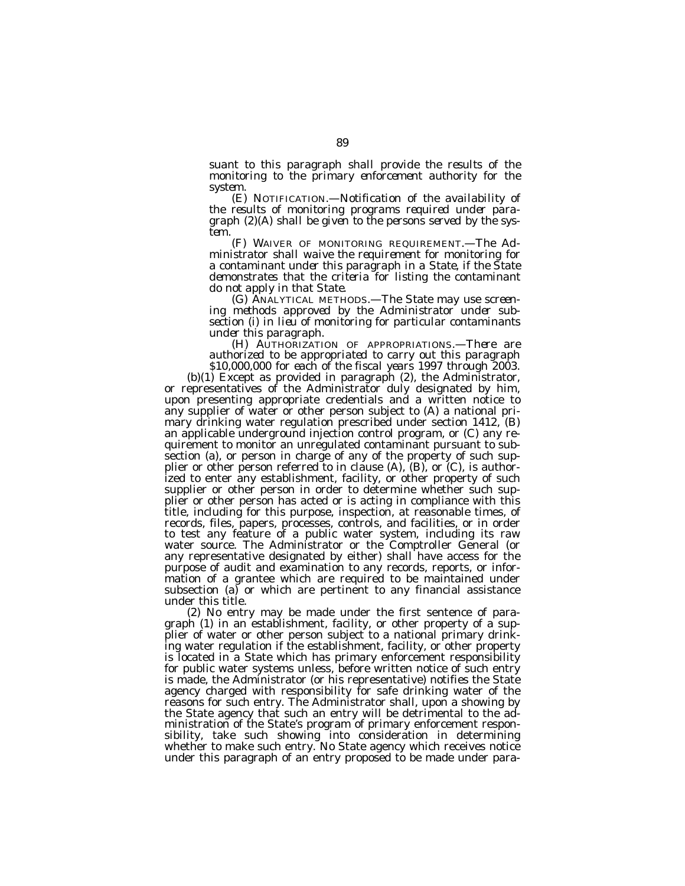*suant to this paragraph shall provide the results of the monitoring to the primary enforcement authority for the system. (E) NOTIFICATION*.*—Notification of the availability of*

*the results of monitoring programs required under paragraph (2)(A) shall be given to the persons served by the system.*

*(F) WAIVER OF MONITORING REQUIREMENT*.*—The Administrator shall waive the requirement for monitoring for a contaminant under this paragraph in a State, if the State demonstrates that the criteria for listing the contaminant*

*do not apply in that State. (G) ANALYTICAL METHODS*.*—The State may use screening methods approved by the Administrator under subsection (i) in lieu of monitoring for particular contaminants under this paragraph. (H) AUTHORIZATION OF APPROPRIATIONS*.*—There are*

*authorized to be appropriated to carry out this paragraph*

*\$10,000,000 for each of the fiscal years 1997 through 2003.* (b)(1) Except as provided in paragraph (2), the Administrator, or representatives of the Administrator duly designated by him, upon presenting appropriate credentials and a written notice to any supplier of water or other person subject to (A) a national primary drinking water regulation prescribed under section 1412, (B) an applicable underground injection control program, or (C) any requirement to monitor an unregulated contaminant pursuant to subsection (a), or person in charge of any of the property of such supplier or other person referred to in clause  $(A)$ ,  $(B)$ , or  $(C)$ , is authorized to enter any establishment, facility, or other property of such supplier or other person in order to determine whether such supplier or other person has acted or is acting in compliance with this title, including for this purpose, inspection, at reasonable times, of records, files, papers, processes, controls, and facilities, or in order to test any feature of a public water system, including its raw water source. The Administrator or the Comptroller General (or any representative designated by either) shall have access for the purpose of audit and examination to any records, reports, or information of a grantee which are required to be maintained under subsection (a) or which are pertinent to any financial assistance under this title.

(2) No entry may be made under the first sentence of paragraph (1) in an establishment, facility, or other property of a supplier of water or other person subject to a national primary drinking water regulation if the establishment, facility, or other property is located in a State which has primary enforcement responsibility for public water systems unless, before written notice of such entry is made, the Administrator (or his representative) notifies the State agency charged with responsibility for safe drinking water of the reasons for such entry. The Administrator shall, upon a showing by the State agency that such an entry will be detrimental to the administration of the State's program of primary enforcement responsibility, take such showing into consideration in determining whether to make such entry. No State agency which receives notice under this paragraph of an entry proposed to be made under para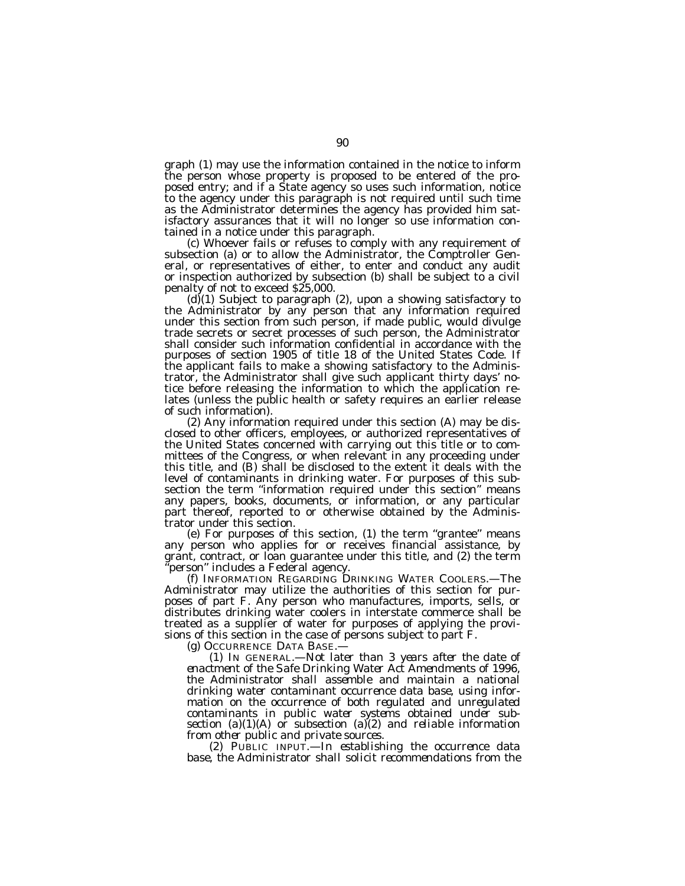graph (1) may use the information contained in the notice to inform the person whose property is proposed to be entered of the proposed entry; and if a State agency so uses such information, notice to the agency under this paragraph is not required until such time as the Administrator determines the agency has provided him satisfactory assurances that it will no longer so use information con-

tained in a notice under this paragraph. (c) Whoever fails or refuses to comply with any requirement of subsection (a) or to allow the Administrator, the Comptroller General, or representatives of either, to enter and conduct any audit or inspection authorized by subsection (b) shall be subject to a civil penalty of not to exceed \$25,000.

 $(d)(1)$  Subject to paragraph (2), upon a showing satisfactory to the Administrator by any person that any information required under this section from such person, if made public, would divulge trade secrets or secret processes of such person, the Administrator shall consider such information confidential in accordance with the purposes of section 1905 of title 18 of the United States Code. If the applicant fails to make a showing satisfactory to the Administrator, the Administrator shall give such applicant thirty days' notice before releasing the information to which the application relates (unless the public health or safety requires an earlier release of such information).

(2) Any information required under this section (A) may be disclosed to other officers, employees, or authorized representatives of the United States concerned with carrying out this title or to committees of the Congress, or when relevant in any proceeding under this title, and (B) shall be disclosed to the extent it deals with the level of contaminants in drinking water. For purposes of this subsection the term ''information required under this section'' means any papers, books, documents, or information, or any particular part thereof, reported to or otherwise obtained by the Administrator under this section.

(e) For purposes of this section, (1) the term ''grantee'' means any person who applies for or receives financial assistance, by grant, contract, or loan guarantee under this title, and (2) the term person" includes a Federal agency.

(f) INFORMATION REGARDING DRINKING WATER COOLERS.—The Administrator may utilize the authorities of this section for purposes of part F. Any person who manufactures, imports, sells, or distributes drinking water coolers in interstate commerce shall be treated as a supplier of water for purposes of applying the provisions of this section in the case of persons subject to part F.

*(g) OCCURRENCE DATA BASE*.—

*(1) IN GENERAL*.*—Not later than 3 years after the date of enactment of the Safe Drinking Water Act Amendments of 1996, the Administrator shall assemble and maintain a national drinking water contaminant occurrence data base, using information on the occurrence of both regulated and unregulated contaminants in public water systems obtained under subsection (a)(1)(A) or subsection (a)(2) and reliable information from other public and private sources.*

*(2) PUBLIC INPUT*.*—In establishing the occurrence data base, the Administrator shall solicit recommendations from the*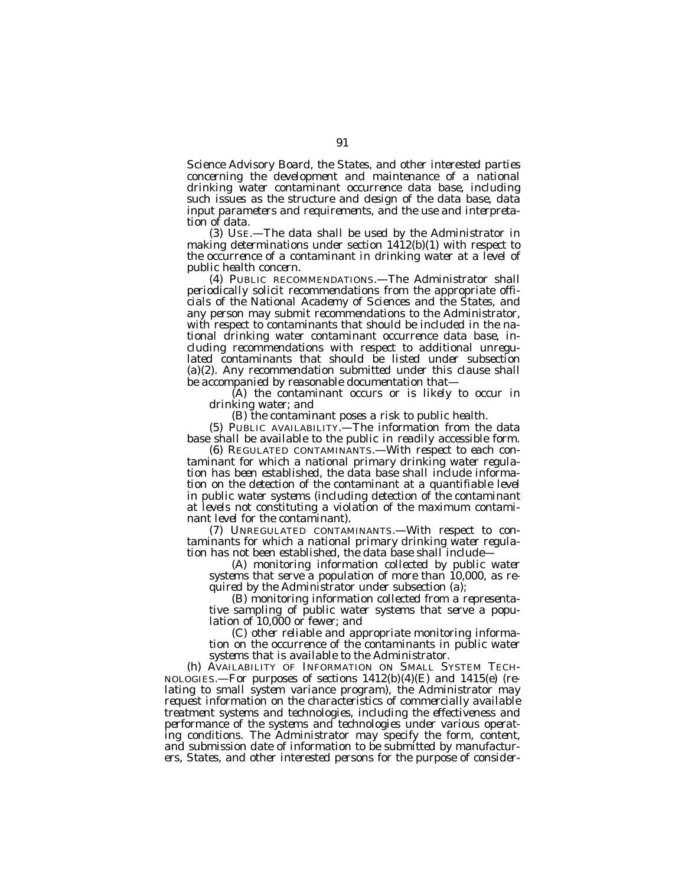*Science Advisory Board, the States, and other interested parties concerning the development and maintenance of a national drinking water contaminant occurrence data base, including such issues as the structure and design of the data base, data input parameters and requirements, and the use and interpretation of data.*

*(3) USE*.*—The data shall be used by the Administrator in making determinations under section 1412(b)(1) with respect to the occurrence of a contaminant in drinking water at a level of public health concern.*

*(4) PUBLIC RECOMMENDATIONS*.*—The Administrator shall periodically solicit recommendations from the appropriate officials of the National Academy of Sciences and the States, and any person may submit recommendations to the Administrator, with respect to contaminants that should be included in the national drinking water contaminant occurrence data base, including recommendations with respect to additional unregulated contaminants that should be listed under subsection (a)(2). Any recommendation submitted under this clause shall be accompanied by reasonable documentation that—*

*(A) the contaminant occurs or is likely to occur in drinking water; and*

*(B) the contaminant poses a risk to public health.*

*(5) PUBLIC AVAILABILITY*.*—The information from the data base shall be available to the public in readily accessible form.*

*(6) REGULATED CONTAMINANTS*.*—With respect to each contaminant for which a national primary drinking water regulation has been established, the data base shall include information on the detection of the contaminant at a quantifiable level in public water systems (including detection of the contaminant at levels not constituting a violation of the maximum contaminant level for the contaminant).*

*(7) UNREGULATED CONTAMINANTS*.*—With respect to contaminants for which a national primary drinking water regulation has not been established, the data base shall include—*

(*A) monitoring information collected by public water systems that serve a population of more than 10,000, as required by the Administrator under subsection (a);*

*(B) monitoring information collected from a representative sampling of public water systems that serve a population of 10,000 or fewer; and*

*(C) other reliable and appropriate monitoring information on the occurrence of the contaminants in public water systems that is available to the Administrator.*

*(h) AVAILABILITY OF INFORMATION ON SMALL SYSTEM TECH-NOLOGIES*.*—For purposes of sections 1412(b)(4)(E) and 1415(e) (relating to small system variance program), the Administrator may request information on the characteristics of commercially available treatment systems and technologies, including the effectiveness and performance of the systems and technologies under various operating conditions. The Administrator may specify the form, content, and submission date of information to be submitted by manufacturers, States, and other interested persons for the purpose of consider-*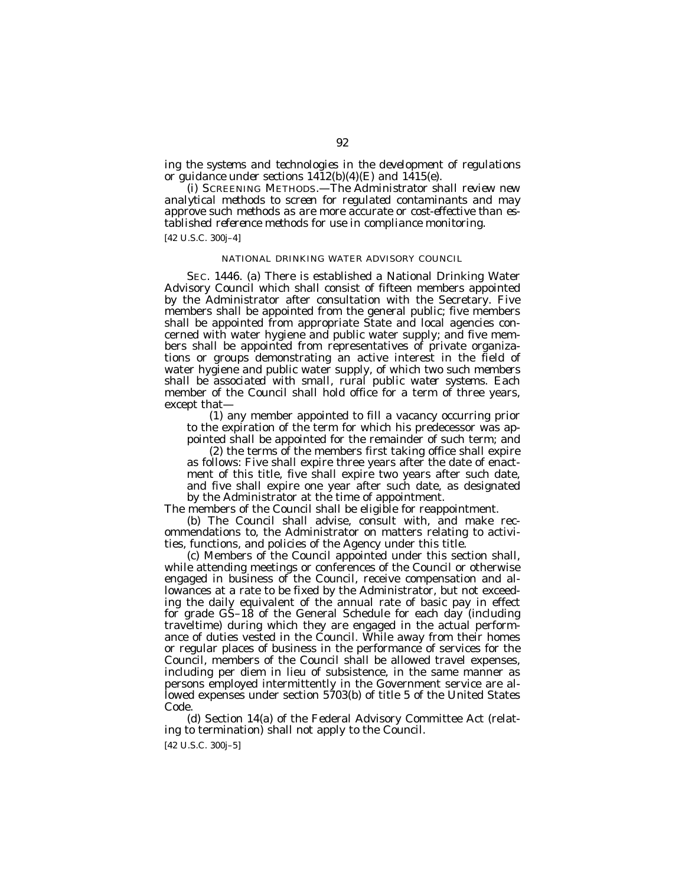*ing the systems and technologies in the development of regulations or guidance under sections 1412(b)(4)(E) and 1415(e).*

*(i) SCREENING METHODS*.*—The Administrator shall review new analytical methods to screen for regulated contaminants and may approve such methods as are more accurate or cost-effective than established reference methods for use in compliance monitoring.*

[42 U.S.C. 300j–4]

## NATIONAL DRINKING WATER ADVISORY COUNCIL

SEC. 1446. (a) There is established a National Drinking Water Advisory Council which shall consist of fifteen members appointed by the Administrator after consultation with the Secretary. Five members shall be appointed from the general public; five members shall be appointed from appropriate State and local agencies concerned with water hygiene and public water supply; and five members shall be appointed from representatives of private organizations or groups demonstrating an active interest in the field of water hygiene and public water supply, *of which two such members shall be associated with small, rural public water systems.* Each member of the Council shall hold office for a term of three years, except that—

(1) any member appointed to fill a vacancy occurring prior to the expiration of the term for which his predecessor was appointed shall be appointed for the remainder of such term; and

(2) the terms of the members first taking office shall expire as follows: Five shall expire three years after the date of enactment of this title, five shall expire two years after such date, and five shall expire one year after such date, as designated by the Administrator at the time of appointment.

The members of the Council shall be eligible for reappointment.

(b) The Council shall advise, consult with, and make recommendations to, the Administrator on matters relating to activities, functions, and policies of the Agency under this title.

(c) Members of the Council appointed under this section shall, while attending meetings or conferences of the Council or otherwise engaged in business of the Council, receive compensation and allowances at a rate to be fixed by the Administrator, but not exceeding the daily equivalent of the annual rate of basic pay in effect for grade GS–18 of the General Schedule for each day (including traveltime) during which they are engaged in the actual performance of duties vested in the Council. While away from their homes or regular places of business in the performance of services for the Council, members of the Council shall be allowed travel expenses, including per diem in lieu of subsistence, in the same manner as persons employed intermittently in the Government service are allowed expenses under section 5703(b) of title 5 of the United States Code.

(d) Section 14(a) of the Federal Advisory Committee Act (relating to termination) shall not apply to the Council.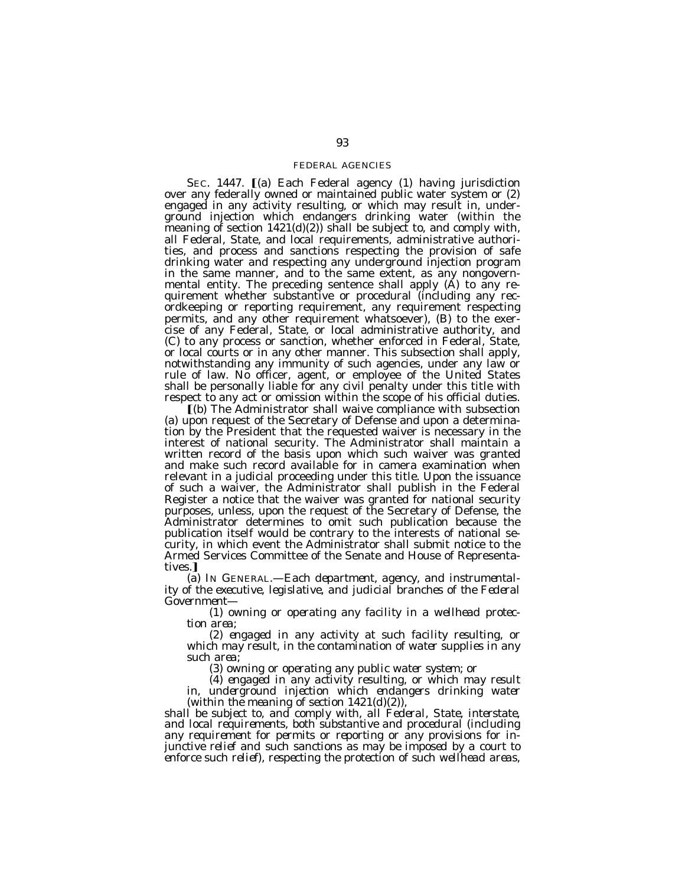## FEDERAL AGENCIES

SEC. 1447. [(a) Each Federal agency (1) having jurisdiction over any federally owned or maintained public water system or (2) engaged in any activity resulting, or which may result in, underground injection which endangers drinking water (within the meaning of section 1421(d)(2)) shall be subject to, and comply with, all Federal, State, and local requirements, administrative authorities, and process and sanctions respecting the provision of safe drinking water and respecting any underground injection program in the same manner, and to the same extent, as any nongovernmental entity. The preceding sentence shall apply (A) to any requirement whether substantive or procedural (including any recordkeeping or reporting requirement, any requirement respecting permits, and any other requirement whatsoever), (B) to the exercise of any Federal, State, or local administrative authority, and (C) to any process or sanction, whether enforced in Federal, State, or local courts or in any other manner. This subsection shall apply, notwithstanding any immunity of such agencies, under any law or rule of law. No officer, agent, or employee of the United States shall be personally liable for any civil penalty under this title with respect to any act or omission within the scope of his official duties.

ø(b) The Administrator shall waive compliance with subsection (a) upon request of the Secretary of Defense and upon a determination by the President that the requested waiver is necessary in the interest of national security. The Administrator shall maintain a written record of the basis upon which such waiver was granted and make such record available for in camera examination when relevant in a judicial proceeding under this title. Upon the issuance of such a waiver, the Administrator shall publish in the Federal Register a notice that the waiver was granted for national security purposes, unless, upon the request of the Secretary of Defense, the Administrator determines to omit such publication because the publication itself would be contrary to the interests of national security, in which event the Administrator shall submit notice to the Armed Services Committee of the Senate and House of Representatives.]

*(a) IN GENERAL*.*—Each department, agency, and instrumentality of the executive, legislative, and judicial branches of the Federal Government—*

*(1) owning or operating any facility in a wellhead protection area;*

*(2) engaged in any activity at such facility resulting, or which may result, in the contamination of water supplies in any such area;*

*(3) owning or operating any public water system; or*

*(4) engaged in any activity resulting, or which may result in, underground injection which endangers drinking water (within the meaning of section 1421(d)(2)),*

*shall be subject to, and comply with, all Federal, State, interstate, and local requirements, both substantive and procedural (including any requirement for permits or reporting or any provisions for injunctive relief and such sanctions as may be imposed by a court to enforce such relief), respecting the protection of such wellhead areas,*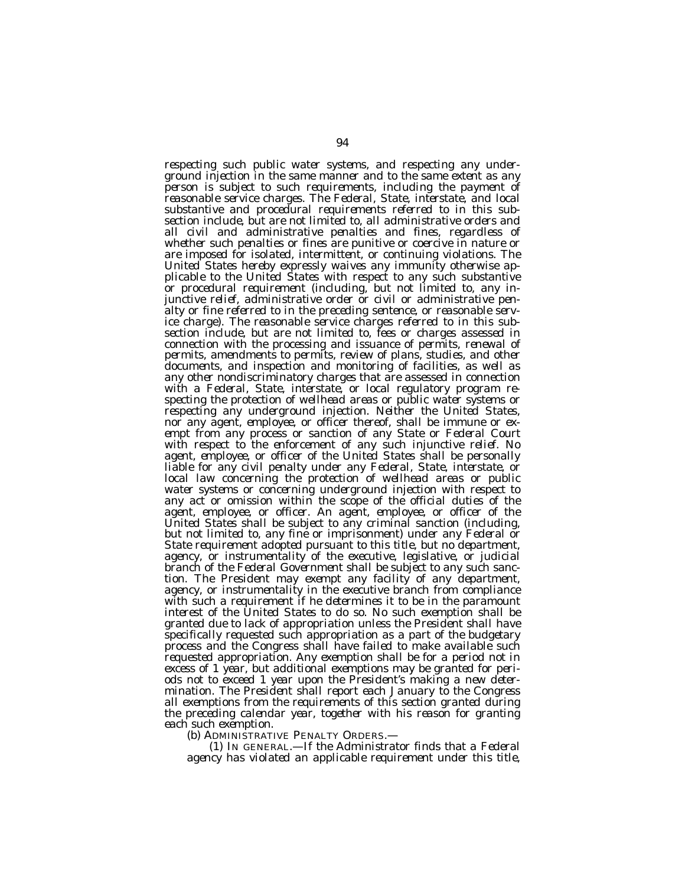*respecting such public water systems, and respecting any underground injection in the same manner and to the same extent as any person is subject to such requirements, including the payment of reasonable service charges. The Federal, State, interstate, and local substantive and procedural requirements referred to in this subsection include, but are not limited to, all administrative orders and all civil and administrative penalties and fines, regardless of whether such penalties or fines are punitive or coercive in nature or are imposed for isolated, intermittent, or continuing violations. The United States hereby expressly waives any immunity otherwise applicable to the United States with respect to any such substantive or procedural requirement (including, but not limited to, any injunctive relief, administrative order or civil or administrative penalty or fine referred to in the preceding sentence, or reasonable service charge). The reasonable service charges referred to in this subsection include, but are not limited to, fees or charges assessed in connection with the processing and issuance of permits, renewal of permits, amendments to permits, review of plans, studies, and other documents, and inspection and monitoring of facilities, as well as any other nondiscriminatory charges that are assessed in connection with a Federal, State, interstate, or local regulatory program respecting the protection of wellhead areas or public water systems or respecting any underground injection. Neither the United States, nor any agent, employee, or officer thereof, shall be immune or exempt from any process or sanction of any State or Federal Court with respect to the enforcement of any such injunctive relief. No agent, employee, or officer of the United States shall be personally liable for any civil penalty under any Federal, State, interstate, or local law concerning the protection of wellhead areas or public water systems or concerning underground injection with respect to any act or omission within the scope of the official duties of the agent, employee, or officer. An agent, employee, or officer of the United States shall be subject to any criminal sanction (including, but not limited to, any fine or imprisonment) under any Federal or State requirement adopted pursuant to this title, but no department, agency, or instrumentality of the executive, legislative, or judicial branch of the Federal Government shall be subject to any such sanction. The President may exempt any facility of any department, agency, or instrumentality in the executive branch from compliance with such a requirement if he determines it to be in the paramount interest of the United States to do so. No such exemption shall be granted due to lack of appropriation unless the President shall have specifically requested such appropriation as a part of the budgetary process and the Congress shall have failed to make available such requested appropriation. Any exemption shall be for a period not in excess of 1 year, but additional exemptions may be granted for periods not to exceed 1 year upon the President's making a new determination. The President shall report each January to the Congress all exemptions from the requirements of this section granted during the preceding calendar year, together with his reason for granting each such exemption.*

*(b) ADMINISTRATIVE PENALTY ORDERS*.—

*(1) IN GENERAL*.*—If the Administrator finds that a Federal agency has violated an applicable requirement under this title,*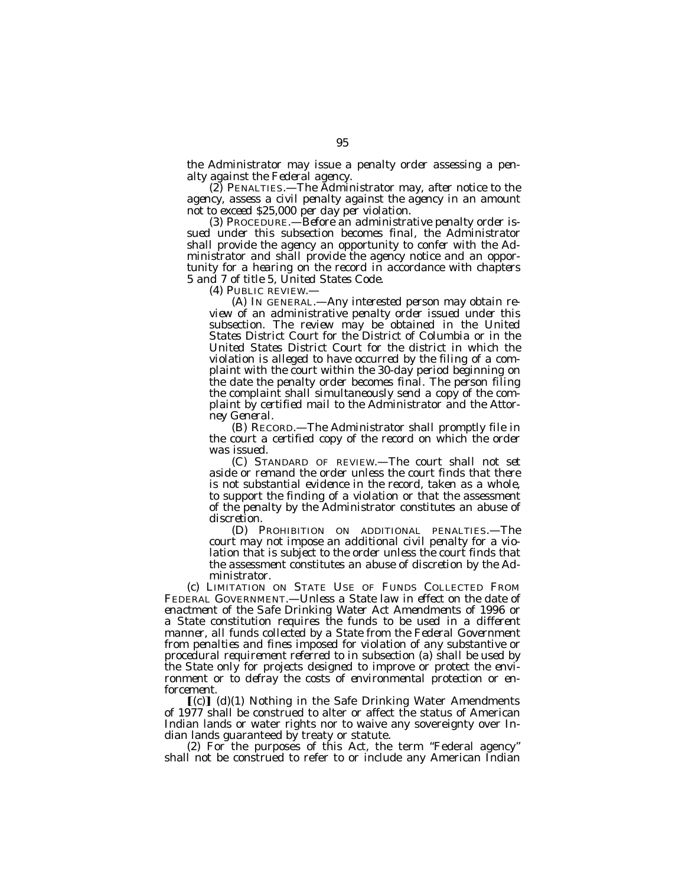*the Administrator may issue a penalty order assessing a penalty against the Federal agency.*

*(2) PENALTIES*.*—The Administrator may, after notice to the agency, assess a civil penalty against the agency in an amount not to exceed \$25,000 per day per violation.*

*(3) PROCEDURE*.*—Before an administrative penalty order issued under this subsection becomes final, the Administrator shall provide the agency an opportunity to confer with the Administrator and shall provide the agency notice and an opportunity for a hearing on the record in accordance with chapters 5 and 7 of title 5, United States Code.*

*(4) PUBLIC REVIEW*.—

*(A) IN GENERAL*.*—Any interested person may obtain review of an administrative penalty order issued under this subsection. The review may be obtained in the United States District Court for the District of Columbia or in the United States District Court for the district in which the violation is alleged to have occurred by the filing of a complaint with the court within the 30-day period beginning on the date the penalty order becomes final. The person filing the complaint shall simultaneously send a copy of the complaint by certified mail to the Administrator and the Attorney General.*

*(B) RECORD*.*—The Administrator shall promptly file in the court a certified copy of the record on which the order was issued.*

*(C) STANDARD OF REVIEW*.*—The court shall not set aside or remand the order unless the court finds that there is not substantial evidence in the record, taken as a whole, to support the finding of a violation or that the assessment of the penalty by the Administrator constitutes an abuse of discretion.*

*(D) PROHIBITION ON ADDITIONAL PENALTIES*.*—The court may not impose an additional civil penalty for a violation that is subject to the order unless the court finds that the assessment constitutes an abuse of discretion by the Administrator.*

*(c) LIMITATION ON STATE USE OF FUNDS COLLECTED FROM FEDERAL GOVERNMENT*.*—Unless a State law in effect on the date of enactment of the Safe Drinking Water Act Amendments of 1996 or a State constitution requires the funds to be used in a different manner, all funds collected by a State from the Federal Government from penalties and fines imposed for violation of any substantive or procedural requirement referred to in subsection (a) shall be used by the State only for projects designed to improve or protect the environment or to defray the costs of environmental protection or enforcement.*

[(c)] (d)(1) Nothing in the Safe Drinking Water Amendments of 1977 shall be construed to alter or affect the status of American Indian lands or water rights nor to waive any sovereignty over Indian lands guaranteed by treaty or statute.

(2) For the purposes of this Act, the term ''Federal agency'' shall not be construed to refer to or include any American Indian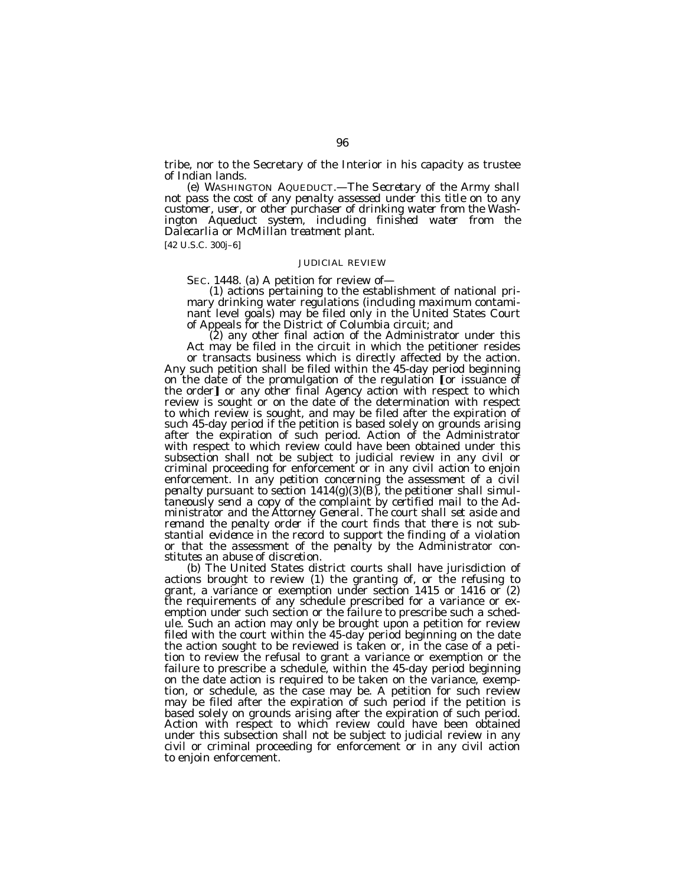tribe, nor to the Secretary of the Interior in his capacity as trustee of Indian lands.<br>(e) WASHINGTON AQUEDUCT.—The Secretary of the Army shall

*not pass the cost of any penalty assessed under this title on to any customer, user, or other purchaser of drinking water from the Washington Aqueduct system, including finished water from the Dalecarlia or McMillan treatment plant.*

[42 U.S.C. 300j–6]

#### JUDICIAL REVIEW

SEC. 1448. (a) A petition for review of—

(1) actions pertaining to the establishment of national pri- mary drinking water regulations (including maximum contaminant level goals) may be filed only in the United States Court

(2) any other final action of the Administrator under this Act may be filed in the circuit in which the petitioner resides or transacts business which is directly affected by the action. Any such petition shall be filed within the 45-day period beginning on the date of the promulgation of the regulation [or issuance of the order] *or any other final Agency action* with respect to which review is sought or on the date of the determination with respect to which review is sought, and may be filed after the expiration of such 45-day period if the petition is based solely on grounds arising after the expiration of such period. Action of the Administrator with respect to which review could have been obtained under this subsection shall not be subject to judicial review in any civil or criminal proceeding for enforcement or in any civil action to enjoin enforcement. *In any petition concerning the assessment of a civil penalty pursuant to section 1414(g)(3)(B), the petitioner shall simultaneously send a copy of the complaint by certified mail to the Administrator and the Attorney General. The court shall set aside and remand the penalty order if the court finds that there is not substantial evidence in the record to support the finding of a violation or that the assessment of the penalty by the Administrator constitutes an abuse of discretion.*

(b) The United States district courts shall have jurisdiction of actions brought to review (1) the granting of, or the refusing to grant, a variance or exemption under section 1415 or 1416 or (2) the requirements of any schedule prescribed for a variance or exemption under such section or the failure to prescribe such a schedule. Such an action may only be brought upon a petition for review filed with the court within the 45-day period beginning on the date the action sought to be reviewed is taken or, in the case of a petition to review the refusal to grant a variance or exemption or the failure to prescribe a schedule, within the 45-day period beginning on the date action is required to be taken on the variance, exemption, or schedule, as the case may be. A petition for such review may be filed after the expiration of such period if the petition is based solely on grounds arising after the expiration of such period. Action with respect to which review could have been obtained under this subsection shall not be subject to judicial review in any civil or criminal proceeding for enforcement or in any civil action to enjoin enforcement.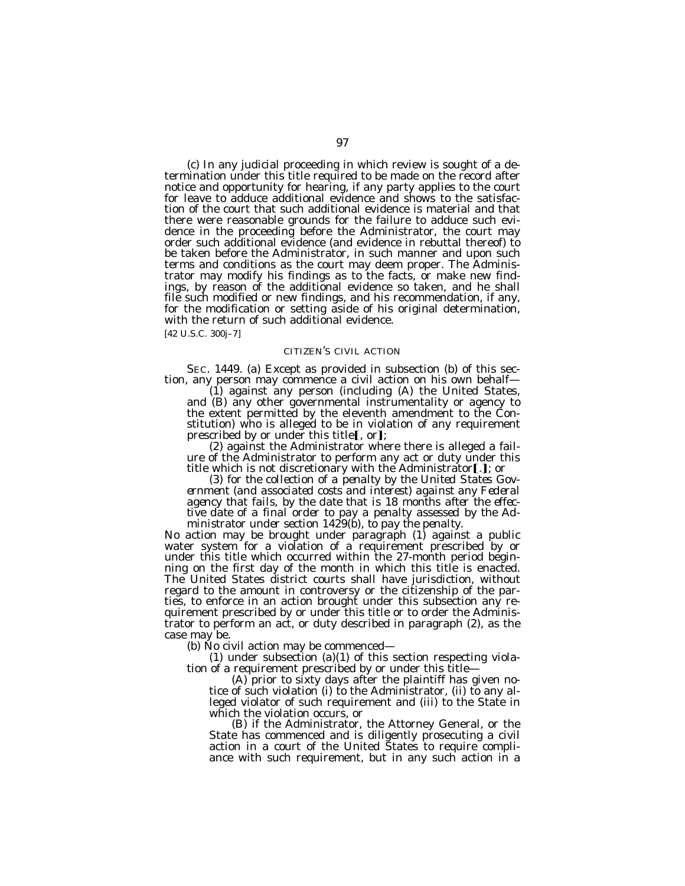(c) In any judicial proceeding in which review is sought of a de- termination under this title required to be made on the record after notice and opportunity for hearing, if any party applies to the court for leave to adduce additional evidence and shows to the satisfaction of the court that such additional evidence is material and that there were reasonable grounds for the failure to adduce such evidence in the proceeding before the Administrator, the court may order such additional evidence (and evidence in rebuttal thereof) to be taken before the Administrator, in such manner and upon such terms and conditions as the court may deem proper. The Administrator may modify his findings as to the facts, or make new findings, by reason of the additional evidence so taken, and he shall file such modified or new findings, and his recommendation, if any, for the modification or setting aside of his original determination, with the return of such additional evidence.

[42 U.S.C. 300j–7]

## CITIZEN'S CIVIL ACTION

SEC. 1449. (a) Except as provided in subsection (b) of this section, any person may commence a civil action on his own behalf—

(1) against any person (including (A) the United States, and (B) any other governmental instrumentality or agency to the extent permitted by the eleventh amendment to the Constitution) who is alleged to be in violation of any requirement prescribed by or under this title[, or];<br>(2) against the Administrator where there is alleged a fail-

ure of the Administrator to perform any act or duty under this title which is not discretionary with the Administrator<sup>[</sup>.]; or

*(3) for the collection of a penalty by the United States Gov- ernment (and associated costs and interest) against any Federal agency that fails, by the date that is 18 months after the effective date of a final order to pay a penalty assessed by the Ad-*

*ministrator under section 1429(b), to pay the penalty.* No action may be brought under paragraph (1) against a public water system for a violation of a requirement prescribed by or under this title which occurred within the 27-month period beginning on the first day of the month in which this title is enacted. The United States district courts shall have jurisdiction, without regard to the amount in controversy or the citizenship of the parties, to enforce in an action brought under this subsection any requirement prescribed by or under this title or to order the Administrator to perform an act, or duty described in paragraph (2), as the case may be.<br>(b) No civil action may be commenced—

(1) under subsection (a)(1) of this section respecting viola-

tion of a requirement prescribed by or under this title— (A) prior to sixty days after the plaintiff has given no- tice of such violation (i) to the Administrator, (ii) to any alleged violator of such requirement and (iii) to the State in which the violation occurs, or

(B) if the Administrator, the Attorney General, or the State has commenced and is diligently prosecuting a civil action in a court of the United States to require compliance with such requirement, but in any such action in a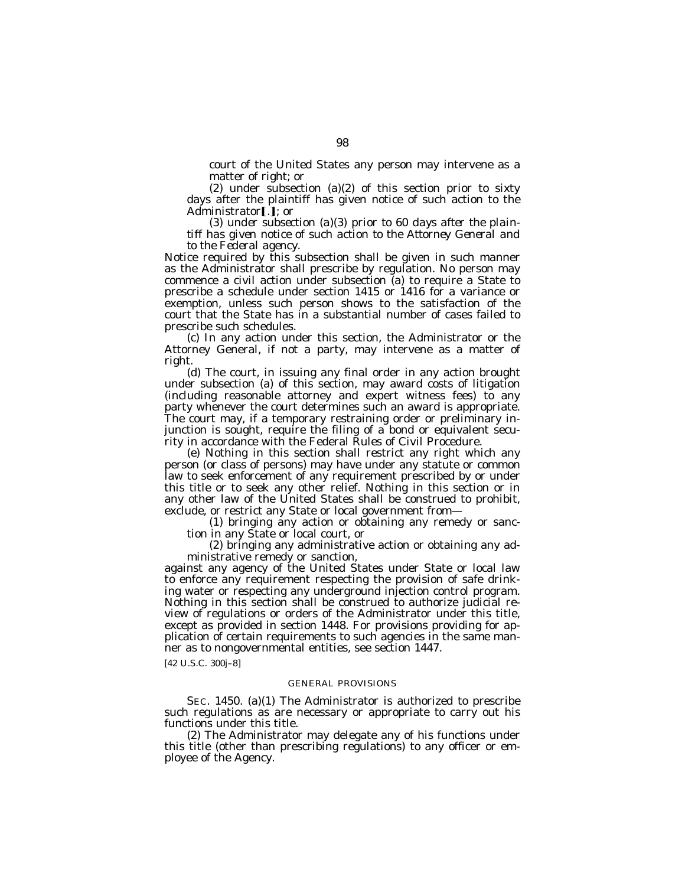court of the United States any person may intervene as a matter of right; or

 $(2)$  under subsection  $(a)(2)$  of this section prior to sixty days after the plaintiff has given notice of such action to the Administrator<sub>[.</sub>]; *or* 

*(3) under subsection (a)(3) prior to 60 days after the plaintiff has given notice of such action to the Attorney General and to the Federal agency.*

Notice required by this subsection shall be given in such manner as the Administrator shall prescribe by regulation. No person may commence a civil action under subsection (a) to require a State to prescribe a schedule under section 1415 or 1416 for a variance or exemption, unless such person shows to the satisfaction of the court that the State has in a substantial number of cases failed to prescribe such schedules.

(c) In any action under this section, the Administrator or the Attorney General, if not a party, may intervene as a matter of right.

(d) The court, in issuing any final order in any action brought under subsection (a) of this section, may award costs of litigation (including reasonable attorney and expert witness fees) to any party whenever the court determines such an award is appropriate. The court may, if a temporary restraining order or preliminary injunction is sought, require the filing of a bond or equivalent security in accordance with the Federal Rules of Civil Procedure.

(e) Nothing in this section shall restrict any right which any person (or class of persons) may have under any statute or common law to seek enforcement of any requirement prescribed by or under this title or to seek any other relief. Nothing in this section or in any other law of the United States shall be construed to prohibit, exclude, or restrict any State or local government from—

(1) bringing any action or obtaining any remedy or sanction in any State or local court, or

(2) bringing any administrative action or obtaining any administrative remedy or sanction,

against any agency of the United States under State or local law to enforce any requirement respecting the provision of safe drinking water or respecting any underground injection control program. Nothing in this section shall be construed to authorize judicial review of regulations or orders of the Administrator under this title, except as provided in section 1448. For provisions providing for application of certain requirements to such agencies in the same manner as to nongovernmental entities, see section 1447.

[42 U.S.C. 300j–8]

## GENERAL PROVISIONS

SEC. 1450. (a)(1) The Administrator is authorized to prescribe such regulations as are necessary or appropriate to carry out his functions under this title.

(2) The Administrator may delegate any of his functions under this title (other than prescribing regulations) to any officer or employee of the Agency.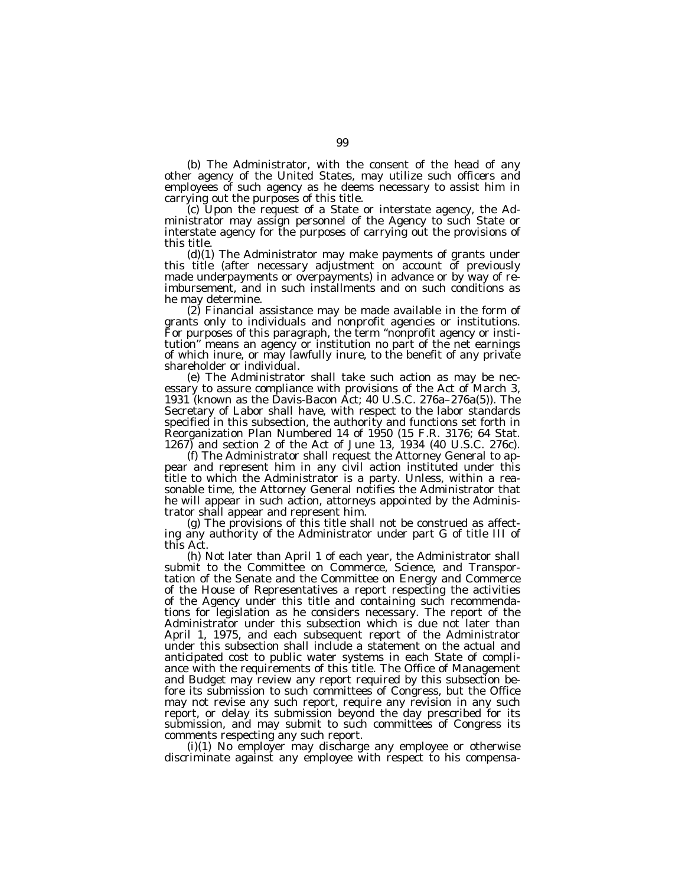(b) The Administrator, with the consent of the head of any other agency of the United States, may utilize such officers and employees of such agency as he deems necessary to assist him in carrying out the purposes of this title.

 $\tilde{C}(c)$  Upon the request of a State or interstate agency, the Administrator may assign personnel of the Agency to such State or interstate agency for the purposes of carrying out the provisions of this title.<br>(d)(1) The Administrator may make payments of grants under

this title (after necessary adjustment on account of previously made underpayments or overpayments) in advance or by way of reimbursement, and in such installments and on such conditions as he may determine. (2) Financial assistance may be made available in the form of

grants only to individuals and nonprofit agencies or institutions. For purposes of this paragraph, the term ''nonprofit agency or institution'' means an agency or institution no part of the net earnings of which inure, or may lawfully inure, to the benefit of any private shareholder or individual.

(e) The Administrator shall take such action as may be necessary to assure compliance with provisions of the Act of March 3, 1931 (known as the Davis-Bacon Act; 40 U.S.C. 276a–276a(5)). The Secretary of Labor shall have, with respect to the labor standards specified in this subsection, the authority and functions set forth in Reorganization Plan Numbered 14 of 1950 (15 F.R. 3176; 64 Stat. 1267) and section 2 of the Act of June 13, 1934 (40 U.S.C. 276c).

(f) The Administrator shall request the Attorney General to appear and represent him in any civil action instituted under this title to which the Administrator is a party. Unless, within a reasonable time, the Attorney General notifies the Administrator that he will appear in such action, attorneys appointed by the Administrator shall appear and represent him.

(g) The provisions of this title shall not be construed as affecting any authority of the Administrator under part G of title III of this Act.

(h) Not later than April 1 of each year, the Administrator shall submit to the Committee on Commerce, Science, and Transportation of the Senate and the Committee on Energy and Commerce of the House of Representatives a report respecting the activities of the Agency under this title and containing such recommendations for legislation as he considers necessary. The report of the Administrator under this subsection which is due not later than April 1, 1975, and each subsequent report of the Administrator under this subsection shall include a statement on the actual and anticipated cost to public water systems in each State of compliance with the requirements of this title. The Office of Management and Budget may review any report required by this subsection before its submission to such committees of Congress, but the Office may not revise any such report, require any revision in any such report, or delay its submission beyond the day prescribed for its submission, and may submit to such committees of Congress its comments respecting any such report.

(i)(1) No employer may discharge any employee or otherwise discriminate against any employee with respect to his compensa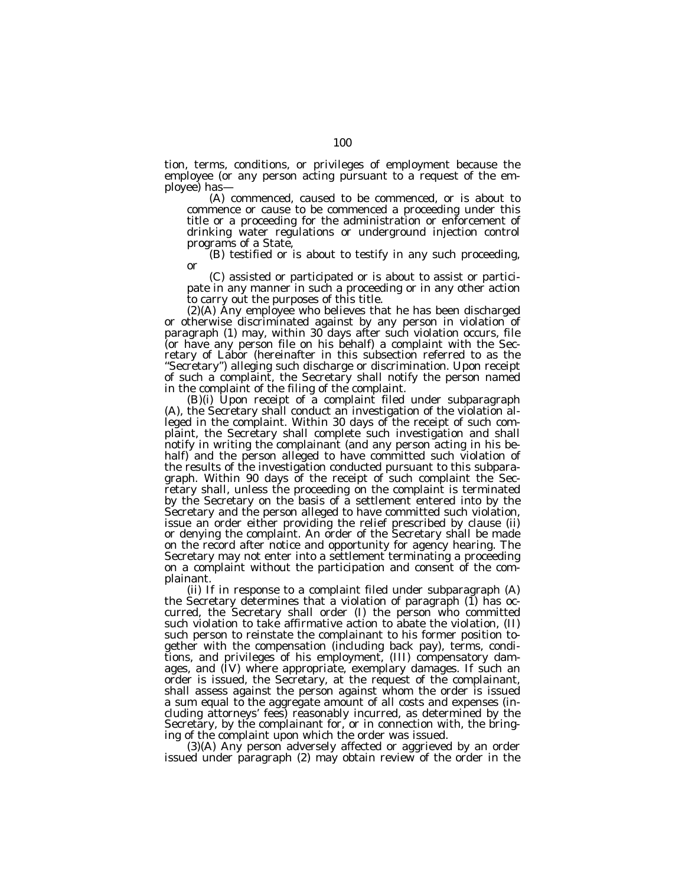tion, terms, conditions, or privileges of employment because the employee (or any person acting pursuant to a request of the em-

ployee) has— (A) commenced, caused to be commenced, or is about to commence or cause to be commenced a proceeding under this title or a proceeding for the administration or enforcement of drinking water regulations or underground injection control

programs of a State, (B) testified or is about to testify in any such proceeding, or

(C) assisted or participated or is about to assist or participate in any manner in such a proceeding or in any other action to carry out the purposes of this title.

(2)(A) Any employee who believes that he has been discharged or otherwise discriminated against by any person in violation of paragraph (1) may, within 30 days after such violation occurs, file (or have any person file on his behalf) a complaint with the Secretary of Labor (hereinafter in this subsection referred to as the "Secretary") alleging such discharge or discrimination. Upon receipt of such a complaint, the Secretary shall notify the person named<br>in the complaint of the filing of the complaint.

 $(B)(i)$  Upon receipt of a complaint filed under subparagraph (A), the Secretary shall conduct an investigation of the violation alleged in the complaint. Within 30 days of the receipt of such complaint, the Secretary shall complete such investigation and shall notify in writing the complainant (and any person acting in his behalf) and the person alleged to have committed such violation of the results of the investigation conducted pursuant to this subparagraph. Within 90 days of the receipt of such complaint the Secretary shall, unless the proceeding on the complaint is terminated by the Secretary on the basis of a settlement entered into by the Secretary and the person alleged to have committed such violation, issue an order either providing the relief prescribed by clause (ii) or denying the complaint. An order of the Secretary shall be made on the record after notice and opportunity for agency hearing. The Secretary may not enter into a settlement terminating a proceeding on a complaint without the participation and consent of the complainant.

(ii) If in response to a complaint filed under subparagraph (A) the Secretary determines that a violation of paragraph (1) has occurred, the Secretary shall order (I) the person who committed such violation to take affirmative action to abate the violation, (II) such person to reinstate the complainant to his former position together with the compensation (including back pay), terms, conditions, and privileges of his employment, (III) compensatory damages, and (IV) where appropriate, exemplary damages. If such an order is issued, the Secretary, at the request of the complainant, shall assess against the person against whom the order is issued a sum equal to the aggregate amount of all costs and expenses (including attorneys' fees) reasonably incurred, as determined by the Secretary, by the complainant for, or in connection with, the bringing of the complaint upon which the order was issued.

(3)(A) Any person adversely affected or aggrieved by an order issued under paragraph (2) may obtain review of the order in the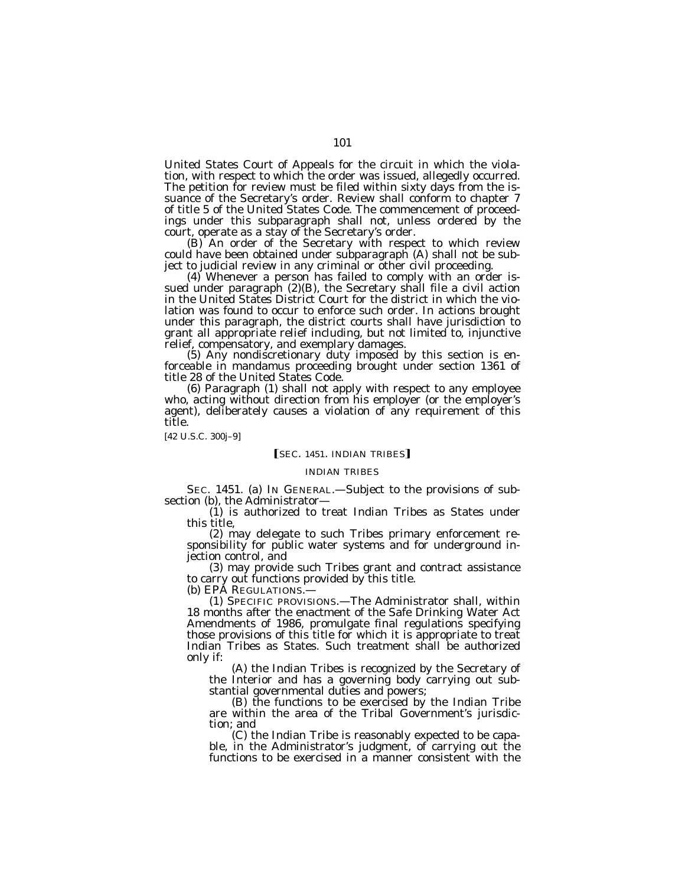United States Court of Appeals for the circuit in which the violation, with respect to which the order was issued, allegedly occurred. The petition for review must be filed within sixty days from the issuance of the Secretary's order. Review shall conform to chapter 7 of title 5 of the United States Code. The commencement of proceedings under this subparagraph shall not, unless ordered by the

court, operate as a stay of the Secretary's order.<br>
(B) An order of the Secretary with respect to which review could have been obtained under subparagraph (A) shall not be sub-<br>
ject to judicial review in any criminal or o

 $(4)$  Whenever a person has failed to comply with an order is-<br>sued under paragraph (2)(B), the Secretary shall file a civil action in the United States District Court for the district in which the violation was found to occur to enforce such order. In actions brought under this paragraph, the district courts shall have jurisdiction to grant all appropriate relief including, but not limited to, injunctive

relief, compensatory, and exemplary damages. (5) Any nondiscretionary duty imposed by this section is enforceable in mandamus proceeding brought under section 1361 of title 28 of the United States Code.<br>(6) Paragraph (1) shall not apply with respect to any employee

who, acting without direction from his employer (or the employer's agent), deliberately causes a violation of any requirement of this title.

[42 U.S.C. 300j–9]

#### [SEC. 1451. INDIAN TRIBES]

## *INDIAN TRIBES*

*SEC. 1451.* (a) IN GENERAL.—Subject to the provisions of subsection (b), the Administrator—

(1) is authorized to treat Indian Tribes as States under this title,

(2) may delegate to such Tribes primary enforcement responsibility for public water systems and for underground injection control, and

(3) may provide such Tribes grant and contract assistance to carry out functions provided by this title.

(b) EPA REGULATIONS.

(1) SPECIFIC PROVISIONS.—The Administrator shall, within 18 months after the enactment of the Safe Drinking Water Act Amendments of 1986, promulgate final regulations specifying those provisions of this title for which it is appropriate to treat Indian Tribes as States. Such treatment shall be authorized only if:

(A) the Indian Tribes is recognized by the Secretary of the Interior and has a governing body carrying out substantial governmental duties and powers;

(B) the functions to be exercised by the Indian Tribe are within the area of the Tribal Government's jurisdiction; and

(C) the Indian Tribe is reasonably expected to be capable, in the Administrator's judgment, of carrying out the functions to be exercised in a manner consistent with the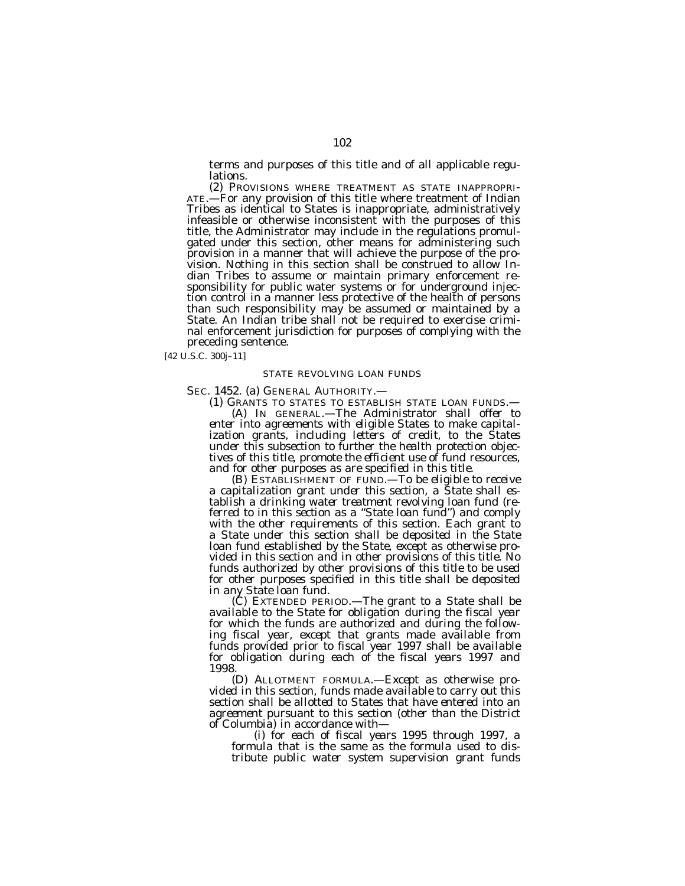terms and purposes of this title and of all applicable regulations.<br>(2) PROVISIONS WHERE TREATMENT AS STATE INAPPROPRI-

ATE.—For any provision of this title where treatment of Indian<br>Tribes as identical to States is inappropriate, administratively infeasible or otherwise inconsistent with the purposes of this title, the Administrator may include in the regulations promulgated under this section, other means for administering such provision in a manner that will achieve the purpose of the provision. Nothing in this section shall be construed to allow Indian Tribes to assume or maintain primary enforcement responsibility for public water systems or for underground injection control in a manner less protective of the health of persons than such responsibility may be assumed or maintained by a State. An Indian tribe shall not be required to exercise criminal enforcement jurisdiction for purposes of complying with the preceding sentence.

[42 U.S.C. 300j–11]

#### *STATE REVOLVING LOAN FUNDS*

*SEC. 1452. (a) GENERAL AUTHORITY*.— *(1) GRANTS TO STATES TO ESTABLISH STATE LOAN FUNDS*.— *(A) IN GENERAL*.*—The Administrator shall offer to enter into agreements with eligible States to make capitalization grants, including letters of credit, to the States under this subsection to further the health protection objectives of this title, promote the efficient use of fund resources,*

*and for other purposes as are specified in this title. (B) ESTABLISHMENT OF FUND*.*—To be eligible to receive a capitalization grant under this section, a State shall establish a drinking water treatment revolving loan fund (referred to in this section as a ''State loan fund'') and comply with the other requirements of this section. Each grant to a State under this section shall be deposited in the State loan fund established by the State, except as otherwise provided in this section and in other provisions of this title. No funds authorized by other provisions of this title to be used for other purposes specified in this title shall be deposited*

*in any State loan fund. (C) EXTENDED PERIOD*.*—The grant to a State shall be available to the State for obligation during the fiscal year for which the funds are authorized and during the following fiscal year, except that grants made available from funds provided prior to fiscal year 1997 shall be available for obligation during each of the fiscal years 1997 and 1998.*

*(D) ALLOTMENT FORMULA*.*—Except as otherwise provided in this section, funds made available to carry out this section shall be allotted to States that have entered into an agreement pursuant to this section (other than the District of Columbia) in accordance with—*

*(i) for each of fiscal years 1995 through 1997, a formula that is the same as the formula used to distribute public water system supervision grant funds*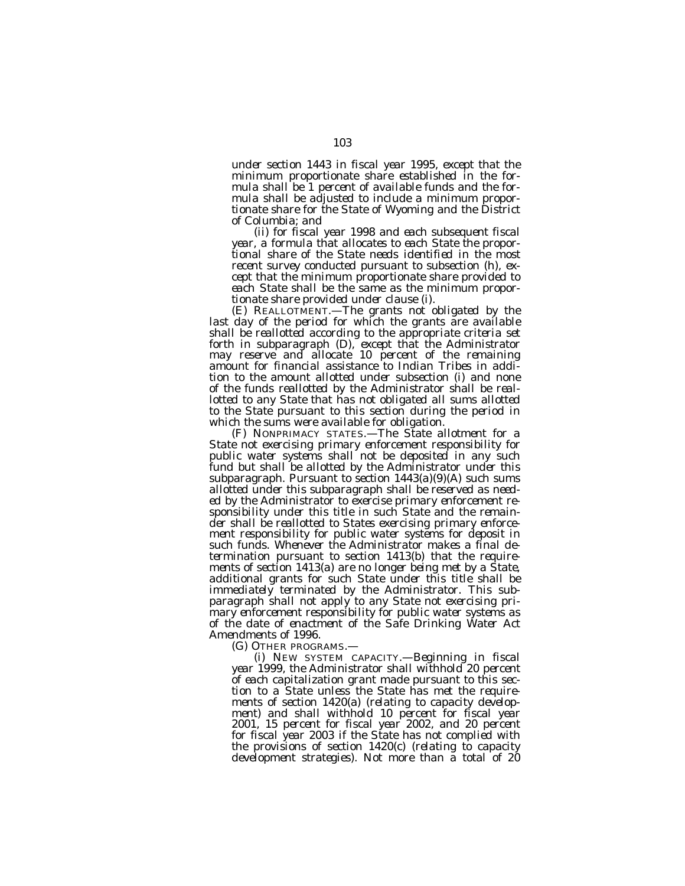*under section 1443 in fiscal year 1995, except that the minimum proportionate share established in the formula shall be 1 percent of available funds and the formula shall be adjusted to include a minimum proportionate share for the State of Wyoming and the District of Columbia; and*

*(ii) for fiscal year 1998 and each subsequent fiscal year, a formula that allocates to each State the proportional share of the State needs identified in the most recent survey conducted pursuant to subsection (h), except that the minimum proportionate share provided to each State shall be the same as the minimum proportionate share provided under clause (i).*

*(E) REALLOTMENT*.*—The grants not obligated by the last day of the period for which the grants are available shall be reallotted according to the appropriate criteria set forth in subparagraph (D), except that the Administrator may reserve and allocate 10 percent of the remaining amount for financial assistance to Indian Tribes in addition to the amount allotted under subsection (i) and none of the funds reallotted by the Administrator shall be reallotted to any State that has not obligated all sums allotted to the State pursuant to this section during the period in*

*which the sums were available for obligation. (F) NONPRIMACY STATES*.*—The State allotment for a State not exercising primary enforcement responsibility for public water systems shall not be deposited in any such fund but shall be allotted by the Administrator under this subparagraph. Pursuant to section 1443(a)(9)(A) such sums allotted under this subparagraph shall be reserved as needed by the Administrator to exercise primary enforcement responsibility under this title in such State and the remainder shall be reallotted to States exercising primary enforcement responsibility for public water systems for deposit in such funds. Whenever the Administrator makes a final determination pursuant to section 1413(b) that the requirements of section 1413(a) are no longer being met by a State, additional grants for such State under this title shall be immediately terminated by the Administrator. This subparagraph shall not apply to any State not exercising primary enforcement responsibility for public water systems as of the date of enactment of the Safe Drinking Water Act Amendments of 1996.*

*(G) OTHER PROGRAMS*.—

*(i) NEW SYSTEM CAPACITY*.*—Beginning in fiscal year 1999, the Administrator shall withhold 20 percent of each capitalization grant made pursuant to this section to a State unless the State has met the requirements of section 1420(a) (relating to capacity development) and shall withhold 10 percent for fiscal year 2001, 15 percent for fiscal year 2002, and 20 percent for fiscal year 2003 if the State has not complied with the provisions of section 1420(c) (relating to capacity development strategies). Not more than a total of 20*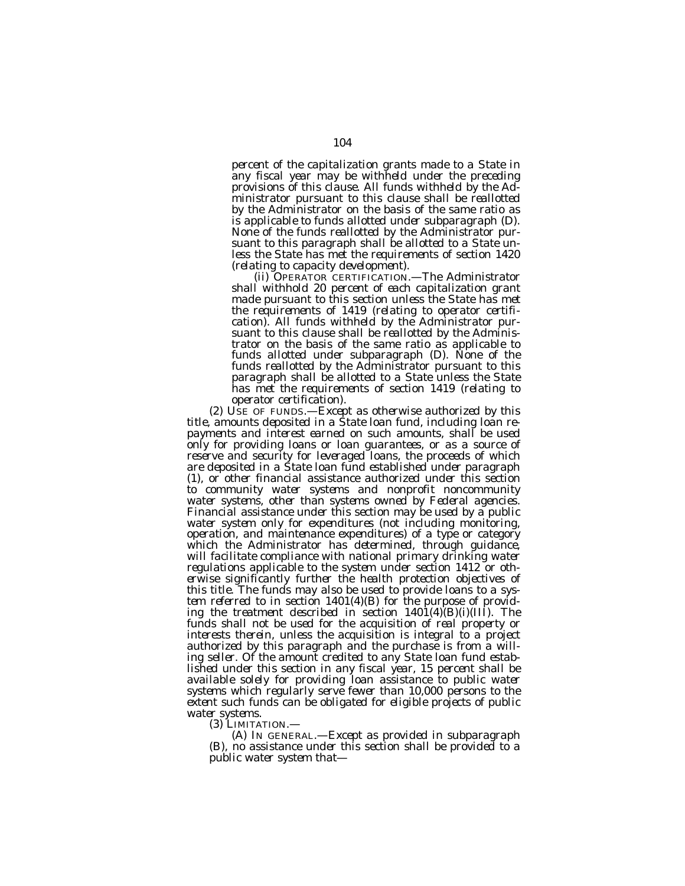*percent of the capitalization grants made to a State in any fiscal year may be withheld under the preceding provisions of this clause. All funds withheld by the Administrator pursuant to this clause shall be reallotted by the Administrator on the basis of the same ratio as is applicable to funds allotted under subparagraph (D). None of the funds reallotted by the Administrator pursuant to this paragraph shall be allotted to a State unless the State has met the requirements of section 1420*

*(ii)* OPERATOR CERTIFICATION. —The Administrator *shall withhold 20 percent of each capitalization grant made pursuant to this section unless the State has met the requirements of 1419 (relating to operator certification). All funds withheld by the Administrator pursuant to this clause shall be reallotted by the Administrator on the basis of the same ratio as applicable to funds allotted under subparagraph (D). None of the funds reallotted by the Administrator pursuant to this paragraph shall be allotted to a State unless the State has met the requirements of section 1419 (relating to operator certification).*

*(2) USE OF FUNDS*.*—Except as otherwise authorized by this title, amounts deposited in a State loan fund, including loan repayments and interest earned on such amounts, shall be used only for providing loans or loan guarantees, or as a source of reserve and security for leveraged loans, the proceeds of which are deposited in a State loan fund established under paragraph (1), or other financial assistance authorized under this section to community water systems and nonprofit noncommunity water systems, other than systems owned by Federal agencies. Financial assistance under this section may be used by a public water system only for expenditures (not including monitoring, operation, and maintenance expenditures) of a type or category which the Administrator has determined, through guidance, will facilitate compliance with national primary drinking water regulations applicable to the system under section 1412 or otherwise significantly further the health protection objectives of this title. The funds may also be used to provide loans to a system referred to in section 1401(4)(B) for the purpose of providing the treatment described in section 1401(4)(B)(i)(III). The funds shall not be used for the acquisition of real property or interests therein, unless the acquisition is integral to a project authorized by this paragraph and the purchase is from a willing seller. Of the amount credited to any State loan fund established under this section in any fiscal year, 15 percent shall be available solely for providing loan assistance to public water systems which regularly serve fewer than 10,000 persons to the extent such funds can be obligated for eligible projects of public water systems.*

*(3) LIMITATION*.—

*(A) IN GENERAL.—Except as provided in subparagraph (B), no assistance under this section shall be provided to a public water system that—*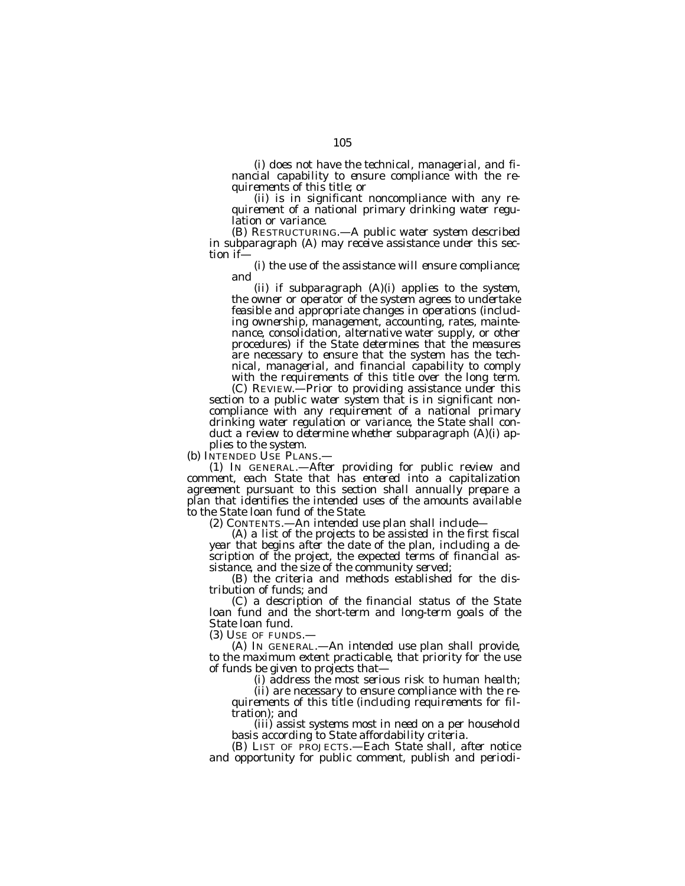*(i) does not have the technical, managerial, and financial capability to ensure compliance with the requirements of this title; or*

*(ii) is in significant noncompliance with any requirement of a national primary drinking water regulation or variance.*

*(B) RESTRUCTURING.—A public water system described in subparagraph (A) may receive assistance under this section if—*

*(i) the use of the assistance will ensure compliance; and*

*(ii) if subparagraph (A)(i) applies to the system, the owner or operator of the system agrees to undertake feasible and appropriate changes in operations (including ownership, management, accounting, rates, maintenance, consolidation, alternative water supply, or other procedures) if the State determines that the measures are necessary to ensure that the system has the technical, managerial, and financial capability to comply with the requirements of this title over the long term.*

*(C) REVIEW.—Prior to providing assistance under this section to a public water system that is in significant noncompliance with any requirement of a national primary drinking water regulation or variance, the State shall conduct a review to determine whether subparagraph (A)(i) ap-*

*plies to the system. (b) INTENDED USE PLANS.— (1) IN GENERAL.—After providing for public review and comment, each State that has entered into a capitalization agreement pursuant to this section shall annually prepare a plan that identifies the intended uses of the amounts available to the State loan fund of the State.*

*(2) CONTENTS.—An intended use plan shall include—*

*(A) a list of the projects to be assisted in the first fiscal year that begins after the date of the plan, including a description of the project, the expected terms of financial assistance, and the size of the community served;*

*(B) the criteria and methods established for the distribution of funds; and*

*(C) a description of the financial status of the State loan fund and the short-term and long-term goals of the State loan fund.*

*(3) USE OF FUNDS.—*

*(A) IN GENERAL.—An intended use plan shall provide, to the maximum extent practicable, that priority for the use of funds be given to projects that—*

*(i) address the most serious risk to human health;*

*(ii) are necessary to ensure compliance with the requirements of this title (including requirements for filtration); and*

*(iii) assist systems most in need on a per household basis according to State affordability criteria.*

*(B) LIST OF PROJECTS.—Each State shall, after notice and opportunity for public comment, publish and periodi-*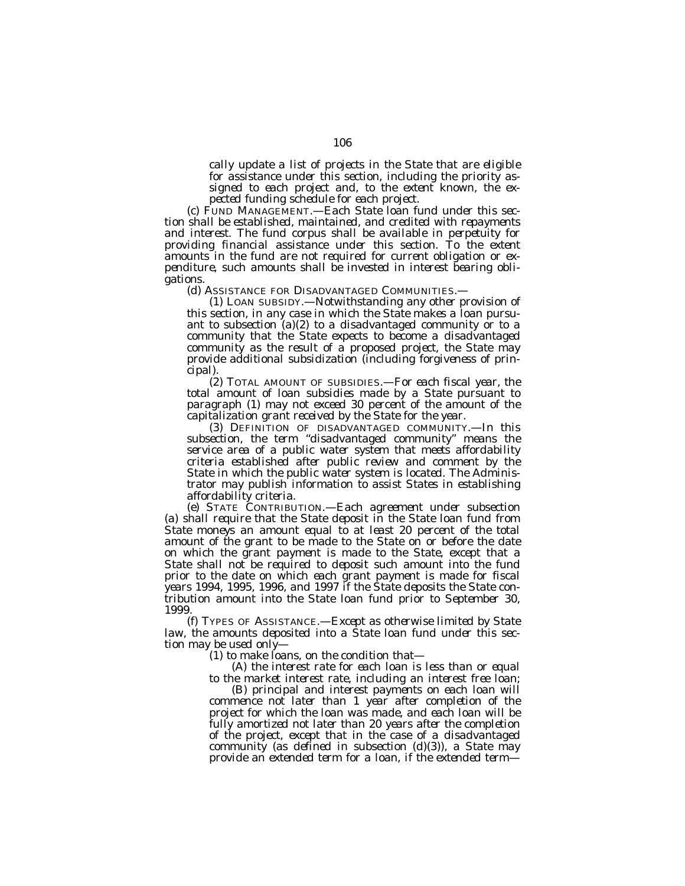*cally update a list of projects in the State that are eligible for assistance under this section, including the priority assigned to each project and, to the extent known, the expected funding schedule for each project.*

*(c) FUND MANAGEMENT.—Each State loan fund under this section shall be established, maintained, and credited with repayments and interest. The fund corpus shall be available in perpetuity for providing financial assistance under this section. To the extent amounts in the fund are not required for current obligation or expenditure, such amounts shall be invested in interest bearing obligations.*

*(d) ASSISTANCE FOR DISADVANTAGED COMMUNITIES.—*

*(1) LOAN SUBSIDY.—Notwithstanding any other provision of this section, in any case in which the State makes a loan pursuant to subsection (a)(2) to a disadvantaged community or to a community that the State expects to become a disadvantaged community as the result of a proposed project, the State may provide additional subsidization (including forgiveness of principal).*

*(2) TOTAL AMOUNT OF SUBSIDIES.—For each fiscal year, the total amount of loan subsidies made by a State pursuant to paragraph (1) may not exceed 30 percent of the amount of the capitalization grant received by the State for the year.*

*(3) DEFINITION OF DISADVANTAGED COMMUNITY.—In this subsection, the term ''disadvantaged community'' means the service area of a public water system that meets affordability criteria established after public review and comment by the State in which the public water system is located. The Administrator may publish information to assist States in establishing affordability criteria.*

*(e) STATE CONTRIBUTION.—Each agreement under subsection (a) shall require that the State deposit in the State loan fund from State moneys an amount equal to at least 20 percent of the total amount of the grant to be made to the State on or before the date on which the grant payment is made to the State, except that a State shall not be required to deposit such amount into the fund prior to the date on which each grant payment is made for fiscal years 1994, 1995, 1996, and 1997 if the State deposits the State contribution amount into the State loan fund prior to September 30, 1999.*

*(f) TYPES OF ASSISTANCE.—Except as otherwise limited by State law, the amounts deposited into a State loan fund under this section may be used only—*

*(1) to make loans, on the condition that—*

*(A) the interest rate for each loan is less than or equal to the market interest rate, including an interest free loan;*

*(B) principal and interest payments on each loan will commence not later than 1 year after completion of the project for which the loan was made, and each loan will be fully amortized not later than 20 years after the completion of the project, except that in the case of a disadvantaged community (as defined in subsection (d)(3)), a State may provide an extended term for a loan, if the extended term—*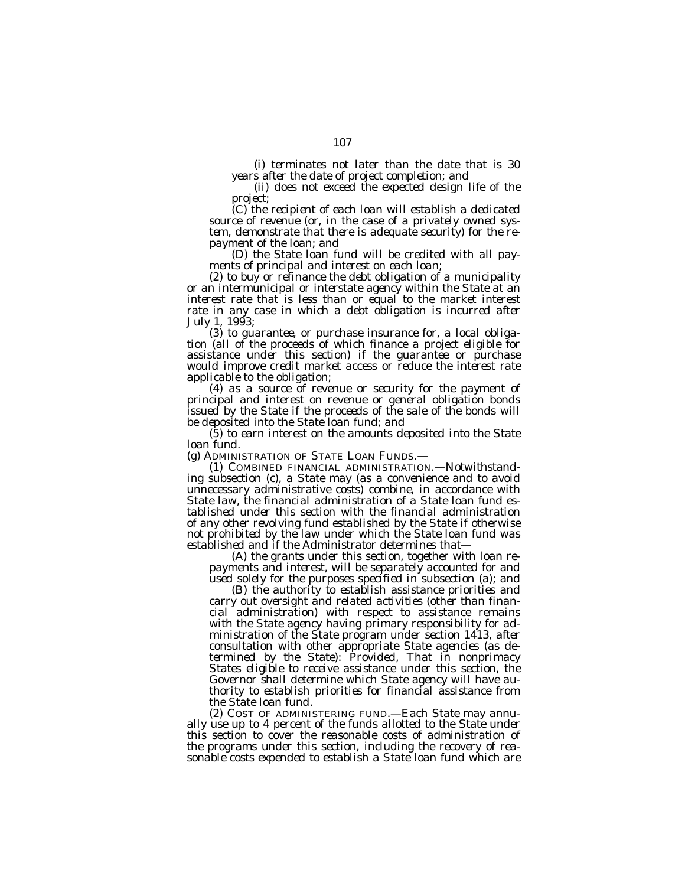*(i) terminates not later than the date that is 30*

*(ii)* does not exceed the expected design life of the *project;*

*(C) the recipient of each loan will establish a dedicated source of revenue (or, in the case of a privately owned system, demonstrate that there is adequate security) for the repayment of the loan; and (D) the State loan fund will be credited with all pay-*

*ments of principal and interest on each loan;*

*(2) to buy or refinance the debt obligation of a municipality or an intermunicipal or interstate agency within the State at an interest rate that is less than or equal to the market interest rate in any case in which a debt obligation is incurred after*

*July 1, 1993; (3) to guarantee, or purchase insurance for, a local obliga- tion (all of the proceeds of which finance a project eligible for assistance under this section) if the guarantee or purchase would improve credit market access or reduce the interest rate*

*applicable to the obligation; (4) as a source of revenue or security for the payment of principal and interest on revenue or general obligation bonds issued by the State if the proceeds of the sale of the bonds will be deposited into the State loan fund; and*

*(5) to earn interest on the amounts deposited into the State loan fund.<br>(g) ADMINISTRATION OF STATE LOAN FUNDS.—* 

*(1) COMBINED FINANCIAL ADMINISTRATION.* -- *Notwithstanding subsection (c), a State may (as a convenience and to avoid unnecessary administrative costs) combine, in accordance with State law, the financial administration of a State loan fund established under this section with the financial administration of any other revolving fund established by the State if otherwise not prohibited by the law under which the State loan fund was established and if the Administrator determines that—*

*(A) the grants under this section, together with loan repayments and interest, will be separately accounted for and used solely for the purposes specified in subsection (a); and*

*(B) the authority to establish assistance priorities and carry out oversight and related activities (other than financial administration) with respect to assistance remains with the State agency having primary responsibility for administration of the State program under section 1413, after consultation with other appropriate State agencies (as determined by the State): Provided, That in nonprimacy States eligible to receive assistance under this section, the Governor shall determine which State agency will have authority to establish priorities for financial assistance from the State loan fund.*

*(2) COST OF ADMINISTERING FUND.—Each State may annually use up to 4 percent of the funds allotted to the State under this section to cover the reasonable costs of administration of the programs under this section, including the recovery of reasonable costs expended to establish a State loan fund which are*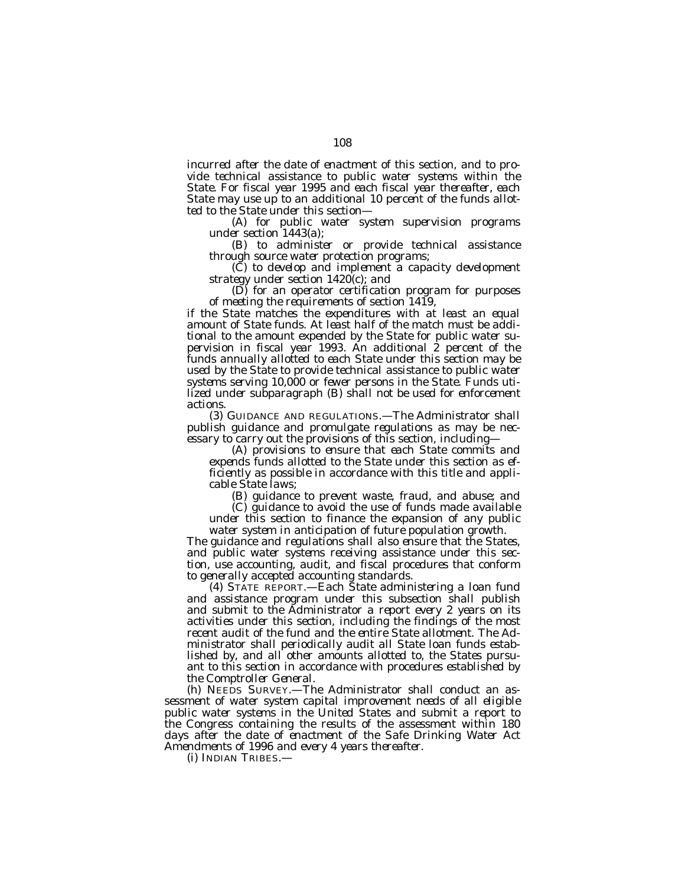*incurred after the date of enactment of this section, and to provide technical assistance to public water systems within the State. For fiscal year 1995 and each fiscal year thereafter, each State may use up to an additional 10 percent of the funds allotted to the State under this section—*

*(A) for public water system supervision programs under section 1443(a);*

*(B) to administer or provide technical assistance through source water protection programs;*

*(C) to develop and implement a capacity development strategy under section 1420(c); and*

*(D) for an operator certification program for purposes of meeting the requirements of section 1419,*

*if the State matches the expenditures with at least an equal amount of State funds. At least half of the match must be additional to the amount expended by the State for public water supervision in fiscal year 1993. An additional 2 percent of the funds annually allotted to each State under this section may be used by the State to provide technical assistance to public water systems serving 10,000 or fewer persons in the State. Funds utilized under subparagraph (B) shall not be used for enforcement actions.*

*(3) GUIDANCE AND REGULATIONS.—The Administrator shall publish guidance and promulgate regulations as may be necessary to carry out the provisions of this section, including—*

*(A) provisions to ensure that each State commits and expends funds allotted to the State under this section as efficiently as possible in accordance with this title and applicable State laws;*

*(B) guidance to prevent waste, fraud, and abuse; and*

*(C) guidance to avoid the use of funds made available under this section to finance the expansion of any public water system in anticipation of future population growth.*

*The guidance and regulations shall also ensure that the States, and public water systems receiving assistance under this section, use accounting, audit, and fiscal procedures that conform to generally accepted accounting standards.*

*(4) STATE REPORT.—Each State administering a loan fund and assistance program under this subsection shall publish and submit to the Administrator a report every 2 years on its activities under this section, including the findings of the most recent audit of the fund and the entire State allotment. The Administrator shall periodically audit all State loan funds established by, and all other amounts allotted to, the States pursuant to this section in accordance with procedures established by the Comptroller General.*

*(h) NEEDS SURVEY.—The Administrator shall conduct an assessment of water system capital improvement needs of all eligible public water systems in the United States and submit a report to the Congress containing the results of the assessment within 180 days after the date of enactment of the Safe Drinking Water Act Amendments of 1996 and every 4 years thereafter.*

*(i) INDIAN TRIBES.—*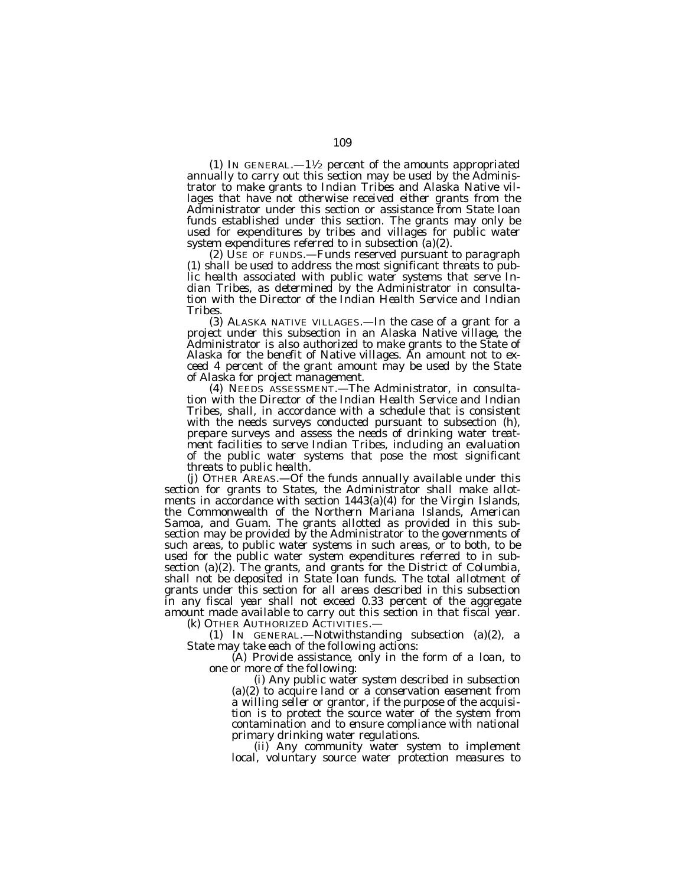*(1) IN GENERAL.—11⁄2 percent of the amounts appropriated annually to carry out this section may be used by the Administrator to make grants to Indian Tribes and Alaska Native villages that have not otherwise received either grants from the Administrator under this section or assistance from State loan funds established under this section. The grants may only be used for expenditures by tribes and villages for public water*

*system expenditures referred to in subsection (a)(2). (2) USE OF FUNDS.—Funds reserved pursuant to paragraph (1) shall be used to address the most significant threats to public health associated with public water systems that serve Indian Tribes, as determined by the Administrator in consultation with the Director of the Indian Health Service and Indian Tribes.*

*(3) ALASKA NATIVE VILLAGES.—In the case of a grant for a project under this subsection in an Alaska Native village, the Administrator is also authorized to make grants to the State of Alaska for the benefit of Native villages. An amount not to exceed 4 percent of the grant amount may be used by the State*

*of Alaska for project management. (4) NEEDS ASSESSMENT.—The Administrator, in consultation with the Director of the Indian Health Service and Indian Tribes, shall, in accordance with a schedule that is consistent with the needs surveys conducted pursuant to subsection (h), prepare surveys and assess the needs of drinking water treatment facilities to serve Indian Tribes, including an evaluation of the public water systems that pose the most significant threats to public health.*

*(j) OTHER AREAS.—Of the funds annually available under this section for grants to States, the Administrator shall make allotments in accordance with section 1443(a)(4) for the Virgin Islands, the Commonwealth of the Northern Mariana Islands, American Samoa, and Guam. The grants allotted as provided in this subsection may be provided by the Administrator to the governments of such areas, to public water systems in such areas, or to both, to be used for the public water system expenditures referred to in subsection (a)(2). The grants, and grants for the District of Columbia, shall not be deposited in State loan funds. The total allotment of grants under this section for all areas described in this subsection in any fiscal year shall not exceed 0.33 percent of the aggregate amount made available to carry out this section in that fiscal year. (k) OTHER AUTHORIZED ACTIVITIES.—*

*(1) IN GENERAL.—Notwithstanding subsection (a)(2), a State may take each of the following actions:*

*(A) Provide assistance, only in the form of a loan, to one or more of the following:*

*(i) Any public water system described in subsection (a)(2) to acquire land or a conservation easement from a willing seller or grantor, if the purpose of the acquisition is to protect the source water of the system from contamination and to ensure compliance with national primary drinking water regulations.*

*(ii) Any community water system to implement local, voluntary source water protection measures to*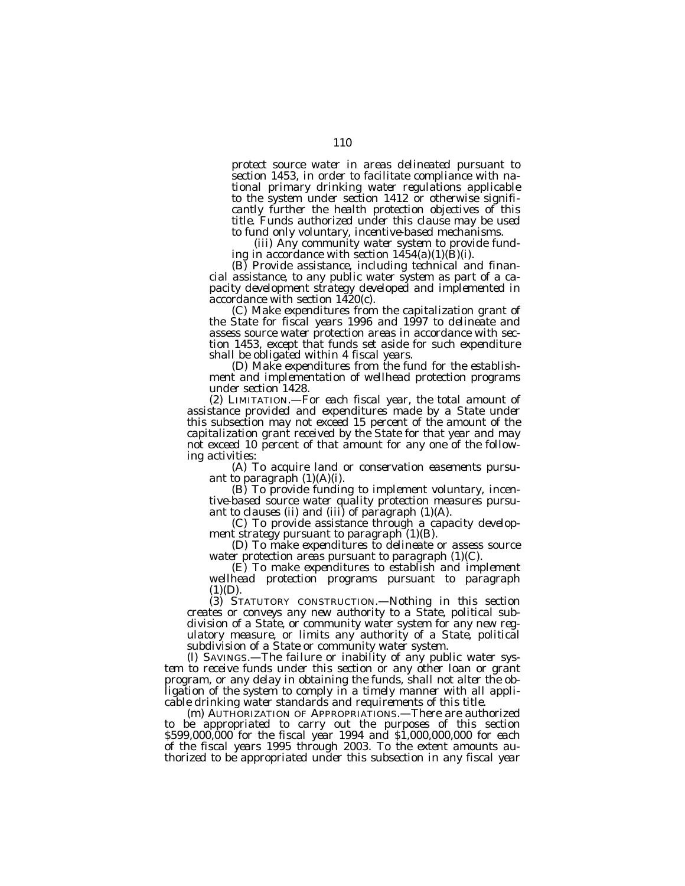*protect source water in areas delineated pursuant to section 1453, in order to facilitate compliance with national primary drinking water regulations applicable to the system under section 1412 or otherwise significantly further the health protection objectives of this title. Funds authorized under this clause may be used*

*to fund only voluntary, incentive-based mechanisms. (iii) Any community water system to provide fund- ing in accordance with section 1454(a)(1)(B)(i).*

*(B) Provide assistance, including technical and financial assistance, to any public water system as part of a capacity development strategy developed and implemented in accordance with section 1420(c).*

*(C) Make expenditures from the capitalization grant of the State for fiscal years 1996 and 1997 to delineate and assess source water protection areas in accordance with section 1453, except that funds set aside for such expenditure*

*shall be obligated within 4 fiscal years. (D) Make expenditures from the fund for the establishment and implementation of wellhead protection programs under section 1428.*

*(2) LIMITATION.—For each fiscal year, the total amount of assistance provided and expenditures made by a State under this subsection may not exceed 15 percent of the amount of the capitalization grant received by the State for that year and may not exceed 10 percent of that amount for any one of the follow-*

*ing activities: (A) To acquire land or conservation easements pursu-*

*(B)* To provide funding to implement voluntary, incen*tive-based source water quality protection measures pursu-*

*ant to clauses (ii) and (iii) of paragraph (1)(A). (C) To provide assistance through a capacity develop- ment strategy pursuant to paragraph (1)(B).*

*(D) To make expenditures to delineate or assess source water protection areas pursuant to paragraph (1)(C).*

*(E) To make expenditures to establish and implement wellhead protection programs pursuant to paragraph (1)(D).*

*(3) STATUTORY CONSTRUCTION.—Nothing in this section creates or conveys any new authority to a State, political subdivision of a State, or community water system for any new regulatory measure, or limits any authority of a State, political subdivision of a State or community water system.*

*(l) SAVINGS.—The failure or inability of any public water system to receive funds under this section or any other loan or grant program, or any delay in obtaining the funds, shall not alter the obligation of the system to comply in a timely manner with all applicable drinking water standards and requirements of this title.*

*(m) AUTHORIZATION OF APPROPRIATIONS.—There are authorized to be appropriated to carry out the purposes of this section \$599,000,000 for the fiscal year 1994 and \$1,000,000,000 for each of the fiscal years 1995 through 2003. To the extent amounts authorized to be appropriated under this subsection in any fiscal year*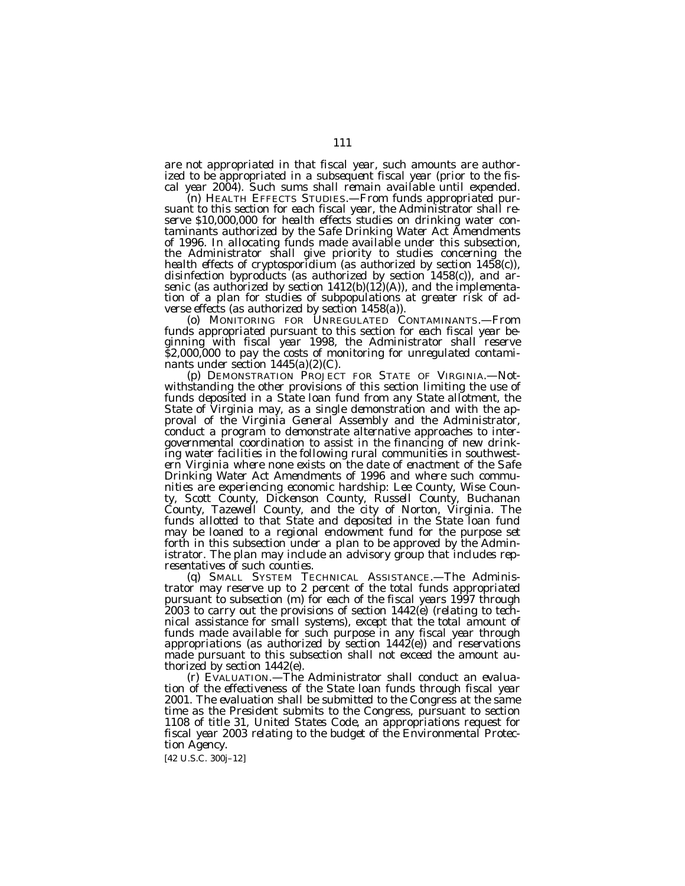*are not appropriated in that fiscal year, such amounts are authorized to be appropriated in a subsequent fiscal year (prior to the fiscal year 2004). Such sums shall remain available until expended. (n) HEALTH EFFECTS STUDIES.—From funds appropriated pur-*

*suant to this section for each fiscal year, the Administrator shall reserve \$10,000,000 for health effects studies on drinking water contaminants authorized by the Safe Drinking Water Act Amendments of 1996. In allocating funds made available under this subsection, the Administrator shall give priority to studies concerning the health effects of cryptosporidium (as authorized by section 1458(c)), disinfection byproducts (as authorized by section 1458(c)), and ar*senic (as authorized by section 1412(b)(12)(A)), and the implementa*tion of a plan for studies of subpopulations at greater risk of ad-*

*verse effects (as authorized by section 1458(a)). (o) MONITORING FOR UNREGULATED CONTAMINANTS.—From funds appropriated pursuant to this section for each fiscal year beginning with fiscal year 1998, the Administrator shall reserve \$2,000,000 to pay the costs of monitoring for unregulated contaminants under section 1445(a)(2)(C).*

*(p) DEMONSTRATION PROJECT FOR STATE OF VIRGINIA.—Notwithstanding the other provisions of this section limiting the use of funds deposited in a State loan fund from any State allotment, the State of Virginia may, as a single demonstration and with the approval of the Virginia General Assembly and the Administrator, conduct a program to demonstrate alternative approaches to intergovernmental coordination to assist in the financing of new drinking water facilities in the following rural communities in southwestern Virginia where none exists on the date of enactment of the Safe Drinking Water Act Amendments of 1996 and where such communities are experiencing economic hardship: Lee County, Wise County, Scott County, Dickenson County, Russell County, Buchanan County, Tazewell County, and the city of Norton, Virginia. The funds allotted to that State and deposited in the State loan fund may be loaned to a regional endowment fund for the purpose set forth in this subsection under a plan to be approved by the Administrator. The plan may include an advisory group that includes representatives of such counties.*

*(q) SMALL SYSTEM TECHNICAL ASSISTANCE.—The Administrator may reserve up to 2 percent of the total funds appropriated pursuant to subsection (m) for each of the fiscal years 1997 through 2003 to carry out the provisions of section 1442(e) (relating to technical assistance for small systems), except that the total amount of funds made available for such purpose in any fiscal year through appropriations (as authorized by section 1442(e)) and reservations made pursuant to this subsection shall not exceed the amount authorized by section 1442(e).*

*(r) EVALUATION.—The Administrator shall conduct an evaluation of the effectiveness of the State loan funds through fiscal year 2001. The evaluation shall be submitted to the Congress at the same time as the President submits to the Congress, pursuant to section 1108 of title 31, United States Code, an appropriations request for fiscal year 2003 relating to the budget of the Environmental Protection Agency.*

[42 U.S.C. 300j–12]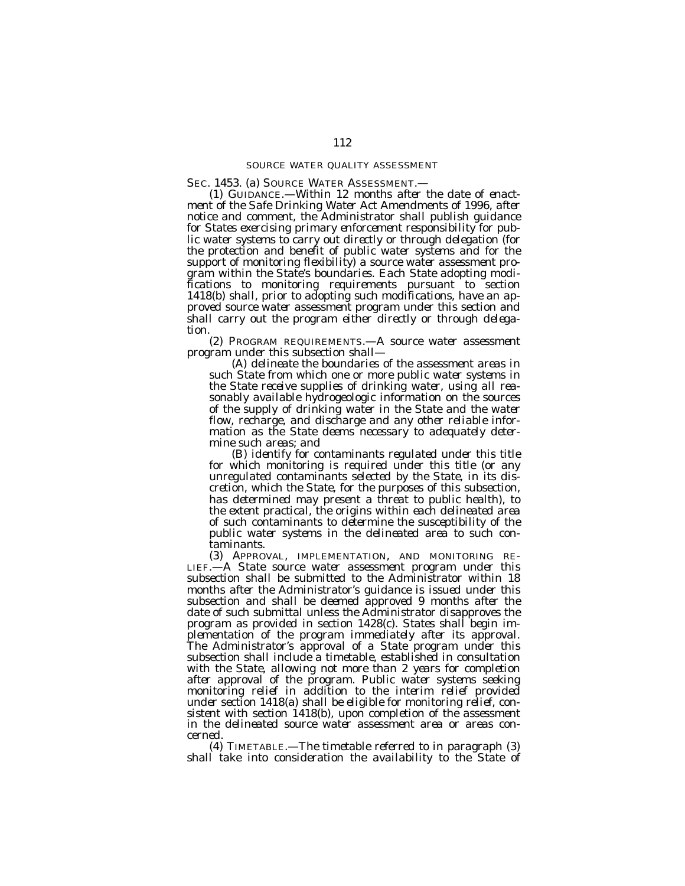### *SOURCE WATER QUALITY ASSESSMENT*

*SEC. 1453. (a) SOURCE WATER ASSESSMENT.—*

*(1) GUIDANCE.—Within 12 months after the date of enactment of the Safe Drinking Water Act Amendments of 1996, after notice and comment, the Administrator shall publish guidance for States exercising primary enforcement responsibility for public water systems to carry out directly or through delegation (for the protection and benefit of public water systems and for the support of monitoring flexibility) a source water assessment program within the State's boundaries. Each State adopting modifications to monitoring requirements pursuant to section 1418(b) shall, prior to adopting such modifications, have an approved source water assessment program under this section and shall carry out the program either directly or through delegation.*

*(2) PROGRAM REQUIREMENTS.—A source water assessment program under this subsection shall—*

*(A) delineate the boundaries of the assessment areas in such State from which one or more public water systems in the State receive supplies of drinking water, using all reasonably available hydrogeologic information on the sources of the supply of drinking water in the State and the water flow, recharge, and discharge and any other reliable information as the State deems necessary to adequately determine such areas; and*

*(B) identify for contaminants regulated under this title for which monitoring is required under this title (or any unregulated contaminants selected by the State, in its discretion, which the State, for the purposes of this subsection, has determined may present a threat to public health), to the extent practical, the origins within each delineated area of such contaminants to determine the susceptibility of the public water systems in the delineated area to such contaminants.*

*(3) APPROVAL, IMPLEMENTATION, AND MONITORING RE-LIEF.—A State source water assessment program under this subsection shall be submitted to the Administrator within 18 months after the Administrator's guidance is issued under this subsection and shall be deemed approved 9 months after the date of such submittal unless the Administrator disapproves the program as provided in section 1428(c). States shall begin implementation of the program immediately after its approval. The Administrator's approval of a State program under this subsection shall include a timetable, established in consultation with the State, allowing not more than 2 years for completion after approval of the program. Public water systems seeking monitoring relief in addition to the interim relief provided under section 1418(a) shall be eligible for monitoring relief, consistent with section 1418(b), upon completion of the assessment in the delineated source water assessment area or areas concerned.*

*(4) TIMETABLE.—The timetable referred to in paragraph (3) shall take into consideration the availability to the State of*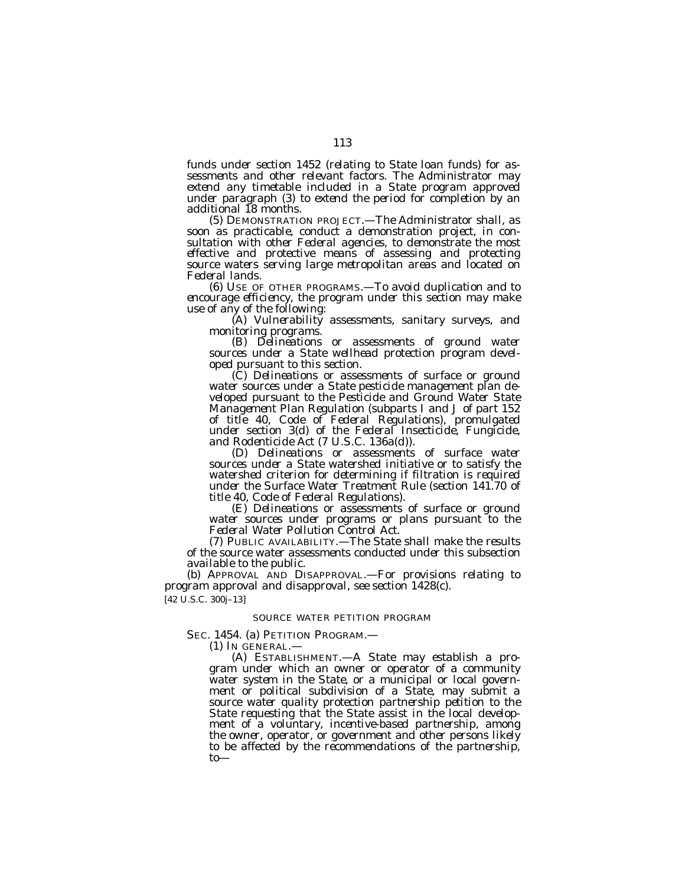*funds under section 1452 (relating to State loan funds) for assessments and other relevant factors. The Administrator may extend any timetable included in a State program approved under paragraph (3) to extend the period for completion by an additional 18 months.*

*(5) DEMONSTRATION PROJECT.—The Administrator shall, as soon as practicable, conduct a demonstration project, in consultation with other Federal agencies, to demonstrate the most effective and protective means of assessing and protecting source waters serving large metropolitan areas and located on Federal lands.*

*(6) USE OF OTHER PROGRAMS.—To avoid duplication and to encourage efficiency, the program under this section may make*

*use of any of the following: (A) Vulnerability assessments, sanitary surveys, and*

*monitoring programs. (B) Delineations or assessments of ground water sources under a State wellhead protection program devel-*

*oped pursuant to this section. (C) Delineations or assessments of surface or ground water sources under a State pesticide management plan developed pursuant to the Pesticide and Ground Water State Management Plan Regulation (subparts I and J of part 152 of title 40, Code of Federal Regulations), promulgated under section 3(d) of the Federal Insecticide, Fungicide, and Rodenticide Act (7 U.S.C. 136a(d)).*

*(D) Delineations or assessments of surface water sources under a State watershed initiative or to satisfy the watershed criterion for determining if filtration is required under the Surface Water Treatment Rule (section 141.70 of*

*title 40, Code of Federal Regulations). (E) Delineations or assessments of surface or ground water sources under programs or plans pursuant to the Federal Water Pollution Control Act.*

*(7) PUBLIC AVAILABILITY.—The State shall make the results of the source water assessments conducted under this subsection available to the public.*

*(b) APPROVAL AND DISAPPROVAL.—For provisions relating to program approval and disapproval, see section 1428(c).*

[42 U.S.C. 300j–13]

#### *SOURCE WATER PETITION PROGRAM*

*SEC. 1454. (a) PETITION PROGRAM.—*

*(1) IN GENERAL.—*

*(A) ESTABLISHMENT.—A State may establish a program under which an owner or operator of a community water system in the State, or a municipal or local government or political subdivision of a State, may submit a source water quality protection partnership petition to the State requesting that the State assist in the local development of a voluntary, incentive-based partnership, among the owner, operator, or government and other persons likely to be affected by the recommendations of the partnership, to—*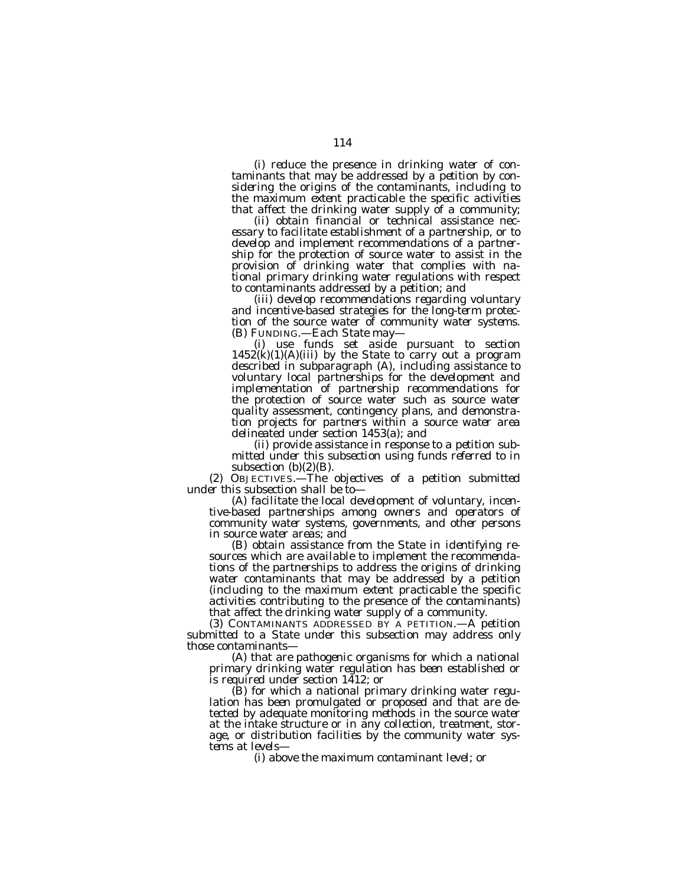*(i) reduce the presence in drinking water of contaminants that may be addressed by a petition by considering the origins of the contaminants, including to the maximum extent practicable the specific activities that affect the drinking water supply of a community; (ii) obtain financial or technical assistance nec-*

*essary to facilitate establishment of a partnership, or to develop and implement recommendations of a partnership for the protection of source water to assist in the provision of drinking water that complies with national primary drinking water regulations with respect*

*to contaminants addressed by a petition; and (iii) develop recommendations regarding voluntary and incentive-based strategies for the long-term protection of the source water of community water systems.*

*(B) FUNDING.—Each State may— (i) use funds set aside pursuant to section 1452(k)(1)(A)(iii) by the State to carry out a program described in subparagraph (A), including assistance to voluntary local partnerships for the development and implementation of partnership recommendations for the protection of source water such as source water quality assessment, contingency plans, and demonstration projects for partners within a source water area delineated under section 1453(a); and*

*(ii) provide assistance in response to a petition submitted under this subsection using funds referred to in subsection (b)(2)(B).*

*(2) OBJECTIVES.—The objectives of a petition submitted under this subsection shall be to—*

*(A) facilitate the local development of voluntary, incentive-based partnerships among owners and operators of community water systems, governments, and other persons in source water areas; and*

*(B) obtain assistance from the State in identifying resources which are available to implement the recommendations of the partnerships to address the origins of drinking water contaminants that may be addressed by a petition (including to the maximum extent practicable the specific activities contributing to the presence of the contaminants) that affect the drinking water supply of a community.*

*(3) CONTAMINANTS ADDRESSED BY A PETITION.—A petition submitted to a State under this subsection may address only those contaminants—*

*(A) that are pathogenic organisms for which a national primary drinking water regulation has been established or is required under section 1412; or*

*(B) for which a national primary drinking water regulation has been promulgated or proposed and that are detected by adequate monitoring methods in the source water at the intake structure or in any collection, treatment, storage, or distribution facilities by the community water systems at levels—*

*(i) above the maximum contaminant level; or*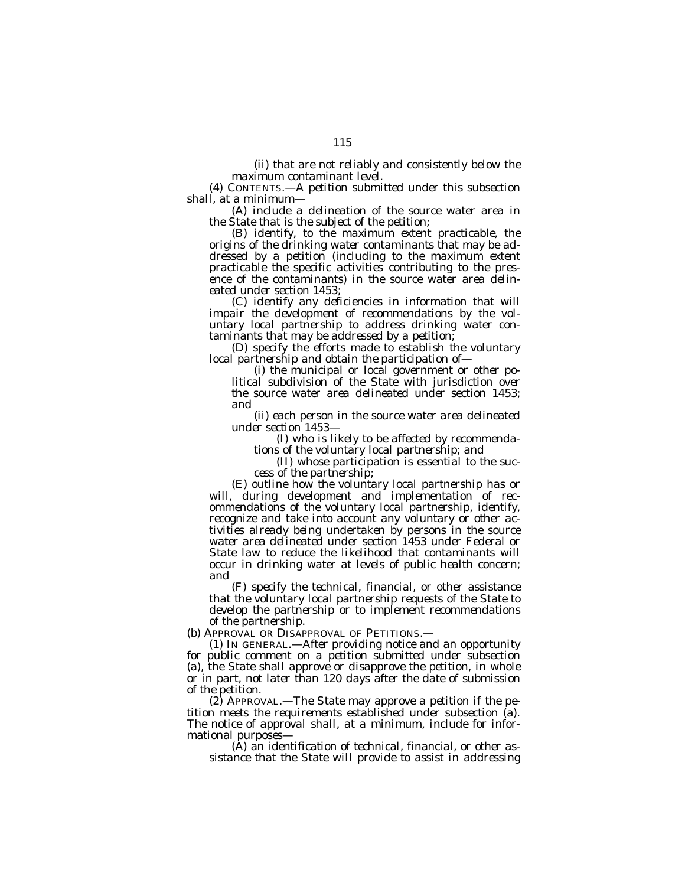*(ii) that are not reliably and consistently below the maximum contaminant level.*

*(4) CONTENTS.—A petition submitted under this subsection shall, at a minimum—*

*(A) include a delineation of the source water area in the State that is the subject of the petition;*

*(B) identify, to the maximum extent practicable, the origins of the drinking water contaminants that may be addressed by a petition (including to the maximum extent practicable the specific activities contributing to the presence of the contaminants) in the source water area delineated under section 1453;*

*(C) identify any deficiencies in information that will impair the development of recommendations by the voluntary local partnership to address drinking water contaminants that may be addressed by a petition;*

*(D) specify the efforts made to establish the voluntary local partnership and obtain the participation of—*

*(i) the municipal or local government or other political subdivision of the State with jurisdiction over the source water area delineated under section 1453; and*

*(ii) each person in the source water area delineated under section 1453—*

*(I) who is likely to be affected by recommendations of the voluntary local partnership; and*

*(II) whose participation is essential to the success of the partnership;*

*(E) outline how the voluntary local partnership has or will, during development and implementation of recommendations of the voluntary local partnership, identify, recognize and take into account any voluntary or other activities already being undertaken by persons in the source water area delineated under section 1453 under Federal or State law to reduce the likelihood that contaminants will occur in drinking water at levels of public health concern; and*

*(F) specify the technical, financial, or other assistance that the voluntary local partnership requests of the State to develop the partnership or to implement recommendations of the partnership.*

*(b) APPROVAL OR DISAPPROVAL OF PETITIONS.—*

*(1) IN GENERAL.—After providing notice and an opportunity for public comment on a petition submitted under subsection (a), the State shall approve or disapprove the petition, in whole or in part, not later than 120 days after the date of submission of the petition.*

*(2) APPROVAL.—The State may approve a petition if the petition meets the requirements established under subsection (a). The notice of approval shall, at a minimum, include for informational purposes—*

*(A) an identification of technical, financial, or other assistance that the State will provide to assist in addressing*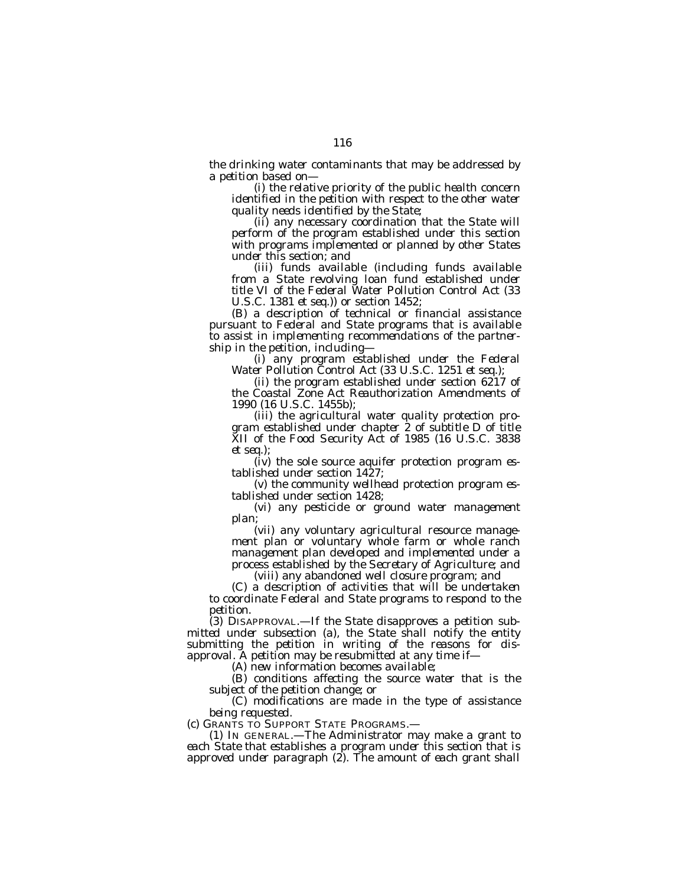*the drinking water contaminants that may be addressed by a petition based on—*

*(i) the relative priority of the public health concern identified in the petition with respect to the other water quality needs identified by the State;*

*(ii) any necessary coordination that the State will perform of the program established under this section with programs implemented or planned by other States under this section; and*

*(iii) funds available (including funds available from a State revolving loan fund established under title VI of the Federal Water Pollution Control Act (33 U.S.C. 1381 et seq.)) or section 1452;*

*(B) a description of technical or financial assistance pursuant to Federal and State programs that is available to assist in implementing recommendations of the partnership in the petition, including—*

*(i) any program established under the Federal Water Pollution Control Act (33 U.S.C. 1251 et seq.);*

*(ii) the program established under section 6217 of the Coastal Zone Act Reauthorization Amendments of 1990 (16 U.S.C. 1455b);*

*(iii) the agricultural water quality protection program established under chapter 2 of subtitle D of title XII of the Food Security Act of 1985 (16 U.S.C. 3838 et seq.);*

*(iv) the sole source aquifer protection program established under section 1427;*

*(v) the community wellhead protection program established under section 1428;*

*(vi) any pesticide or ground water management plan;*

*(vii) any voluntary agricultural resource management plan or voluntary whole farm or whole ranch management plan developed and implemented under a process established by the Secretary of Agriculture; and (viii) any abandoned well closure program; and*

*(C) a description of activities that will be undertaken to coordinate Federal and State programs to respond to the petition.*

*(3) DISAPPROVAL.—If the State disapproves a petition submitted under subsection (a), the State shall notify the entity submitting the petition in writing of the reasons for disapproval. A petition may be resubmitted at any time if—*

*(A) new information becomes available;*

*(B) conditions affecting the source water that is the subject of the petition change; or*

*(C) modifications are made in the type of assistance being requested.*

*(c) GRANTS TO SUPPORT STATE PROGRAMS.—*

*(1) IN GENERAL.—The Administrator may make a grant to each State that establishes a program under this section that is approved under paragraph (2). The amount of each grant shall*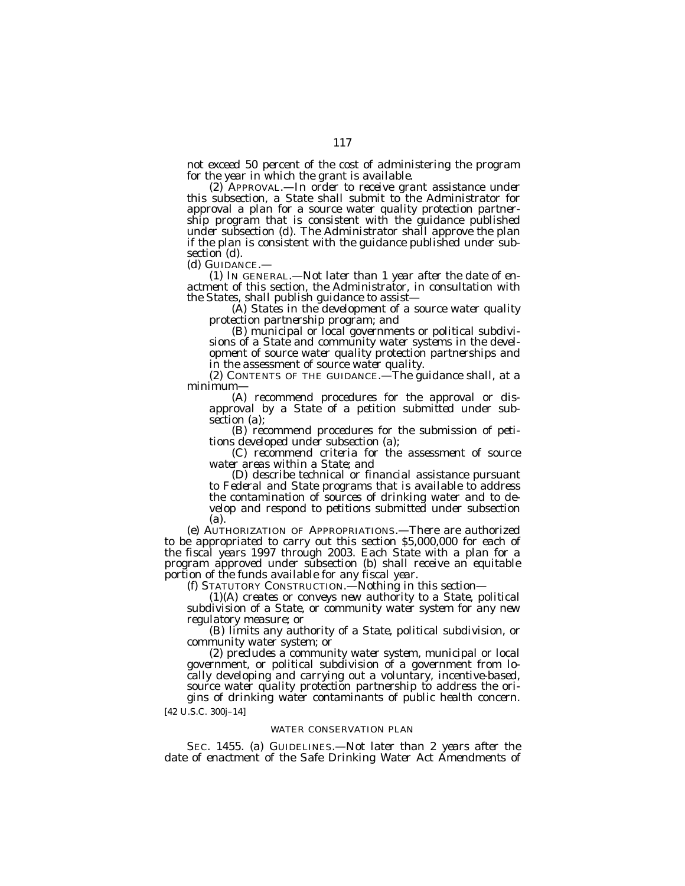*not exceed 50 percent of the cost of administering the program*

*for the year in which the grant is available. (2) APPROVAL.—In order to receive grant assistance under this subsection, a State shall submit to the Administrator for approval a plan for a source water quality protection partnership program that is consistent with the guidance published under subsection (d). The Administrator shall approve the plan if the plan is consistent with the guidance published under subsection (d).*

*(d) GUIDANCE.— (1) IN GENERAL.—Not later than 1 year after the date of en- actment of this section, the Administrator, in consultation with*

(A) States in the development of a source water quality<br>protection partnership program; and<br>(B) municipal or local governments or political subdivi-<br>sions of a State and community water systems in the devel*opment of source water quality protection partnerships and in the assessment of source water quality.*

*(2) CONTENTS OF THE GUIDANCE.—The guidance shall, at a minimum—*

*(A) recommend procedures for the approval or disapproval by a State of a petition submitted under subsection (a);*<br>*(B) recommend procedures for the submission of peti-*

*(B) recommend procedures for the submission of peti- tions developed under subsection (a); (C) recommend criteria for the assessment of source*

*water areas within a State; and*

*(D) describe technical or financial assistance pursuant to Federal and State programs that is available to address the contamination of sources of drinking water and to develop and respond to petitions submitted under subsection (a).*

*(e) AUTHORIZATION OF APPROPRIATIONS.—There are authorized to be appropriated to carry out this section \$5,000,000 for each of the fiscal years 1997 through 2003. Each State with a plan for a program approved under subsection (b) shall receive an equitable portion of the funds available for any fiscal year. (f) STATUTORY CONSTRUCTION.—Nothing in this section—*

*(1)(A) creates or conveys new authority to a State, political subdivision of a State, or community water system for any new regulatory measure; or*

*(B) limits any authority of a State, political subdivision, or community water system; or*

*(2) precludes a community water system, municipal or local government, or political subdivision of a government from locally developing and carrying out a voluntary, incentive-based, source water quality protection partnership to address the origins of drinking water contaminants of public health concern.*

[42 U.S.C. 300j–14]

#### *WATER CONSERVATION PLAN*

*SEC. 1455. (a) GUIDELINES.—Not later than 2 years after the date of enactment of the Safe Drinking Water Act Amendments of*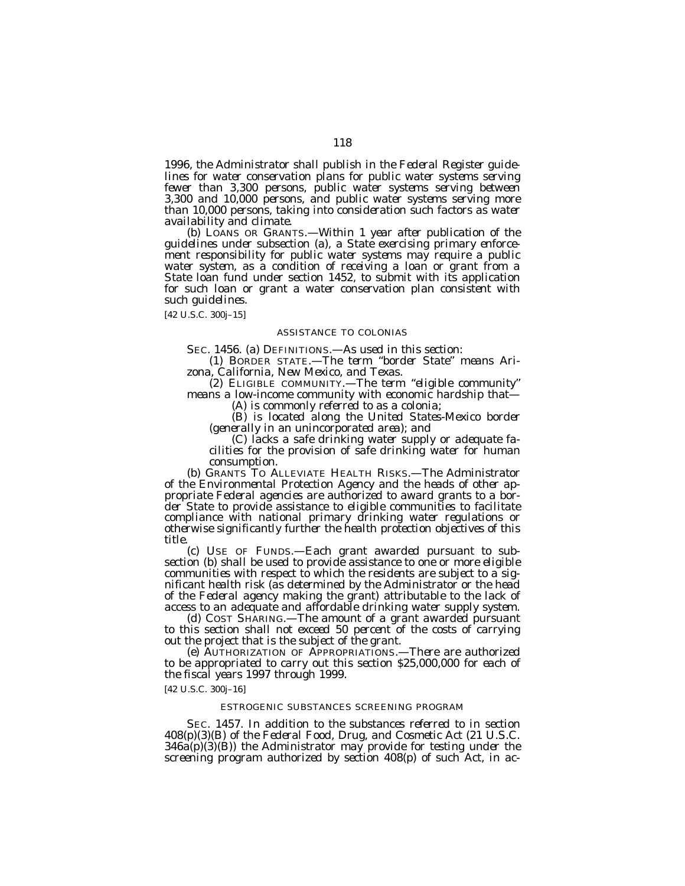*1996, the Administrator shall publish in the Federal Register guidelines for water conservation plans for public water systems serving fewer than 3,300 persons, public water systems serving between 3,300 and 10,000 persons, and public water systems serving more than 10,000 persons, taking into consideration such factors as water availability and climate.*

*(b) LOANS OR GRANTS.—Within 1 year after publication of the guidelines under subsection (a), a State exercising primary enforcement responsibility for public water systems may require a public water system, as a condition of receiving a loan or grant from a State loan fund under section 1452, to submit with its application for such loan or grant a water conservation plan consistent with such guidelines.*

[42 U.S.C. 300j–15]

### *ASSISTANCE TO COLONIAS*

*SEC. 1456. (a) DEFINITIONS.—As used in this section:*

*(1) BORDER STATE.—The term ''border State'' means Arizona, California, New Mexico, and Texas.*

*(2) ELIGIBLE COMMUNITY.—The term ''eligible community'' means a low-income community with economic hardship that—*

*(A) is commonly referred to as a colonia;*

*(B) is located along the United States-Mexico border (generally in an unincorporated area); and*

*(C) lacks a safe drinking water supply or adequate facilities for the provision of safe drinking water for human consumption.*

*(b) GRANTS TO ALLEVIATE HEALTH RISKS.—The Administrator of the Environmental Protection Agency and the heads of other appropriate Federal agencies are authorized to award grants to a border State to provide assistance to eligible communities to facilitate compliance with national primary drinking water regulations or otherwise significantly further the health protection objectives of this title.*

*(c) USE OF FUNDS.—Each grant awarded pursuant to subsection (b) shall be used to provide assistance to one or more eligible communities with respect to which the residents are subject to a significant health risk (as determined by the Administrator or the head of the Federal agency making the grant) attributable to the lack of access to an adequate and affordable drinking water supply system.*

*(d) COST SHARING.—The amount of a grant awarded pursuant to this section shall not exceed 50 percent of the costs of carrying out the project that is the subject of the grant.*

*(e) AUTHORIZATION OF APPROPRIATIONS.—There are authorized to be appropriated to carry out this section \$25,000,000 for each of the fiscal years 1997 through 1999.*

[42 U.S.C. 300j–16]

#### *ESTROGENIC SUBSTANCES SCREENING PROGRAM*

*SEC. 1457. In addition to the substances referred to in section 408(p)(3)(B) of the Federal Food, Drug, and Cosmetic Act (21 U.S.C. 346a(p)(3)(B)) the Administrator may provide for testing under the screening program authorized by section 408(p) of such Act, in ac-*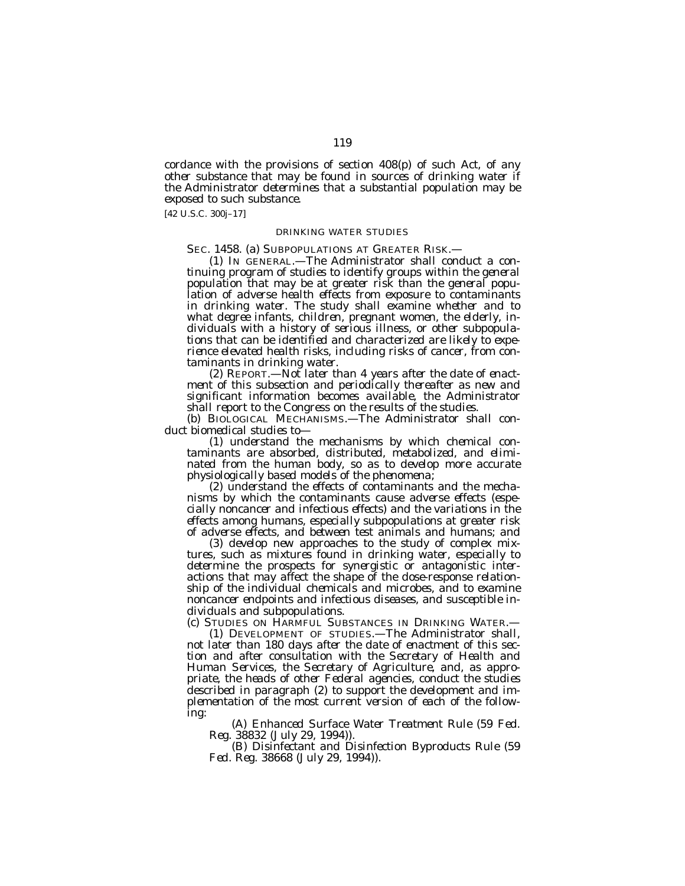*cordance with the provisions of section 408(p) of such Act, of any other substance that may be found in sources of drinking water if the Administrator determines that a substantial population may be exposed to such substance.*

[42 U.S.C. 300j–17]

#### *DRINKING WATER STUDIES*

*SEC. 1458. (a) SUBPOPULATIONS AT GREATER RISK.—*

*(1) IN GENERAL.—The Administrator shall conduct a continuing program of studies to identify groups within the general population that may be at greater risk than the general population of adverse health effects from exposure to contaminants in drinking water. The study shall examine whether and to what degree infants, children, pregnant women, the elderly, individuals with a history of serious illness, or other subpopulations that can be identified and characterized are likely to experience elevated health risks, including risks of cancer, from contaminants in drinking water.*

*(2) REPORT.—Not later than 4 years after the date of enactment of this subsection and periodically thereafter as new and significant information becomes available, the Administrator shall report to the Congress on the results of the studies.*

*(b) BIOLOGICAL MECHANISMS.—The Administrator shall conduct biomedical studies to—*

*(1) understand the mechanisms by which chemical contaminants are absorbed, distributed, metabolized, and eliminated from the human body, so as to develop more accurate physiologically based models of the phenomena;*

*(2) understand the effects of contaminants and the mechanisms by which the contaminants cause adverse effects (especially noncancer and infectious effects) and the variations in the effects among humans, especially subpopulations at greater risk of adverse effects, and between test animals and humans; and*

*(3) develop new approaches to the study of complex mixtures, such as mixtures found in drinking water, especially to determine the prospects for synergistic or antagonistic interactions that may affect the shape of the dose-response relationship of the individual chemicals and microbes, and to examine noncancer endpoints and infectious diseases, and susceptible individuals and subpopulations.*

*(c) STUDIES ON HARMFUL SUBSTANCES IN DRINKING WATER.—*

*(1) DEVELOPMENT OF STUDIES.—The Administrator shall, not later than 180 days after the date of enactment of this section and after consultation with the Secretary of Health and Human Services, the Secretary of Agriculture, and, as appropriate, the heads of other Federal agencies, conduct the studies described in paragraph (2) to support the development and implementation of the most current version of each of the following:*

*(A) Enhanced Surface Water Treatment Rule (59 Fed. Reg. 38832 (July 29, 1994)).*

*(B) Disinfectant and Disinfection Byproducts Rule (59 Fed. Reg. 38668 (July 29, 1994)).*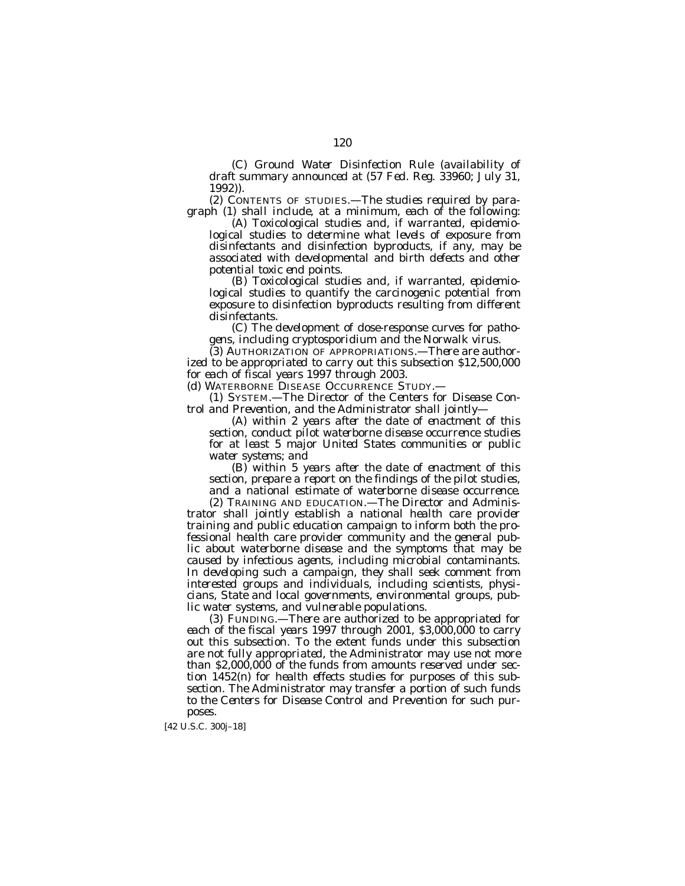*(C) Ground Water Disinfection Rule (availability of draft summary announced at (57 Fed. Reg. 33960; July 31, 1992)).*

*(2) CONTENTS OF STUDIES.—The studies required by paragraph (1) shall include, at a minimum, each of the following:*

*(A) Toxicological studies and, if warranted, epidemiological studies to determine what levels of exposure from disinfectants and disinfection byproducts, if any, may be associated with developmental and birth defects and other potential toxic end points.*

*(B) Toxicological studies and, if warranted, epidemiological studies to quantify the carcinogenic potential from exposure to disinfection byproducts resulting from different disinfectants.*

*(C) The development of dose-response curves for pathogens, including cryptosporidium and the Norwalk virus.*

*(3) AUTHORIZATION OF APPROPRIATIONS.—There are authorized to be appropriated to carry out this subsection \$12,500,000 for each of fiscal years 1997 through 2003.*

*(d) WATERBORNE DISEASE OCCURRENCE STUDY.—*

*(1) SYSTEM.—The Director of the Centers for Disease Control and Prevention, and the Administrator shall jointly—*

*(A) within 2 years after the date of enactment of this section, conduct pilot waterborne disease occurrence studies for at least 5 major United States communities or public water systems; and*

*(B) within 5 years after the date of enactment of this section, prepare a report on the findings of the pilot studies, and a national estimate of waterborne disease occurrence.*

*(2) TRAINING AND EDUCATION.—The Director and Administrator shall jointly establish a national health care provider training and public education campaign to inform both the professional health care provider community and the general public about waterborne disease and the symptoms that may be caused by infectious agents, including microbial contaminants. In developing such a campaign, they shall seek comment from interested groups and individuals, including scientists, physicians, State and local governments, environmental groups, public water systems, and vulnerable populations.*

*(3) FUNDING.—There are authorized to be appropriated for each of the fiscal years 1997 through 2001, \$3,000,000 to carry out this subsection. To the extent funds under this subsection are not fully appropriated, the Administrator may use not more than \$2,000,000 of the funds from amounts reserved under section 1452(n) for health effects studies for purposes of this subsection. The Administrator may transfer a portion of such funds to the Centers for Disease Control and Prevention for such purposes.*

[42 U.S.C. 300j–18]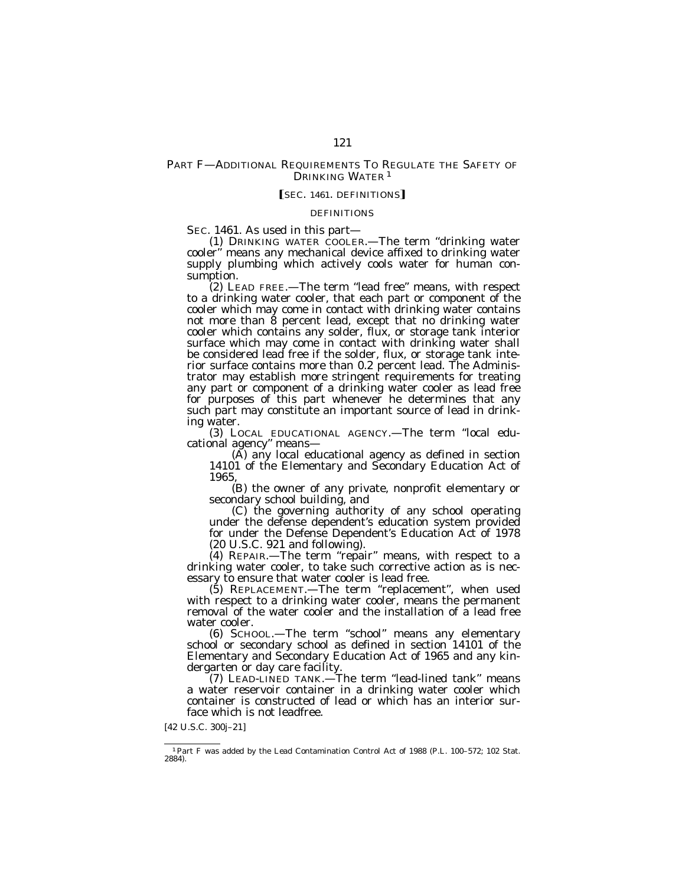## PART F—ADDITIONAL REQUIREMENTS TO REGULATE THE SAFETY OF DRINKING WATER<sup>1</sup>

## ${\sf [SEC.~1461.~DEFINITIONS]}$

## *DEFINITIONS*

*SEC*. *1461.* As used in this part—

(1) DRINKING WATER COOLER.—The term ''drinking water cooler'' means any mechanical device affixed to drinking water supply plumbing which actively cools water for human consumption.

(2) LEAD FREE.—The term ''lead free'' means, with respect to a drinking water cooler, that each part or component of the cooler which may come in contact with drinking water contains not more than 8 percent lead, except that no drinking water cooler which contains any solder, flux, or storage tank interior surface which may come in contact with drinking water shall be considered lead free if the solder, flux, or storage tank interior surface contains more than 0.2 percent lead. The Administrator may establish more stringent requirements for treating any part or component of a drinking water cooler as lead free for purposes of this part whenever he determines that any such part may constitute an important source of lead in drinking water.

(3) LOCAL EDUCATIONAL AGENCY.—The term ''local educational agency'' means—

(A) any local educational agency as defined in section 14101 of the Elementary and Secondary Education Act of 1965,

(B) the owner of any private, nonprofit elementary or secondary school building, and

(C) the governing authority of any school operating under the defense dependent's education system provided for under the Defense Dependent's Education Act of 1978 (20 U.S.C. 921 and following).

(4) REPAIR.—The term ''repair'' means, with respect to a drinking water cooler, to take such corrective action as is necessary to ensure that water cooler is lead free.

(5) REPLACEMENT.—The term ''replacement'', when used with respect to a drinking water cooler, means the permanent removal of the water cooler and the installation of a lead free water cooler.

(6) SCHOOL.—The term ''school'' means any elementary school or secondary school as defined in section 14101 of the Elementary and Secondary Education Act of 1965 and any kindergarten or day care facility.

(7) LEAD-LINED TANK.—The term ''lead-lined tank'' means a water reservoir container in a drinking water cooler which container is constructed of lead or which has an interior surface which is not leadfree.

[42 U.S.C. 300j–21]

<sup>1</sup>Part F was added by the Lead Contamination Control Act of 1988 (P.L. 100–572; 102 Stat. 2884).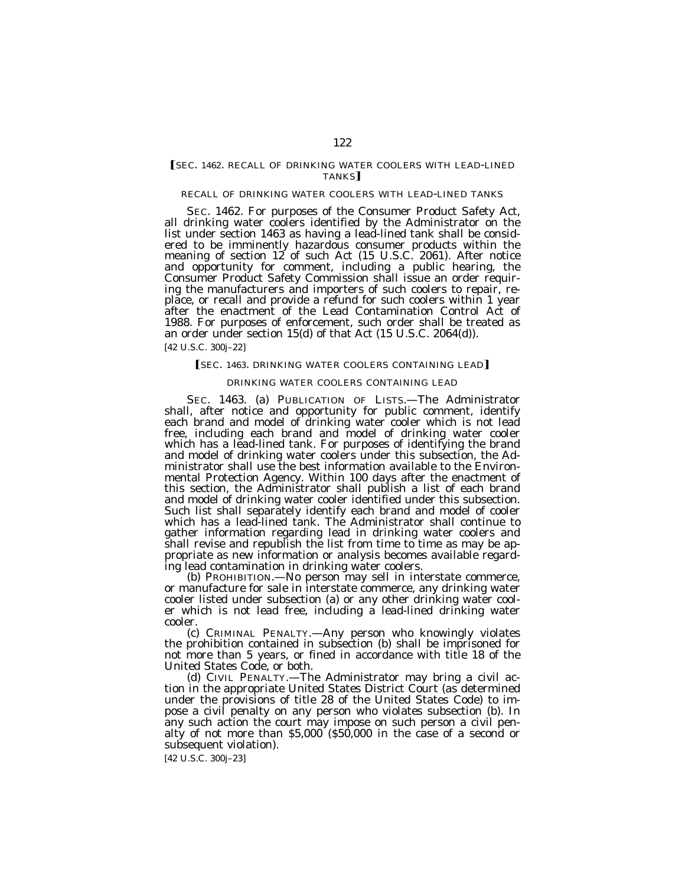## **SEC. 1462. RECALL OF DRINKING WATER COOLERS WITH LEAD-LINED** TANKS<sup>1</sup>

#### *RECALL OF DRINKING WATER COOLERS WITH LEAD-LINED TANKS*

*SEC. 1462.* For purposes of the Consumer Product Safety Act, all drinking water coolers identified by the Administrator on the list under section 1463 as having a lead-lined tank shall be considered to be imminently hazardous consumer products within the meaning of section 12 of such Act (15 U.S.C. 2061). After notice and opportunity for comment, including a public hearing, the Consumer Product Safety Commission shall issue an order requiring the manufacturers and importers of such coolers to repair, replace, or recall and provide a refund for such coolers within 1 year after the enactment of the Lead Contamination Control Act of 1988. For purposes of enforcement, such order shall be treated as an order under section 15(d) of that Act (15 U.S.C. 2064(d)).

[42 U.S.C. 300j–22]

### **SEC. 1463. DRINKING WATER COOLERS CONTAINING LEAD**

### *DRINKING WATER COOLERS CONTAINING LEAD*

*SEC*. *1463.* (a) PUBLICATION OF LISTS.—The Administrator shall, after notice and opportunity for public comment, identify each brand and model of drinking water cooler which is not lead free, including each brand and model of drinking water cooler which has a lead-lined tank. For purposes of identifying the brand and model of drinking water coolers under this subsection, the Administrator shall use the best information available to the Environmental Protection Agency. Within 100 days after the enactment of this section, the Administrator shall publish a list of each brand and model of drinking water cooler identified under this subsection. Such list shall separately identify each brand and model of cooler which has a lead-lined tank. The Administrator shall continue to gather information regarding lead in drinking water coolers and shall revise and republish the list from time to time as may be appropriate as new information or analysis becomes available regard-<br>ing lead contamination in drinking water coolers.

ing lead contamination in drinking water coolers. (b) PROHIBITION.—No person may sell in interstate commerce, or manufacture for sale in interstate commerce, any drinking water cooler listed under subsection (a) or any other drinking water cooler which is not lead free, including a lead-lined drinking water cooler.

(c) CRIMINAL PENALTY.—Any person who knowingly violates the prohibition contained in subsection (b) shall be imprisoned for not more than 5 years, or fined in accordance with title 18 of the United States Code, or both.

(d) CIVIL PENALTY.—The Administrator may bring a civil action in the appropriate United States District Court (as determined under the provisions of title 28 of the United States Code) to impose a civil penalty on any person who violates subsection (b). In any such action the court may impose on such person a civil penalty of not more than \$5,000 (\$50,000 in the case of a second or subsequent violation).

[42 U.S.C. 300j–23]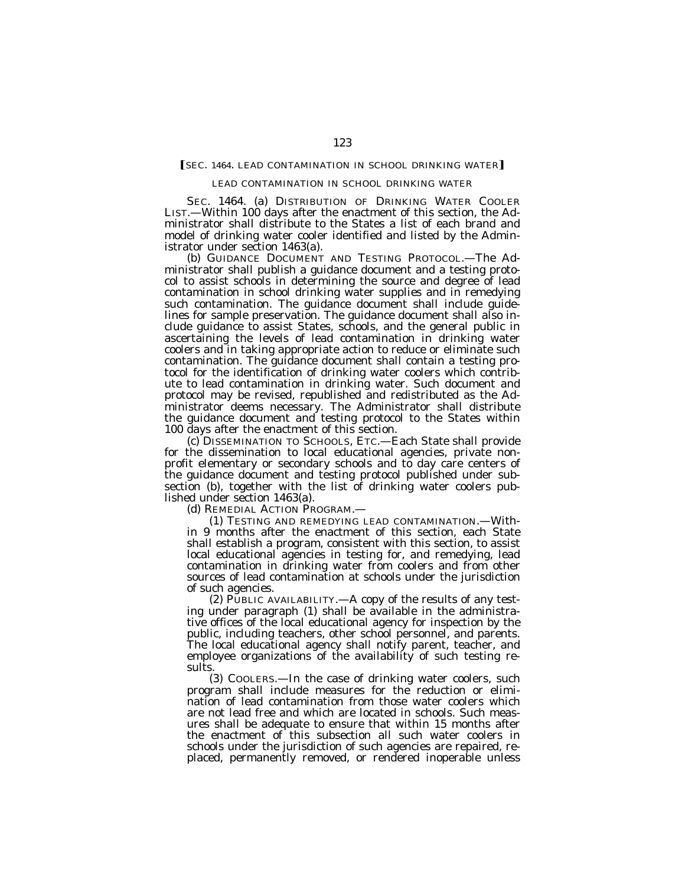## **SEC. 1464. LEAD CONTAMINATION IN SCHOOL DRINKING WATER**

## *LEAD CONTAMINATION IN SCHOOL DRINKING WATER*

*SEC*. *1464.* (a) DISTRIBUTION OF DRINKING WATER COOLER LIST.—Within 100 days after the enactment of this section, the Administrator shall distribute to the States a list of each brand and model of drinking water cooler identified and listed by the Administrator under section 1463(a).

(b) GUIDANCE DOCUMENT AND TESTING PROTOCOL.—The Administrator shall publish a guidance document and a testing protocol to assist schools in determining the source and degree of lead contamination in school drinking water supplies and in remedying such contamination. The guidance document shall include guidelines for sample preservation. The guidance document shall also include guidance to assist States, schools, and the general public in ascertaining the levels of lead contamination in drinking water coolers and in taking appropriate action to reduce or eliminate such contamination. The guidance document shall contain a testing protocol for the identification of drinking water coolers which contribute to lead contamination in drinking water. Such document and protocol may be revised, republished and redistributed as the Administrator deems necessary. The Administrator shall distribute the guidance document and testing protocol to the States within 100 days after the enactment of this section.

(c) DISSEMINATION TO SCHOOLS, ETC.—Each State shall provide for the dissemination to local educational agencies, private nonprofit elementary or secondary schools and to day care centers of the guidance document and testing protocol published under subsection (b), together with the list of drinking water coolers published under section 1463(a).

(d) REMEDIAL ACTION PROGRAM.—

(1) TESTING AND REMEDYING LEAD CONTAMINATION.—Within 9 months after the enactment of this section, each State shall establish a program, consistent with this section, to assist local educational agencies in testing for, and remedying, lead contamination in drinking water from coolers and from other sources of lead contamination at schools under the jurisdiction of such agencies.

(2) PUBLIC AVAILABILITY.—A copy of the results of any testing under paragraph (1) shall be available in the administrative offices of the local educational agency for inspection by the public, including teachers, other school personnel, and parents. The local educational agency shall notify parent, teacher, and employee organizations of the availability of such testing results.

(3) COOLERS.—In the case of drinking water coolers, such program shall include measures for the reduction or elimination of lead contamination from those water coolers which are not lead free and which are located in schools. Such measures shall be adequate to ensure that within 15 months after the enactment of this subsection all such water coolers in schools under the jurisdiction of such agencies are repaired, replaced, permanently removed, or rendered inoperable unless